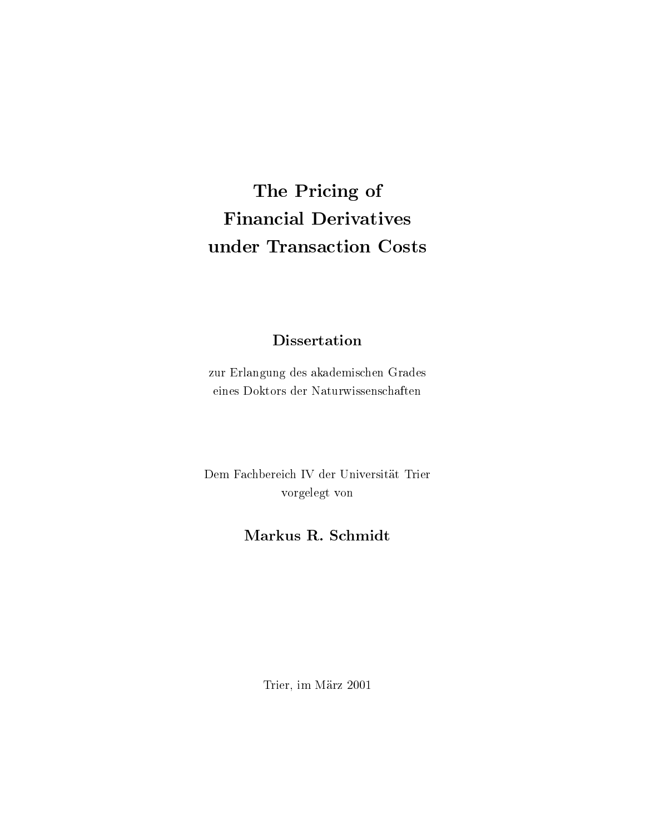### The Pricing of **Financial Derivatives** under Transaction Costs

### **Dissertation**

zur Erlangung des akademischen Grades eines Doktors der Naturwissenschaften

Dem Fachbereich IV der Universität Trier vorgelegt von

### Markus R. Schmidt

Trier, im März 2001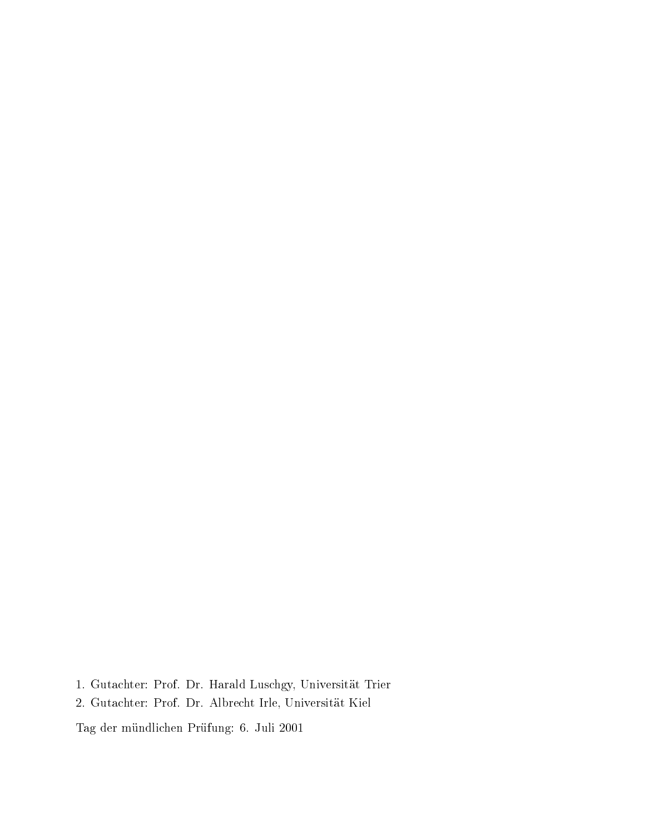- 1. Gutachter: Prof. Dr. Harald Luschgy, Universität Trier
- 2. Gutachter: Prof. Dr. Albrecht Irle, Universität Kiel

Tag der mündlichen Prüfung: 6. Juli 2001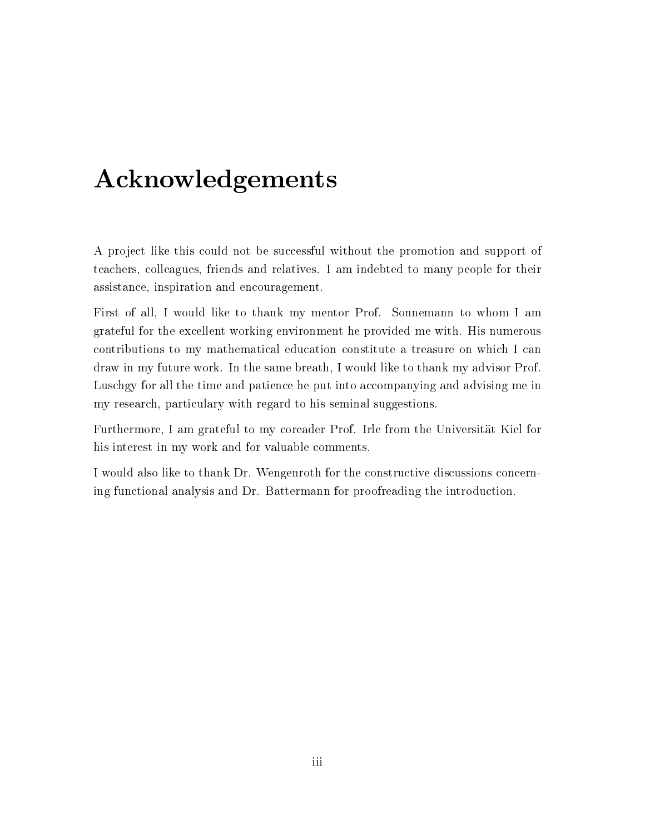## Acknowledgements

A project like this could not be successful without the promotion and support of teachers, colleagues, friends and relatives. I am indebted to many people for their assistance, inspiration and encouragement.

First of all, I would like to thank my mentor Prof. Sonnemann to whom I am grateful for the excellent working environment he provided me with. His numerous contributions to my mathematical education constitute a treasure on which I can draw in my future work. In the same breath, I would like to thank my advisor Prof. Luschgy for all the time and patience he put into accompanying and advising me in my research, particulary with regard to his seminal suggestions.

Furthermore, I am grateful to my coreader Prof. Irle from the Universität Kiel for his interest in my work and for valuable comments.

I would also like to thank Dr. Wengenroth for the constructive discussions concerning functional analysis and Dr. Battermann for proofreading the introduction.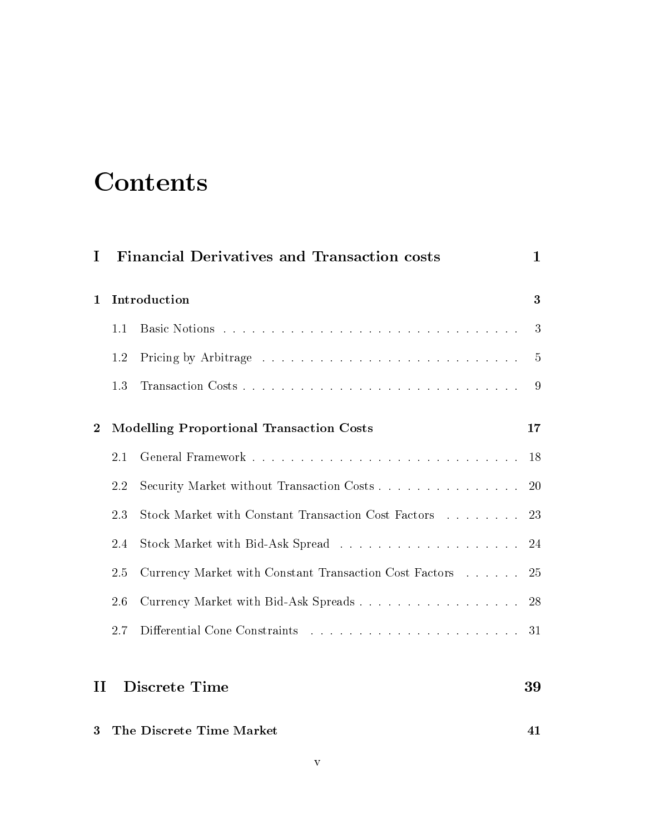## Contents

| I                |              | <b>Financial Derivatives and Transaction costs</b>     | $\mathbf 1$    |
|------------------|--------------|--------------------------------------------------------|----------------|
| 1                | Introduction |                                                        | 3              |
|                  | 1.1          |                                                        | 3              |
|                  | 1.2          |                                                        | $\overline{5}$ |
|                  | 1.3          |                                                        | 9              |
| $\boldsymbol{2}$ |              | <b>Modelling Proportional Transaction Costs</b>        | 17             |
|                  | 2.1          |                                                        | 18             |
|                  | 2.2          | Security Market without Transaction Costs              | 20             |
|                  | 2.3          | Stock Market with Constant Transaction Cost Factors    | 23             |
|                  | 2.4          |                                                        | 24             |
|                  | 2.5          | Currency Market with Constant Transaction Cost Factors | 25             |
|                  | 2.6          | Currency Market with Bid-Ask Spreads                   | 28             |
|                  | 2.7          |                                                        | 31             |
| $\mathbf{I}$     |              | <b>Discrete Time</b>                                   | 39             |
| 3                |              | The Discrete Time Market                               | 41             |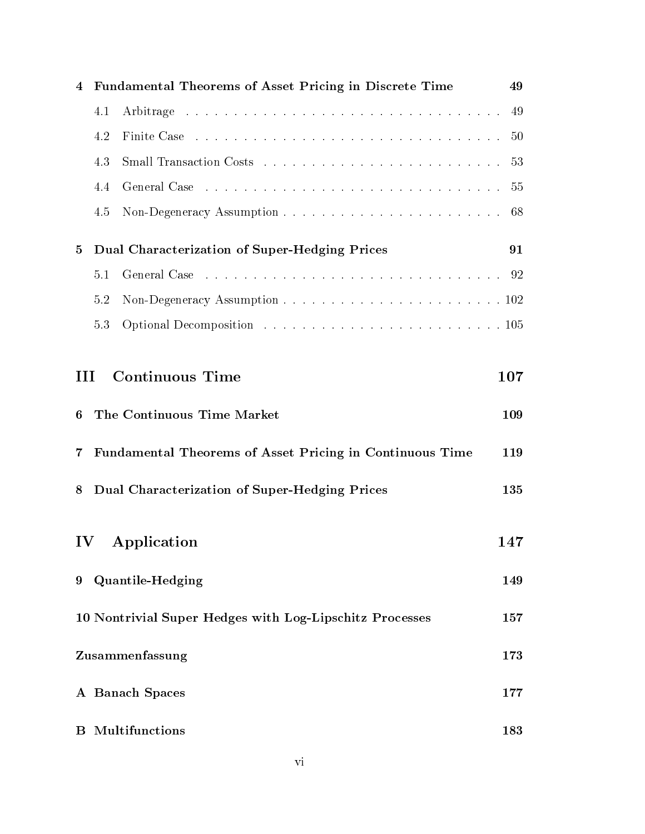| 4                                                              | Fundamental Theorems of Asset Pricing in Discrete Time<br>49    |                                                                                                                                                                                                                                |  |     |  |  |
|----------------------------------------------------------------|-----------------------------------------------------------------|--------------------------------------------------------------------------------------------------------------------------------------------------------------------------------------------------------------------------------|--|-----|--|--|
|                                                                | 4.1                                                             |                                                                                                                                                                                                                                |  | 49  |  |  |
|                                                                | 4.2                                                             |                                                                                                                                                                                                                                |  | 50  |  |  |
|                                                                | 4.3                                                             |                                                                                                                                                                                                                                |  | 53  |  |  |
|                                                                | 4.4                                                             | General Case response to the contract of the contract of the contract of the contract of the contract of the contract of the contract of the contract of the contract of the contract of the contract of the contract of the c |  | 55  |  |  |
|                                                                | 4.5                                                             |                                                                                                                                                                                                                                |  | 68  |  |  |
| 5                                                              | Dual Characterization of Super-Hedging Prices<br>91             |                                                                                                                                                                                                                                |  |     |  |  |
|                                                                | 5.1                                                             |                                                                                                                                                                                                                                |  |     |  |  |
|                                                                | 5.2                                                             |                                                                                                                                                                                                                                |  |     |  |  |
|                                                                | 5.3                                                             |                                                                                                                                                                                                                                |  |     |  |  |
| <b>Continuous Time</b><br>107<br>ПI                            |                                                                 |                                                                                                                                                                                                                                |  |     |  |  |
| 6                                                              |                                                                 | The Continuous Time Market                                                                                                                                                                                                     |  | 109 |  |  |
| $\overline{7}$                                                 | Fundamental Theorems of Asset Pricing in Continuous Time<br>119 |                                                                                                                                                                                                                                |  |     |  |  |
| 8                                                              | Dual Characterization of Super-Hedging Prices<br>135            |                                                                                                                                                                                                                                |  |     |  |  |
| $\mathbf{IV}$                                                  |                                                                 | Application                                                                                                                                                                                                                    |  | 147 |  |  |
| 9                                                              | <b>Quantile-Hedging</b><br>149                                  |                                                                                                                                                                                                                                |  |     |  |  |
| 10 Nontrivial Super Hedges with Log-Lipschitz Processes<br>157 |                                                                 |                                                                                                                                                                                                                                |  |     |  |  |
| Zusammenfassung<br>173                                         |                                                                 |                                                                                                                                                                                                                                |  |     |  |  |
|                                                                |                                                                 | A Banach Spaces                                                                                                                                                                                                                |  | 177 |  |  |
| $\bf{B}$                                                       |                                                                 | Multifunctions                                                                                                                                                                                                                 |  | 183 |  |  |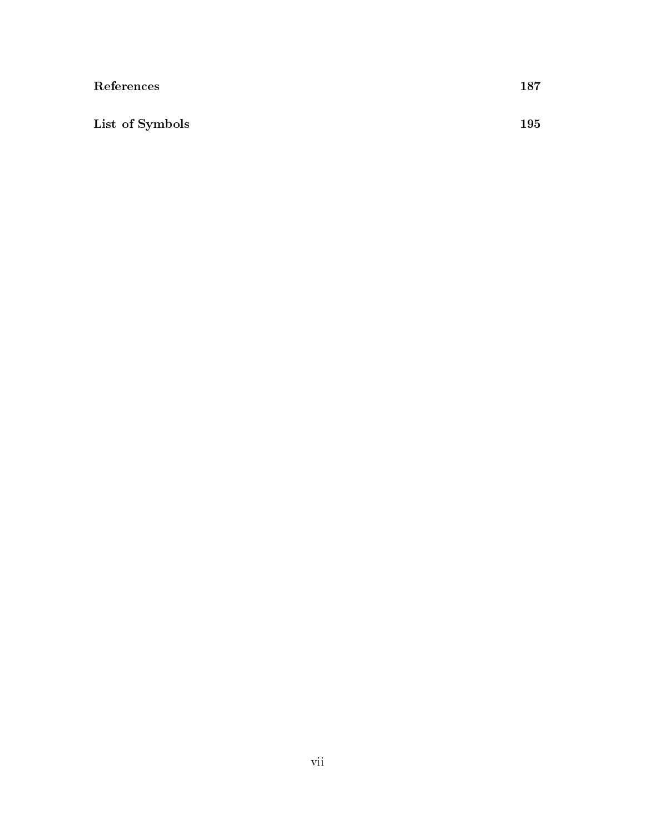| References      | 187 |
|-----------------|-----|
|                 |     |
| List of Symbols | 195 |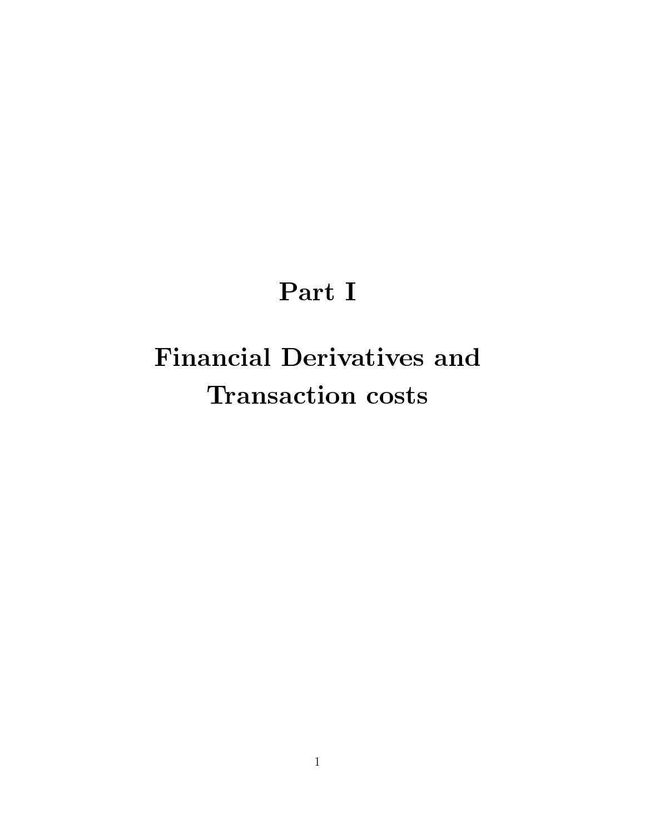# Part I

# **Financial Derivatives and Transaction costs**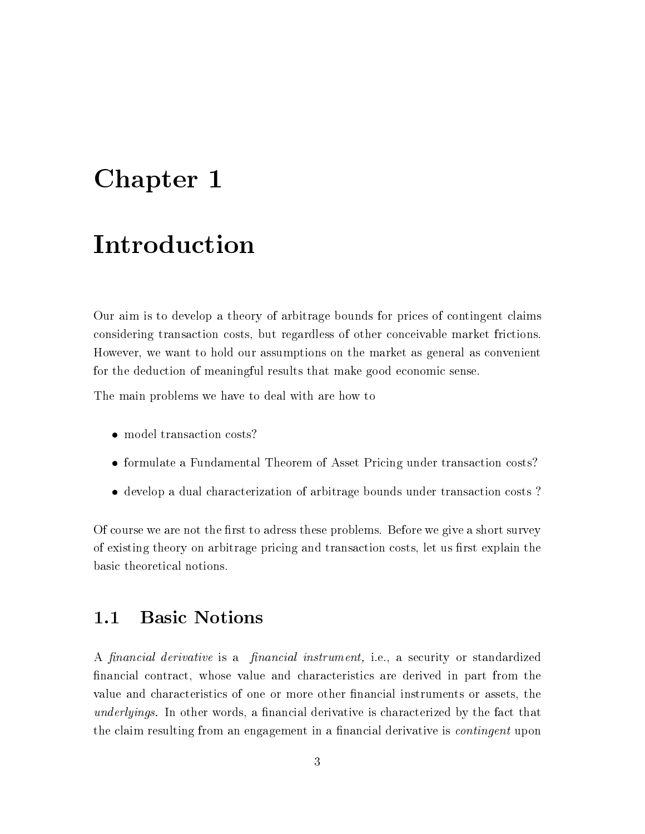## Chapter 1

## Introduction

Our aim is to develop a theory of arbitrage bounds for prices of contingent claims considering transaction costs, but regardless of other conceivable market frictions. However, we want to hold our assumptions on the market as general as convenient for the deduction of meaningful results that make good economic sense.

The main problems we have to deal with are how to

- model transaction costs?
- formulate a Fundamental Theorem of Asset Pricing under transaction costs?
- develop a dual characterization of arbitrage bounds under transaction costs?

Of course we are not the first to adress these problems. Before we give a short survey of existing theory on arbitrage pricing and transaction costs, let us first explain the basic theoretical notions.

#### **Basic Notions**  $1.1$

A financial derivative is a financial instrument, i.e., a security or standardized financial contract, whose value and characteristics are derived in part from the value and characteristics of one or more other financial instruments or assets, the *underlyings*. In other words, a financial derivative is characterized by the fact that the claim resulting from an engagement in a financial derivative is *continuent* upon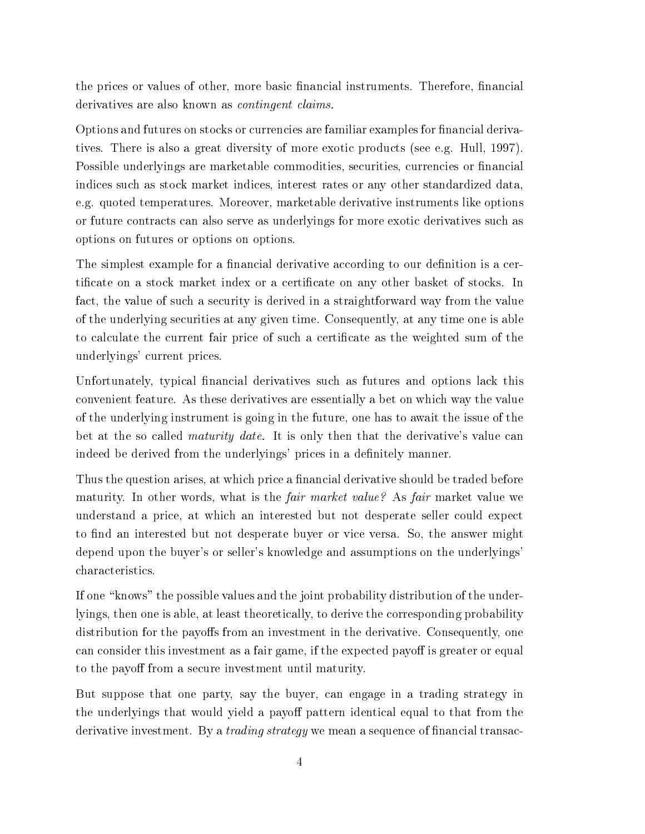the prices or values of other, more basic financial instruments. Therefore, financial derivatives are also known as *contingent claims*.

Options and futures on stocks or currencies are familiar examples for financial derivatives. There is also a great diversity of more exotic products (see e.g. Hull, 1997). Possible underlyings are marketable commodities, securities, currencies or financial indices such as stock market indices, interest rates or any other standardized data, e.g. quoted temperatures. Moreover, marketable derivative instruments like options or future contracts can also serve as underlyings for more exotic derivatives such as options on futures or options on options.

The simplest example for a financial derivative according to our definition is a certificate on a stock market index or a certificate on any other basket of stocks. In fact, the value of such a security is derived in a straightforward way from the value of the underlying securities at any given time. Consequently, at any time one is able to calculate the current fair price of such a certificate as the weighted sum of the underlyings' current prices.

Unfortunately, typical financial derivatives such as futures and options lack this convenient feature. As these derivatives are essentially a bet on which way the value of the underlying instrument is going in the future, one has to await the issue of the bet at the so called *maturity date*. It is only then that the derivative's value can indeed be derived from the underlyings' prices in a definitely manner.

Thus the question arises, at which price a financial derivative should be traded before maturity. In other words, what is the *fair market value?* As *fair* market value we understand a price, at which an interested but not desperate seller could expect to find an interested but not desperate buyer or vice versa. So, the answer might depend upon the buyer's or seller's knowledge and assumptions on the underlyings' characteristics.

If one "knows" the possible values and the joint probability distribution of the underlyings, then one is able, at least theoretically, to derive the corresponding probability distribution for the payoffs from an investment in the derivative. Consequently, one can consider this investment as a fair game, if the expected payoff is greater or equal to the payoff from a secure investment until maturity.

But suppose that one party, say the buyer, can engage in a trading strategy in the underlyings that would yield a payoff pattern identical equal to that from the derivative investment. By a *trading strategy* we mean a sequence of financial transac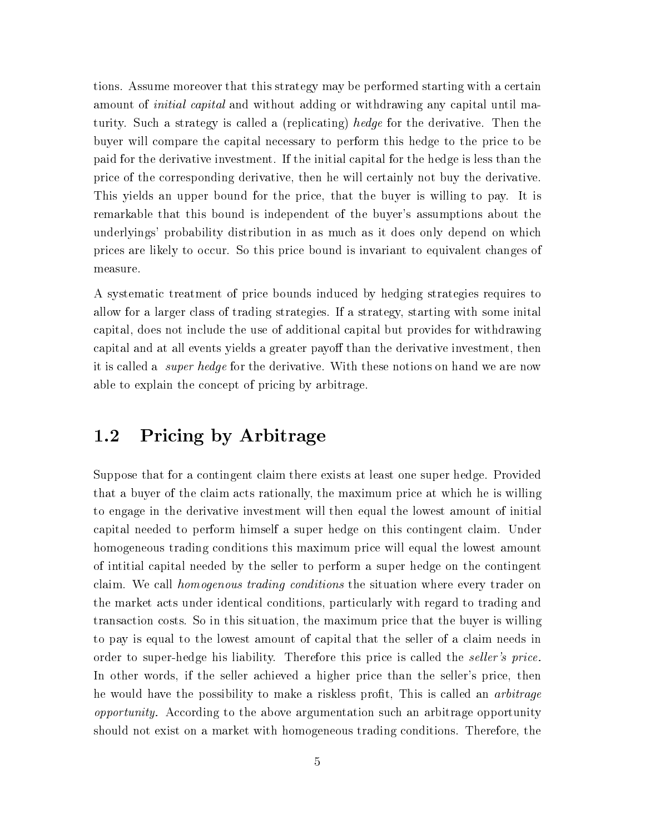tions. Assume moreover that this strategy may be performed starting with a certain amount of *initial capital* and without adding or withdrawing any capital until maturity. Such a strategy is called a (replicating) hedge for the derivative. Then the buyer will compare the capital necessary to perform this hedge to the price to be paid for the derivative investment. If the initial capital for the hedge is less than the price of the corresponding derivative, then he will certainly not buy the derivative. This yields an upper bound for the price, that the buyer is willing to pay. It is remarkable that this bound is independent of the buyer's assumptions about the underlyings' probability distribution in as much as it does only depend on which prices are likely to occur. So this price bound is invariant to equivalent changes of measure.

A systematic treatment of price bounds induced by hedging strategies requires to allow for a larger class of trading strategies. If a strategy, starting with some inital capital, does not include the use of additional capital but provides for withdrawing capital and at all events yields a greater payoff than the derivative investment, then it is called a *super hedge* for the derivative. With these notions on hand we are now able to explain the concept of pricing by arbitrage.

#### Pricing by Arbitrage  $1.2$

Suppose that for a contingent claim there exists at least one super hedge. Provided that a buyer of the claim acts rationally, the maximum price at which he is willing to engage in the derivative investment will then equal the lowest amount of initial capital needed to perform himself a super hedge on this contingent claim. Under homogeneous trading conditions this maximum price will equal the lowest amount of initial capital needed by the seller to perform a super hedge on the contingent claim. We call *homogenous trading conditions* the situation where every trader on the market acts under identical conditions, particularly with regard to trading and transaction costs. So in this situation, the maximum price that the buyer is willing to pay is equal to the lowest amount of capital that the seller of a claim needs in order to super-hedge his liability. Therefore this price is called the *seller's price*. In other words, if the seller achieved a higher price than the seller's price, then he would have the possibility to make a riskless profit. This is called an *arbitrage opportunity.* According to the above argumentation such an arbitrage opportunity should not exist on a market with homogeneous trading conditions. Therefore, the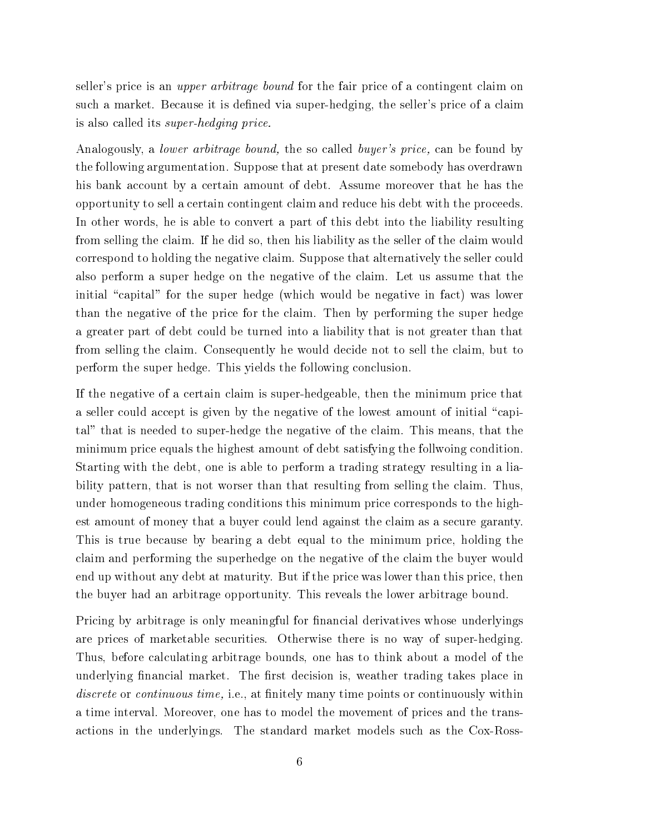seller's price is an *upper arbitrage bound* for the fair price of a contingent claim on such a market. Because it is defined via super-hedging, the seller's price of a claim is also called its *super-hedging price*.

Analogously, a *lower arbitrage bound*, the so called *buyer's price*, can be found by the following argumentation. Suppose that at present date somebody has overdrawn his bank account by a certain amount of debt. Assume moreover that he has the opportunity to sell a certain contingent claim and reduce his debt with the proceeds. In other words, he is able to convert a part of this debt into the liability resulting from selling the claim. If he did so, then his liability as the seller of the claim would correspond to holding the negative claim. Suppose that alternatively the seller could also perform a super hedge on the negative of the claim. Let us assume that the initial "capital" for the super hedge (which would be negative in fact) was lower than the negative of the price for the claim. Then by performing the super hedge a greater part of debt could be turned into a liability that is not greater than that from selling the claim. Consequently he would decide not to sell the claim, but to perform the super hedge. This yields the following conclusion.

If the negative of a certain claim is super-hedgeable, then the minimum price that a seller could accept is given by the negative of the lowest amount of initial "capital" that is needed to super-hedge the negative of the claim. This means, that the minimum price equals the highest amount of debt satisfying the follwoing condition. Starting with the debt, one is able to perform a trading strategy resulting in a liability pattern, that is not worser than that resulting from selling the claim. Thus, under homogeneous trading conditions this minimum price corresponds to the highest amount of money that a buyer could lend against the claim as a secure garanty. This is true because by bearing a debt equal to the minimum price, holding the claim and performing the superhedge on the negative of the claim the buyer would end up without any debt at maturity. But if the price was lower than this price, then the buyer had an arbitrage opportunity. This reveals the lower arbitrage bound.

Pricing by arbitrage is only meaningful for financial derivatives whose underlyings are prices of marketable securities. Otherwise there is no way of super-hedging. Thus, before calculating arbitrage bounds, one has to think about a model of the underlying financial market. The first decision is, weather trading takes place in *discrete* or *continuous time*, i.e., at finitely many time points or continuously within a time interval. Moreover, one has to model the movement of prices and the transactions in the underlyings. The standard market models such as the Cox-Ross-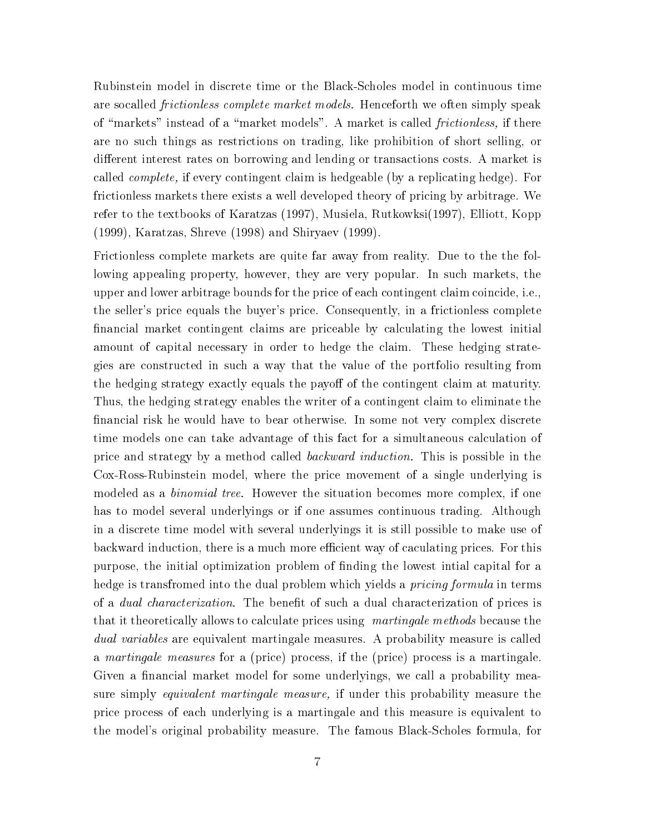Rubinstein model in discrete time or the Black-Scholes model in continuous time are socalled *frictionless complete market models*. Henceforth we often simply speak of "markets" instead of a "market models". A market is called *frictionless*, if there are no such things as restrictions on trading, like prohibition of short selling, or different interest rates on borrowing and lending or transactions costs. A market is called *complete*, if every contingent claim is hedgeable (by a replicating hedge). For frictionless markets there exists a well developed theory of pricing by arbitrage. We refer to the textbooks of Karatzas (1997), Musiela, Rutkowksi (1997), Elliott, Kopp (1999), Karatzas, Shreve (1998) and Shirvaev (1999).

Frictionless complete markets are quite far away from reality. Due to the the following appealing property, however, they are very popular. In such markets, the upper and lower arbitrage bounds for the price of each contingent claim coincide, i.e., the seller's price equals the buyer's price. Consequently, in a frictionless complete financial market contingent claims are priceable by calculating the lowest initial amount of capital necessary in order to hedge the claim. These hedging strategies are constructed in such a way that the value of the portfolio resulting from the hedging strategy exactly equals the payoff of the contingent claim at maturity. Thus, the hedging strategy enables the writer of a contingent claim to eliminate the financial risk he would have to bear otherwise. In some not very complex discrete time models one can take advantage of this fact for a simultaneous calculation of price and strategy by a method called *backward induction*. This is possible in the Cox-Ross-Rubinstein model, where the price movement of a single underlying is modeled as a *binomial tree.* However the situation becomes more complex, if one has to model several underlyings or if one assumes continuous trading. Although in a discrete time model with several underlyings it is still possible to make use of backward induction, there is a much more efficient way of caculating prices. For this purpose, the initial optimization problem of finding the lowest initial capital for a hedge is transfromed into the dual problem which yields a *pricing formula* in terms of a *dual characterization*. The benefit of such a dual characterization of prices is that it theoretically allows to calculate prices using martingale methods because the *dual variables* are equivalent martingale measures. A probability measure is called a martingale measures for a (price) process, if the (price) process is a martingale. Given a financial market model for some underlyings, we call a probability measure simply equivalent martingale measure, if under this probability measure the price process of each underlying is a martingale and this measure is equivalent to the model's original probability measure. The famous Black-Scholes formula, for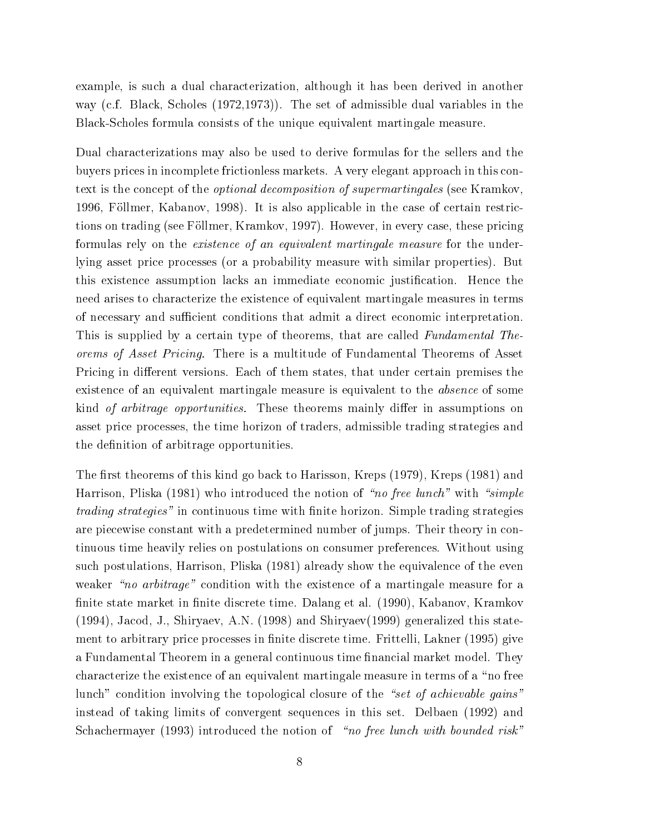example, is such a dual characterization, although it has been derived in another way (c.f. Black, Scholes (1972, 1973)). The set of admissible dual variables in the Black-Scholes formula consists of the unique equivalent martingale measure.

Dual characterizations may also be used to derive formulas for the sellers and the buyers prices in incomplete frictionless markets. A very elegant approach in this context is the concept of the *optional decomposition of supermartingales* (see Kramkov, 1996, Föllmer, Kabanov, 1998). It is also applicable in the case of certain restrictions on trading (see Föllmer, Kramkov, 1997). However, in every case, these pricing formulas rely on the existence of an equivalent martingale measure for the underlying asset price processes (or a probability measure with similar properties). But this existence assumption lacks an immediate economic justification. Hence the need arises to characterize the existence of equivalent martingale measures in terms of necessary and sufficient conditions that admit a direct economic interpretation. This is supplied by a certain type of theorems, that are called Fundamental The*orems of Asset Pricing.* There is a multitude of Fundamental Theorems of Asset Pricing in different versions. Each of them states, that under certain premises the existence of an equivalent martingale measure is equivalent to the *absence* of some kind of arbitrage opportunities. These theorems mainly differ in assumptions on asset price processes, the time horizon of traders, admissible trading strategies and the definition of arbitrage opportunities.

The first theorems of this kind go back to Harisson, Kreps (1979), Kreps (1981) and Harrison, Pliska (1981) who introduced the notion of "no free lunch" with "simple *trading strategies*" in continuous time with finite horizon. Simple trading strategies are piecewise constant with a predetermined number of jumps. Their theory in continuous time heavily relies on postulations on consumer preferences. Without using such postulations, Harrison, Pliska (1981) already show the equivalence of the even weaker "no arbitrage" condition with the existence of a martingale measure for a finite state market in finite discrete time. Dalang et al. (1990), Kabanov, Kramkov  $(1994)$ , Jacod, J., Shiryaev, A.N. (1998) and Shiryaev(1999) generalized this statement to arbitrary price processes in finite discrete time. Frittelli, Lakner (1995) give a Fundamental Theorem in a general continuous time financial market model. They characterize the existence of an equivalent martingale measure in terms of a "no free lunch" condition involving the topological closure of the "set of achievable gains" instead of taking limits of convergent sequences in this set. Delbaen (1992) and Schachermayer (1993) introduced the notion of "no free lunch with bounded risk"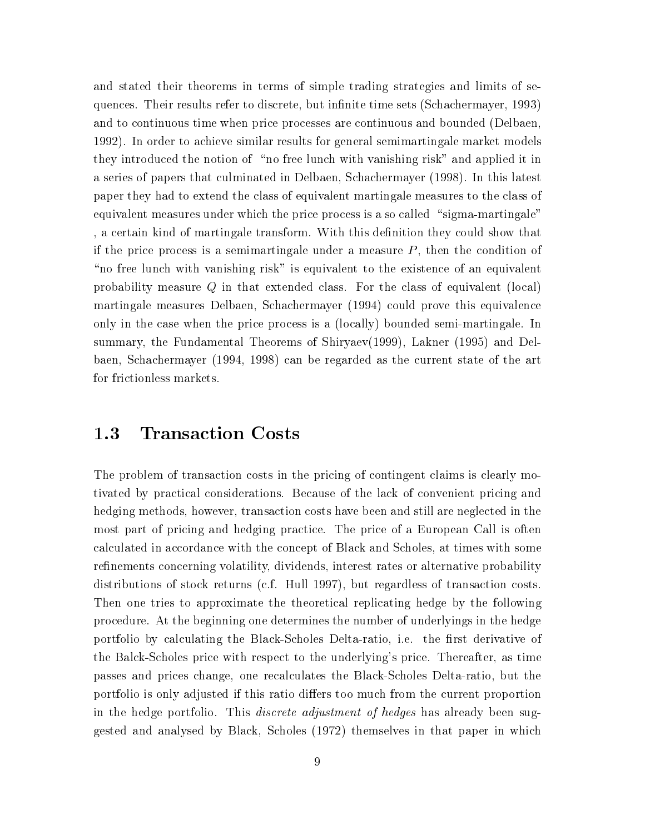and stated their theorems in terms of simple trading strategies and limits of sequences. Their results refer to discrete, but infinite time sets (Schachermayer, 1993) and to continuous time when price processes are continuous and bounded (Delbaen, 1992). In order to achieve similar results for general semimartingale market models they introduced the notion of "no free lunch with vanishing risk" and applied it in a series of papers that culminated in Delbaen, Schachermayer (1998). In this latest paper they had to extend the class of equivalent martingale measures to the class of equivalent measures under which the price process is a so called "sigma-martingale" a certain kind of martingale transform. With this definition they could show that if the price process is a semimartingale under a measure  $P$ , then the condition of "no free lunch with vanishing risk" is equivalent to the existence of an equivalent probability measure  $Q$  in that extended class. For the class of equivalent (local) martingale measures Delbaen, Schachermayer (1994) could prove this equivalence only in the case when the price process is a (locally) bounded semi-martingale. In summary, the Fundamental Theorems of Shiryaev(1999), Lakner (1995) and Delbaen, Schachermayer (1994, 1998) can be regarded as the current state of the art for frictionless markets.

#### 1.3 **Transaction Costs**

The problem of transaction costs in the pricing of contingent claims is clearly motivated by practical considerations. Because of the lack of convenient pricing and hedging methods, however, transaction costs have been and still are neglected in the most part of pricing and hedging practice. The price of a European Call is often calculated in accordance with the concept of Black and Scholes, at times with some refinements concerning volatility, dividends, interest rates or alternative probability distributions of stock returns (c.f. Hull 1997), but regardless of transaction costs. Then one tries to approximate the theoretical replicating hedge by the following procedure. At the beginning one determines the number of underlyings in the hedge portfolio by calculating the Black-Scholes Delta-ratio, i.e. the first derivative of the Balck-Scholes price with respect to the underlying's price. Thereafter, as time passes and prices change, one recalculates the Black-Scholes Delta-ratio, but the portfolio is only adjusted if this ratio differs too much from the current proportion in the hedge portfolio. This *discrete adjustment of hedges* has already been suggested and analysed by Black, Scholes (1972) themselves in that paper in which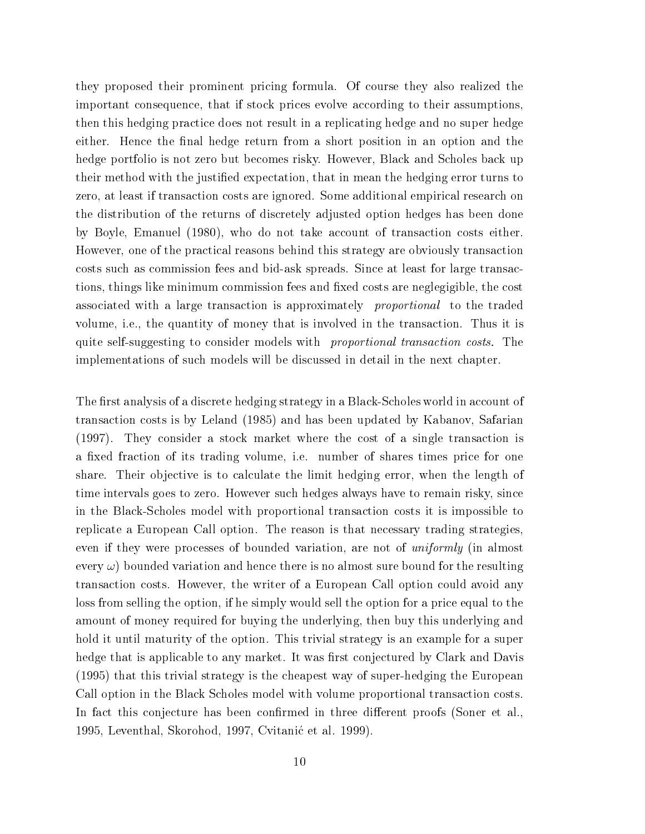they proposed their prominent pricing formula. Of course they also realized the important consequence, that if stock prices evolve according to their assumptions, then this hedging practice does not result in a replicating hedge and no super hedge either. Hence the final hedge return from a short position in an option and the hedge portfolio is not zero but becomes risky. However, Black and Scholes back up their method with the justified expectation, that in mean the hedging error turns to zero, at least if transaction costs are ignored. Some additional empirical research on the distribution of the returns of discretely adjusted option hedges has been done by Boyle, Emanuel (1980), who do not take account of transaction costs either. However, one of the practical reasons behind this strategy are obviously transaction costs such as commission fees and bid-ask spreads. Since at least for large transactions, things like minimum commission fees and fixed costs are neglegigible, the cost associated with a large transaction is approximately *proportional* to the traded volume, i.e., the quantity of money that is involved in the transaction. Thus it is quite self-suggesting to consider models with *proportional transaction costs*. The implementations of such models will be discussed in detail in the next chapter.

The first analysis of a discrete hedging strategy in a Black-Scholes world in account of transaction costs is by Leland (1985) and has been updated by Kabanov, Safarian (1997). They consider a stock market where the cost of a single transaction is a fixed fraction of its trading volume, i.e. number of shares times price for one share. Their objective is to calculate the limit hedging error, when the length of time intervals goes to zero. However such hedges always have to remain risky, since in the Black-Scholes model with proportional transaction costs it is impossible to replicate a European Call option. The reason is that necessary trading strategies, even if they were processes of bounded variation, are not of *uniformly* (in almost every  $\omega$ ) bounded variation and hence there is no almost sure bound for the resulting transaction costs. However, the writer of a European Call option could avoid any loss from selling the option, if he simply would sell the option for a price equal to the amount of money required for buying the underlying, then buy this underlying and hold it until maturity of the option. This trivial strategy is an example for a super hedge that is applicable to any market. It was first conjectured by Clark and Davis (1995) that this trivial strategy is the cheapest way of super-hedging the European Call option in the Black Scholes model with volume proportional transaction costs. In fact this conjecture has been confirmed in three different proofs (Soner et al., 1995, Leventhal, Skorohod, 1997, Cvitanić et al. 1999).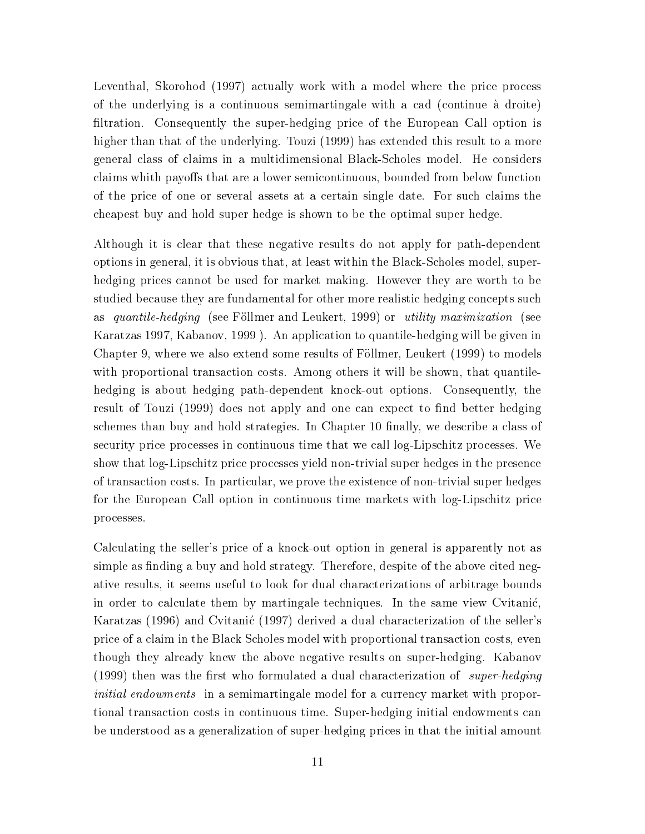Leventhal, Skorohod (1997) actually work with a model where the price process of the underlying is a continuous semimartingale with a cad (continue à droite) filtration. Consequently the super-hedging price of the European Call option is higher than that of the underlying. Touzi (1999) has extended this result to a more general class of claims in a multidimensional Black-Scholes model. He considers claims whith payoffs that are a lower semicontinuous, bounded from below function of the price of one or several assets at a certain single date. For such claims the chapest buy and hold super hedge is shown to be the optimal super hedge.

Although it is clear that these negative results do not apply for path-dependent options in general, it is obvious that, at least within the Black-Scholes model, superhedging prices cannot be used for market making. However they are worth to be studied because they are fundamental for other more realistic hedging concepts such *quantile-hedging* (see Föllmer and Leukert, 1999) or *utility maximization* (see  $\rm as$ Karatzas 1997, Kabanov, 1999 ). An application to quantile-hedging will be given in Chapter 9, where we also extend some results of Föllmer, Leukert (1999) to models with proportional transaction costs. Among others it will be shown, that quantilehedging is about hedging path-dependent knock-out options. Consequently, the result of Touzi (1999) does not apply and one can expect to find better hedging schemes than buy and hold strategies. In Chapter 10 finally, we describe a class of security price processes in continuous time that we call log-Lipschitz processes. We show that log-Lipschitz price processes yield non-trivial super hedges in the presence of transaction costs. In particular, we prove the existence of non-trivial super hedges for the European Call option in continuous time markets with log-Lipschitz price processes.

Calculating the seller's price of a knock-out option in general is apparently not as simple as finding a buy and hold strategy. Therefore, despite of the above cited negative results, it seems useful to look for dual characterizations of arbitrage bounds in order to calculate them by martingale techniques. In the same view Cvitanić, Karatzas (1996) and Cvitanić (1997) derived a dual characterization of the seller's price of a claim in the Black Scholes model with proportional transaction costs, even though they already knew the above negative results on super-hedging. Kabanov (1999) then was the first who formulated a dual characterization of super-hedging *initial endowments* in a semimartingale model for a currency market with proportional transaction costs in continuous time. Super-hedging initial endowments can be understood as a generalization of super-hedging prices in that the initial amount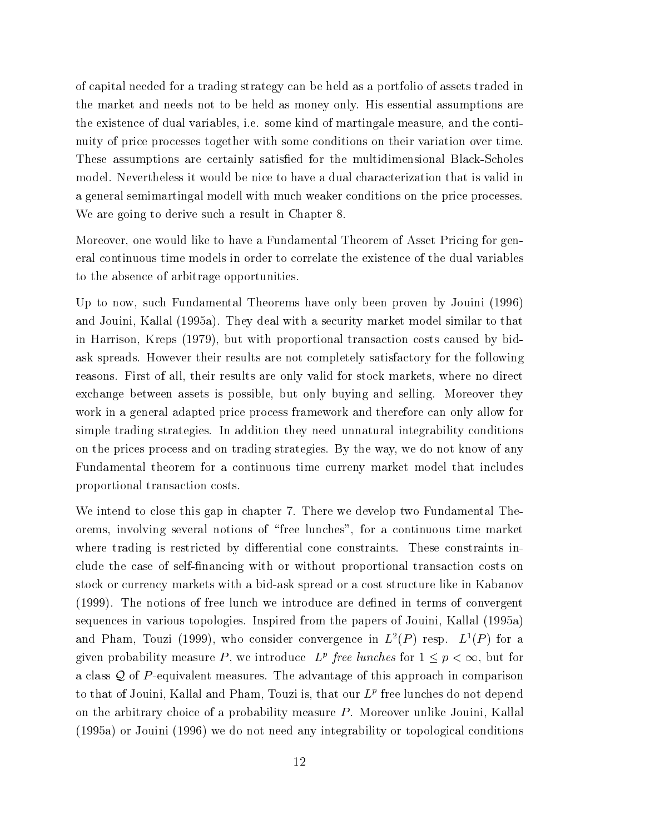of capital needed for a trading strategy can be held as a portfolio of assets traded in the market and needs not to be held as money only. His essential assumptions are the existence of dual variables, i.e. some kind of martingale measure, and the continuity of price processes together with some conditions on their variation over time. These assumptions are certainly satisfied for the multidimensional Black-Scholes model. Nevertheless it would be nice to have a dual characterization that is valid in a general semimartingal modell with much weaker conditions on the price processes. We are going to derive such a result in Chapter 8.

Moreover, one would like to have a Fundamental Theorem of Asset Pricing for general continuous time models in order to correlate the existence of the dual variables to the absence of arbitrage opportunities.

Up to now, such Fundamental Theorems have only been proven by Jouini (1996) and Jouini, Kallal (1995a). They deal with a security market model similar to that in Harrison, Kreps (1979), but with proportional transaction costs caused by bidask spreads. However their results are not completely satisfactory for the following reasons. First of all, their results are only valid for stock markets, where no direct exchange between assets is possible, but only buying and selling. Moreover they work in a general adapted price process framework and therefore can only allow for simple trading strategies. In addition they need unnatural integrability conditions on the prices process and on trading strategies. By the way, we do not know of any Fundamental theorem for a continuous time curreny market model that includes proportional transaction costs.

We intend to close this gap in chapter 7. There we develop two Fundamental Theorems, involving several notions of "free lunches", for a continuous time market where trading is restricted by differential cone constraints. These constraints include the case of self-financing with or without proportional transaction costs on stock or currency markets with a bid-ask spread or a cost structure like in Kabanov (1999). The notions of free lunch we introduce are defined in terms of convergent sequences in various topologies. Inspired from the papers of Jouini, Kallal (1995a) and Pham, Touzi (1999), who consider convergence in  $L^2(P)$  resp.  $L^1(P)$  for a given probability measure P, we introduce  $L^p$  free lunches for  $1 \leq p < \infty$ , but for a class  $Q$  of P-equivalent measures. The advantage of this approach in comparison to that of Jouini, Kallal and Pham, Touzi is, that our  $L^p$  free lunches do not depend on the arbitrary choice of a probability measure  $P$ . Moreover unlike Jouini, Kallal (1995a) or Jouini (1996) we do not need any integrability or topological conditions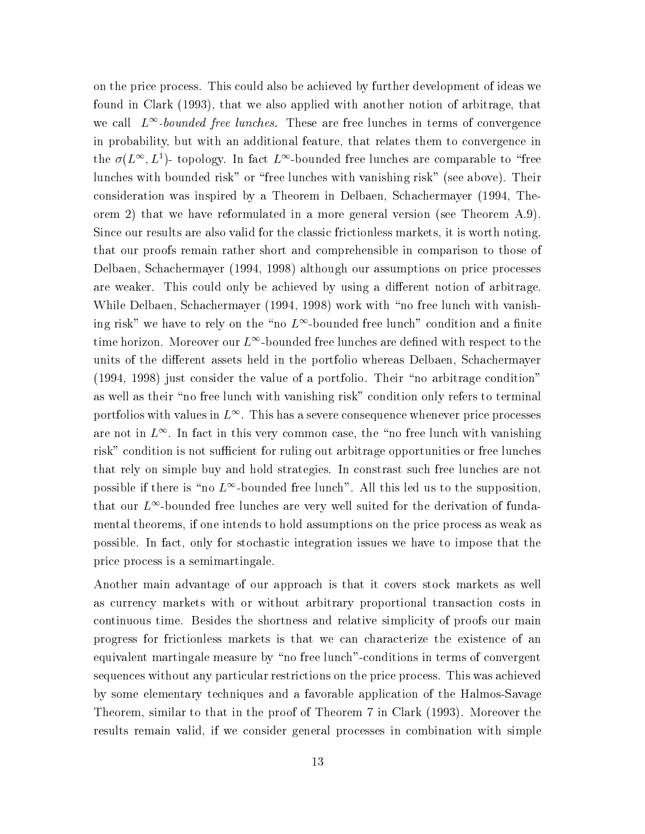on the price process. This could also be achieved by further development of ideas we found in Clark (1993), that we also applied with another notion of arbitrage, that we call  $L^{\infty}$ -bounded free lunches. These are free lunches in terms of convergence in probability, but with an additional feature, that relates them to convergence in the  $\sigma(L^{\infty}, L^{1})$ - topology. In fact  $L^{\infty}$ -bounded free lunches are comparable to "free lunches with bounded risk" or "free lunches with vanishing risk" (see above). Their consideration was inspired by a Theorem in Delbaen, Schachermayer (1994, Theorem 2) that we have reformulated in a more general version (see Theorem  $(A.9)$ . Since our results are also valid for the classic frictionless markets, it is worth noting that our proofs remain rather short and comprehensible in comparison to those of Delbaen, Schachermayer (1994, 1998) although our assumptions on price processes are weaker. This could only be achieved by using a different notion of arbitrage. While Delbaen, Schachermayer (1994, 1998) work with "no free lunch with vanishing risk" we have to rely on the "no  $L^{\infty}$ -bounded free lunch" condition and a finite time horizon. Moreover our  $L^{\infty}$ -bounded free lunches are defined with respect to the units of the different assets held in the portfolio whereas Delbaen, Schachermayer (1994, 1998) just consider the value of a portfolio. Their "no arbitrage condition" as well as their "no free lunch with vanishing risk" condition only refers to terminal portfolios with values in  $L^{\infty}$ . This has a severe consequence whenever price processes are not in  $L^{\infty}$ . In fact in this very common case, the "no free lunch with vanishing risk" condition is not sufficient for ruling out arbitrage opportunities or free lunches that rely on simple buy and hold strategies. In constrast such free lunches are not possible if there is "no  $L^{\infty}$ -bounded free lunch". All this led us to the supposition. that our  $L^{\infty}$ -bounded free lunches are very well suited for the derivation of fundamental theorems, if one intends to hold assumptions on the price process as weak as possible. In fact, only for stochastic integration issues we have to impose that the price process is a semimartingale.

Another main advantage of our approach is that it covers stock markets as well as currency markets with or without arbitrary proportional transaction costs in continuous time. Besides the shortness and relative simplicity of proofs our main progress for frictionless markets is that we can characterize the existence of an equivalent martingale measure by "no free lunch"-conditions in terms of convergent sequences without any particular restrictions on the price process. This was achieved by some elementary techniques and a favorable application of the Halmos-Savage Theorem, similar to that in the proof of Theorem 7 in Clark (1993). Moreover the results remain valid, if we consider general processes in combination with simple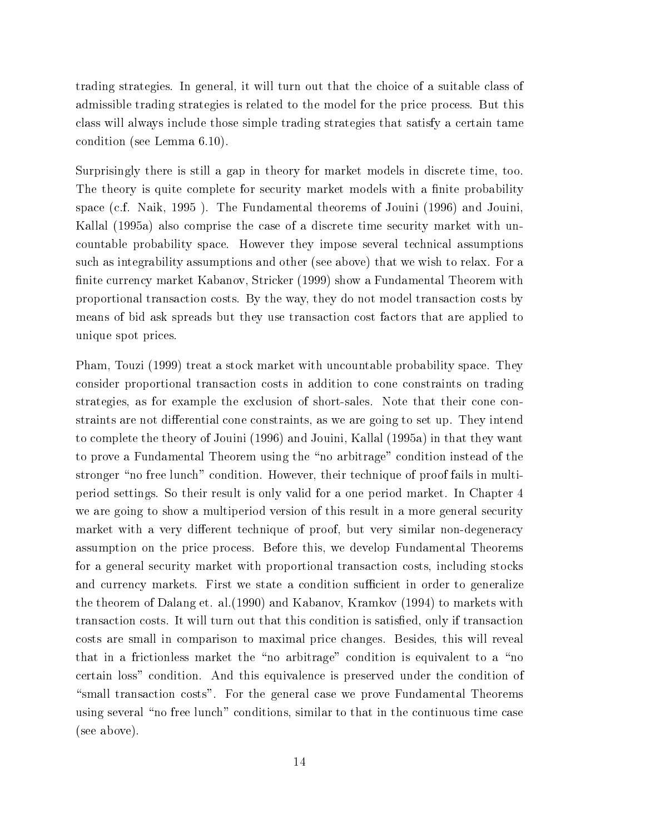trading strategies. In general, it will turn out that the choice of a suitable class of admissible trading strategies is related to the model for the price process. But this class will always include those simple trading strategies that satisfy a certain tame condition (see Lemma 6.10).

Surprisingly there is still a gap in theory for market models in discrete time, too. The theory is quite complete for security market models with a finite probability space (c.f. Naik, 1995). The Fundamental theorems of Jouini (1996) and Jouini, Kallal (1995a) also comprise the case of a discrete time security market with uncountable probability space. However they impose several technical assumptions such as integrability assumptions and other (see above) that we wish to relax. For a finite currency market Kabanov, Stricker (1999) show a Fundamental Theorem with proportional transaction costs. By the way, they do not model transaction costs by means of bid ask spreads but they use transaction cost factors that are applied to unique spot prices.

Pham, Touzi (1999) treat a stock market with uncountable probability space. They consider proportional transaction costs in addition to cone constraints on trading strategies, as for example the exclusion of short-sales. Note that their cone constraints are not differential cone constraints, as we are going to set up. They intend to complete the theory of Jouini (1996) and Jouini, Kallal (1995a) in that they want to prove a Fundamental Theorem using the "no arbitrage" condition instead of the stronger "no free lunch" condition. However, their technique of proof fails in multiperiod settings. So their result is only valid for a one period market. In Chapter 4 we are going to show a multiperiod version of this result in a more general security market with a very different technique of proof, but very similar non-degeneracy assumption on the price process. Before this, we develop Fundamental Theorems for a general security market with proportional transaction costs, including stocks and currency markets. First we state a condition sufficient in order to generalize the theorem of Dalang et. al. (1990) and Kabanov, Kramkov (1994) to markets with transaction costs. It will turn out that this condition is satisfied, only if transaction costs are small in comparison to maximal price changes. Besides, this will reveal that in a frictionless market the "no arbitrage" condition is equivalent to a "no certain loss" condition. And this equivalence is preserved under the condition of "small transaction costs". For the general case we prove Fundamental Theorems using several "no free lunch" conditions, similar to that in the continuous time case (see above).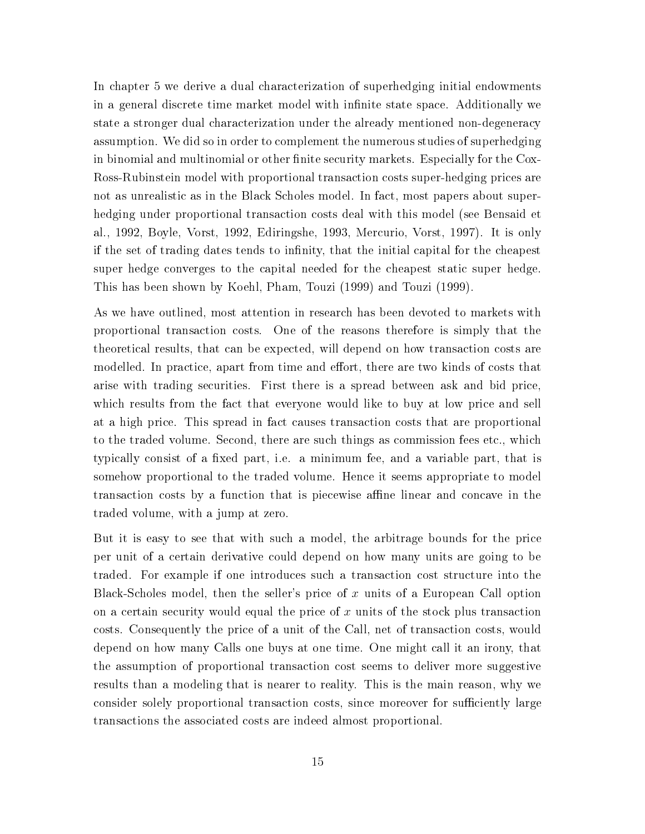In chapter 5 we derive a dual characterization of superhedging initial endowments in a general discrete time market model with infinite state space. Additionally we state a stronger dual characterization under the already mentioned non-degeneracy assumption. We did so in order to complement the numerous studies of superhedging in binomial and multinomial or other finite security markets. Especially for the Cox-Ross-Rubinstein model with proportional transaction costs super-hedging prices are not as unrealistic as in the Black Scholes model. In fact, most papers about superhedging under proportional transaction costs deal with this model (see Bensaid et al., 1992, Boyle, Vorst, 1992, Ediringshe, 1993, Mercurio, Vorst, 1997). It is only if the set of trading dates tends to infinity, that the initial capital for the cheapest super hedge converges to the capital needed for the cheapest static super hedge. This has been shown by Koehl, Pham, Touzi (1999) and Touzi (1999).

As we have outlined, most attention in research has been devoted to markets with proportional transaction costs. One of the reasons therefore is simply that the theoretical results, that can be expected, will depend on how transaction costs are modelled. In practice, apart from time and effort, there are two kinds of costs that arise with trading securities. First there is a spread between ask and bid price, which results from the fact that everyone would like to buy at low price and sell at a high price. This spread in fact causes transaction costs that are proportional to the traded volume. Second, there are such things as commission fees etc., which typically consist of a fixed part, i.e. a minimum fee, and a variable part, that is somehow proportional to the traded volume. Hence it seems appropriate to model transaction costs by a function that is piecewise affine linear and concave in the traded volume, with a jump at zero.

But it is easy to see that with such a model, the arbitrage bounds for the price per unit of a certain derivative could depend on how many units are going to be traded. For example if one introduces such a transaction cost structure into the Black-Scholes model, then the seller's price of x units of a European Call option on a certain security would equal the price of x units of the stock plus transaction costs. Consequently the price of a unit of the Call, net of transaction costs, would depend on how many Calls one buys at one time. One might call it an irony, that the assumption of proportional transaction cost seems to deliver more suggestive results than a modeling that is nearer to reality. This is the main reason, why we consider solely proportional transaction costs, since moreover for sufficiently large transactions the associated costs are indeed almost proportional.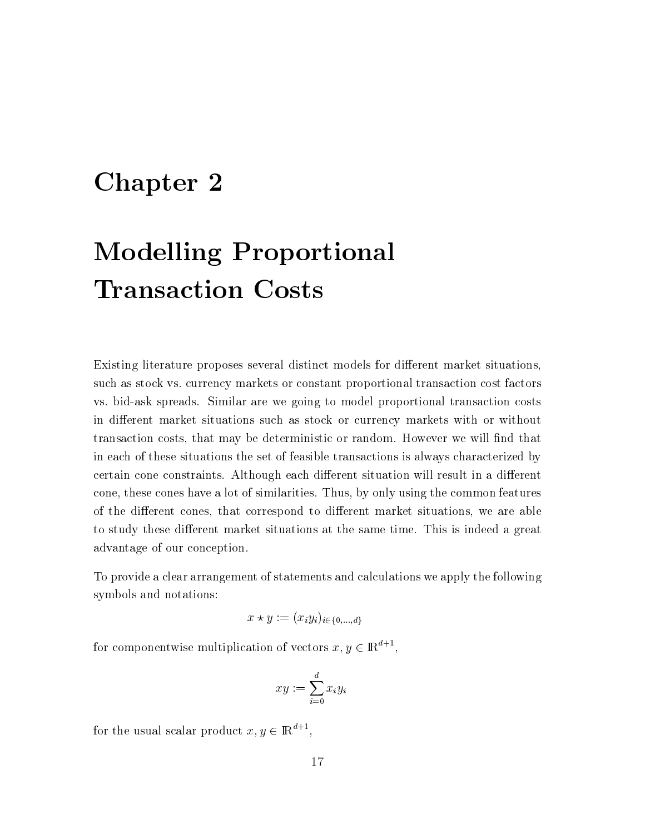### Chapter 2

# **Modelling Proportional Transaction Costs**

Existing literature proposes several distinct models for different market situations, such as stock vs. currency markets or constant proportional transaction cost factors vs. bid-ask spreads. Similar are we going to model proportional transaction costs in different market situations such as stock or currency markets with or without transaction costs, that may be deterministic or random. However we will find that in each of these situations the set of feasible transactions is always characterized by certain cone constraints. Although each different situation will result in a different cone, these cones have a lot of similarities. Thus, by only using the common features of the different cones, that correspond to different market situations, we are able to study these different market situations at the same time. This is indeed a great advantage of our conception.

To provide a clear arrangement of statements and calculations we apply the following symbols and notations:

$$
x \star y := (x_i y_i)_{i \in \{0,\ldots,d\}}
$$

for componentwise multiplication of vectors  $x, y \in \mathbb{R}^{d+1}$ ,

$$
xy := \sum_{i=0}^d x_i y_i
$$

for the usual scalar product  $x, y \in \mathbb{R}^{d+1}$ ,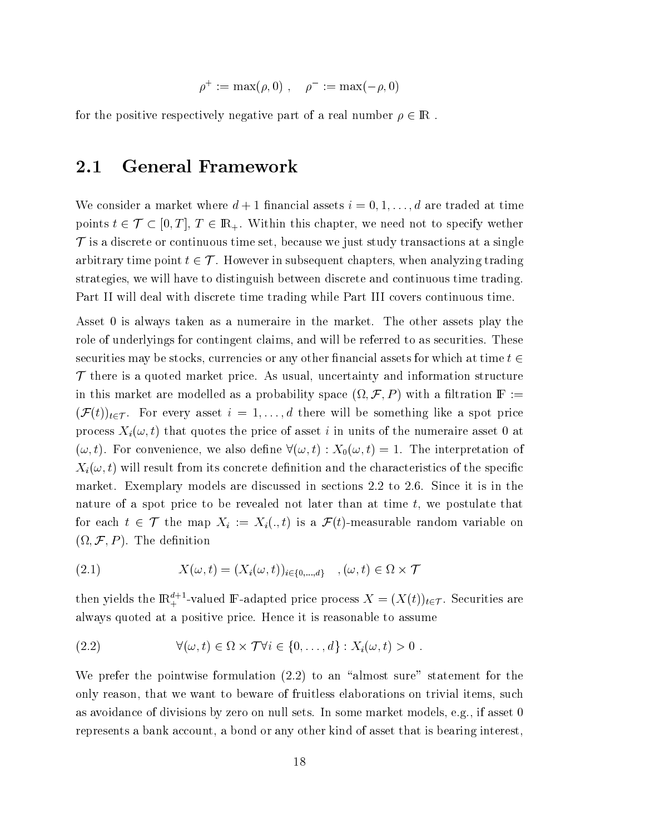$$
\rho^+ := \max(\rho, 0) , \quad \rho^- := \max(-\rho, 0)
$$

for the positive respectively negative part of a real number  $\rho \in \mathbb{R}$ .

#### **General Framework**  $2.1$

We consider a market where  $d+1$  financial assets  $i=0,1,\ldots,d$  are traded at time points  $t \in \mathcal{T} \subset [0,T], T \in \mathbb{R}_+$ . Within this chapter, we need not to specify wether  $\mathcal T$  is a discrete or continuous time set, because we just study transactions at a single arbitrary time point  $t \in \mathcal{T}$ . However in subsequent chapters, when analyzing trading strategies, we will have to distinguish between discrete and continuous time trading. Part II will deal with discrete time trading while Part III covers continuous time.

Asset 0 is always taken as a numeraire in the market. The other assets play the role of underlyings for contingent claims, and will be referred to as securities. These securities may be stocks, currencies or any other financial assets for which at time  $t \in$  $\mathcal T$  there is a quoted market price. As usual, uncertainty and information structure in this market are modelled as a probability space  $(\Omega, \mathcal{F}, P)$  with a filtration  $\mathbb{F} :=$  $(\mathcal{F}(t))_{t\in\mathcal{T}}$ . For every asset  $i=1,\ldots,d$  there will be something like a spot price process  $X_i(\omega, t)$  that quotes the price of asset i in units of the numeraire asset 0 at  $(\omega, t)$ . For convenience, we also define  $\forall (\omega, t) : X_0(\omega, t) = 1$ . The interpretation of  $X_i(\omega, t)$  will result from its concrete definition and the characteristics of the specific market. Exemplary models are discussed in sections 2.2 to 2.6. Since it is in the nature of a spot price to be revealed not later than at time  $t$ , we postulate that for each  $t \in \mathcal{T}$  the map  $X_i := X_i(., t)$  is a  $\mathcal{F}(t)$ -measurable random variable on  $(\Omega, \mathcal{F}, P)$ . The definition

(2.1) 
$$
X(\omega, t) = (X_i(\omega, t))_{i \in \{0, \dots, d\}} \quad , (\omega, t) \in \Omega \times \mathcal{T}
$$

then yields the  $\mathbb{R}^{d+1}_+$ -valued F-adapted price process  $X = (X(t))_{t \in \mathcal{T}}$ . Securities are always quoted at a positive price. Hence it is reasonable to assume

(2.2) 
$$
\forall (\omega, t) \in \Omega \times \mathcal{T} \forall i \in \{0, ..., d\} : X_i(\omega, t) > 0.
$$

We prefer the pointwise formulation  $(2.2)$  to an "almost sure" statement for the only reason, that we want to beware of fruitless elaborations on trivial items, such as avoidance of divisions by zero on null sets. In some market models, e.g., if asset 0 represents a bank account, a bond or any other kind of asset that is bearing interest,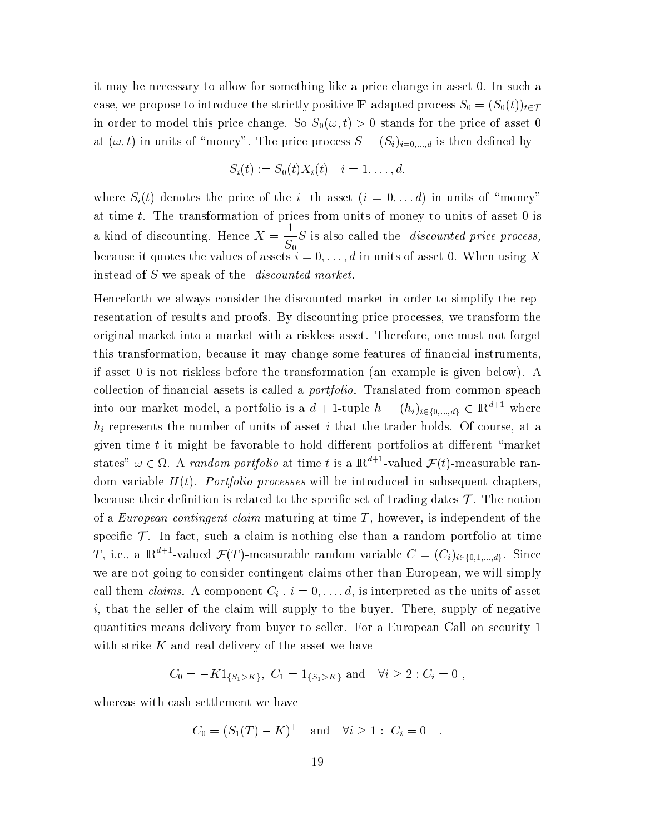it may be necessary to allow for something like a price change in asset 0. In such a case, we propose to introduce the strictly positive F-adapted process  $S_0 = (S_0(t))_{t \in \mathcal{T}}$ in order to model this price change. So  $S_0(\omega, t) > 0$  stands for the price of asset 0 at  $(\omega, t)$  in units of "money". The price process  $S = (S_i)_{i=0,\dots,d}$  is then defined by

$$
S_i(t) := S_0(t)X_i(t) \quad i = 1, \ldots, d,
$$

where  $S_i(t)$  denotes the price of the *i*-th asset  $(i = 0, \ldots d)$  in units of "money" at time  $t$ . The transformation of prices from units of money to units of asset 0 is a kind of discounting. Hence  $X = \frac{1}{S_0}S$  is also called the *discounted price process*, because it quotes the values of assets  $i = 0, \ldots, d$  in units of asset 0. When using X instead of S we speak of the *discounted market*.

Henceforth we always consider the discounted market in order to simplify the representation of results and proofs. By discounting price processes, we transform the original market into a market with a riskless asset. Therefore, one must not forget this transformation, because it may change some features of financial instruments, if asset 0 is not riskless before the transformation (an example is given below). A collection of financial assets is called a *portfolio*. Translated from common speach into our market model, a portfolio is a  $d+1$ -tuple  $h = (h_i)_{i \in \{0, ..., d\}} \in \mathbb{R}^{d+1}$  where  $h_i$  represents the number of units of asset i that the trader holds. Of course, at a given time  $t$  it might be favorable to hold different portfolios at different "market" states"  $\omega \in \Omega$ . A *random portfolio* at time t is a  $\mathbb{R}^{d+1}$ -valued  $\mathcal{F}(t)$ -measurable random variable  $H(t)$ . Portfolio processes will be introduced in subsequent chapters, because their definition is related to the specific set of trading dates  $\mathcal T$ . The notion of a European contingent claim maturing at time  $T$ , however, is independent of the specific  $\mathcal T$ . In fact, such a claim is nothing else than a random portfolio at time *T*, i.e., a  $\mathbb{R}^{d+1}$ -valued  $\mathcal{F}(T)$ -measurable random variable  $C = (C_i)_{i \in \{0,1,\ldots,d\}}$ . Since we are not going to consider contingent claims other than European, we will simply call them *claims*. A component  $C_i$ ,  $i = 0, \ldots, d$ , is interpreted as the units of asset  $i$ , that the seller of the claim will supply to the buyer. There, supply of negative quantities means delivery from buyer to seller. For a European Call on security 1 with strike  $K$  and real delivery of the asset we have

$$
C_0 = -K1_{\{S_1 > K\}}, C_1 = 1_{\{S_1 > K\}}
$$
 and  $\forall i \ge 2 : C_i = 0$ ,

whereas with cash settlement we have

$$
C_0 = (S_1(T) - K)^+
$$
 and  $\forall i \ge 1$ :  $C_i = 0$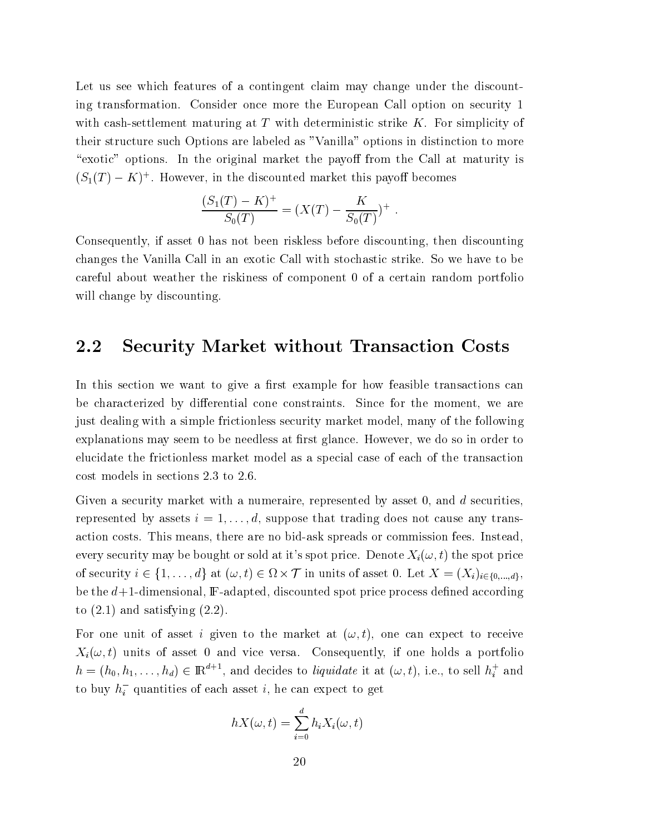Let us see which features of a contingent claim may change under the discounting transformation. Consider once more the European Call option on security 1 with cash-settlement maturing at  $T$  with deterministic strike  $K$ . For simplicity of their structure such Options are labeled as "Vanilla" options in distinction to more "exotic" options. In the original market the payoff from the Call at maturity is  $(S_1(T) - K)^+$ . However, in the discounted market this payoff becomes

$$
\frac{(S_1(T) - K)^+}{S_0(T)} = (X(T) - \frac{K}{S_0(T)})^+ .
$$

Consequently, if asset 0 has not been riskless before discounting, then discounting changes the Vanilla Call in an exotic Call with stochastic strike. So we have to be careful about weather the riskiness of component 0 of a certain random portfolio will change by discounting

#### 2.2 **Security Market without Transaction Costs**

In this section we want to give a first example for how feasible transactions can be characterized by differential cone constraints. Since for the moment, we are just dealing with a simple frictionless security market model, many of the following explanations may seem to be needless at first glance. However, we do so in order to elucidate the frictionless market model as a special case of each of the transaction cost models in sections 2.3 to 2.6.

Given a security market with a numeraire, represented by asset 0, and d securities, represented by assets  $i = 1, \ldots, d$ , suppose that trading does not cause any transaction costs. This means, there are no bid-ask spreads or commission fees. Instead. every security may be bought or sold at it's spot price. Denote  $X_i(\omega, t)$  the spot price of security  $i \in \{1, ..., d\}$  at  $(\omega, t) \in \Omega \times \mathcal{T}$  in units of asset 0. Let  $X = (X_i)_{i \in \{0, ..., d\}}$ . be the  $d+1$ -dimensional,  $F$ -adapted, discounted spot price process defined according to  $(2.1)$  and satisfying  $(2.2)$ .

For one unit of asset i given to the market at  $(\omega, t)$ , one can expect to receive  $X_i(\omega, t)$  units of asset 0 and vice versa. Consequently, if one holds a portfolio  $h = (h_0, h_1, \ldots, h_d) \in \mathbb{R}^{d+1}$ , and decides to *liquidate* it at  $(\omega, t)$ , i.e., to sell  $h_i^+$  and to buy  $h_i^-$  quantities of each asset i, he can expect to get

$$
hX(\omega, t) = \sum_{i=0}^{d} h_i X_i(\omega, t)
$$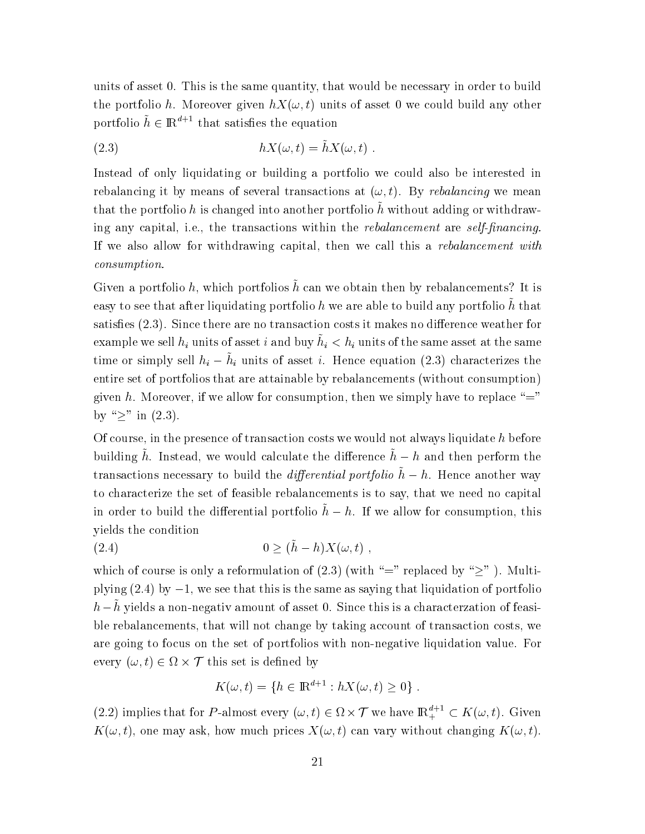units of asset 0. This is the same quantity, that would be necessary in order to build the portfolio h. Moreover given  $hX(\omega, t)$  units of asset 0 we could build any other portfolio  $\tilde{h} \in \mathbb{R}^{d+1}$  that satisfies the equation

(2.3) 
$$
hX(\omega, t) = \tilde{h}X(\omega, t) .
$$

Instead of only liquidating or building a portfolio we could also be interested in rebalancing it by means of several transactions at  $(\omega, t)$ . By rebalancing we mean that the portfolio h is changed into another portfolio  $\tilde{h}$  without adding or withdrawing any capital, i.e., the transactions within the rebalancement are self-financing. If we also allow for withdrawing capital, then we call this a rebalancement with *consumption.* 

Given a portfolio h, which portfolios  $\tilde{h}$  can we obtain then by rebalancements? It is easy to see that after liquidating portfolio h we are able to build any portfolio  $\tilde{h}$  that satisfies (2.3). Since there are no transaction costs it makes no difference weather for example we sell  $h_i$  units of asset i and buy  $\tilde{h}_i < h_i$  units of the same asset at the same time or simply sell  $h_i - \tilde{h}_i$  units of asset *i*. Hence equation (2.3) characterizes the entire set of portfolios that are attainable by rebalancements (without consumption) given h. Moreover, if we allow for consumption, then we simply have to replace "=" by " $\geq$ " in (2.3).

Of course, in the presence of transaction costs we would not always liquidate  $h$  before building  $\tilde{h}$ . Instead, we would calculate the difference  $\tilde{h} - h$  and then perform the transactions necessary to build the *differential portfolio*  $\tilde{h} - h$ . Hence another way to characterize the set of feasible rebalancements is to say, that we need no capital in order to build the differential portfolio  $\tilde{h} - h$ . If we allow for consumption, this vields the condition

$$
(2.4) \t\t\t 0 \ge (\tilde{h} - h)X(\omega, t)
$$

which of course is only a reformulation of (2.3) (with "=" replaced by " $\geq$ "). Multiplying  $(2.4)$  by  $-1$ , we see that this is the same as saying that liquidation of portfolio  $h-\tilde{h}$  yields a non-negativ amount of asset 0. Since this is a characterization of feasible rebalancements, that will not change by taking account of transaction costs, we are going to focus on the set of portfolios with non-negative liquidation value. For every  $(\omega, t) \in \Omega \times \mathcal{T}$  this set is defined by

$$
K(\omega, t) = \{ h \in \mathbb{R}^{d+1} : hX(\omega, t) \ge 0 \} .
$$

(2.2) implies that for P-almost every  $(\omega, t) \in \Omega \times \mathcal{T}$  we have  $\mathbb{R}^{d+1} \subset K(\omega, t)$ . Given  $K(\omega, t)$ , one may ask, how much prices  $X(\omega, t)$  can vary without changing  $K(\omega, t)$ .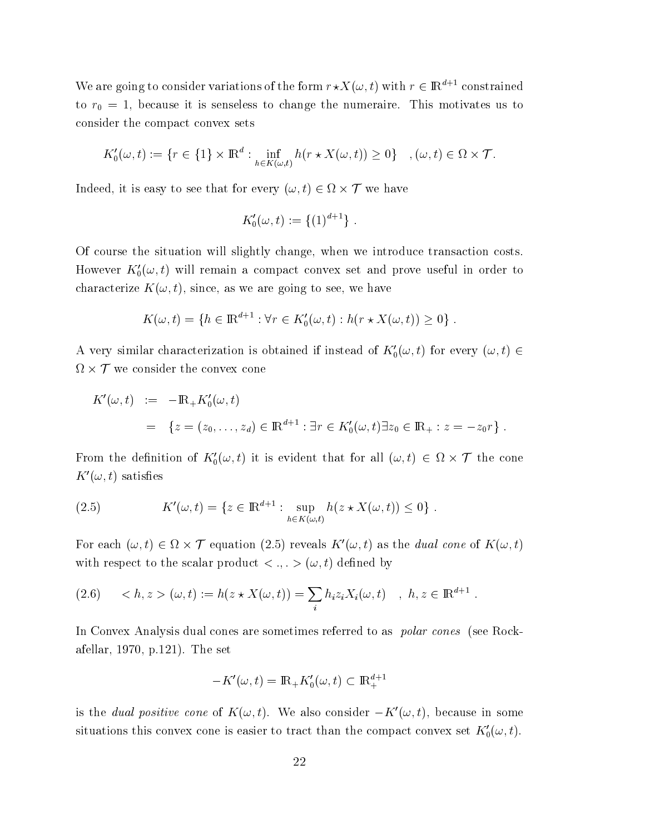We are going to consider variations of the form  $r \star X(\omega, t)$  with  $r \in \mathbb{R}^{d+1}$  constrained to  $r_0 = 1$ , because it is senseless to change the numeraire. This motivates us to consider the compact convex sets

$$
K_0'(\omega, t) := \{r \in \{1\} \times \mathbb{R}^d : \inf_{h \in K(\omega, t)} h(r \star X(\omega, t)) \ge 0\} \quad , (\omega, t) \in \Omega \times \mathcal{T}.
$$

Indeed, it is easy to see that for every  $(\omega, t) \in \Omega \times \mathcal{T}$  we have

$$
K_0'(\omega, t) := \{(1)^{d+1}\}.
$$

Of course the situation will slightly change, when we introduce transaction costs. However  $K_0'(\omega, t)$  will remain a compact convex set and prove useful in order to characterize  $K(\omega, t)$ , since, as we are going to see, we have

$$
K(\omega, t) = \{ h \in \mathbb{R}^{d+1} : \forall r \in K'_0(\omega, t) : h(r \star X(\omega, t)) \ge 0 \} .
$$

A very similar characterization is obtained if instead of  $K_0'(\omega, t)$  for every  $(\omega, t) \in$  $\Omega \times \mathcal{T}$  we consider the convex cone

$$
K'(\omega, t) := -\mathbb{R}_+ K'_0(\omega, t)
$$
  
=  $\{z = (z_0, \dots, z_d) \in \mathbb{R}^{d+1} : \exists r \in K'_0(\omega, t) \exists z_0 \in \mathbb{R}_+ : z = -z_0 r\}.$ 

From the definition of  $K_0'(\omega, t)$  it is evident that for all  $(\omega, t) \in \Omega \times \mathcal{T}$  the cone  $K'(\omega, t)$  satisfies

(2.5) 
$$
K'(\omega, t) = \{ z \in \mathbb{R}^{d+1} : \sup_{h \in K(\omega, t)} h(z \star X(\omega, t)) \leq 0 \} .
$$

For each  $(\omega, t) \in \Omega \times \mathcal{T}$  equation (2.5) reveals  $K'(\omega, t)$  as the *dual cone* of  $K(\omega, t)$ with respect to the scalar product  $\langle , . \rangle$  ( $\omega, t$ ) defined by

(2.6) 
$$
\langle h, z \rangle (\omega, t) := h(z \star X(\omega, t)) = \sum_{i} h_i z_i X_i(\omega, t) , h, z \in \mathbb{R}^{d+1}
$$

In Convex Analysis dual cones are sometimes referred to as *polar cones* (see Rockafellar, 1970, p.121). The set

$$
-K'(\omega, t) = \mathbb{R}_+ K'_0(\omega, t) \subset \mathbb{R}^{d+1}_+
$$

is the *dual positive cone* of  $K(\omega, t)$ . We also consider  $-K'(\omega, t)$ , because in some situations this convex cone is easier to tract than the compact convex set  $K_0'(\omega, t)$ .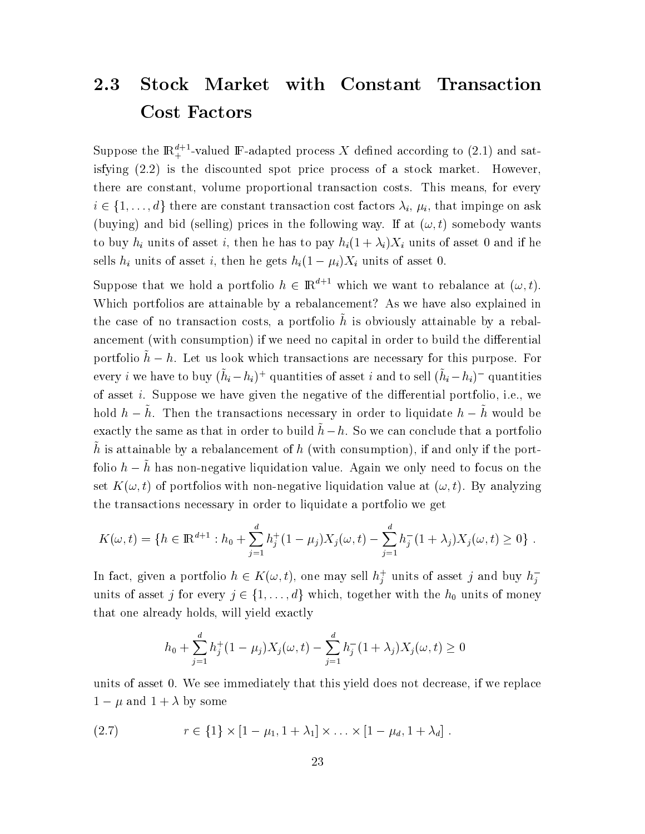#### 2.3 **Stock** Market with Constant Transaction **Cost Factors**

Suppose the  $\mathbb{R}^{d+1}_+$ -valued F-adapted process X defined according to (2.1) and satisfying  $(2.2)$  is the discounted spot price process of a stock market. However, there are constant, volume proportional transaction costs. This means, for every  $i \in \{1, \ldots, d\}$  there are constant transaction cost factors  $\lambda_i$ ,  $\mu_i$ , that impinge on ask (buying) and bid (selling) prices in the following way. If at  $(\omega, t)$  somebody wants to buy  $h_i$  units of asset i, then he has to pay  $h_i(1+\lambda_i)X_i$  units of asset 0 and if he sells  $h_i$  units of asset i, then he gets  $h_i(1 - \mu_i)X_i$  units of asset 0.

Suppose that we hold a portfolio  $h \in \mathbb{R}^{d+1}$  which we want to rebalance at  $(\omega, t)$ . Which portfolios are attainable by a rebalancement? As we have also explained in the case of no transaction costs, a portfolio  $\tilde{h}$  is obviously attainable by a rebalancement (with consumption) if we need no capital in order to build the differential portfolio  $\tilde{h} - h$ . Let us look which transactions are necessary for this purpose. For every *i* we have to buy  $(\tilde{h}_i - h_i)^+$  quantities of asset *i* and to sell  $(\tilde{h}_i - h_i)^-$  quantities of asset *i*. Suppose we have given the negative of the differential portfolio, i.e., we hold  $h - \tilde{h}$ . Then the transactions necessary in order to liquidate  $h - \tilde{h}$  would be exactly the same as that in order to build  $\tilde{h} - h$ . So we can conclude that a portfolio  $\tilde{h}$  is attainable by a rebalancement of h (with consumption), if and only if the portfolio  $h - \tilde{h}$  has non-negative liquidation value. Again we only need to focus on the set  $K(\omega, t)$  of portfolios with non-negative liquidation value at  $(\omega, t)$ . By analyzing the transactions necessary in order to liquidate a portfolio we get

$$
K(\omega, t) = \{ h \in \mathbb{R}^{d+1} : h_0 + \sum_{j=1}^d h_j^+(1 - \mu_j) X_j(\omega, t) - \sum_{j=1}^d h_j^-(1 + \lambda_j) X_j(\omega, t) \ge 0 \} .
$$

In fact, given a portfolio  $h \in K(\omega, t)$ , one may sell  $h_j^+$  units of asset j and buy  $h_j^$ units of asset j for every  $j \in \{1, ..., d\}$  which, together with the  $h_0$  units of money that one already holds, will yield exactly

$$
h_0 + \sum_{j=1}^d h_j^+(1 - \mu_j)X_j(\omega, t) - \sum_{j=1}^d h_j^-(1 + \lambda_j)X_j(\omega, t) \ge 0
$$

units of asset 0. We see immediately that this yield does not decrease, if we replace  $1 - \mu$  and  $1 + \lambda$  by some

(2.7) 
$$
r \in \{1\} \times [1 - \mu_1, 1 + \lambda_1] \times ... \times [1 - \mu_d, 1 + \lambda_d].
$$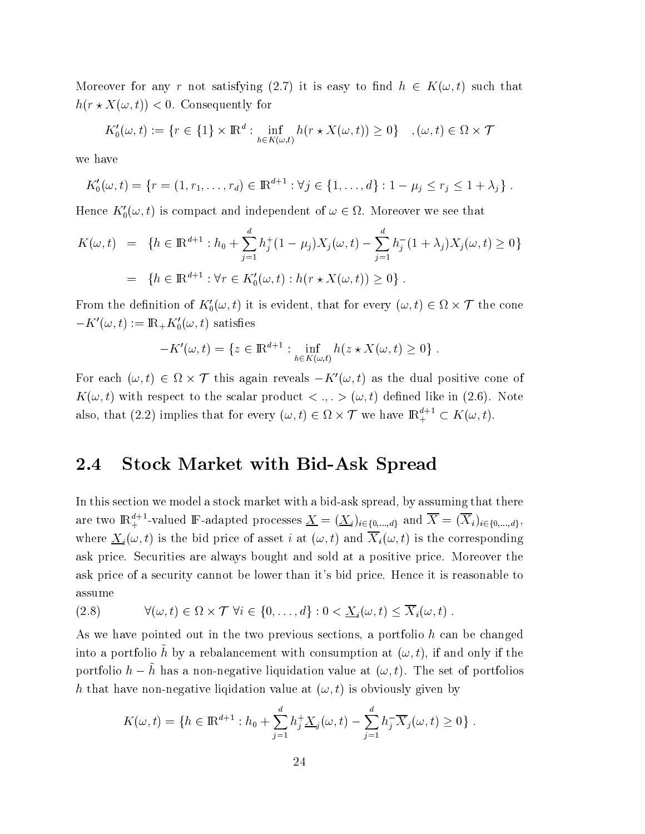Moreover for any r not satisfying (2.7) it is easy to find  $h \in K(\omega, t)$  such that  $h(r \star X(\omega, t)) < 0$ . Consequently for

$$
K_0'(\omega, t) := \{ r \in \{1\} \times \mathbb{R}^d : \inf_{h \in K(\omega, t)} h(r \star X(\omega, t)) \ge 0 \} \quad , (\omega, t) \in \Omega \times \mathcal{T}
$$

we have

$$
K_0'(\omega, t) = \{r = (1, r_1, \dots, r_d) \in \mathbb{R}^{d+1} : \forall j \in \{1, \dots, d\} : 1 - \mu_j \le r_j \le 1 + \lambda_j\}.
$$

Hence  $K_0'(\omega, t)$  is compact and independent of  $\omega \in \Omega$ . Moreover we see that

$$
K(\omega, t) = \{ h \in \mathbb{R}^{d+1} : h_0 + \sum_{j=1}^d h_j^+(1 - \mu_j)X_j(\omega, t) - \sum_{j=1}^d h_j^-(1 + \lambda_j)X_j(\omega, t) \ge 0 \}
$$
  
= 
$$
\{ h \in \mathbb{R}^{d+1} : \forall r \in K'_0(\omega, t) : h(r \star X(\omega, t)) \ge 0 \} .
$$

From the definition of  $K'_0(\omega, t)$  it is evident, that for every  $(\omega, t) \in \Omega \times \mathcal{T}$  the cone  $-K'(\omega, t) := \mathbb{R}_+ K'_0(\omega, t)$  satisfies

$$
-K'(\omega, t) = \{ z \in \mathbb{R}^{d+1} : \inf_{h \in K(\omega, t)} h(z \star X(\omega, t) \ge 0 \}
$$

For each  $(\omega, t) \in \Omega \times \mathcal{T}$  this again reveals  $-K'(\omega, t)$  as the dual positive cone of  $K(\omega, t)$  with respect to the scalar product  $\langle , . \rangle \langle \omega, t \rangle$  defined like in (2.6). Note also, that (2.2) implies that for every  $(\omega, t) \in \Omega \times \mathcal{T}$  we have  $\mathbb{R}^{d+1} \subset K(\omega, t)$ .

#### 2.4 **Stock Market with Bid-Ask Spread**

In this section we model a stock market with a bid-ask spread, by assuming that there are two  $\mathbb{R}^{d+1}_+$ -valued F-adapted processes  $\underline{X} = (\underline{X}_i)_{i \in \{0,\ldots,d\}}$  and  $\overline{X} = (\overline{X}_i)_{i \in \{0,\ldots,d\}}$ , where  $\underline{X}_i(\omega, t)$  is the bid price of asset *i* at  $(\omega, t)$  and  $\overline{X}_i(\omega, t)$  is the corresponding ask price. Securities are always bought and sold at a positive price. Moreover the ask price of a security cannot be lower than it's bid price. Hence it is reasonable to assume

(2.8) 
$$
\forall (\omega, t) \in \Omega \times \mathcal{T} \ \forall i \in \{0, ..., d\} : 0 < \underline{X}_i(\omega, t) \leq \overline{X}_i(\omega, t) \ .
$$

As we have pointed out in the two previous sections, a portfolio h can be changed into a portfolio  $\tilde{h}$  by a rebalancement with consumption at  $(\omega, t)$ , if and only if the portfolio  $h - \tilde{h}$  has a non-negative liquidation value at  $(\omega, t)$ . The set of portfolios h that have non-negative liquidation value at  $(\omega, t)$  is obviously given by

$$
K(\omega, t) = \{ h \in \mathbb{R}^{d+1} : h_0 + \sum_{j=1}^d h_j^+ \underline{X}_j(\omega, t) - \sum_{j=1}^d h_j^- \overline{X}_j(\omega, t) \ge 0 \} .
$$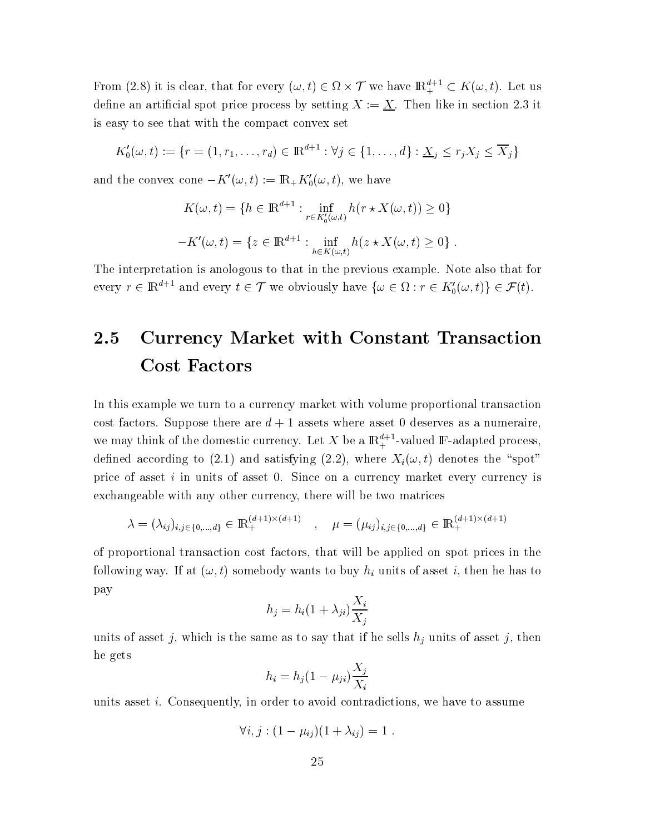From (2.8) it is clear, that for every  $(\omega, t) \in \Omega \times \mathcal{T}$  we have  $\mathbb{R}^{d+1}_+ \subset K(\omega, t)$ . Let us define an artificial spot price process by setting  $X := \underline{X}$ . Then like in section 2.3 it is easy to see that with the compact convex set

$$
K_0'(\omega, t) := \{r = (1, r_1, \dots, r_d) \in \mathbb{R}^{d+1} : \forall j \in \{1, \dots, d\} : \underline{X}_j \le r_j X_j \le \overline{X}_j\}
$$

and the convex cone  $-K'(\omega, t) := \mathbb{R}_+ K'_0(\omega, t)$ , we have

$$
K(\omega, t) = \{ h \in \mathbb{R}^{d+1} : \inf_{r \in K'_0(\omega, t)} h(r \star X(\omega, t)) \ge 0 \}
$$

$$
-K'(\omega, t) = \{ z \in \mathbb{R}^{d+1} : \inf_{h \in K(\omega, t)} h(z \star X(\omega, t) \ge 0 \}
$$

The interpretation is anologous to that in the previous example. Note also that for every  $r \in \mathbb{R}^{d+1}$  and every  $t \in \mathcal{T}$  we obviously have  $\{\omega \in \Omega : r \in K'_0(\omega, t)\} \in \mathcal{F}(t)$ .

### 2.5 **Currency Market with Constant Transaction Cost Factors**

In this example we turn to a currency market with volume proportional transaction cost factors. Suppose there are  $d+1$  assets where asset 0 deserves as a numeraire. we may think of the domestic currency. Let X be a  $\mathbb{R}^{d+1}_+$ -valued F-adapted process, defined according to (2.1) and satisfying (2.2), where  $X_i(\omega, t)$  denotes the "spot" price of asset i in units of asset 0. Since on a currency market every currency is exchangeable with any other currency, there will be two matrices

$$
\lambda = (\lambda_{ij})_{i,j \in \{0,\dots,d\}} \in \mathbb{R}_+^{(d+1)\times(d+1)}, \quad \mu = (\mu_{ij})_{i,j \in \{0,\dots,d\}} \in \mathbb{R}_+^{(d+1)\times(d+1)}
$$

of proportional transaction cost factors, that will be applied on spot prices in the following way. If at  $(\omega, t)$  somebody wants to buy  $h_i$  units of asset i, then he has to pay

$$
h_j = h_i (1 + \lambda_{ji}) \frac{X_i}{X_j}
$$

units of asset j, which is the same as to say that if he sells  $h_j$  units of asset j, then he gets

$$
h_i = h_j (1 - \mu_{ji}) \frac{X_j}{X_i}
$$

units asset *i*. Consequently, in order to avoid contradictions, we have to assume

$$
\forall i, j : (1 - \mu_{ij})(1 + \lambda_{ij}) = 1.
$$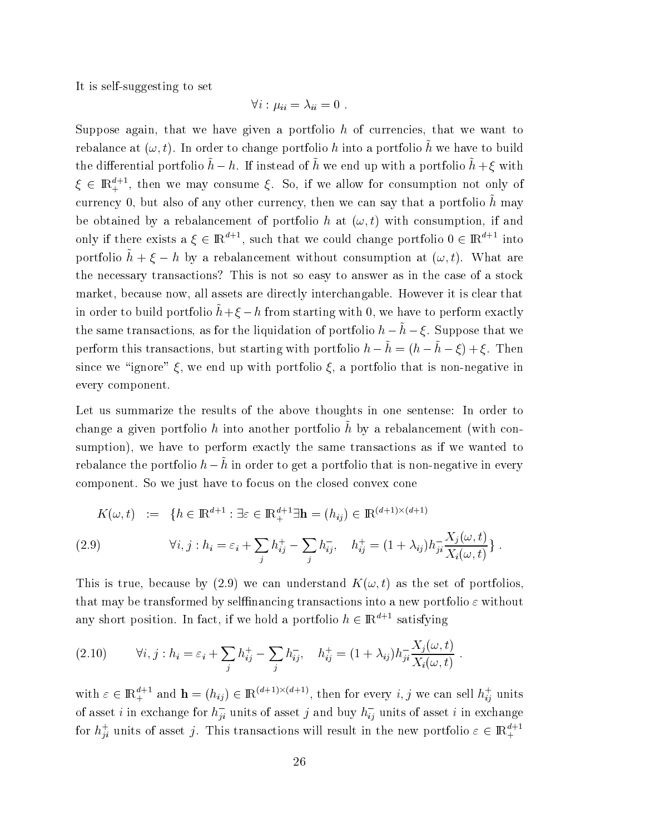It is self-suggesting to set

$$
\forall i: \mu_{ii} = \lambda_{ii} = 0
$$

Suppose again, that we have given a portfolio  $h$  of currencies, that we want to rebalance at  $(\omega, t)$ . In order to change portfolio h into a portfolio  $\tilde{h}$  we have to build the differential portfolio  $\tilde{h} - h$ . If instead of  $\tilde{h}$  we end up with a portfolio  $\tilde{h} + \xi$  with  $\xi \in \mathbb{R}^{d+1}_+$ , then we may consume  $\xi$ . So, if we allow for consumption not only of currency 0, but also of any other currency, then we can say that a portfolio  $\hat{h}$  may be obtained by a rebalancement of portfolio h at  $(\omega, t)$  with consumption, if and only if there exists  $a \xi \in \mathbb{R}^{d+1}$ , such that we could change portfolio  $0 \in \mathbb{R}^{d+1}$  into portfolio  $\tilde{h} + \xi - h$  by a rebalancement without consumption at  $(\omega, t)$ . What are the necessary transactions? This is not so easy to answer as in the case of a stock market, because now, all assets are directly interchangable. However it is clear that in order to build portfolio  $\tilde{h} + \xi - h$  from starting with 0, we have to perform exactly the same transactions, as for the liquidation of portfolio  $h - \tilde{h} - \xi$ . Suppose that we perform this transactions, but starting with portfolio  $h - \tilde{h} = (h - \tilde{h} - \xi) + \xi$ . Then since we "ignore"  $\xi$ , we end up with portfolio  $\xi$ , a portfolio that is non-negative in every component.

Let us summarize the results of the above thoughts in one sentense: In order to change a given portfolio h into another portfolio  $\tilde{h}$  by a rebalancement (with consumption), we have to perform exactly the same transactions as if we wanted to rebalance the portfolio  $h - \tilde{h}$  in order to get a portfolio that is non-negative in every component. So we just have to focus on the closed convex cone

$$
K(\omega, t) := \{ h \in \mathbb{R}^{d+1} : \exists \varepsilon \in \mathbb{R}^{d+1}_{+} \exists \mathbf{h} = (h_{ij}) \in \mathbb{R}^{(d+1) \times (d+1)}
$$
  
(2.9) 
$$
\forall i, j : h_{i} = \varepsilon_{i} + \sum_{j} h_{ij}^{+} - \sum_{j} h_{ij}^{-}, \quad h_{ij}^{+} = (1 + \lambda_{ij}) h_{ji}^{-} \frac{X_{j}(\omega, t)}{X_{i}(\omega, t)} \}
$$

This is true, because by (2.9) we can understand  $K(\omega, t)$  as the set of portfolios, that may be transformed by selffinancing transactions into a new portfolio  $\varepsilon$  without any short position. In fact, if we hold a portfolio  $h \in \mathbb{R}^{d+1}$  satisfying

(2.10) 
$$
\forall i, j : h_i = \varepsilon_i + \sum_j h_{ij}^+ - \sum_j h_{ij}^-,\quad h_{ij}^+ = (1 + \lambda_{ij}) h_{ji}^- \frac{X_j(\omega, t)}{X_i(\omega, t)}.
$$

with  $\varepsilon \in \mathbb{R}^{d+1}_+$  and  $\mathbf{h} = (h_{ij}) \in \mathbb{R}^{(d+1)\times(d+1)}$ , then for every i, j we can sell  $h_{ij}^+$  units of asset *i* in exchange for  $h_{ji}^-$  units of asset *j* and buy  $h_{ij}^-$  units of asset *i* in exchange for  $h_{ji}^+$  units of asset j. This transactions will result in the new portfolio  $\varepsilon \in \mathbb{R}^{d+1}_+$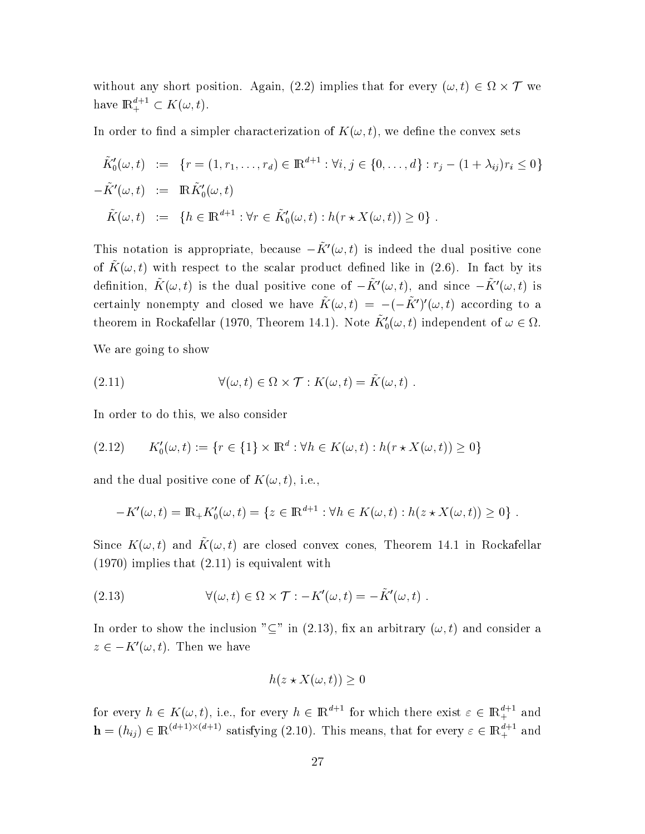without any short position. Again, (2.2) implies that for every  $(\omega, t) \in \Omega \times \mathcal{T}$  we have  $\mathbb{R}^{d+1}_{+} \subset K(\omega, t)$ .

In order to find a simpler characterization of  $K(\omega, t)$ , we define the convex sets

$$
\tilde{K}'_0(\omega, t) := \{r = (1, r_1, \dots, r_d) \in \mathbb{R}^{d+1} : \forall i, j \in \{0, \dots, d\} : r_j - (1 + \lambda_{ij})r_i \le 0\}
$$
\n
$$
-\tilde{K}'(\omega, t) := \mathbb{R}\tilde{K}'_0(\omega, t)
$$
\n
$$
\tilde{K}(\omega, t) := \{h \in \mathbb{R}^{d+1} : \forall r \in \tilde{K}'_0(\omega, t) : h(r \star X(\omega, t)) \ge 0\} .
$$

This notation is appropriate, because  $-\tilde{K}'(\omega, t)$  is indeed the dual positive cone of  $\tilde{K}(\omega, t)$  with respect to the scalar product defined like in (2.6). In fact by its definition,  $\tilde{K}(\omega, t)$  is the dual positive cone of  $-\tilde{K}'(\omega, t)$ , and since  $-\tilde{K}'(\omega, t)$  is certainly nonempty and closed we have  $\tilde{K}(\omega, t) = -(-\tilde{K}')'(\omega, t)$  according to a theorem in Rockafellar (1970, Theorem 14.1). Note  $\tilde{K}_0'(\omega, t)$  independent of  $\omega \in \Omega$ .

We are going to show

(2.11) 
$$
\forall (\omega, t) \in \Omega \times \mathcal{T} : K(\omega, t) = \tilde{K}(\omega, t)
$$

In order to do this, we also consider

$$
(2.12) \qquad K'_0(\omega, t) := \{r \in \{1\} \times \mathbb{R}^d : \forall h \in K(\omega, t) : h(r \star X(\omega, t)) \ge 0\}
$$

and the dual positive cone of  $K(\omega, t)$ , i.e.,

$$
-K'(\omega, t) = \mathbb{R}_{+} K'_{0}(\omega, t) = \{ z \in \mathbb{R}^{d+1} : \forall h \in K(\omega, t) : h(z \star X(\omega, t)) \ge 0 \} .
$$

Since  $K(\omega, t)$  and  $\tilde{K}(\omega, t)$  are closed convex cones, Theorem 14.1 in Rockafellar  $(1970)$  implies that  $(2.11)$  is equivalent with

(2.13) 
$$
\forall (\omega, t) \in \Omega \times \mathcal{T} : -K'(\omega, t) = -\tilde{K}'(\omega, t) .
$$

In order to show the inclusion " $\subseteq$ " in (2.13), fix an arbitrary  $(\omega, t)$  and consider a  $z \in -K'(\omega, t)$ . Then we have

$$
h(z \star X(\omega, t)) \ge 0
$$

for every  $h \in K(\omega, t)$ , i.e., for every  $h \in \mathbb{R}^{d+1}$  for which there exist  $\varepsilon \in \mathbb{R}^{d+1}_+$  and  $\mathbf{h} = (h_{ij}) \in \mathbb{R}^{(d+1)\times(d+1)}$  satisfying (2.10). This means, that for every  $\varepsilon \in \mathbb{R}^{d+1}_+$  and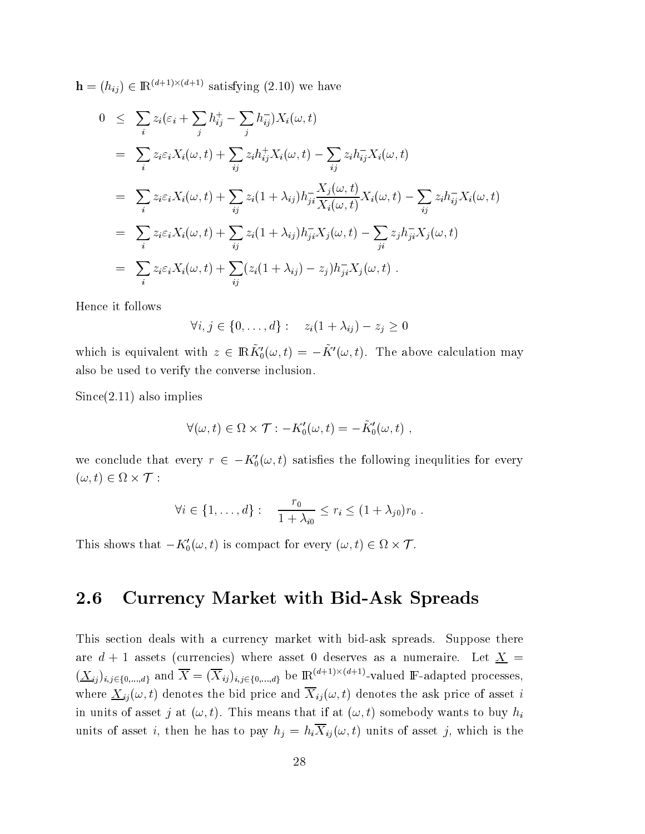$\mathbf{h} = (h_{ij}) \in \mathbb{R}^{(d+1)\times(d+1)}$  satisfying (2.10) we have

$$
0 \leq \sum_{i} z_{i}(\varepsilon_{i} + \sum_{j} h_{ij}^{+} - \sum_{j} h_{ij}^{-}) X_{i}(\omega, t)
$$
  
\n
$$
= \sum_{i} z_{i} \varepsilon_{i} X_{i}(\omega, t) + \sum_{ij} z_{i} h_{ij}^{+} X_{i}(\omega, t) - \sum_{ij} z_{i} h_{ij}^{-} X_{i}(\omega, t)
$$
  
\n
$$
= \sum_{i} z_{i} \varepsilon_{i} X_{i}(\omega, t) + \sum_{ij} z_{i} (1 + \lambda_{ij}) h_{ji}^{-} \frac{X_{j}(\omega, t)}{X_{i}(\omega, t)} X_{i}(\omega, t) - \sum_{ij} z_{i} h_{ij}^{-} X_{i}(\omega, t)
$$
  
\n
$$
= \sum_{i} z_{i} \varepsilon_{i} X_{i}(\omega, t) + \sum_{ij} z_{i} (1 + \lambda_{ij}) h_{ji}^{-} X_{j}(\omega, t) - \sum_{ji} z_{j} h_{ji}^{-} X_{j}(\omega, t)
$$
  
\n
$$
= \sum_{i} z_{i} \varepsilon_{i} X_{i}(\omega, t) + \sum_{ij} (z_{i} (1 + \lambda_{ij}) - z_{j}) h_{ji}^{-} X_{j}(\omega, t).
$$

Hence it follows

$$
\forall i, j \in \{0, \ldots, d\} : z_i(1 + \lambda_{ij}) - z_j \ge 0
$$

which is equivalent with  $z \in \mathbb{R} \tilde{K}'_0(\omega, t) = -\tilde{K}'(\omega, t)$ . The above calculation may also be used to verify the converse inclusion.

 $Since (2.11)$  also implies

$$
\forall (\omega, t) \in \Omega \times \mathcal{T} : -K_0'(\omega, t) = -\tilde{K}_0'(\omega, t) ,
$$

we conclude that every  $r \in -K'_0(\omega, t)$  satisfies the following inequlities for every  $(\omega, t) \in \Omega \times \mathcal{T}$ :

$$
\forall i \in \{1, ..., d\} : \quad \frac{r_0}{1 + \lambda_{i0}} \leq r_i \leq (1 + \lambda_{j0}) r_0 \; .
$$

This shows that  $-K'_0(\omega, t)$  is compact for every  $(\omega, t) \in \Omega \times \mathcal{T}$ .

#### 2.6 **Currency Market with Bid-Ask Spreads**

This section deals with a currency market with bid-ask spreads. Suppose there are  $d + 1$  assets (currencies) where asset 0 deserves as a numeraire. Let  $\underline{X} =$  $(\underline{X}_{ij})_{i,j\in\{0,\ldots,d\}}$  and  $\overline{X}=(\overline{X}_{ij})_{i,j\in\{0,\ldots,d\}}$  be  $\mathbb{R}^{(d+1)\times(d+1)}$ -valued F-adapted processes, where  $\underline{X}_{ij}(\omega, t)$  denotes the bid price and  $\overline{X}_{ij}(\omega, t)$  denotes the ask price of asset i in units of asset j at  $(\omega, t)$ . This means that if at  $(\omega, t)$  somebody wants to buy  $h_i$ units of asset *i*, then he has to pay  $h_j = h_i \overline{X}_{ij}(\omega, t)$  units of asset *j*, which is the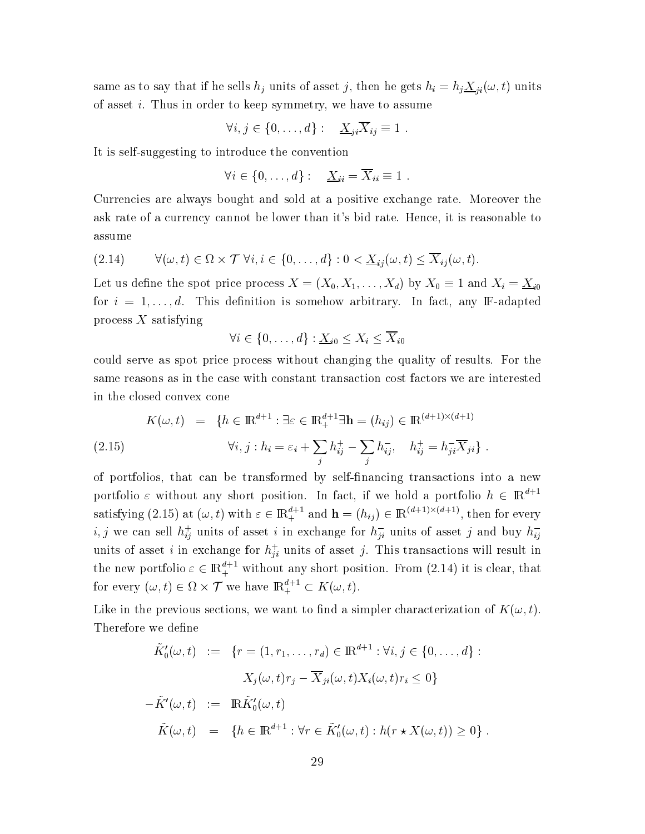same as to say that if he sells  $h_j$  units of asset j, then he gets  $h_i = h_j \underline{X}_{ji}(\omega, t)$  units of asset  $i$ . Thus in order to keep symmetry, we have to assume

$$
\forall i, j \in \{0, \ldots, d\} : \quad \underline{X}_{ji} \overline{X}_{ij} \equiv 1 \; .
$$

It is self-suggesting to introduce the convention

$$
\forall i \in \{0,\ldots,d\} : \quad \underline{X}_{ii} = \overline{X}_{ii} \equiv 1 \; .
$$

Currencies are always bought and sold at a positive exchange rate. Moreover the ask rate of a currency cannot be lower than it's bid rate. Hence, it is reasonable to assume

$$
(2.14) \qquad \forall (\omega, t) \in \Omega \times \mathcal{T} \ \forall i, i \in \{0, \ldots, d\} : 0 < \underline{X}_{ij}(\omega, t) \leq \overline{X}_{ij}(\omega, t).
$$

Let us define the spot price process  $X = (X_0, X_1, \ldots, X_d)$  by  $X_0 \equiv 1$  and  $X_i = \underline{X}_{i0}$ for  $i = 1, \ldots, d$ . This definition is somehow arbitrary. In fact, any F-adapted  $\mathop{\rm process}\nolimits X$  satisfying

$$
\forall i \in \{0, \ldots, d\} : \underline{X}_{i0} \leq X_i \leq \overline{X}_{i0}
$$

could serve as spot price process without changing the quality of results. For the same reasons as in the case with constant transaction cost factors we are interested in the closed convex cone —

(2.15) 
$$
K(\omega, t) = \{ h \in \mathbb{R}^{d+1} : \exists \varepsilon \in \mathbb{R}^{d+1}_{+} \exists \mathbf{h} = (h_{ij}) \in \mathbb{R}^{(d+1)\times(d+1)}
$$

$$
\forall i, j : h_{i} = \varepsilon_{i} + \sum_{j} h_{ij}^{+} - \sum_{j} h_{ij}^{-}, \quad h_{ij}^{+} = h_{ji}^{-} \overline{X}_{ji} \} .
$$

of portfolios, that can be transformed by self-financing transactions into a new portfolio  $\varepsilon$  without any short position. In fact, if we hold a portfolio  $h \in \mathbb{R}^{a+1}$ satisfying (2.15) at  $(\omega, t)$  with  $\varepsilon \in \mathbb{R}^{d+1}_+$  and  $\mathbf{h} = (h_{ij}) \in \mathbb{R}^{(d+1)\times(d+1)}$ , then for every  $i,j$  we can sell  $h_{ij}^+$  units of asset  $i$  in exchange for  $h_{ji}^-$  units of asset  $j$  and buy  $h_{ij}^ \mathbf{r}$  and  $\mathbf{r}$  and  $\mathbf{r}$  and  $\mathbf{r}$  and  $\mathbf{r}$ units of asset i in exchange for  $h_{ii}^{+}$  units of asset j. This transactions will result in the new portfolio  $\varepsilon \in \mathbb{R}^{d+1}_+$  without any short position. From  $(2.14)$  it is clear, that for every  $(\omega, t) \in \Omega \times \mathcal{T}$  we have  $\mathbb{R}^{d+1}_+ \subset K(\omega, t)$ .

Like in the previous sections, we want to find a simpler characterization of  $K(\omega,t).$ Therefore we define :

$$
\tilde{K}'_0(\omega, t) := \{r = (1, r_1, \dots, r_d) \in \mathbb{R}^{d+1} : \forall i, j \in \{0, \dots, d\} :
$$
  

$$
X_j(\omega, t)r_j - \overline{X}_{ji}(\omega, t)X_i(\omega, t)r_i \le 0\}
$$
  

$$
-\tilde{K}'(\omega, t) := \mathbb{R}\tilde{K}'_0(\omega, t)
$$
  

$$
\tilde{K}(\omega, t) = \{h \in \mathbb{R}^{d+1} : \forall r \in \tilde{K}'_0(\omega, t) : h(r \star X(\omega, t)) \ge 0\}.
$$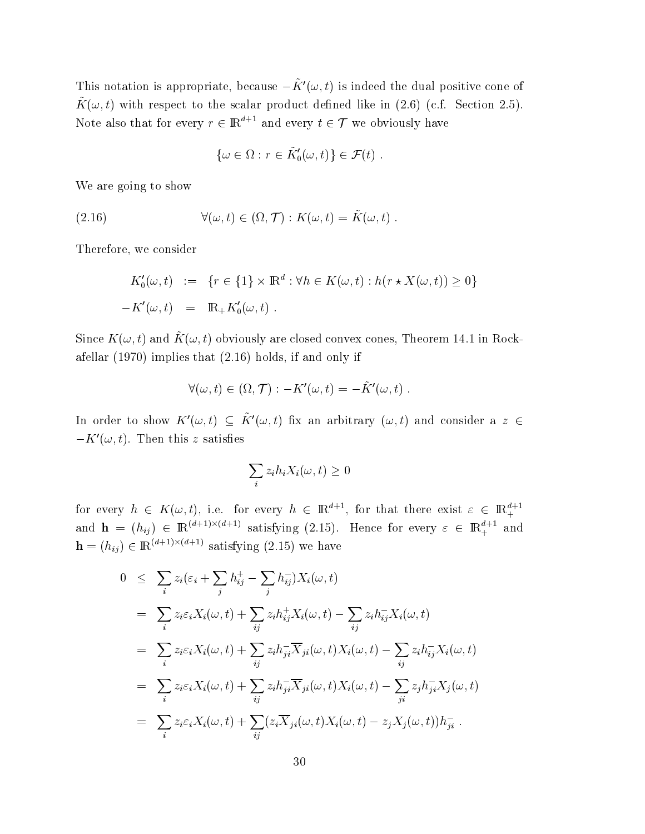This notation is appropriate, because  $-\tilde{K}'(\omega, t)$  is indeed the dual positive cone of  $\tilde{K}(\omega, t)$  with respect to the scalar product defined like in (2.6) (c.f. Section 2.5). Note also that for every  $r \in \mathbb{R}^{d+1}$  and every  $t \in \mathcal{T}$  we obviously have

$$
\{\omega \in \Omega : r \in \tilde{K}'_0(\omega, t)\} \in \mathcal{F}(t) .
$$

We are going to show

(2.16) 
$$
\forall (\omega, t) \in (\Omega, \mathcal{T}) : K(\omega, t) = \tilde{K}(\omega, t) .
$$

Therefore, we consider

$$
K'_0(\omega, t) := \{r \in \{1\} \times \mathbb{R}^d : \forall h \in K(\omega, t) : h(r \star X(\omega, t)) \ge 0\}
$$
  
-
$$
K'(\omega, t) = \mathbb{R}_+ K'_0(\omega, t) .
$$

Since  $K(\omega, t)$  and  $\tilde{K}(\omega, t)$  obviously are closed convex cones, Theorem 14.1 in Rockafellar  $(1970)$  implies that  $(2.16)$  holds, if and only if

$$
\forall (\omega, t) \in (\Omega, \mathcal{T}) : -K'(\omega, t) = -\tilde{K}'(\omega, t)
$$

In order to show  $K'(\omega, t) \subseteq \tilde{K}'(\omega, t)$  fix an arbitrary  $(\omega, t)$  and consider a z  $\in$  $-K'(\omega, t)$ . Then this z satisfies

$$
\sum_{i} z_i h_i X_i(\omega, t) \ge 0
$$

for every  $h \in K(\omega, t)$ , i.e. for every  $h \in \mathbb{R}^{d+1}$ , for that there exist  $\varepsilon \in \mathbb{R}^{d+1}_+$ and  $\mathbf{h} = (h_{ij}) \in \mathbb{R}^{(d+1)\times(d+1)}$  satisfying (2.15). Hence for every  $\varepsilon \in \mathbb{R}^{d+1}$  and  $\mathbf{h} = (h_{ij}) \in \mathbb{R}^{(d+1) \times (d+1)}$  satisfying (2.15) we have

$$
0 \leq \sum_{i} z_{i}(\varepsilon_{i} + \sum_{j} h_{ij}^{+} - \sum_{j} h_{ij}^{-}) X_{i}(\omega, t)
$$
  
\n
$$
= \sum_{i} z_{i} \varepsilon_{i} X_{i}(\omega, t) + \sum_{ij} z_{i} h_{ij}^{+} X_{i}(\omega, t) - \sum_{ij} z_{i} h_{ij}^{-} X_{i}(\omega, t)
$$
  
\n
$$
= \sum_{i} z_{i} \varepsilon_{i} X_{i}(\omega, t) + \sum_{ij} z_{i} h_{ji}^{-} \overline{X}_{ji}(\omega, t) X_{i}(\omega, t) - \sum_{ij} z_{i} h_{ij}^{-} X_{i}(\omega, t)
$$
  
\n
$$
= \sum_{i} z_{i} \varepsilon_{i} X_{i}(\omega, t) + \sum_{ij} z_{i} h_{ji}^{-} \overline{X}_{ji}(\omega, t) X_{i}(\omega, t) - \sum_{ji} z_{j} h_{ji}^{-} X_{j}(\omega, t)
$$
  
\n
$$
= \sum_{i} z_{i} \varepsilon_{i} X_{i}(\omega, t) + \sum_{ij} (z_{i} \overline{X}_{ji}(\omega, t) X_{i}(\omega, t) - z_{j} X_{j}(\omega, t)) h_{ji}^{-}.
$$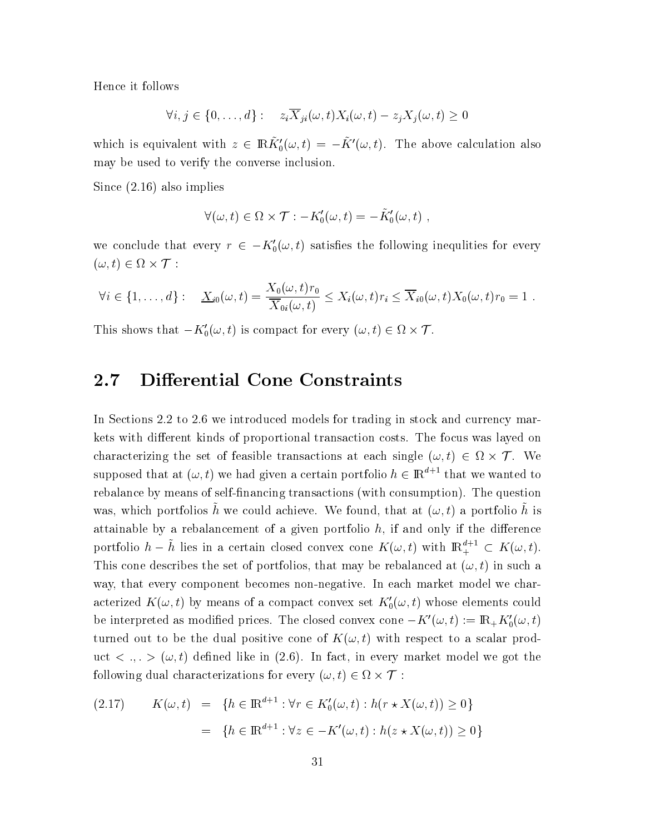Hence it follows

$$
\forall i, j \in \{0, \ldots, d\} : z_i \overline{X}_{ji}(\omega, t) X_i(\omega, t) - z_j X_j(\omega, t) \ge 0
$$

which is equivalent with  $z \in \mathbb{R} \tilde{K}'_0(\omega, t) = -\tilde{K}'(\omega, t)$ . The above calculation also may be used to verify the converse inclusion.

Since  $(2.16)$  also implies

$$
\forall (\omega, t) \in \Omega \times \mathcal{T} : -K_0'(\omega, t) = -K_0'(\omega, t) ,
$$

we conclude that every  $r \in -K'_0(\omega, t)$  satisfies the following inequlities for every  $(\omega, t) \in \Omega \times \mathcal{T}$ :

$$
\forall i \in \{1,\ldots,d\}:\quad \underline{X}_{i0}(\omega,t)=\frac{X_0(\omega,t)r_0}{\overline{X}_{0i}(\omega,t)}\leq X_i(\omega,t)r_i\leq \overline{X}_{i0}(\omega,t)X_0(\omega,t)r_0=1.
$$

This shows that  $-K'_0(\omega, t)$  is compact for every  $(\omega, t) \in \Omega \times \mathcal{T}$ .

### **Differential Cone Constraints**  $2.7$

In Sections 2.2 to 2.6 we introduced models for trading in stock and currency markets with different kinds of proportional transaction costs. The focus was layed on characterizing the set of feasible transactions at each single  $(\omega, t) \in \Omega \times \mathcal{T}$ . We supposed that at  $(\omega, t)$  we had given a certain portfolio  $h \in \mathbb{R}^{d+1}$  that we wanted to rebalance by means of self-financing transactions (with consumption). The question was, which portfolios  $\tilde{h}$  we could achieve. We found, that at  $(\omega, t)$  a portfolio  $\tilde{h}$  is attainable by a rebalancement of a given portfolio  $h$ , if and only if the difference portfolio  $h - \tilde{h}$  lies in a certain closed convex cone  $K(\omega, t)$  with  $\mathbb{R}^{d+1}_+ \subset K(\omega, t)$ . This cone describes the set of portfolios, that may be rebalanced at  $(\omega, t)$  in such a way, that every component becomes non-negative. In each market model we characterized  $K(\omega, t)$  by means of a compact convex set  $K_0'(\omega, t)$  whose elements could be interpreted as modified prices. The closed convex cone  $-K'(\omega, t) := \mathbb{R}_+ K'_0(\omega, t)$ turned out to be the dual positive cone of  $K(\omega, t)$  with respect to a scalar product  $\langle , . , . \rangle$  ( $\omega, t$ ) defined like in (2.6). In fact, in every market model we got the following dual characterizations for every  $(\omega, t) \in \Omega \times \mathcal{T}$ :

(2.17) 
$$
K(\omega, t) = \{ h \in \mathbb{R}^{d+1} : \forall r \in K'_0(\omega, t) : h(r \star X(\omega, t)) \ge 0 \}
$$

$$
= \{ h \in \mathbb{R}^{d+1} : \forall z \in -K'(\omega, t) : h(z \star X(\omega, t)) \ge 0 \}
$$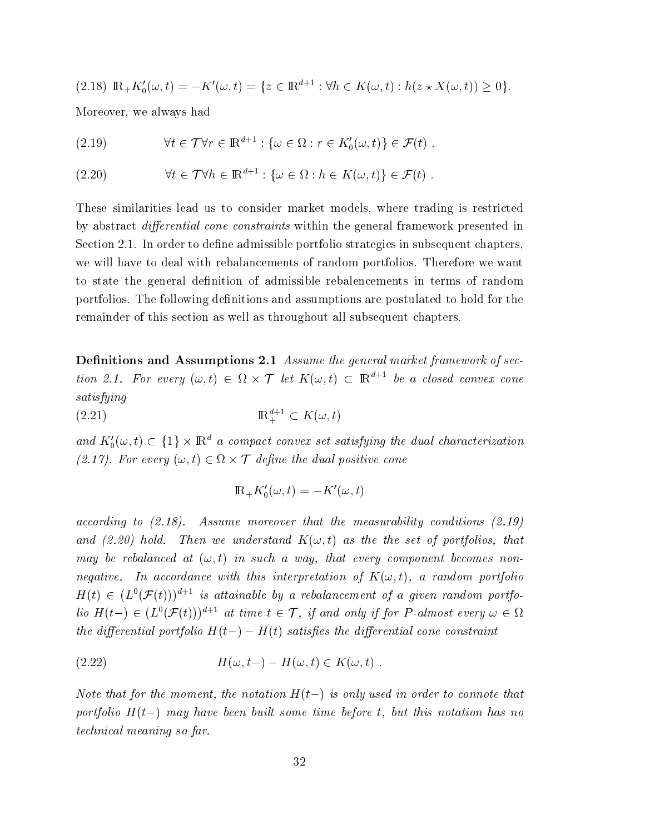$$
(2.18) \ \mathbb{R}_+ K'_0(\omega, t) = -K'(\omega, t) = \{ z \in \mathbb{R}^{d+1} : \forall h \in K(\omega, t) : h(z \star X(\omega, t)) \ge 0 \}.
$$

Moreover, we always had

(2.19) 
$$
\forall t \in \mathcal{T} \forall r \in \mathbb{R}^{d+1} : \{ \omega \in \Omega : r \in K_0'(\omega, t) \} \in \mathcal{F}(t) .
$$

(2.20) 
$$
\forall t \in \mathcal{T} \forall h \in \mathbb{R}^{d+1} : \{ \omega \in \Omega : h \in K(\omega, t) \} \in \mathcal{F}(t) .
$$

These similarities lead us to consider market models, where trading is restricted by abstract *differential cone constraints* within the general framework presented in Section 2.1. In order to define admissible portfolio strategies in subsequent chapters. we will have to deal with rebalancements of random portfolios. Therefore we want to state the general definition of admissible rebalencements in terms of random portfolios. The following definitions and assumptions are postulated to hold for the remainder of this section as well as throughout all subsequent chapters.

**Definitions and Assumptions 2.1** Assume the general market framework of section 2.1. For every  $(\omega, t) \in \Omega \times \mathcal{T}$  let  $K(\omega, t) \subset \mathbb{R}^{d+1}$  be a closed convex cone satisfying

 $\mathbb{R}^{d+1}_+ \subset K(\omega, t)$  $(2.21)$ 

and  $K_0^{\prime}(\omega, t) \subset \{1\} \times \mathbb{R}^d$  a compact convex set satisfying the dual characterization (2.17). For every  $(\omega, t) \in \Omega \times \mathcal{T}$  define the dual positive cone

$$
\mathbb{R}_{+}K'_{0}(\omega,t)=-K'(\omega,t)
$$

according to  $(2.18)$ . Assume moreover that the measurability conditions  $(2.19)$ and (2.20) hold. Then we understand  $K(\omega, t)$  as the the set of portfolios, that may be rebalanced at  $(\omega, t)$  in such a way, that every component becomes nonnegative. In accordance with this interpretation of  $K(\omega, t)$ , a random portfolio  $H(t) \in (L^{0}(\mathcal{F}(t)))^{d+1}$  is attainable by a rebalancement of a given random portfolio  $H(t-) \in (L^0(\mathcal{F}(t)))^{d+1}$  at time  $t \in \mathcal{T}$ , if and only if for P-almost every  $\omega \in \Omega$ the differential portfolio  $H(t-) - H(t)$  satisfies the differential cone constraint

(2.22) 
$$
H(\omega, t-) - H(\omega, t) \in K(\omega, t) .
$$

Note that for the moment, the notation  $H(t-)$  is only used in order to connote that portfolio  $H(t-)$  may have been built some time before t, but this notation has no *technical meaning so far.*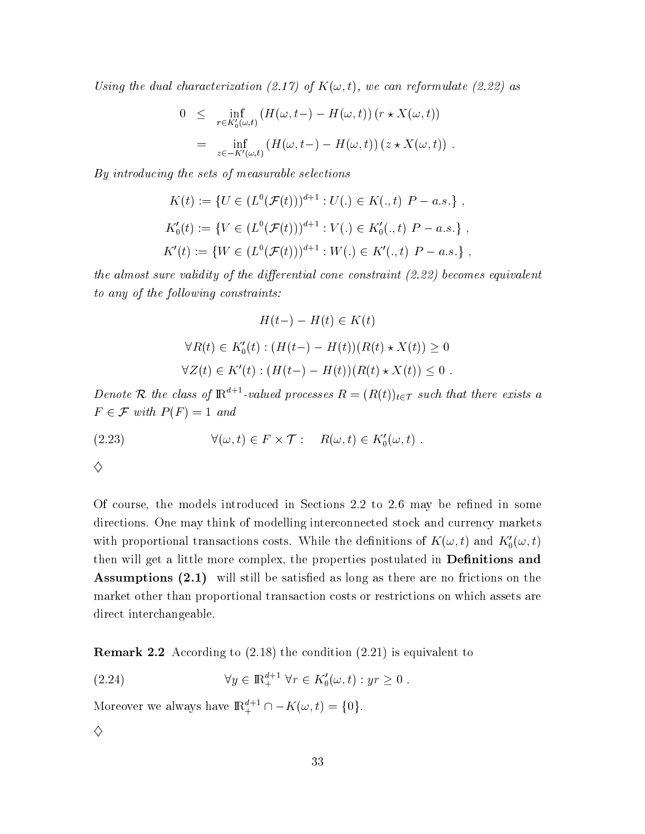Using the dual characterization (2.17) of  $K(\omega, t)$ , we can reformulate (2.22) as

$$
0 \leq \inf_{r \in K'_0(\omega, t)} \left( H(\omega, t-) - H(\omega, t) \right) \left( r \star X(\omega, t) \right)
$$
  
= 
$$
\inf_{z \in -K'(\omega, t)} \left( H(\omega, t-) - H(\omega, t) \right) \left( z \star X(\omega, t) \right).
$$

By introducing the sets of measurable selections

$$
K(t) := \{ U \in (L^0(\mathcal{F}(t)))^{d+1} : U(.) \in K(., t) \mid P - a.s. \},
$$
  
\n
$$
K'_0(t) := \{ V \in (L^0(\mathcal{F}(t)))^{d+1} : V(.) \in K'_0(., t) \mid P - a.s. \},
$$
  
\n
$$
K'(t) := \{ W \in (L^0(\mathcal{F}(t)))^{d+1} : W(.) \in K'(., t) \mid P - a.s. \},
$$

the almost sure validity of the differential cone constraint  $(2.22)$  becomes equivalent to any of the following constraints:

$$
H(t-) - H(t) \in K(t)
$$
  

$$
\forall R(t) \in K'_0(t) : (H(t-) - H(t))(R(t) \star X(t)) \ge 0
$$
  

$$
\forall Z(t) \in K'(t) : (H(t-) - H(t))(R(t) \star X(t)) \le 0
$$

Denote R the class of  $\mathbb{R}^{d+1}$ -valued processes  $R = (R(t))_{t \in \mathcal{T}}$  such that there exists a  $F \in \mathcal{F}$  with  $P(F) = 1$  and

(2.23) 
$$
\forall (\omega, t) \in F \times \mathcal{T} : R(\omega, t) \in K'_0(\omega, t)
$$

 $\diamondsuit$ 

Of course, the models introduced in Sections 2.2 to 2.6 may be refined in some directions. One may think of modelling interconnected stock and currency markets with proportional transactions costs. While the definitions of  $K(\omega, t)$  and  $K'_0(\omega, t)$ then will get a little more complex, the properties postulated in **Definitions and Assumptions (2.1)** will still be satisfied as long as there are no frictions on the market other than proportional transaction costs or restrictions on which assets are direct interchangeable.

**Remark 2.2** According to  $(2.18)$  the condition  $(2.21)$  is equivalent to

(2.24) 
$$
\forall y \in \mathbb{R}^{d+1}_+ \ \forall r \in K'_0(\omega, t) : yr \geq 0
$$

Moreover we always have  $\mathbbm{R}^{d+1}_+\cap-K(\omega,t)=\{0\}.$ 

 $\diamond$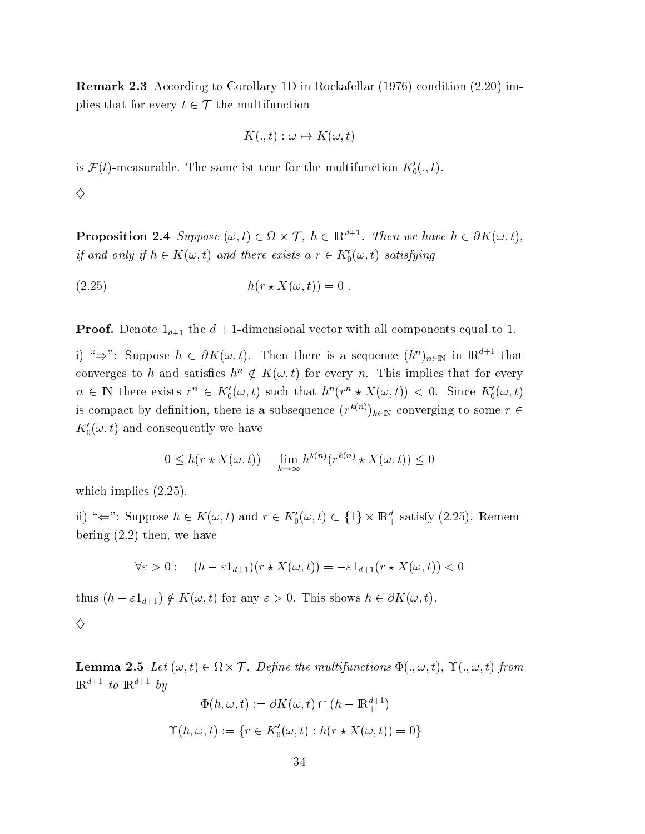**Remark 2.3** According to Corollary 1D in Rockafellar (1976) condition (2.20) implies that for every  $t \in \mathcal{T}$  the multifunction

$$
K(.,t): \omega \mapsto K(\omega,t)
$$

is  $\mathcal{F}(t)$ -measurable. The same ist true for the multifunction  $K_0^{\prime} (., t)$ .

♦

**Proposition 2.4** Suppose  $(\omega, t) \in \Omega \times \mathcal{T}$ ,  $h \in \mathbb{R}^{d+1}$ . Then we have  $h \in \partial K(\omega, t)$ , if and only if  $h \in K(\omega, t)$  and there exists  $a r \in K'_0(\omega, t)$  satisfying

$$
(2.25) \t\t\t h(r \star X(\omega, t)) = 0.
$$

**Proof.** Denote  $1_{d+1}$  the  $d+1$ -dimensional vector with all components equal to 1.

i) " $\Rightarrow$ ": Suppose  $h \in \partial K(\omega, t)$ . Then there is a sequence  $(h^n)_{n \in \mathbb{N}}$  in  $\mathbb{R}^{d+1}$  that converges to h and satisfies  $h^n \notin K(\omega, t)$  for every n. This implies that for every  $n \in \mathbb{N}$  there exists  $r^n \in K'_0(\omega, t)$  such that  $h^n(r^n \star X(\omega, t)) < 0$ . Since  $K'_0(\omega, t)$ is compact by definition, there is a subsequence  $(r^{k(n)})_{k\in\mathbb{N}}$  converging to some  $r \in$  $K_0(\omega, t)$  and consequently we have

$$
0 \le h(r \star X(\omega, t)) = \lim_{k \to \infty} h^{k(n)}(r^{k(n)} \star X(\omega, t)) \le 0
$$

which implies  $(2.25)$ .

ii) " $\Leftarrow$ ": Suppose  $h \in K(\omega, t)$  and  $r \in K'_0(\omega, t) \subset \{1\} \times \mathbb{R}^d_+$  satisfy (2.25). Remembering  $(2.2)$  then, we have

$$
\forall \varepsilon > 0: \quad (h - \varepsilon 1_{d+1})(r \star X(\omega, t)) = -\varepsilon 1_{d+1}(r \star X(\omega, t)) < 0
$$

thus  $(h - \varepsilon 1_{d+1}) \notin K(\omega, t)$  for any  $\varepsilon > 0$ . This shows  $h \in \partial K(\omega, t)$ .

♦

**Lemma 2.5** Let  $(\omega, t) \in \Omega \times \mathcal{T}$ . Define the multifunctions  $\Phi(., \omega, t)$ ,  $\Upsilon(., \omega, t)$  from  $\mathbb{R}^{d+1}$  to  $\mathbb{R}^{d+1}$  by

$$
\Phi(h, \omega, t) := \partial K(\omega, t) \cap (h - \mathbb{R}^{d+1}_+)
$$

$$
\Upsilon(h, \omega, t) := \{r \in K'_0(\omega, t) : h(r \star X(\omega, t)) = 0\}
$$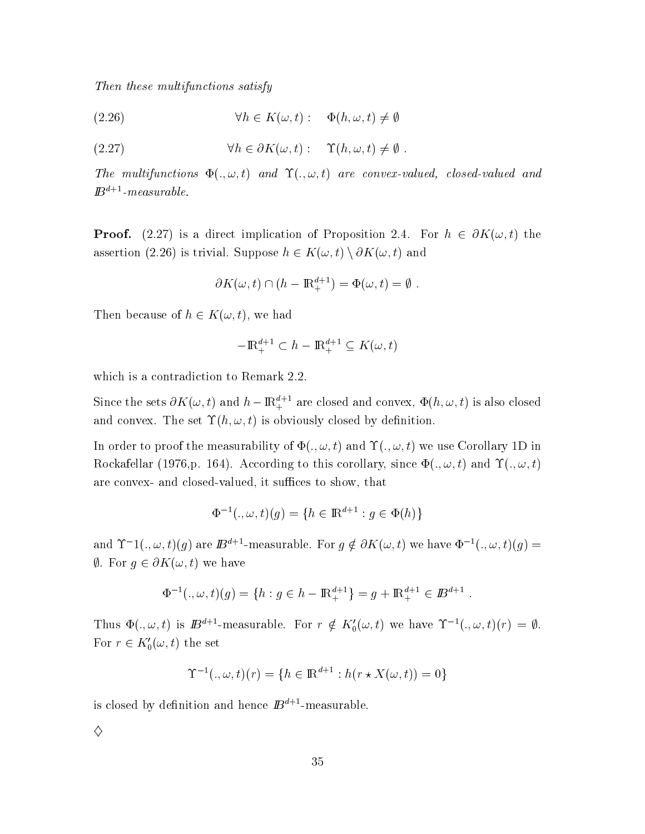!-  -- 

 $(2.26)$  $\forall h \in K(\omega, t): \quad \Phi(h, \omega, t) \neq \emptyset$ 

(2.27) 
$$
\forall h \in \partial K(\omega, t): \quad \Upsilon(h, \omega, t) \neq \emptyset.
$$

The multifunctions  $\Phi(.,\omega,t)$  and  $\Upsilon(.,\omega,t)$  are convex-valued, closed-valued and  $\mathbf{D}$   $-$ -measurable.

**Proof.** (2.27) is a direct implication of Proposition 2.4. For  $h \in \partial K(\omega, t)$  the assertion (2.26) is trivial. Suppose  $h \in K(\omega, t) \setminus \partial K(\omega, t)$  and

$$
\partial K(\omega, t) \cap (h - \mathbb{R}^{d+1}_+) = \Phi(\omega, t) = \emptyset.
$$

Then because of  $h \in K(\omega, t)$ , we had

$$
-\mathbb{R}^{d+1}_{+} \subset h - \mathbb{R}^{d+1}_{+} \subseteq K(\omega, t)
$$

which is a contradiction to Remark 2.2.

Since the sets  $\partial K(\omega,t)$  and  $h-\mathbb{R}^{d+1}_+$  are closed and convex,  $\Phi(h,\omega,t)$  is also close  $\mathbf d$ and convex. The set  $\Upsilon(h,\omega,t)$  is obviously closed by definition.

In order to proof the measurability of  $\Phi(.,\omega,t)$  and  $\Upsilon(.,\omega,t)$  we use Corollary 1D in Rockafellar (1976,p. 164). According to this corollary, since  $\Phi(.,\omega,t)$  and  $\Upsilon(.,\omega,t)$ are convex- and closed-valued, it suffices to show, that

$$
\Phi^{-1}(., \omega, t)(g) = \{h \in \mathbb{R}^{d+1} : g \in \Phi(h)\}
$$

and  $\Upsilon^{-1}(.,\omega,t)(g)$  are  $I\!\!B^{d+1}$ -measurable. For  $g\notin \partial K(\omega,t)$  we have  $\Phi^{-1}(.,\omega,t)(g)=0$  $\emptyset$ . For  $g \in \partial K(\omega, t)$  we have

$$
\Phi^{-1}(.,\omega,t)(g) = \{h : g \in h - \mathbb{R}^{d+1}_+\} = g + \mathbb{R}^{d+1}_+ \in \mathbb{B}^{d+1} .
$$

Thus  $\Phi(.,\omega,t)$  is  $B^{d+1}$ -measurable. For  $r \notin K'_0(\omega,t)$  we have  $\Upsilon^{-1}(.,\omega,t)(r) = \emptyset$ . For  $r \in K'_0(\omega, t)$  the set  $t \sim$ 

$$
\Upsilon^{-1}(., \omega, t)(r) = \{ h \in \mathbb{R}^{d+1} : h(r \star X(\omega, t)) = 0 \}
$$

is closed by definition and hence  $I\!\!B^{d+1}\!\!$  -measurable  $\bullet$  . The contract of  $\bullet$ 

♦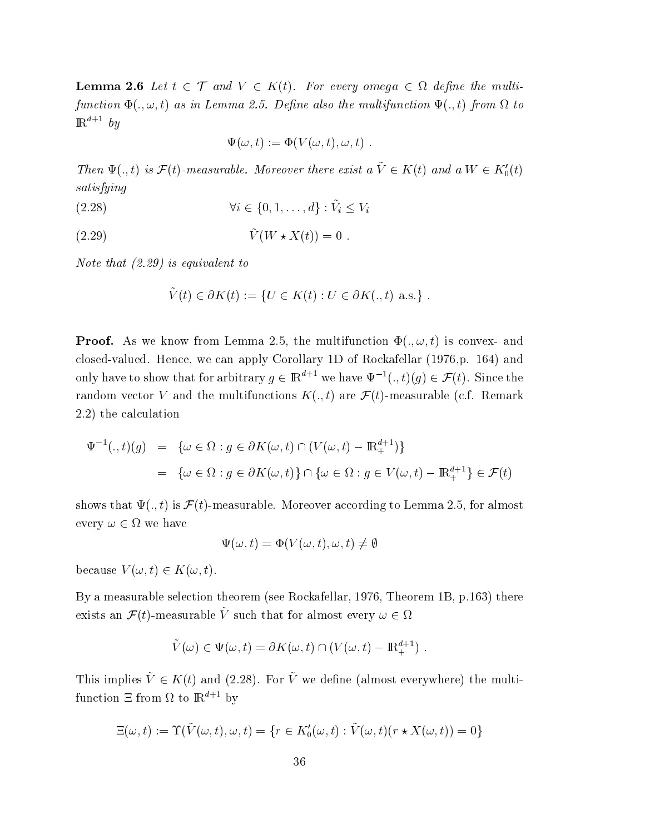**Lemma 2.6** Let  $t \in \mathcal{T}$  and  $V \in K(t)$ . For every omega  $\in \Omega$  define the multifunction  $\Phi(.,\omega,t)$  as in Lemma 2.5. Define also the multifunction  $\Psi(.,t)$  from  $\Omega$  to  $\mathbb{R}^{a+1}$  by

$$
\Psi(\omega, t) := \Phi(V(\omega, t), \omega, t) .
$$

Then  $\Psi(.,t)$  is  $\mathcal{F}(t)$ -measurable. Moreover there exist a  $\tilde{V} \in K(t)$  and a  $W \in K'_0(t)$ -

$$
(2.28) \t\t\t \forall i \in \{0, 1, \ldots, d\} : \tilde{V}_i \le V_i
$$

$$
(2.29) \t\t \tilde{V}(W \star X(t)) = 0.
$$

 $\mathcal{L}$  , and  $\mathcal{L}$  are the set of  $\mathcal{L}$  . The set of  $\mathcal{L}$  is a set of  $\mathcal{L}$  , and  $\mathcal{L}$  is a set of  $\mathcal{L}$  . In the set of  $\mathcal{L}$  is a set of  $\mathcal{L}$  is a set of  $\mathcal{L}$  is a set of  $\mathcal{L}$  is a s

$$
\tilde{V}(t) \in \partial K(t) := \{ U \in K(t) : U \in \partial K(.,t) \text{ a.s.} \} .
$$

**Proof.** As we know from Lemma 2.5, the multifunction  $\Phi(.,\omega,t)$  is convex- and closed-valued. Hence, we can apply Corollary 1D of Rockafellar (1976,p. 164) and only have to show that for arbitrary  $g \in \mathbb{R}^{d+1}$  we have  $\Psi^{-1}(.,t)(g) \in \mathcal{F}(t)$ . Since the random vector  $V$  and the multifunctions  $K(.,t)$  are  $\mathcal{F}(t)$ -measurable (c.f. Remark  $(2.2)$  the calculation

$$
\Psi^{-1}(.,t)(g) = \{ \omega \in \Omega : g \in \partial K(\omega,t) \cap (V(\omega,t) - \mathbb{R}^{d+1}_+)\}
$$
  
= 
$$
\{ \omega \in \Omega : g \in \partial K(\omega,t) \} \cap \{ \omega \in \Omega : g \in V(\omega,t) - \mathbb{R}^{d+1}_+ \} \in \mathcal{F}(t)
$$

shows that  $\Psi(.,t)$  is  ${\mathcal F}(t)$ -measurable. Moreover according to Lemma 2.5, for almost every  $\omega \in \Omega$  we have

$$
\Psi(\omega, t) = \Phi(V(\omega, t), \omega, t) \neq \emptyset
$$

because  $V(\omega, t) \in K(\omega, t)$ .

By a measurable selection theorem (see Rockafellar, 1976, Theorem 1B, p.163) there exists an  $\mathcal{F}(t)$ -measurable  $\tilde{V}$  such that for almost every  $\omega \in \Omega$ 

$$
\tilde{V}(\omega) \in \Psi(\omega, t) = \partial K(\omega, t) \cap (V(\omega, t) - \mathbb{R}^{d+1}_+).
$$

This implies  $\tilde{V} \in K(t)$  and (2.28). For  $\tilde{V}$  we define (almost everywhere) the multifunction  $\Xi$  from  $\Omega$  to  $\mathbb{R}^{a+1}$  by

$$
\Xi(\omega, t) := \Upsilon(\tilde{V}(\omega, t), \omega, t) = \{r \in K_0'(\omega, t) : \tilde{V}(\omega, t)(r \star X(\omega, t)) = 0\}
$$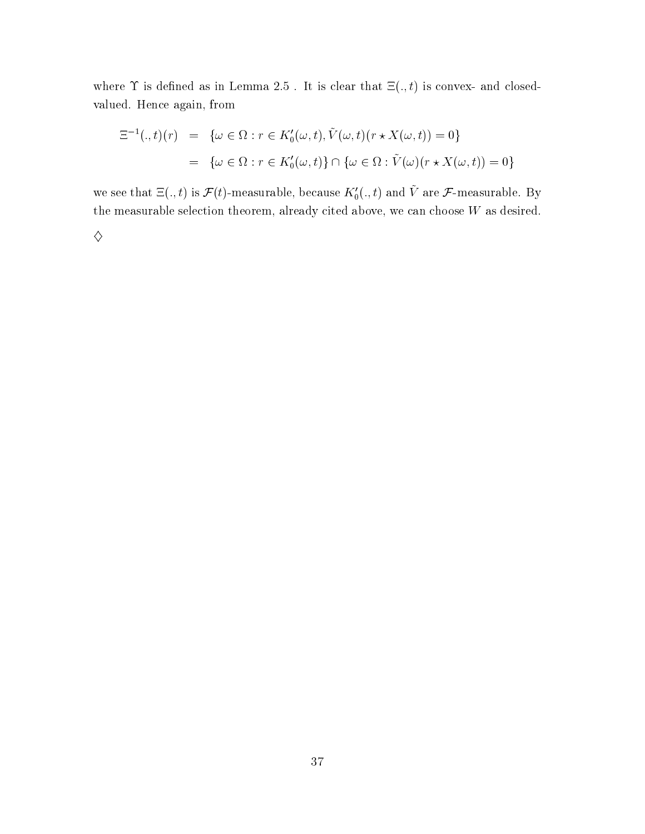where  $\Upsilon$  is defined as in Lemma 2.5. It is clear that  $\Xi(.,t)$  is convex- and closedvalued. Hence again, from

$$
\begin{aligned} \Xi^{-1}(.,t)(r) &= \{ \omega \in \Omega : r \in K_0'(\omega,t), \tilde{V}(\omega,t)(r \star X(\omega,t)) = 0 \} \\ &= \{ \omega \in \Omega : r \in K_0'(\omega,t) \} \cap \{ \omega \in \Omega : \tilde{V}(\omega)(r \star X(\omega,t)) = 0 \} \end{aligned}
$$

we see that  $\Xi(.,t)$  is  $\mathcal{F}(t)$ -measurable, because  $K'_0(.,t)$  and  $\tilde{V}$  are  $\mathcal{F}$ -measurable. By the measurable selection theorem, already cited above, we can choose  $W$  as desired.

 $\diamondsuit$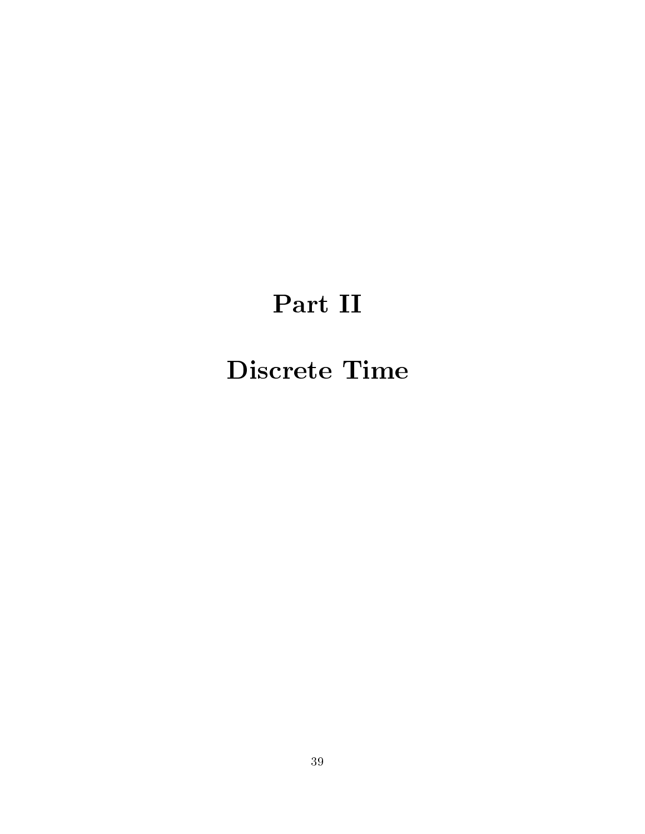# Part II

## -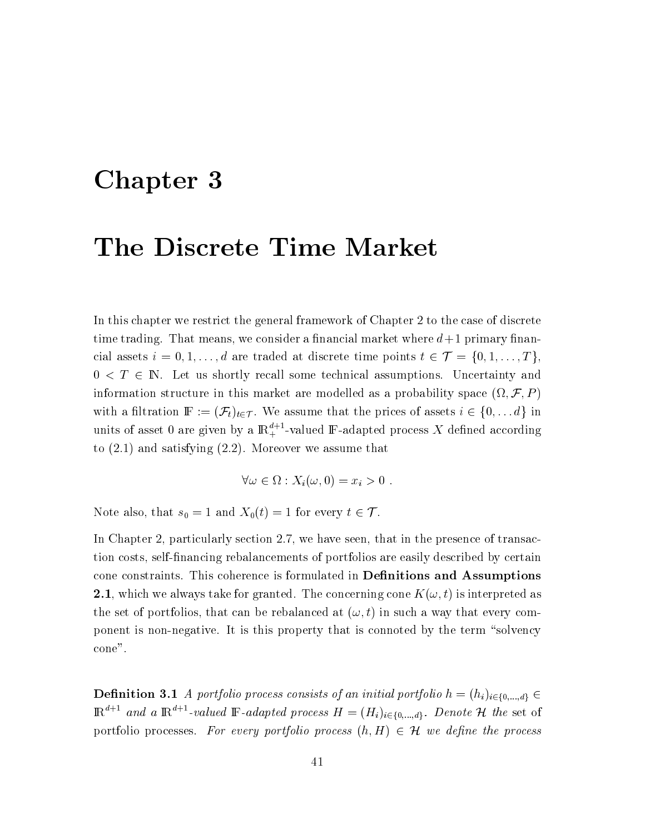## Chapter 3

## The Discrete Time Market

In this chapter we restrict the general framework of Chapter 2 to the case of discrete time trading. That means, we consider a financial market where  $d+1$  primary financial assets  $i = 0, 1, ..., d$  are traded at discrete time points  $t \in \mathcal{T} = \{0, 1, ..., T\}$ ,  $0 \leq T \in \mathbb{N}$ . Let us shortly recall some technical assumptions. Uncertainty and information structure in this market are modelled as a probability space  $(\Omega, \mathcal{F}, P)$ with a filtration  $\mathbb{F} := (\mathcal{F}_t)_{t \in \mathcal{T}}$ . We assume that the prices of assets  $i \in \{0, \ldots d\}$  in units of asset 0 are given by a  $\mathbb{R}^{d+1}_+$ -valued F-adapted process X defined according to  $(2.1)$  and satisfying  $(2.2)$ . Moreover we assume that

$$
\forall \omega \in \Omega : X_i(\omega, 0) = x_i > 0 .
$$

Note also, that  $s_0 = 1$  and  $X_0(t) = 1$  for every  $t \in \mathcal{T}$ .

In Chapter 2, particularly section 2.7, we have seen, that in the presence of transaction costs, self-financing rebalancements of portfolios are easily described by certain cone constraints. This coherence is formulated in **Definitions and Assumptions 2.1**, which we always take for granted. The concerning cone  $K(\omega, t)$  is interpreted as the set of portfolios, that can be rebalanced at  $(\omega, t)$  in such a way that every component is non-negative. It is this property that is connoted by the term "solvency" cone".

**Definition 3.1** A portfolio process consists of an initial portfolio  $h = (h_i)_{i \in \{0, \ldots, d\}} \in$  $\mathbb{R}^{d+1}$  and a  $\mathbb{R}^{d+1}$ -valued  $\mathbb{F}$ -adapted process  $H = (H_i)_{i \in \{0,\ldots,d\}}$ . Denote  $\mathcal H$  the set of portfolio processes. For every portfolio process  $(h, H) \in \mathcal{H}$  we define the process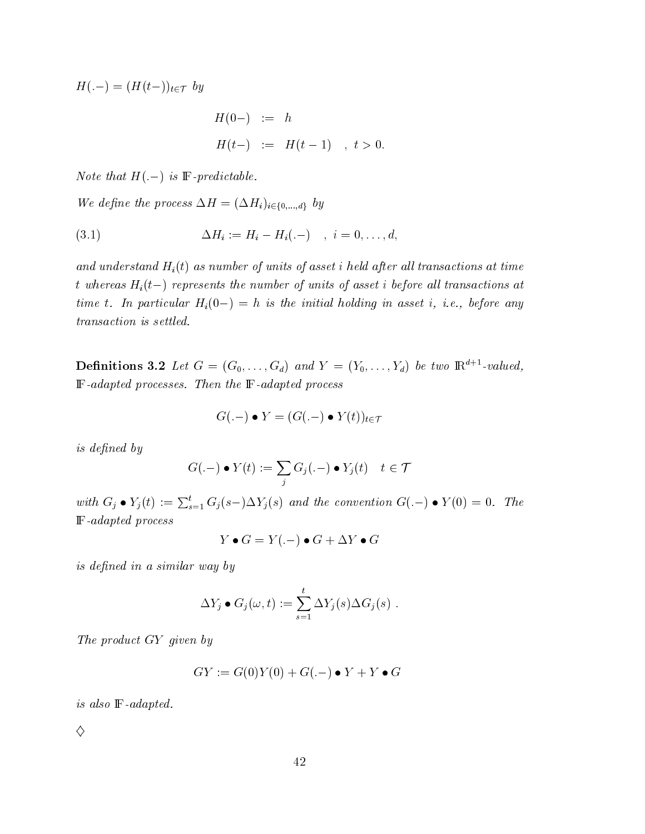$H(-) = (H(t-))_{t \in \mathcal{T}}$  by

$$
H(0-) := h
$$
  

$$
H(t-) := H(t-1) , t > 0.
$$

*Note that*  $H(-)$  *is*  $\mathbb{F}\text{-}predictable.$ 

We define the process  $\Delta H = (\Delta H_i)_{i \in \{0,\ldots,d\}}$  by

(3.1) 
$$
\Delta H_i := H_i - H_i(-) \quad , \quad i = 0, \ldots, d,
$$

and understand  $H_i(t)$  as number of units of asset i held after all transactions at time t whereas  $H_i(t-)$  represents the number of units of asset i before all transactions at time t. In particular  $H_i(0-) = h$  is the initial holding in asset i, i.e., before any

**Definitions 3.2** Let  $G = (G_0, \ldots, G_d)$  and  $Y = (Y_0, \ldots, Y_d)$  be two  $\mathbb{R}^{d+1}$ -valued,  $\mathbb{F}\text{-}adapted$  processes. Then the  $\mathbb{F}\text{-}adapted$  process

$$
G(-) \bullet Y = (G(-) \bullet Y(t))_{t \in \mathcal{T}}
$$

experience and the contract of the contract of the contract of the contract of the contract of the contract of

$$
G(-) \bullet Y(t) := \sum_j G_j(.-) \bullet Y_j(t) \quad t \in \mathcal{T}
$$

with  $G_j \bullet Y_j(t) := \sum_{s=1}^t G_j(s-) \Delta Y_j(s)$  and the convention  $G(-) \bullet Y(0) = 0$ . The **F**-adapted process

$$
Y\bullet G=Y(.-)\bullet G+\Delta Y\bullet G
$$

 - -  

$$
\Delta Y_j \bullet G_j(\omega, t) := \sum_{s=1}^t \Delta Y_j(s) \Delta G_j(s) .
$$

! 12 -

$$
GY := G(0)Y(0) + G(-) \bullet Y + Y \bullet G
$$

is also  $\mathbb{F}\text{-}adapted$ .

 $\Diamond$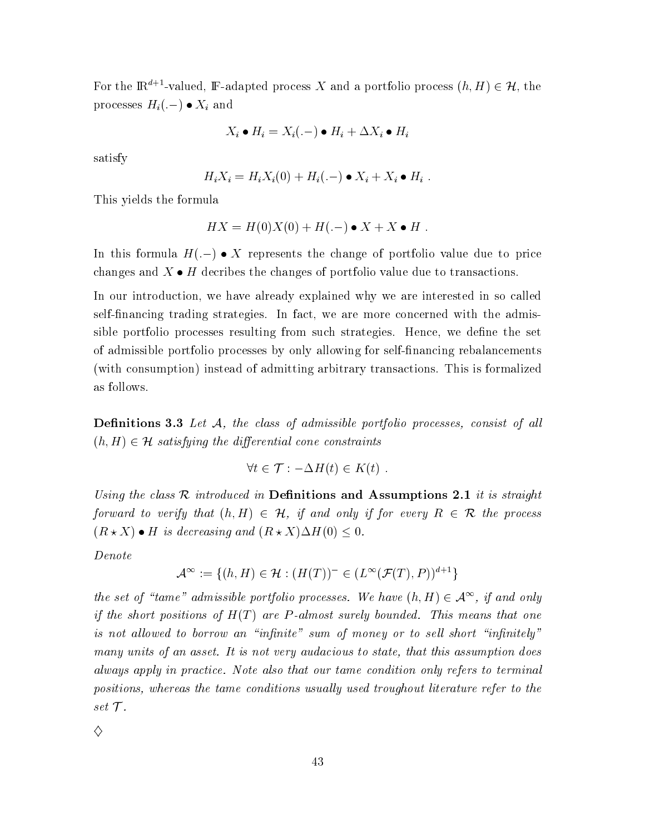For the  $\mathbb{R}^{d+1}$ -valued, F-adapted process X and a portfolio process  $(h, H) \in \mathcal{H}$ , the processes  $H_i(-) \bullet X_i$  and

$$
X_i \bullet H_i = X_i(.-) \bullet H_i + \Delta X_i \bullet H_i
$$

satisfy

$$
H_i X_i = H_i X_i(0) + H_i(-) \bullet X_i + X_i \bullet H_i
$$

This yields the formula

$$
HX = H(0)X(0) + H(.-) \bullet X + X \bullet H
$$

In this formula  $H(-) \bullet X$  represents the change of portfolio value due to price changes and  $X \bullet H$  decribes the changes of portfolio value due to transactions.

In our introduction, we have already explained why we are interested in so called self-financing trading strategies. In fact, we are more concerned with the admissible portfolio processes resulting from such strategies. Hence, we define the set of admissible portfolio processes by only allowing for self-financing rebalancements (with consumption) instead of admitting arbitrary transactions. This is formalized as follows.

**Definitions 3.3** Let  $A$ , the class of admissible portfolio processes, consist of all  $(h, H) \in \mathcal{H}$  satisfying the differential cone constraints

$$
\forall t \in \mathcal{T} : -\Delta H(t) \in K(t)
$$

Using the class R introduced in Definitions and Assumptions 2.1 it is straight forward to verify that  $(h, H) \in \mathcal{H}$ , if and only if for every  $R \in \mathcal{R}$  the process  $(R \star X) \bullet H$  is decreasing and  $(R \star X) \Delta H(0) \leq 0$ .

 $Denote$ 

$$
\mathcal{A}^\infty:=\{(h,H)\in\mathcal{H}:(H(T))^-\in(L^\infty(\mathcal{F}(T),P))^{d+1}\}
$$

the set of "tame" admissible portfolio processes. We have  $(h, H) \in \mathcal{A}^{\infty}$ , if and only if the short positions of  $H(T)$  are P-almost surely bounded. This means that one is not allowed to borrow an "infinite" sum of money or to sell short "infinitely" many units of an asset. It is not very audacious to state, that this assumption does always apply in practice. Note also that our tame condition only refers to terminal positions, whereas the tame conditions usually used troughout literature refer to the set  $\mathcal{T}.$ 

♦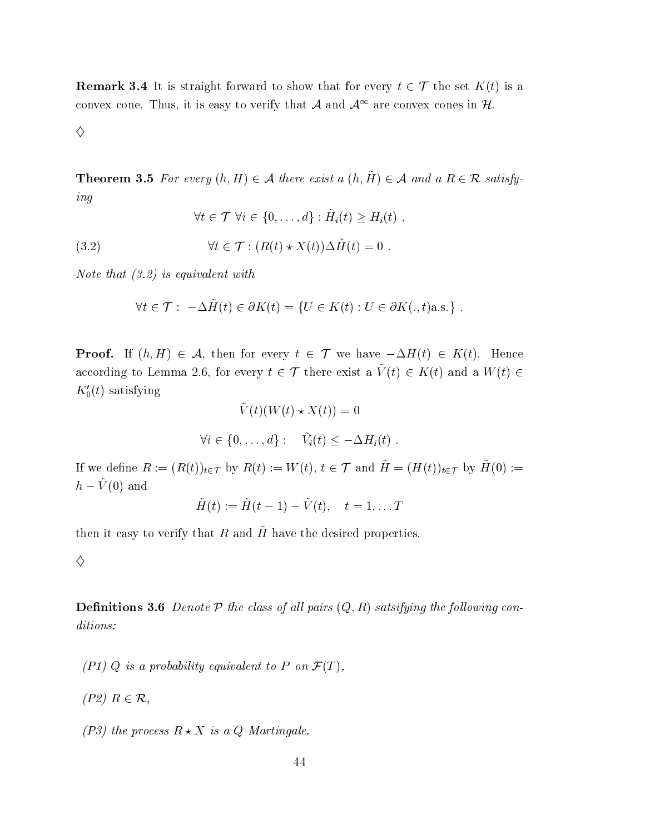**Remark 3.4** It is straight forward to show that for every  $t \in \mathcal{T}$  the set  $K(t)$  is a convex cone. Thus, it is easy to verify that A and  $A^{\infty}$  are convex cones in H.

♦

**Theorem 3.5** For every  $(h, H) \in \mathcal{A}$  there exist a  $(h, \tilde{H}) \in \mathcal{A}$  and a  $R \in \mathcal{R}$  satisfy $ing$ 

 $\forall t \in \mathcal{T}$   $\forall i \in \{0, \ldots, d\} : \tilde{H}_i(t) > H_i(t)$ ,

 $\forall t \in \mathcal{T} : (R(t) \star X(t)) \Delta \tilde{H}(t) = 0.$  $(3.2)$ 

Note that  $(3.2)$  is equivalent with

$$
\forall t \in \mathcal{T} : -\Delta \tilde{H}(t) \in \partial K(t) = \{ U \in K(t) : U \in \partial K(., t) \text{a.s.} \} .
$$

**Proof.** If  $(h, H) \in \mathcal{A}$ , then for every  $t \in \mathcal{T}$  we have  $-\Delta H(t) \in K(t)$ . Hence according to Lemma 2.6, for every  $t \in \mathcal{T}$  there exist a  $\tilde{V}(t) \in K(t)$  and a  $W(t) \in$  $K_0'(t)$  satisfying

$$
\tilde{V}(t)(W(t) \star X(t)) = 0
$$
  

$$
\forall i \in \{0, ..., d\} : \quad \tilde{V}_i(t) \le -\Delta H_i(t) .
$$

If we define  $R := (R(t))_{t \in \mathcal{T}}$  by  $R(t) := W(t), t \in \mathcal{T}$  and  $\tilde{H} = (H(t))_{t \in \mathcal{T}}$  by  $\tilde{H}(0) :=$  $h-\tilde{V}(0)$  and

$$
\tilde{H}(t) := \tilde{H}(t-1) - \tilde{V}(t), \quad t = 1, \dots T
$$

then it easy to verify that R and  $\tilde{H}$  have the desired properties.

♦

**Definitions 3.6** Denote  $P$  the class of all pairs  $(Q, R)$  satsifying the following conditions:

- $(PI)$  Q is a probability equivalent to P on  $\mathcal{F}(T)$ ,
- $(P2)$   $R \in \mathcal{R}$ ,
- (P3) the process  $R \star X$  is a Q-Martingale.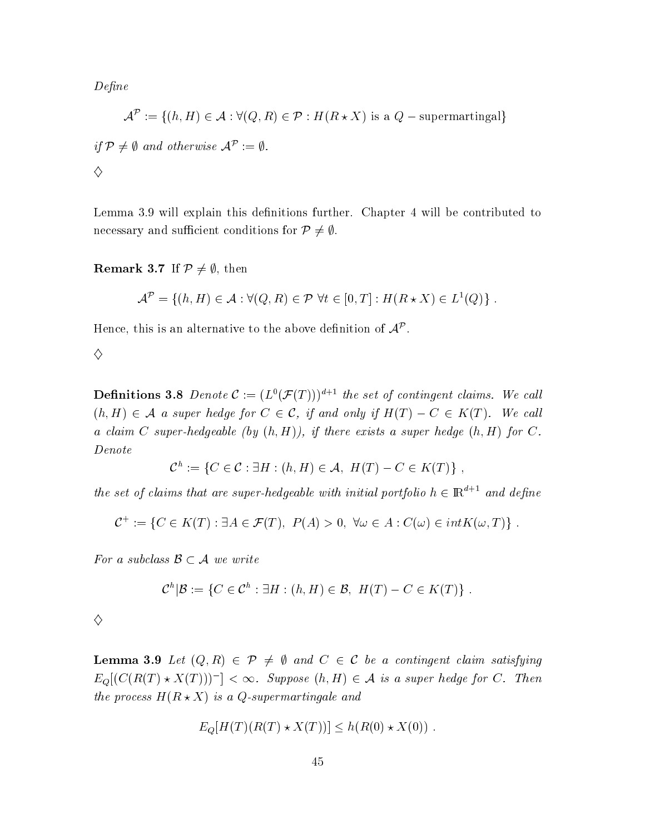6-

 $\mathcal{A}^{\mathcal{P}}:=\{(h,H)\in\mathcal{A}:\forall(Q,R)\in\mathcal{P}:H(R\star X)\text{ is a }Q-\text{supermartingal}\}$  $u \thinspace t \thinspace \neq v$  and otherwise  $A' \thinspace := v$ .  $\diamondsuit$ 

Lemma 3.9 will explain this definitions further. Chapter 4 will be contributed to necessary and sufficient conditions for  $\mathcal{P} \neq \emptyset$ .

### **Remark 3.7** If  $\mathcal{P} \neq \emptyset$ , then

$$
\mathcal{A}^{\mathcal{P}} = \{ (h, H) \in \mathcal{A} : \forall (Q, R) \in \mathcal{P} \,\,\forall t \in [0, T] : H(R \star X) \in L^{1}(Q) \}.
$$

Hence, this is an alternative to the above definition of  $\mathcal{A}^\mathcal{P}.$ 

 $\mathbf{v}$  and  $\mathbf{v}$  and  $\mathbf{v}$  and  $\mathbf{v}$  and  $\mathbf{v}$  and  $\mathbf{v}$  and  $\mathbf{v}$  and  $\mathbf{v}$  and  $\mathbf{v}$  and  $\mathbf{v}$  and  $\mathbf{v}$  and  $\mathbf{v}$  and  $\mathbf{v}$  and  $\mathbf{v}$  and  $\mathbf{v}$  and  $\mathbf{v}$  and  $\mathbf{v}$  and

**Definitions 3.8** Denote  $\mathcal{C} := (L^0(\mathcal{F}(T)))^{d+1}$  the set of contingent claims. We call  $(h,H)\in \mathcal{A}$  a super hedge for  $C\in \mathcal{C}$ , if and only if  $H(T)-C\in K(T).$  We call a claim C super-hedgeable (by  $(h, H)$ ), if there exists a super hedge  $(h, H)$  for C.

$$
\mathcal{C}^h := \{ C \in \mathcal{C} : \exists H : (h, H) \in \mathcal{A}, H(T) - C \in K(T) \},
$$

the set of claims that are super-hedgeable with initial portfolio  $h \in \mathbb{R}^{a+1}$  and define

$$
\mathcal{C}^+ := \{ C \in K(T) : \exists A \in \mathcal{F}(T), \ P(A) > 0, \ \forall \omega \in A : C(\omega) \in int K(\omega, T) \} .
$$

For a subclass  $\mathcal{B} \subset \mathcal{A}$  we write

$$
\mathcal{C}^h|\mathcal{B}:=\{C\in\mathcal{C}^h:\exists H:(h,H)\in\mathcal{B},\ H(T)-C\in K(T)\}.
$$

 $\diamondsuit$ 

**Lemma 3.9** Let  $(Q, R) \in \mathcal{P} \neq \emptyset$  and  $C \in \mathcal{C}$  be a contingent claim satisfying  $E_Q[(C(R(T) \star X(T))]^-] < \infty$ . Suppose  $(h,H) \in \mathcal{A}$  is a super hedge for C. Then the process  $H(R \star X)$  is a Q-supermartingale and

$$
E_Q[H(T)(R(T) \star X(T))] \le h(R(0) \star X(0)).
$$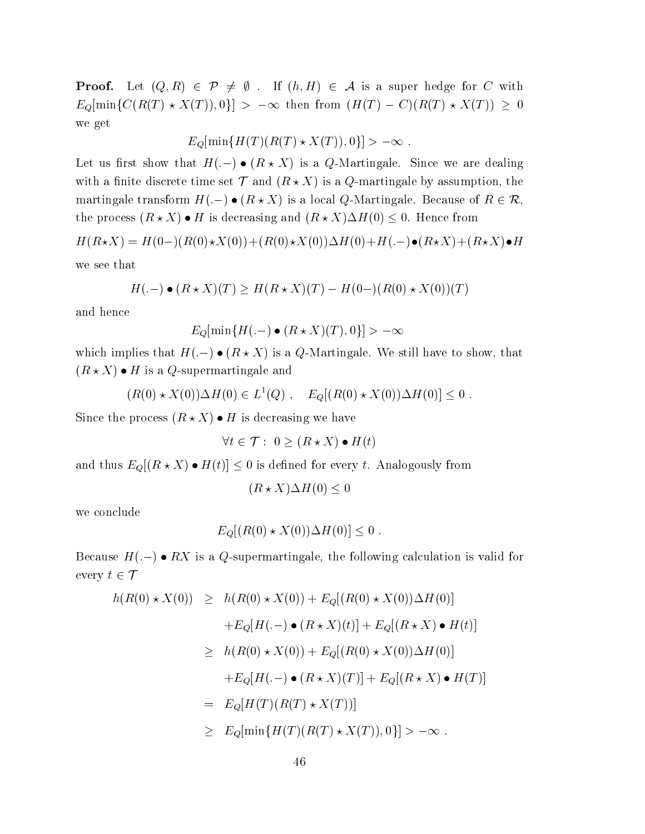Proof.  $A^+(Q,R) \in \mathcal{P} \neq \emptyset$ . If  $(h,H) \in \mathcal{A}$  is a super hedge for C with  $E_Q[\min\{C(R(T) \star X(T)), 0\}] > -\infty$  then from  $(H(T) - C)(R(T) \star X(T)) \geq 0$ we get

$$
E_Q[\min\{H(T)(R(T)\star X(T)),0\}] > -\infty .
$$

Let us first show that  $H(-) \bullet (R \star X)$  is a Q-Martingale. Since we are dealing with a finite discrete time set  ${\cal T}$  and  $(R\star X)$  is a  $Q$ -martingale by assumption, the martingale transform  $H(-) \bullet (R \star X)$  is a local Q-Martingale. Because of  $R \in \mathcal{R}$ ,<br>the process  $(R \star X) \bullet H$  is decreasing and  $(R \star X) \Delta H(0) \le 0$ . Hence from process  $(R \star X) \bullet H$  is decreasing and  $(R \star X) \Delta H(0) \leq 0$ . Hence from

 $H(R\star X) = H(0-) (R(0)\star X(0)) + (R(0)\star X(0)) \Delta H(0) + H(.-) \bullet (R\star X) + (R\star X) \bullet H$ 

we see that

$$
H(-) \bullet (R \star X)(T) \ge H(R \star X)(T) - H(0) - (R(0) \star X(0))(T)
$$

and hence

$$
E_Q[\min\{H(\tt.-)\bullet (R\star X)(T),0\}]>-\infty
$$

which implies that  $H(-) \bullet (R \star X)$  is a Q-Martingale. We still have to show, that  $(R \star X) \bullet H$  is a Q-supermartingale and

$$
(R(0) \star X(0)) \Delta H(0) \in L^{1}(Q) , E_{Q}[(R(0) \star X(0)) \Delta H(0)] \leq 0 .
$$

Since the process  $(R \star X) \bullet H$  is decreasing we have

$$
\forall t \in \mathcal{T}: \ 0 \ge (R \star X) \bullet H(t)
$$

and thus  $E_Q[(R\star X)\bullet H(t)]\leq 0$  is defined for every  $t.$  Analogously from

 $(R \star X) \Delta H(0) \leq 0$  $\hspace{.06cm}0\hspace{1.1cm}$ 

we conclude

$$
E_Q[(R(0) * X(0))\Delta H(0)] \leq 0.
$$

Because  $H(.-) \bullet R X$  is a Q-supermartingale, the following calculation is valid for every  $t \in I$ 

$$
h(R(0) \star X(0)) \geq h(R(0) \star X(0)) + E_Q[(R(0) \star X(0)) \Delta H(0)]
$$
  
+
$$
E_Q[H(-) \bullet (R \star X)(t)] + E_Q[(R \star X) \bullet H(t)]
$$
  

$$
\geq h(R(0) \star X(0)) + E_Q[(R(0) \star X(0)) \Delta H(0)]
$$
  
+
$$
E_Q[H(-) \bullet (R \star X)(T)] + E_Q[(R \star X) \bullet H(T)]
$$
  

$$
= E_Q[H(T)(R(T) \star X(T))]
$$
  

$$
\geq E_Q[\min\{H(T)(R(T) \star X(T)), 0\}] > -\infty.
$$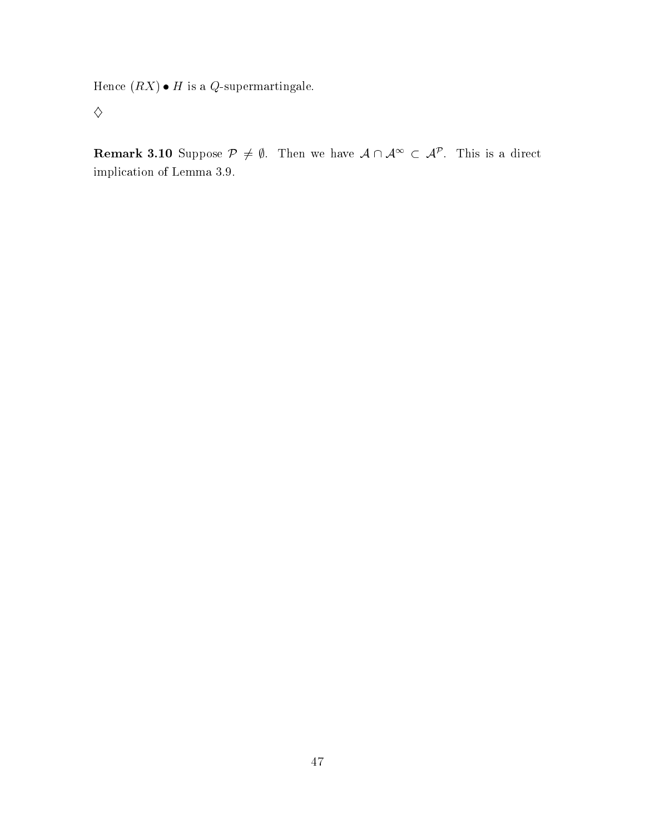Hence  $(RX) \bullet H$  is a Q-supermartingale.

 $\diamondsuit$ 

**Remark 3.10** Suppose  $\mathcal{P} \neq \emptyset$ . Then we have  $\mathcal{A} \cap \mathcal{A}^{\infty} \subset \mathcal{A}^{\mathcal{P}}$ . This is a direct implication of Lemma 3.9.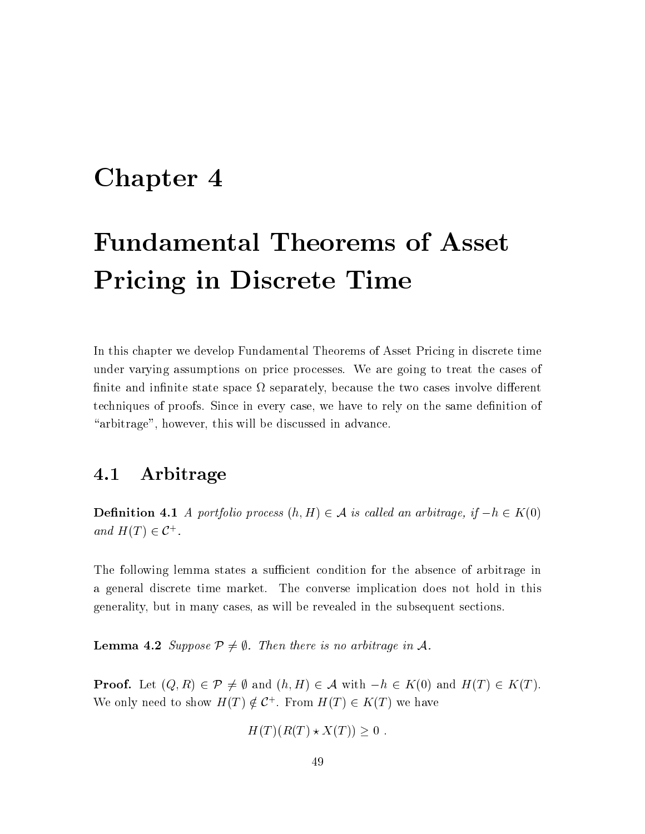## Chapter 4

# **Fundamental Theorems of Asset Pricing in Discrete Time**

In this chapter we develop Fundamental Theorems of Asset Pricing in discrete time under varying assumptions on price processes. We are going to treat the cases of finite and infinite state space  $\Omega$  separately, because the two cases involve different techniques of proofs. Since in every case, we have to rely on the same definition of "arbitrage", however, this will be discussed in advance.

#### 4.1 Arbitrage

**Definition 4.1** A portfolio process  $(h, H) \in \mathcal{A}$  is called an arbitrage, if  $-h \in K(0)$ and  $H(T) \in \mathcal{C}^+$ .

The following lemma states a sufficient condition for the absence of arbitrage in a general discrete time market. The converse implication does not hold in this generality, but in many cases, as will be revealed in the subsequent sections.

**Lemma 4.2** Suppose  $P \neq \emptyset$ . Then there is no arbitrage in A.

**Proof.** Let  $(Q, R) \in \mathcal{P} \neq \emptyset$  and  $(h, H) \in \mathcal{A}$  with  $-h \in K(0)$  and  $H(T) \in K(T)$ . We only need to show  $H(T) \notin C^+$ . From  $H(T) \in K(T)$  we have

$$
H(T)(R(T) \star X(T)) \ge 0
$$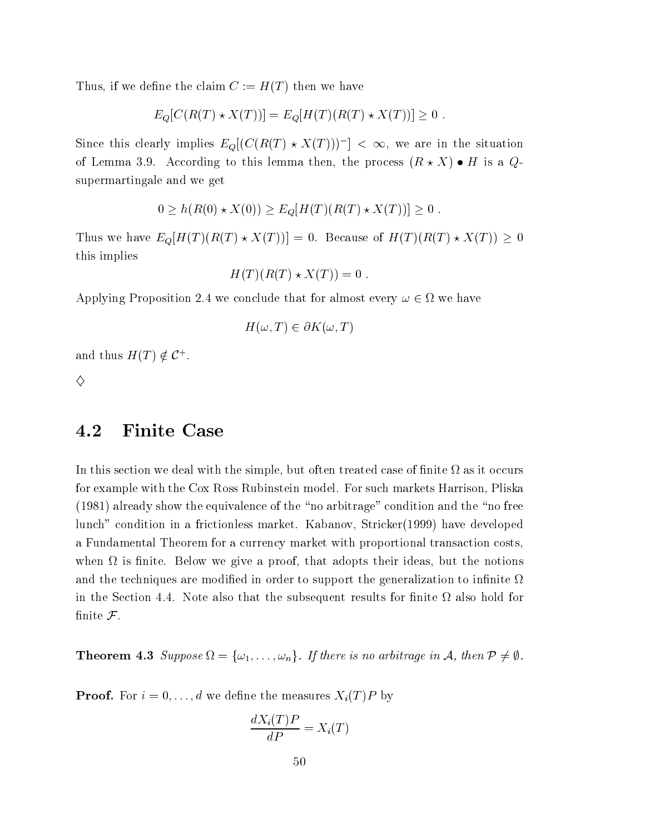Thus, if we define the claim  $C := H(T)$  then we have

 $E_Q[C(R(T) * X(T))] = E_Q[H(T)(R(T) * X(T))] \ge 0$ .

Since this clearly implies  $E_Q[(C(R(T) \star X(T)))^-] < \infty$ , we are in the situation of Lemma 3.9. According to this lemma then, the process  $(R \star X) \bullet H$  is a  $Q$ supermartingale and we get

$$
0 \ge h(R(0) \star X(0)) \ge E_Q[H(T)(R(T) \star X(T))] \ge 0.
$$

Thus we have  $E_Q[H(T)(R(T) \star X(T))] = 0$ . Because of  $H(T)(R(T) \star X(T)) \geq 0$ this implies

$$
H(T)(R(T) \star X(T)) = 0
$$

Applying Proposition 2.4 we conclude that for almost every  $\omega \in \Omega$  we have

$$
H(\omega, T) \in \partial K(\omega, T)
$$

and thus  $H(T) \notin \mathcal{C}^+$ .

♦

### 4.2 **Finite Case**

In this section we deal with the simple, but often treated case of finite  $\Omega$  as it occurs for example with the Cox Ross Rubinstein model. For such markets Harrison, Pliska (1981) already show the equivalence of the "no arbitrage" condition and the "no free lunch" condition in a frictionless market. Kabanov, Stricker (1999) have developed a Fundamental Theorem for a currency market with proportional transaction costs. when  $\Omega$  is finite. Below we give a proof, that adopts their ideas, but the notions and the techniques are modified in order to support the generalization to infinite  $\Omega$ in the Section 4.4. Note also that the subsequent results for finite  $\Omega$  also hold for finite  $\mathcal{F}.$ 

**Theorem 4.3** Suppose  $\Omega = {\omega_1, \ldots, \omega_n}$ . If there is no arbitrage in A, then  $P \neq \emptyset$ .

**Proof.** For  $i = 0, ..., d$  we define the measures  $X_i(T)P$  by

$$
\frac{dX_i(T)P}{dP} = X_i(T)
$$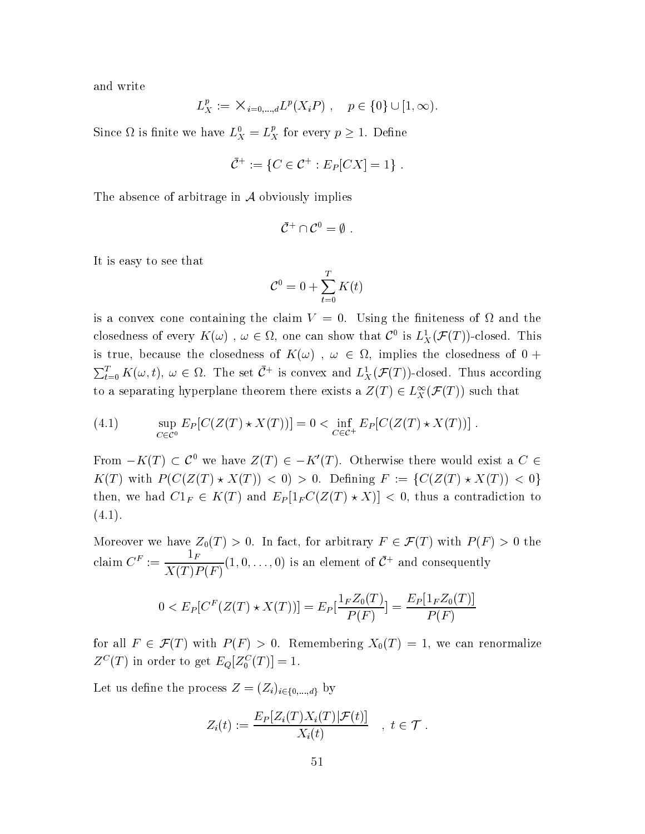and write

$$
L_X^p := \mathsf{X}_{i=0,\dots,d} L^p(X_i P) , \quad p \in \{0\} \cup [1,\infty).
$$

Since  $\Omega$  is finite we have  $L_X^0 = L_X^p$  for every  $p \geq 1$ . Define

$$
\bar{C}^+ := \{ C \in C^+ : E_P[CX] = 1 \} .
$$

The absence of arbitrage in  $A$  obviously implies

$$
\bar{\mathcal{C}}^+\cap\mathcal{C}^0=\emptyset.
$$

It is easy to see that

$$
\mathcal{C}^0 = 0 + \sum_{t=0}^T K(t)
$$

is a convex cone containing the claim  $V = 0$ . Using the finiteness of  $\Omega$  and the closedness of every  $K(\omega)$ ,  $\omega \in \Omega$ , one can show that  $\mathcal{C}^0$  is  $L_X^1(\mathcal{F}(T))$ -closed. This is true, because the closedness of  $K(\omega)$ ,  $\omega \in \Omega$ , implies the closedness of 0 +  $\sum_{t=0}^{T} K(\omega, t), \omega \in \Omega$ . The set  $\bar{C}^+$  is convex and  $L^1_X(\mathcal{F}(T))$ -closed. Thus according to a separating hyperplane theorem there exists a  $Z(T) \in L_X^{\infty}(\mathcal{F}(T))$  such that

(4.1) 
$$
\sup_{C \in \mathcal{C}^0} E_P[C(Z(T) \star X(T))] = 0 < \inf_{C \in \mathcal{C}^+} E_P[C(Z(T) \star X(T))] .
$$

From  $-K(T) \subset \mathcal{C}^0$  we have  $Z(T) \in -K'(T)$ . Otherwise there would exist a  $C \in$  $K(T)$  with  $P(C(Z(T) * X(T)) < 0) > 0$ . Defining  $F := \{C(Z(T) * X(T)) < 0\}$ then, we had  $C1_F \in K(T)$  and  $E_P[1_F C(Z(T) \star X)] < 0$ , thus a contradiction to  $(4.1).$ 

Moreover we have  $Z_0(T) > 0$ . In fact, for arbitrary  $F \in \mathcal{F}(T)$  with  $P(F) > 0$  the claim  $C^F := \frac{1_F}{X(T)P(F)}(1,0,\ldots,0)$  is an element of  $\bar{C}^+$  and consequently

$$
0 < E_P[C^F(Z(T) \star X(T))] = E_P[\frac{1_F Z_0(T)}{P(F)}] = \frac{E_P[1_F Z_0(T)]}{P(F)}
$$

for all  $F \in \mathcal{F}(T)$  with  $P(F) > 0$ . Remembering  $X_0(T) = 1$ , we can renormalize  $Z^C(T)$  in order to get  $E_Q[Z_0^C(T)] = 1$ .

Let us define the process  $Z = (Z_i)_{i \in \{0,\dots,d\}}$  by

$$
Z_i(t) := \frac{E_P[Z_i(T)X_i(T)|\mathcal{F}(t)]}{X_i(t)} \quad , \ t \in \mathcal{T} .
$$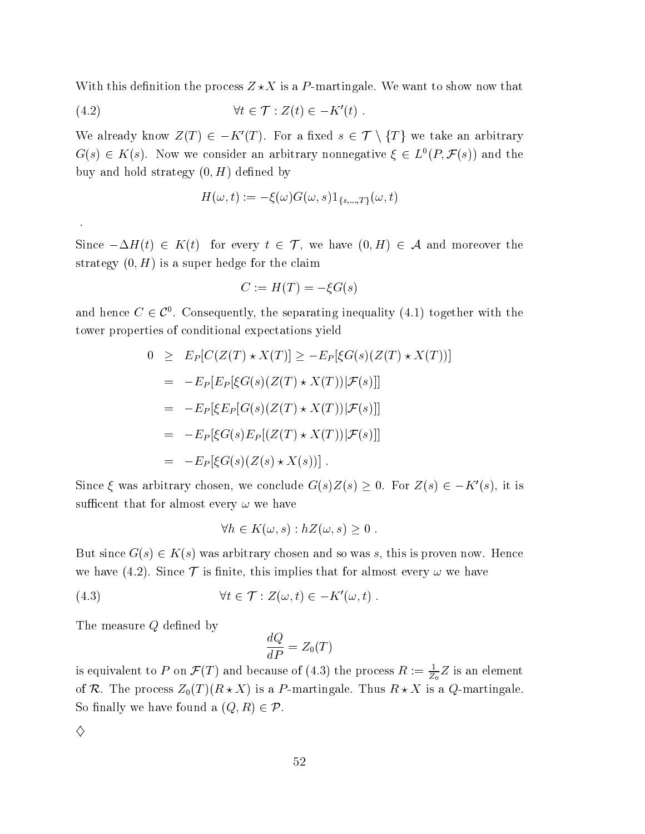With this definition the process  $Z\!\star\!X$  is a P-martingale. We want to show now that

$$
(4.2) \t\t\t \forall t \in \mathcal{T} : Z(t) \in -K'(t) .
$$

We already know  $Z(T)\in -K'(T).$  For a fixed  $s\in \mathcal{T}\setminus \{T\}$  we take an arbitrary  $G(s) \in K(s)$ . Now we consider an arbitrary nonnegative  $\xi \in L^0(P, \mathcal{F}(s))$  and the buy and hold strategy  $(0,H)$  defined by

$$
H(\omega, t) := -\xi(\omega)G(\omega, s)1_{\{s, \dots, T\}}(\omega, t)
$$

Since  $-\Delta H(t) \,\in\, K(t) \,\, \,\, {\rm for \,\, every \,\,} t \,\in\, \mathcal{T}, \,\, {\rm we \,\, have} \,\,\, (0,H) \,\in\, \mathcal{A} \,\, {\rm and \,\, moreover \,\, the \,\,}$ strategy  $(0, H)$  is a super hedge for the claim

$$
C := H(T) = -\xi G(s)
$$

and hence  $C \in \mathcal{C}^0.$  Consequently, the separating inequality (4.1) together with the tower properties of conditional expectations yield

$$
0 \ge E_P[C(Z(T) * X(T)] \ge -E_P[\xi G(s)(Z(T) * X(T))]
$$
  
\n
$$
= -E_P[E_P[\xi G(s)(Z(T) * X(T)) | \mathcal{F}(s)]]
$$
  
\n
$$
= -E_P[\xi E_P[G(s)(Z(T) * X(T)) | \mathcal{F}(s)]]
$$
  
\n
$$
= -E_P[\xi G(s) E_P[(Z(T) * X(T)) | \mathcal{F}(s)]]
$$
  
\n
$$
= -E_P[\xi G(s)(Z(s) * X(s))].
$$

Since  $\xi$  was arbitrary chosen, we conclude  $G(s)Z(s) \geq 0$ . For  $Z(s) \in -K'(s)$ , it is sufficent that for almost every  $\omega$  we have

$$
\forall h \in K(\omega, s) : hZ(\omega, s) \geq 0 .
$$

But since  $G(s) \in K(s)$  was arbitrary chosen and so was  $s,$  this is proven now. Hence we have (4.2). Since  $\mathcal T$  is finite, this implies that for almost every  $\omega$  we have

(4.3) 
$$
\forall t \in \mathcal{T} : Z(\omega, t) \in -K'(\omega, t) .
$$

The measure  $Q$  defined by

$$
\frac{dQ}{dP}=Z_0(T)
$$

is equivalent to P on  $\mathcal{F}(T)$  and because of (4.3) the process  $R := \frac{1}{Z_2}Z$  is an ele  $\frac{1}{Z_0}Z$  is an element of R. The process  $Z_0(T)(R\star X)$  is a  $P\text{-martingale.}$  Thus  $R\star X$  is a  $Q\text{-martingale}$  $\bullet$  . The contract of  $\bullet$ So finally we have found a  $(Q,R)\in\mathcal{P}.$ 

♦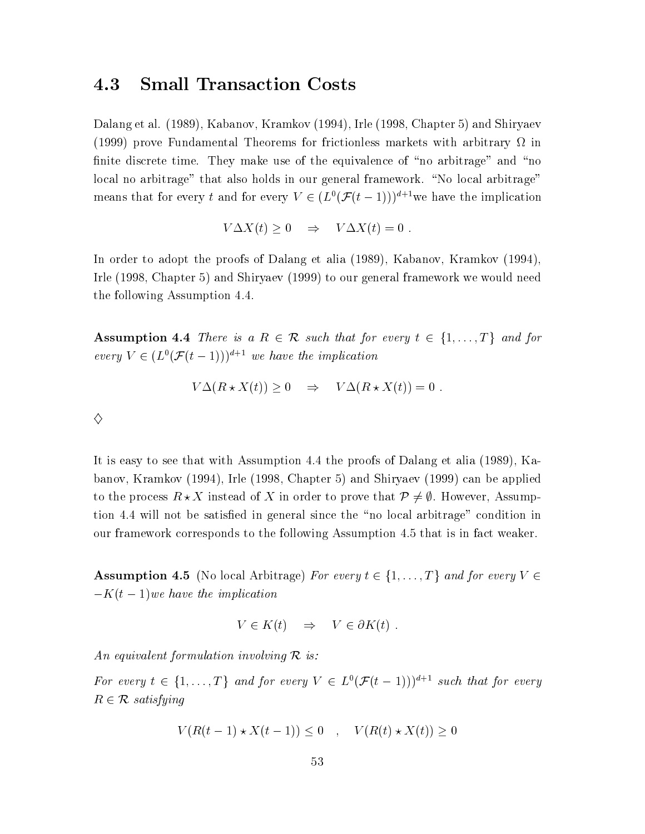#### 4.3 **Small Transaction Costs**

Dalang et al. (1989), Kabanov, Kramkov (1994), Irle (1998, Chapter 5) and Shiryaev (1999) prove Fundamental Theorems for frictionless markets with arbitrary  $\Omega$  in finite discrete time. They make use of the equivalence of "no arbitrage" and "no local no arbitrage" that also holds in our general framework. "No local arbitrage" means that for every t and for every  $V \in (L^0(\mathcal{F}(t-1)))^{d+1}$  we have the implication

$$
V\Delta X(t) \ge 0 \quad \Rightarrow \quad V\Delta X(t) = 0 \; .
$$

In order to adopt the proofs of Dalang et alia (1989), Kabanov, Kramkov (1994), Irle (1998, Chapter 5) and Shiryaev (1999) to our general framework we would need the following Assumption 4.4.

**Assumption 4.4** There is a  $R \in \mathcal{R}$  such that for every  $t \in \{1, ..., T\}$  and for every  $V \in (L^0(\mathcal{F}(t-1)))^{d+1}$  we have the implication

$$
V\Delta(R \star X(t)) \ge 0 \quad \Rightarrow \quad V\Delta(R \star X(t)) = 0
$$

 $\diamondsuit$ 

It is easy to see that with Assumption 4.4 the proofs of Dalang et alia (1989), Kabanov, Kramkov (1994), Irle (1998, Chapter 5) and Shiryaev (1999) can be applied to the process  $R \star X$  instead of X in order to prove that  $\mathcal{P} \neq \emptyset$ . However, Assumption 4.4 will not be satisfied in general since the "no local arbitrage" condition in our framework corresponds to the following Assumption 4.5 that is in fact weaker.

**Assumption 4.5** (No local Arbitrage) For every  $t \in \{1, ..., T\}$  and for every  $V \in$  $-K(t-1)$  we have the implication

$$
V \in K(t) \quad \Rightarrow \quad V \in \partial K(t) \; .
$$

An equivalent formulation involving  $\mathcal R$  is:

For every  $t \in \{1, ..., T\}$  and for every  $V \in L^0(\mathcal{F}(t-1)))^{d+1}$  such that for every  $R \in \mathcal{R}$  satisfying

$$
V(R(t-1) \star X(t-1)) \le 0 \quad , \quad V(R(t) \star X(t)) \ge 0
$$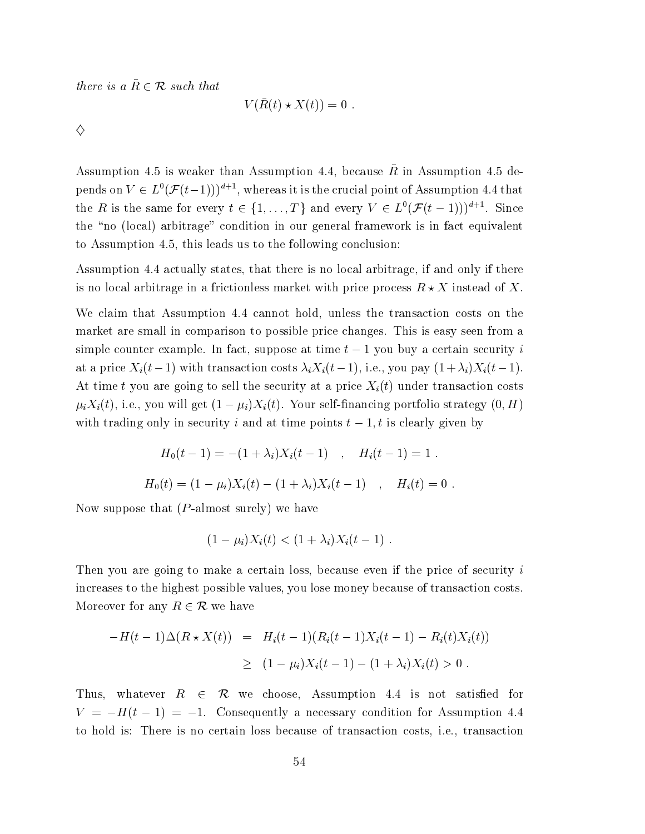there is a  $\bar{R} \in \mathcal{R}$  such that

$$
V(\bar{R}(t) \star X(t)) = 0
$$

 $\Diamond$ 

Assumption 4.5 is weaker than Assumption 4.4, because  $\bar{R}$  in Assumption 4.5 depends on  $V \in L^0(\mathcal{F}(t-1)))^{d+1}$ , whereas it is the crucial point of Assumption 4.4 that the R is the same for every  $t \in \{1, ..., T\}$  and every  $V \in L^0(\mathcal{F}(t-1)))^{d+1}$ . Since the "no (local) arbitrage" condition in our general framework is in fact equivalent to Assumption 4.5, this leads us to the following conclusion:

Assumption 4.4 actually states, that there is no local arbitrage, if and only if there is no local arbitrage in a frictionless market with price process  $R \star X$  instead of X.

We claim that Assumption 4.4 cannot hold, unless the transaction costs on the market are small in comparison to possible price changes. This is easy seen from a simple counter example. In fact, suppose at time  $t-1$  you buy a certain security i at a price  $X_i(t-1)$  with transaction costs  $\lambda_i X_i(t-1)$ , i.e., you pay  $(1+\lambda_i)X_i(t-1)$ . At time t you are going to sell the security at a price  $X_i(t)$  under transaction costs  $\mu_i X_i(t)$ , i.e., you will get  $(1 - \mu_i) X_i(t)$ . Your self-financing portfolio strategy  $(0, H)$ with trading only in security i and at time points  $t-1$ , is clearly given by

$$
H_0(t-1) = -(1+\lambda_i)X_i(t-1) , \quad H_i(t-1) = 1 .
$$
  

$$
H_0(t) = (1-\mu_i)X_i(t) - (1+\lambda_i)X_i(t-1) , \quad H_i(t) = 0
$$

Now suppose that  $(P\text{-almost surely})$  we have

$$
(1 - \mu_i)X_i(t) < (1 + \lambda_i)X_i(t - 1)
$$

Then you are going to make a certain loss, because even if the price of security i increases to the highest possible values, you lose money because of transaction costs. Moreover for any  $R \in \mathcal{R}$  we have

$$
-H(t-1)\Delta(R \star X(t)) = H_i(t-1)(R_i(t-1)X_i(t-1) - R_i(t)X_i(t))
$$
  
\n
$$
\geq (1 - \mu_i)X_i(t-1) - (1 + \lambda_i)X_i(t) > 0.
$$

Thus, whatever  $R \in \mathcal{R}$  we choose, Assumption 4.4 is not satisfied for  $V = -H(t-1) = -1$ . Consequently a necessary condition for Assumption 4.4 to hold is: There is no certain loss because of transaction costs, *i.e.*, transaction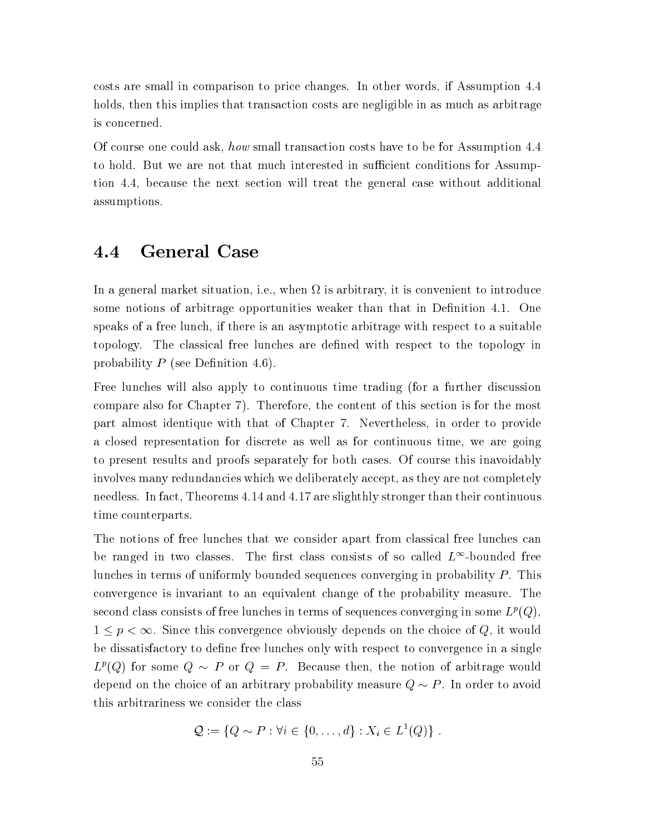costs are small in comparison to price changes. In other words, if Assumption 4.4 holds, then this implies that transaction costs are negligible in as much as arbitrage is concerned.

Of course one could ask, how small transaction costs have to be for Assumption 4.4 to hold. But we are not that much interested in sufficient conditions for Assumption 4.4, because the next section will treat the general case without additional assumptions.

### **General Case** 4.4

In a general market situation, i.e., when  $\Omega$  is arbitrary, it is convenient to introduce some notions of arbitrage opportunities weaker than that in Definition 4.1. One speaks of a free lunch, if there is an asymptotic arbitrage with respect to a suitable topology. The classical free lunches are defined with respect to the topology in probability  $P$  (see Definition 4.6).

Free lunches will also apply to continuous time trading (for a further discussion compare also for Chapter 7). Therefore, the content of this section is for the most part almost identique with that of Chapter 7. Nevertheless, in order to provide a closed representation for discrete as well as for continuous time, we are going to present results and proofs separately for both cases. Of course this inavoidably involves many redundancies which we deliberately accept, as they are not completely needless. In fact, Theorems 4.14 and 4.17 are slighthly stronger than their continuous time counterparts.

The notions of free lunches that we consider apart from classical free lunches can be ranged in two classes. The first class consists of so called  $L^{\infty}$ -bounded free lunches in terms of uniformly bounded sequences converging in probability  $P$ . This convergence is invariant to an equivalent change of the probability measure. The second class consists of free lunches in terms of sequences converging in some  $L^p(Q)$ ,  $1 \leq p < \infty$ . Since this convergence obviously depends on the choice of Q, it would be dissatisfactory to define free lunches only with respect to convergence in a single  $L^p(Q)$  for some  $Q \sim P$  or  $Q = P$ . Because then, the notion of arbitrage would depend on the choice of an arbitrary probability measure  $Q \sim P$ . In order to avoid this arbitrariness we consider the class

$$
\mathcal{Q} := \{Q \sim P : \forall i \in \{0, \ldots, d\} : X_i \in L^1(Q)\}.
$$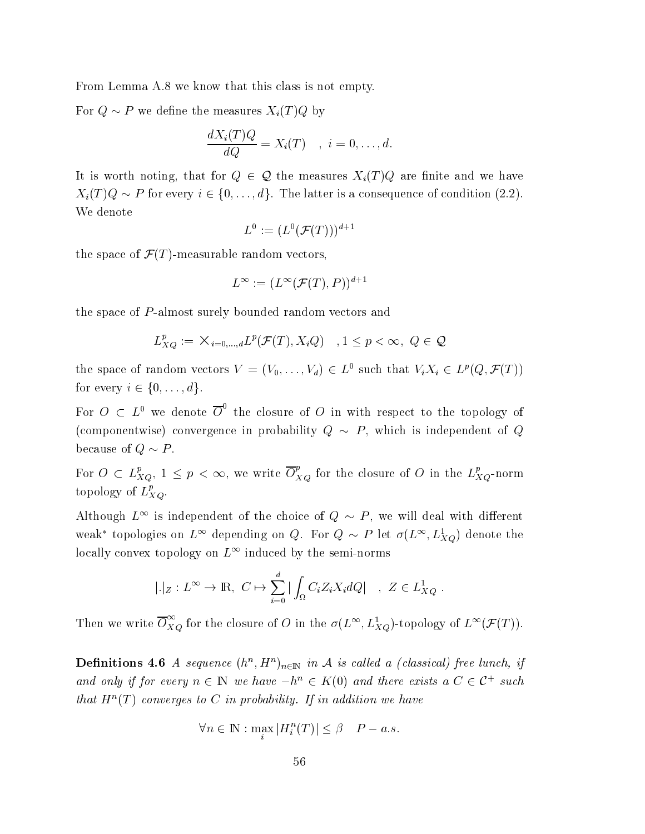From Lemma A.8 we know that this class is not empty.

For  $Q \sim P$  we define the measures  $X_i(T)Q$  by

$$
\frac{dX_i(T)Q}{dQ} = X_i(T) \quad , \ i = 0, \dots, d.
$$

It is worth noting, that for  $Q \in \mathcal{Q}$  the measures  $X_i(T)Q$  are finite and we have  $X_i(T)Q \sim P$  for every  $i \in \{0, \ldots, d\}$ . The latter is a consequence of condition (2.2). We denote

$$
L^0 := (L^0(\mathcal{F}(T)))^{d+1}
$$

the space of  $\mathcal{F}(T)$ -measurable random vectors,

$$
L^{\infty} := (L^{\infty}(\mathcal{F}(T), P))^{d+1}
$$

the space of P-almost surely bounded random vectors and

$$
L_{XQ}^p := \mathsf{X}_{i=0,\dots,d} L^p(\mathcal{F}(T), X_iQ) \quad , 1 \le p < \infty, \ Q \in \mathcal{Q}
$$

the space of random vectors  $V = (V_0, \ldots, V_d) \in L^0$  such that  $V_i X_i \in L^p(Q, \mathcal{F}(T))$ for every  $i \in \{0, \ldots, d\}.$ 

For  $O \text{ }\subset L^0$  we denote  $\overline{O}^0$  the closure of O in with respect to the topology of (componentwise) convergence in probability  $Q \sim P$ , which is independent of Q because of  $Q \sim P$ .

For  $O \subset L_{XQ}^p, 1 \leq p < \infty$ , we write  $\overline{O}_{XQ}^p$  for the closure of O in the  $L_{XQ}^p$ -norm topology of  $L_{XO}^p$ .

Although  $L^{\infty}$  is independent of the choice of  $Q \sim P$ , we will deal with different weak\* topologies on  $L^{\infty}$  depending on Q. For  $Q \sim P$  let  $\sigma(L^{\infty}, L^1_{XQ})$  denote the locally convex topology on  $L^{\infty}$  induced by the semi-norms

$$
|.|_Z: L^{\infty} \to \mathbb{R}, C \mapsto \sum_{i=0}^d |\int_{\Omega} C_i Z_i X_i dQ| \quad , Z \in L^1_{XQ}
$$

Then we write  $\overline{O}_{XQ}^{\infty}$  for the closure of O in the  $\sigma(L^{\infty}, L_{XQ}^1)$ -topology of  $L^{\infty}(\mathcal{F}(T))$ .

**Definitions 4.6** A sequence  $(h^n, H^n)_{n \in \mathbb{N}}$  in A is called a (classical) free lunch, if and only if for every  $n \in \mathbb{N}$  we have  $-h^n \in K(0)$  and there exists a  $C \in \mathcal{C}^+$  such that  $H^n(T)$  converges to C in probability. If in addition we have

$$
\forall n \in \mathbb{N} : \max_{i} |H_{i}^{n}(T)| \leq \beta \quad P - a.s.
$$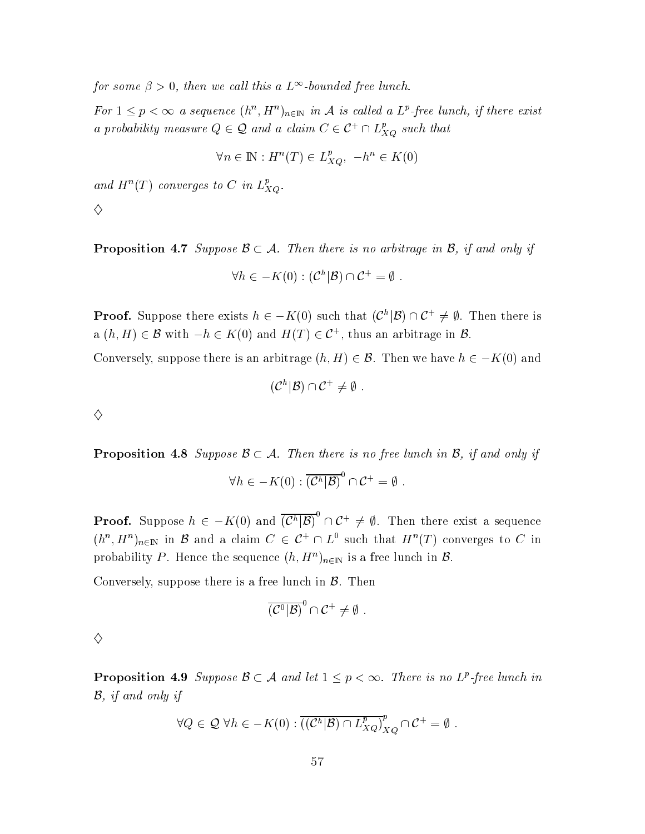for some  $\beta > 0$ , then we call this a  $L^{\infty}$ -bounded free lunch.

For  $1 \leq p < \infty$  a sequence  $(h^n, H^n)_{n \in \mathbb{N}}$  in A is called a  $L^p$ -free lunch, if there exist a probability measure  $Q \in \mathcal{Q}$  and a claim  $C \in \mathcal{C}^+ \cap L_{XQ}^p$  such that

$$
\forall n \in \mathbb{N} : H^n(T) \in L_{XO}^p, \ -h^n \in K(0)
$$

and  $H^n(T)$  converges to C in  $L_{XQ}^p$ .

♦

**Proposition 4.7** Suppose  $\mathcal{B} \subset \mathcal{A}$ . Then there is no arbitrage in  $\mathcal{B}$ , if and only if

$$
\forall h \in -K(0) : (\mathcal{C}^h|\mathcal{B}) \cap \mathcal{C}^+ = \emptyset
$$

**Proof.** Suppose there exists  $h \in -K(0)$  such that  $(\mathcal{C}^h|\mathcal{B}) \cap \mathcal{C}^+ \neq \emptyset$ . Then there is a  $(h, H) \in \mathcal{B}$  with  $-h \in K(0)$  and  $H(T) \in \mathcal{C}^+$ , thus an arbitrage in  $\mathcal{B}$ .

Conversely, suppose there is an arbitrage  $(h, H) \in \mathcal{B}$ . Then we have  $h \in -K(0)$  and

$$
(\mathcal{C}^h|\mathcal{B})\cap \mathcal{C}^+\neq \emptyset
$$

 $\diamondsuit$ 

**Proposition 4.8** Suppose  $\mathcal{B} \subset \mathcal{A}$ . Then there is no free lunch in  $\mathcal{B}$ , if and only if

$$
\forall h \in -K(0) : \overline{(\mathcal{C}^h|\mathcal{B})}^0 \cap \mathcal{C}^+ = \emptyset.
$$

**Proof.** Suppose  $h \in -K(0)$  and  $\overline{(\mathcal{C}^h|\mathcal{B})}^0 \cap \mathcal{C}^+ \neq \emptyset$ . Then there exist a sequence  $(h^n, H^n)_{n \in \mathbb{N}}$  in B and a claim  $C \in C^+ \cap L^0$  such that  $H^n(T)$  converges to C in probability P. Hence the sequence  $(h, H^n)_{n \in \mathbb{N}}$  is a free lunch in  $\mathcal{B}$ .

Conversely, suppose there is a free lunch in  $\beta$ . Then

$$
\overline{\left(\mathcal{C}^0|\mathcal{B}\right)}^0\cap\mathcal{C}^+\neq\emptyset\ .
$$

 $\diamondsuit$ 

**Proposition 4.9** Suppose  $\mathcal{B} \subset \mathcal{A}$  and let  $1 \leq p < \infty$ . There is no  $L^p$ -free lunch in  $B$ , if and only if

$$
\forall Q \in \mathcal{Q} \,\forall h \in -K(0) : \overline{((\mathcal{C}^h|\mathcal{B}) \cap L_{XQ}^p)}_{XQ}^p \cap \mathcal{C}^+ = \emptyset
$$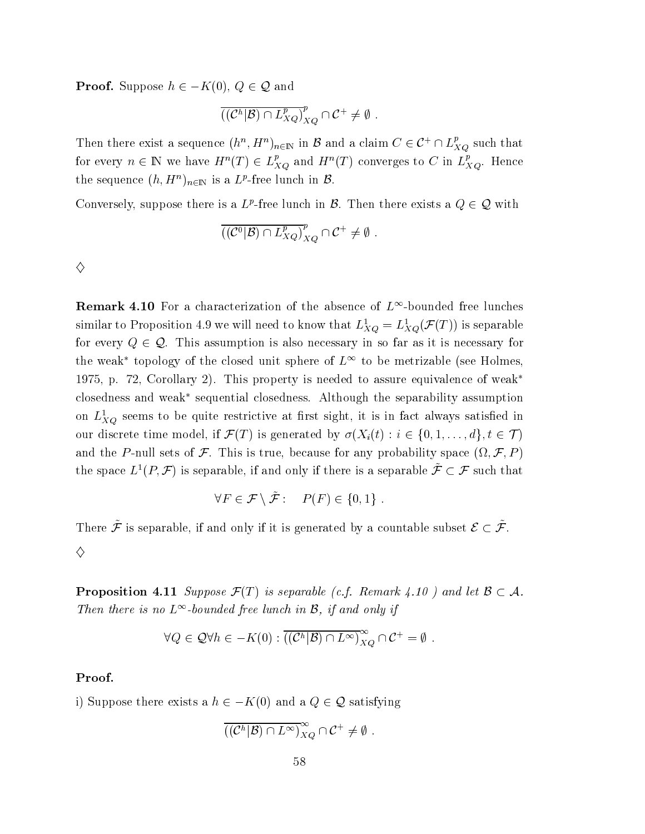**Proof.** Suppose  $h \in -K(0), Q \in \mathcal{Q}$  and

$$
((\mathcal{C}^h|\mathcal{B})\cap L_{XQ}^p)_{XQ}^p\cap \mathcal{C}^+\neq \emptyset.
$$

Then there exist a sequence  $(h^n, H^n)_{n \in \mathbb{N}}$  in B and a claim  $C \in \mathcal{C}^+ \cap L^p_{XO}$  such that for every  $n \in \mathbb{N}$  we have  $H^n(T) \in L_{XQ}^p$  and  $H^n(T)$  converges to C in  $L_{XQ}^p$ . Hence the sequence  $(h, H^n)_{n \in \mathbb{N}}$  is a  $L^p$ -free lunch in  $\mathcal{B}$ .

Conversely, suppose there is a L<sup>p</sup>-free lunch in  $\mathcal{B}$ . Then there exists a  $Q \in \mathcal{Q}$  with

$$
\overline{((\mathcal{C}^0|\mathcal{B}) \cap L_{XQ}^p)}_{XQ}^p \cap \mathcal{C}^+ \neq \emptyset
$$

♦

**Remark 4.10** For a characterization of the absence of  $L^{\infty}$ -bounded free lunches similar to Proposition 4.9 we will need to know that  $L_{XO}^1 = L_{XO}^1(\mathcal{F}(T))$  is separable for every  $Q \in \mathcal{Q}$ . This assumption is also necessary in so far as it is necessary for the weak<sup>\*</sup> topology of the closed unit sphere of  $L^{\infty}$  to be metrizable (see Holmes, 1975, p. 72, Corollary 2). This property is needed to assure equivalence of weak\* closedness and weak\* sequential closedness. Although the separability assumption on  $L_{XO}^1$  seems to be quite restrictive at first sight, it is in fact always satisfied in our discrete time model, if  $\mathcal{F}(T)$  is generated by  $\sigma(X_i(t) : i \in \{0,1,\ldots,d\}, t \in \mathcal{T})$ and the P-null sets of F. This is true, because for any probability space  $(\Omega, \mathcal{F}, P)$ the space  $L^1(P, \mathcal{F})$  is separable, if and only if there is a separable  $\tilde{\mathcal{F}} \subset \mathcal{F}$  such that

$$
\forall F \in \mathcal{F} \setminus \tilde{\mathcal{F}}: \quad P(F) \in \{0, 1\} \ .
$$

There  $\tilde{\mathcal{F}}$  is separable, if and only if it is generated by a countable subset  $\mathcal{E} \subset \tilde{\mathcal{F}}$ .  $\diamondsuit$ 

**Proposition 4.11** Suppose  $\mathcal{F}(T)$  is separable (c.f. Remark 4.10) and let  $\mathcal{B} \subset \mathcal{A}$ . Then there is no  $L^{\infty}$ -bounded free lunch in B, if and only if

$$
\forall Q \in \mathcal{Q} \forall h \in -K(0) : \overline{((\mathcal{C}^h|\mathcal{B}) \cap L^{\infty})}_{XQ}^{\infty} \cap \mathcal{C}^+ = \emptyset.
$$

### Proof.

i) Suppose there exists a  $h \in -K(0)$  and a  $Q \in \mathcal{Q}$  satisfying

$$
(\overline{({\mathcal C}^h|{\mathcal B}) \cap L^\infty)}_{XQ}^\infty \cap {\mathcal C}^+ \neq \emptyset.
$$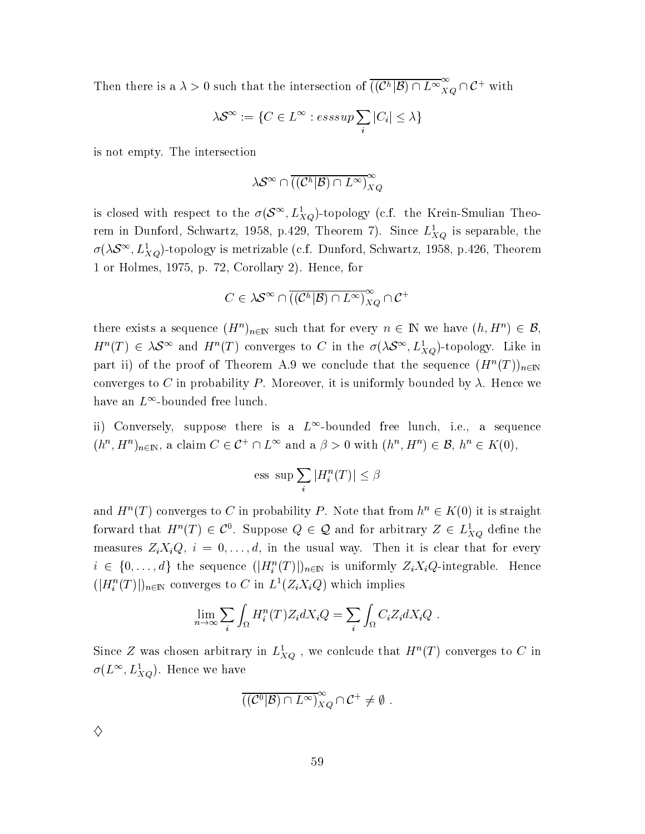Then there is a  $\lambda > 0$  such that the intersection of  $\overline{((\mathcal{C}^h|\mathcal{B}) \cap L^{\infty}}_{XQ}^{\infty} \cap \mathcal{C}^+$  with

$$
\lambda S^{\infty} := \{ C \in L^{\infty} : \text{esssup} \sum_{i} |C_{i}| \leq \lambda \}
$$

is not empty. The intersection

$$
\lambda S^{\infty} \cap \overline{((\mathcal{C}^h|\mathcal{B}) \cap L^{\infty})}_{XQ}^{\infty}
$$

is closed with respect to the  $\sigma(S^{\infty}, L_{XQ}^1)$ -topology (c.f. the Krein-Smulian Theorem in Dunford, Schwartz, 1958, p.429, Theorem 7). Since  $L_{XQ}^1$  is separable, the  $\sigma(\lambda S^{\infty}, L_{XO}^1)$ -topology is metrizable (c.f. Dunford, Schwartz, 1958, p.426, Theorem 1 or Holmes, 1975, p. 72, Corollary 2). Hence, for

$$
C\in \lambda \mathcal{S}^\infty \cap \overline{((\mathcal{C}^h|\mathcal{B})\cap L^\infty)}_{XQ}^\infty\cap \mathcal{C}^+
$$

there exists a sequence  $(H^n)_{n\in\mathbb{N}}$  such that for every  $n\in\mathbb{N}$  we have  $(h,H^n)\in\mathcal{B}$ ,  $H^n(T) \in \lambda S^{\infty}$  and  $H^n(T)$  converges to C in the  $\sigma(\lambda S^{\infty}, L^1_{XQ})$ -topology. Like in part ii) of the proof of Theorem A.9 we conclude that the sequence  $(H^n(T))_{n\in\mathbb{N}}$ converges to C in probability P. Moreover, it is uniformly bounded by  $\lambda$ . Hence we have an  $L^{\infty}$ -bounded free lunch.

ii) Conversely, suppose there is a  $L^{\infty}$ -bounded free lunch, i.e., a sequence  $(h^n, H^n)_{n \in \mathbb{N}}$ , a claim  $C \in \mathcal{C}^+ \cap L^{\infty}$  and a  $\beta > 0$  with  $(h^n, H^n) \in \mathcal{B}$ ,  $h^n \in K(0)$ ,

$$
\text{ess sup}\sum_i |H_i^n(T)| \leq \beta
$$

and  $H^n(T)$  converges to C in probability P. Note that from  $h^n \in K(0)$  it is straight forward that  $H^n(T) \in \mathcal{C}^0$ . Suppose  $Q \in \mathcal{Q}$  and for arbitrary  $Z \in L^1_{XQ}$  define the measures  $Z_i X_i Q$ ,  $i = 0, \ldots, d$ , in the usual way. Then it is clear that for every  $i \in \{0, \ldots, d\}$  the sequence  $(|H_i^n(T)|)_{n \in \mathbb{N}}$  is uniformly  $Z_i X_i Q$ -integrable. Hence  $(|H_i^n(T)|)_{n\in\mathbb{N}}$  converges to C in  $L^1(Z_iX_iQ)$  which implies

$$
\lim_{n \to \infty} \sum_{i} \int_{\Omega} H_i^n(T) Z_i dX_i Q = \sum_{i} \int_{\Omega} C_i Z_i dX_i Q
$$

Since Z was chosen arbitrary in  $L_{XQ}^1$ , we conclude that  $H^n(T)$  converges to C in  $\sigma(L^{\infty}, L_{XQ}^{1})$ . Hence we have

$$
\overline{((\mathcal{C}^0|\mathcal{B}) \cap L^\infty)}_{XQ}^\infty \cap \mathcal{C}^+ \neq \emptyset.
$$

 $\diamondsuit$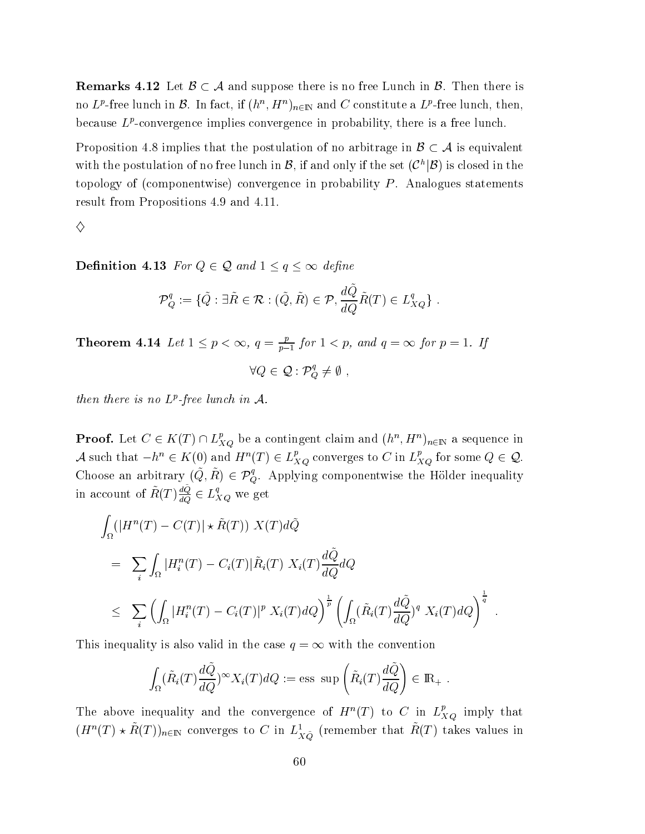**Remarks 4.12** Let  $\mathcal{B} \subset \mathcal{A}$  and suppose there is no free Lunch in  $\mathcal{B}$ . Then there is no  $L^p$ -free lunch in  $\mathcal B$ . In fact, if  $(h^n, H^n)_{n \in \mathbb N}$  and C constitute a  $L^p$ -free lunch, then, because  $L^p$ -convergence implies convergence in probability, there is a free lunch.

Proposition 4.8 implies that the postulation of no arbitrage in  $\mathcal{B} \subset \mathcal{A}$  is equivalent with the postulation of no free lunch in  $\mathcal{B}$ , if and only if the set  $(\mathcal{C}^h|\mathcal{B})$  is closed in the topology of (componentwise) convergence in probability  $P$ . Analogues statements result from Propositions 4.9 and 4.11.

♦

**Definition 4.13** For  $Q \in \mathcal{Q}$  and  $1 \leq q \leq \infty$  define

$$
\mathcal{P}_Q^q := \{ \tilde{Q} : \exists \tilde{R} \in \mathcal{R} : (\tilde{Q}, \tilde{R}) \in \mathcal{P}, \frac{d\tilde{Q}}{dQ} \tilde{R}(T) \in L_{XQ}^q \}
$$

**Theorem 4.14** Let  $1 \leq p < \infty$ ,  $q = \frac{p}{p-1}$  for  $1 < p$ , and  $q = \infty$  for  $p = 1$ . If

$$
\forall Q \in \mathcal{Q} : \mathcal{P}_Q^q \neq \emptyset ,
$$

then there is no  $L^p$ -free lunch in  $A$ .

**Proof.** Let  $C \in K(T) \cap L_{XQ}^p$  be a contingent claim and  $(h^n, H^n)_{n \in \mathbb{N}}$  a sequence in A such that  $-h^n \in K(0)$  and  $H^n(T) \in L_{XQ}^p$  converges to C in  $L_{XQ}^p$  for some  $Q \in \mathcal{Q}$ . Choose an arbitrary  $(\tilde{Q}, \tilde{R}) \in \mathcal{P}_{Q}^{q}$ . Applying componentwise the Hölder inequality in account of  $\tilde{R}(T)\frac{dQ}{dQ} \in L_{XQ}^q$  we get

$$
\int_{\Omega} (|H^n(T) - C(T)| \star \tilde{R}(T)) X(T) d\tilde{Q}
$$
\n
$$
= \sum_{i} \int_{\Omega} |H_i^n(T) - C_i(T)| \tilde{R}_i(T) X_i(T) \frac{d\tilde{Q}}{dQ} dQ
$$
\n
$$
\leq \sum_{i} \left( \int_{\Omega} |H_i^n(T) - C_i(T)|^p X_i(T) dQ \right)^{\frac{1}{p}} \left( \int_{\Omega} (\tilde{R}_i(T) \frac{d\tilde{Q}}{dQ})^q X_i(T) dQ \right)^{\frac{1}{q}}
$$

This inequality is also valid in the case  $q = \infty$  with the convention

$$
\int_{\Omega} (\tilde{R}_i(T) \frac{d\tilde{Q}}{dQ})^{\infty} X_i(T) dQ := \text{ess sup}\left(\tilde{R}_i(T) \frac{d\tilde{Q}}{dQ}\right) \in \mathbb{R}_+ .
$$

The above inequality and the convergence of  $H^n(T)$  to C in  $L_{XO}^p$  imply that  $(H^n(T) \star \tilde{R}(T))_{n \in \mathbb{N}}$  converges to C in  $L^1_{X\tilde{Q}}$  (remember that  $\tilde{R}(T)$  takes values in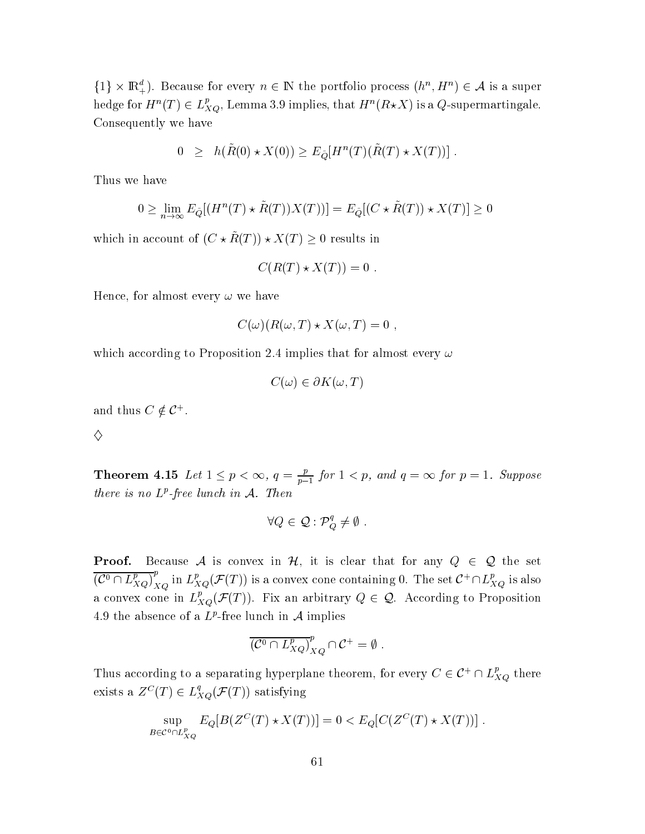$\{1\} \times \mathbb{R}^d_+$ ). Because for every  $n \in \mathbb{N}$  the portfolio process  $(h^n, H^n) \in \mathcal{A}$  is a super hedge for  $H^n(T) \in L^p_{XQ}$ , Lemma 3.9 implies, that  $H^n(R \star X)$  is a Q-supermartingale. Consequently we have

$$
0 \ge h(\tilde{R}(0) \star X(0)) \ge E_{\tilde{Q}}[H^n(T)(\tilde{R}(T) \star X(T))]
$$

Thus we have

$$
0 \ge \lim_{n \to \infty} E_{\tilde{Q}}[(H^n(T) \star \tilde{R}(T))X(T))] = E_{\tilde{Q}}[(C \star \tilde{R}(T)) \star X(T)] \ge 0
$$

which in account of  $(C \star \tilde{R}(T)) \star X(T) \geq 0$  results in

$$
C(R(T) \star X(T)) = 0
$$

Hence, for almost every  $\omega$  we have

$$
C(\omega)(R(\omega,T)\star X(\omega,T)=0,
$$

which according to Proposition 2.4 implies that for almost every  $\omega$ 

 $C(\omega) \in \partial K(\omega,T)$ 

and thus  $C \notin \mathcal{C}^+$ .

♦

**Theorem 4.15** Let  $1 \leq p < \infty$ ,  $q = \frac{p}{p-1}$  for  $1 < p$ , and  $q = \infty$  for  $p = 1$ . Suppose there is no  $L^p$ -free lunch in  $A$ . Then

$$
\forall Q \in \mathcal{Q} : \mathcal{P}_Q^q \neq \emptyset .
$$

Because A is convex in H, it is clear that for any  $Q \in \mathcal{Q}$  the set Proof.  $\overline{(C^0 \cap L_{XQ}^p)}_{XQ}^p$  in  $L_{XQ}^p(\mathcal{F}(T))$  is a convex cone containing 0. The set  $C^+ \cap L_{XQ}^p$  is also a convex cone in  $L_{XQ}^p(\mathcal{F}(T))$ . Fix an arbitrary  $Q \in \mathcal{Q}$ . According to Proposition 4.9 the absence of a  $L^p$ -free lunch in A implies

$$
\overline{\left(\mathcal{C}^0 \cap L_{XQ}^p\right)}_{XQ}^p \cap \mathcal{C}^+ = \emptyset.
$$

Thus according to a separating hyperplane theorem, for every  $C \in \mathcal{C}^+ \cap L_{XQ}^p$  there exists a  $Z^C(T) \in L_{XQ}^q(\mathcal{F}(T))$  satisfying

$$
\sup_{B \in \mathcal{C}^0 \cap L_{XQ}^p} E_Q[B(Z^C(T) \star X(T))] = 0 < E_Q[C(Z^C(T) \star X(T))]
$$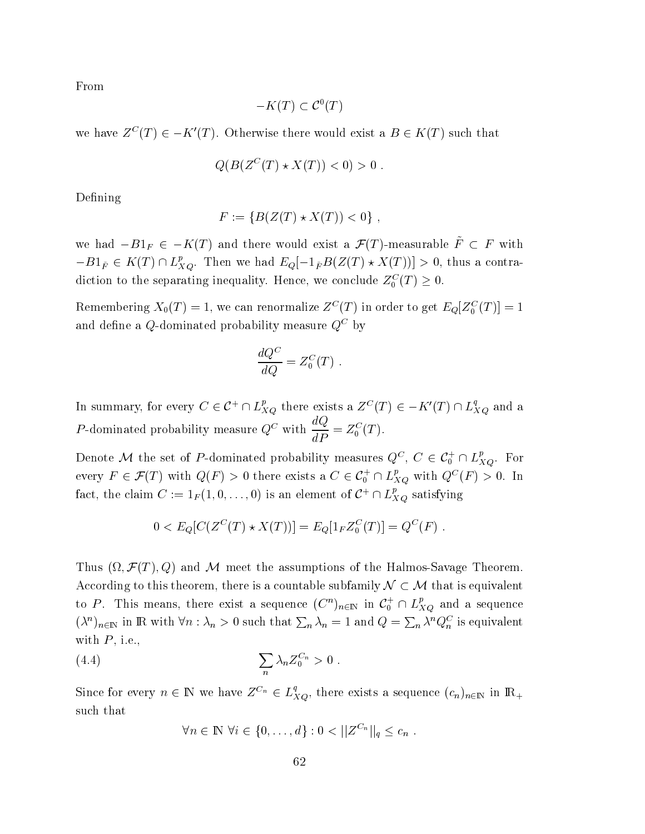From

$$
-K(T) \subset \mathcal{C}^0(T)
$$

we have  $Z^{C}(T) \in -K'(T)$ . Otherwise there would exist a  $B \in K(T)$  such that

$$
Q(B(Z^C(T) \star X(T)) < 0) > 0
$$

Defining

$$
F := \{ B(Z(T) \star X(T)) < 0 \}
$$

we had  $-B1_F \in -K(T)$  and there would exist a  $\mathcal{F}(T)$ -measurable  $\tilde{F} \subset F$  with  $-B1_{\tilde{F}} \in K(T) \cap L_{XQ}^p$ . Then we had  $E_Q[-1_{\tilde{F}}B(Z(T) \star X(T))] > 0$ , thus a contradiction to the separating inequality. Hence, we conclude  $Z_0^C(T) \geq 0$ .

Remembering  $X_0(T) = 1$ , we can renormalize  $Z^C(T)$  in order to get  $E_Q[Z_0^C(T)] = 1$ and define a Q-dominated probability measure  $Q^C$  by

$$
\frac{dQ^C}{dQ} = Z_0^C(T) .
$$

In summary, for every  $C \in C^+ \cap L_{XQ}^p$  there exists a  $Z^C(T) \in -K'(T) \cap L_{XQ}^q$  and a *P*-dominated probability measure  $Q^C$  with  $\frac{dQ}{dP} = Z_0^C(T)$ .

Denote M the set of P-dominated probability measures  $Q^C$ ,  $C \in C_0^+ \cap L_{XO}^p$ . For every  $F \in \mathcal{F}(T)$  with  $Q(F) > 0$  there exists a  $C \in \mathcal{C}_0^+ \cap L_{XQ}^p$  with  $Q^C(F) > 0$ . In fact, the claim  $C := 1_F(1,0,\ldots,0)$  is an element of  $C^+ \cap L_{XQ}^p$  satisfying

$$
0 < E_Q[C(Z^C(T) \star X(T))] = E_Q[1_F Z_0^C(T)] = Q^C(F) .
$$

Thus  $(\Omega, \mathcal{F}(T), Q)$  and M meet the assumptions of the Halmos-Savage Theorem. According to this theorem, there is a countable subfamily  $\mathcal{N} \subset \mathcal{M}$  that is equivalent to P. This means, there exist a sequence  $(C^n)_{n\in\mathbb{N}}$  in  $\mathcal{C}_0^+\cap L_{XQ}^p$  and a sequence  $(\lambda^n)_{n \in \mathbb{N}}$  in R with  $\forall n : \lambda_n > 0$  such that  $\sum_n \lambda_n = 1$  and  $Q = \sum_n \lambda^n Q_n^C$  is equivalent with  $P$ , i.e.,

$$
(4.4) \qquad \qquad \sum_{n} \lambda_n Z_0^{C_n} > 0 \; .
$$

Since for every  $n \in \mathbb{N}$  we have  $Z^{C_n} \in L_{XQ}^q$ , there exists a sequence  $(c_n)_{n \in \mathbb{N}}$  in  $\mathbb{R}_+$ such that

$$
\forall n \in \mathbb{N} \ \forall i \in \{0, \ldots, d\} : 0 < ||Z^{C_n}||_q \leq c_n \ .
$$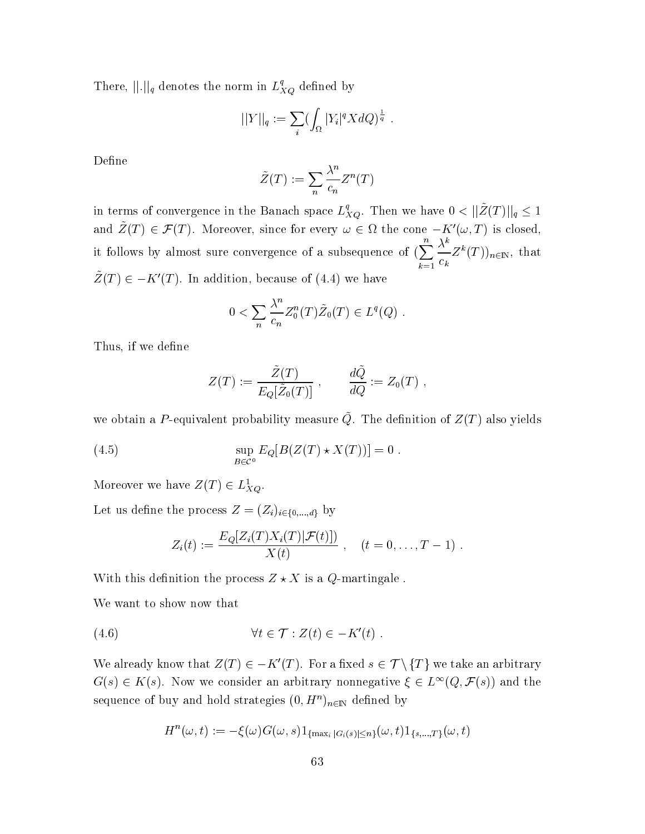There,  $\|\. \|_q$  denotes the norm in  $L_{XQ}^q$  defined by

$$
||Y||_q := \sum_i (\int_{\Omega} |Y_i|^q X dQ)^{\frac{1}{q}}.
$$

Define

$$
\tilde{Z}(T) := \sum_{n} \frac{\lambda^n}{c_n} Z^n(T)
$$

in terms of convergence in the Banach space  $L_{XQ}^q$ . Then we have  $0 < ||\tilde{Z}(T)||_q \leq 1$ and  $\tilde{Z}(T) \in \mathcal{F}(T)$ . Moreover, since for every  $\omega \in \Omega$  the cone  $-K'(\omega,T)$  is closed, it follows by almost sure convergence of a subsequence of  $(\sum_{k=1}^n \frac{\lambda^k}{c_k} Z^k(T))_{n \in \mathbb{N}}$ , that  $\tilde{Z}(T) \in -K'(T)$ . In addition, because of (4.4) we have

$$
0 < \sum_{n} \frac{\lambda^n}{c_n} Z_0^n(T) \tilde{Z}_0(T) \in L^q(Q)
$$

Thus, if we define

$$
Z(T) := \frac{\tilde{Z}(T)}{E_Q[\tilde{Z}_0(T)]} , \qquad \frac{d\tilde{Q}}{dQ} := Z_0(T) ,
$$

we obtain a P-equivalent probability measure  $\tilde{Q}$ . The definition of  $Z(T)$  also yields

(4.5) 
$$
\sup_{B \in \mathcal{C}^0} E_Q[B(Z(T) \star X(T))] = 0.
$$

Moreover we have  $Z(T) \in L_{XQ}^1$ .

Let us define the process  $Z = (Z_i)_{i \in \{0,\dots,d\}}$  by

$$
Z_i(t) := \frac{E_Q[Z_i(T)X_i(T)|\mathcal{F}(t)])}{X(t)}, \quad (t = 0, ..., T - 1).
$$

With this definition the process  $Z \star X$  is a Q-martingale.

We want to show now that

We already know that  $Z(T) \in -K'(T)$ . For a fixed  $s \in \mathcal{T} \setminus \{T\}$  we take an arbitrary  $G(s) \in K(s)$ . Now we consider an arbitrary nonnegative  $\xi \in L^{\infty}(Q, \mathcal{F}(s))$  and the sequence of buy and hold strategies  $(0,H^n)_{n\in\mathbb{N}}$  defined by

$$
H^{n}(\omega, t) := -\xi(\omega)G(\omega, s)1_{\{\max_{i} |G_{i}(s)| \leq n\}}(\omega, t)1_{\{s, \dots, T\}}(\omega, t)
$$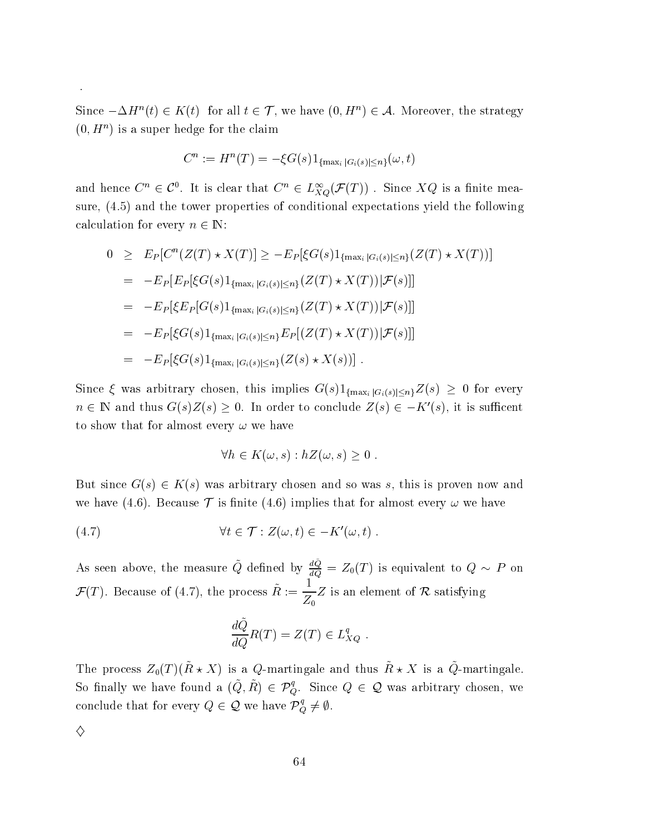Since  $-\Delta H^n(t) \in K(t) \;\; \text{for all } t \in \mathcal{T}, \text{ we have } (0, H^n) \in \mathcal{A}. \;\; \text{Moreover, the strategy}$  $(0, H^n)$  is a super hedge for the claim

$$
C^n := H^n(T) = -\xi G(s) 1_{\{\max_i |G_i(s)| \leq n\}}(\omega, t)
$$

and hence  $C^n \in \mathcal{C}^0$ . It is clear that  $C^n \in L^\infty_{XO}(\mathcal{F}(T))$  . Since  $XQ$  is a finite measure,  $(4.5)$  and the tower properties of conditional expectations yield the following calculation for every  $n \in \mathbb{N}$ :

$$
0 \geq E_P[C^n(Z(T) * X(T)] \geq -E_P[\xi G(s)1_{\{\max_i |G_i(s)| \leq n\}}(Z(T) * X(T))]
$$
  
\n
$$
= -E_P[E_P[\xi G(s)1_{\{\max_i |G_i(s)| \leq n\}}(Z(T) * X(T)) | \mathcal{F}(s)]]
$$
  
\n
$$
= -E_P[\xi E_P[G(s)1_{\{\max_i |G_i(s)| \leq n\}}(Z(T) * X(T)) | \mathcal{F}(s)]]
$$
  
\n
$$
= -E_P[\xi G(s)1_{\{\max_i |G_i(s)| \leq n\}}E_P[(Z(T) * X(T)) | \mathcal{F}(s)]]
$$
  
\n
$$
= -E_P[\xi G(s)1_{\{\max_i |G_i(s)| \leq n\}}(Z(s) * X(s))].
$$

Since  $\xi$  was arbitrary chosen, this implies  $G(s)1_{\{\max_i |G_i(s)| \leq n\}} Z(s) \geq 0$  for every  $n \in \mathbb{N}$  and thus  $G(s)Z(s) \geq 0$ . In order to conclude  $Z(s) \in -K'(s)$ , it is sufficent to show that for almost every  $\omega$  we have

$$
\forall h \in K(\omega, s) : hZ(\omega, s) \geq 0 .
$$

But since  $G(s) \in K(s)$  was arbitrary chosen and so was s, this is proven now and we have (4.6). Because  $\mathcal T$  is finite (4.6) implies that for almost every  $\omega$  we have

(4.7) 
$$
\forall t \in \mathcal{T} : Z(\omega, t) \in -K'(\omega, t) .
$$

As seen above, the measure  $Q$  defi:  $\tilde{Q}$  defined by  $\frac{dQ}{dQ} = Z_0(T)$  is equivalent to  $Q \sim P$  on  $\mathcal{F}(T)$ . Because of (4.7), the process  $\tilde{R} := \frac{1}{Z}Z$  is an el  $1$  . The set of  $\mathbb{R}^n$  $\mathbf{u}$ Z is an element of  $\cal R$  satisfying

$$
\frac{d\tilde{Q}}{dQ}R(T) = Z(T) \in L_{XQ}^{q} .
$$

The process  $Z_0(T)$ ( $\tilde{R} \star X$ ) is a Q-martingale and thus  $\tilde{R} \star X$  is a  $\tilde{Q}$ -martingale  $\blacksquare$ So finally we have found a  $(\tilde Q, \tilde R) \,\in\, {\mathcal P}_O^q.$  Since  $Q \,\in\, {\mathcal Q}$  was arbitrary chosen, we conclude that for every  $Q \in \mathcal{Q}$  we have  $\mathcal{P}_O^q \neq \emptyset$ .

♦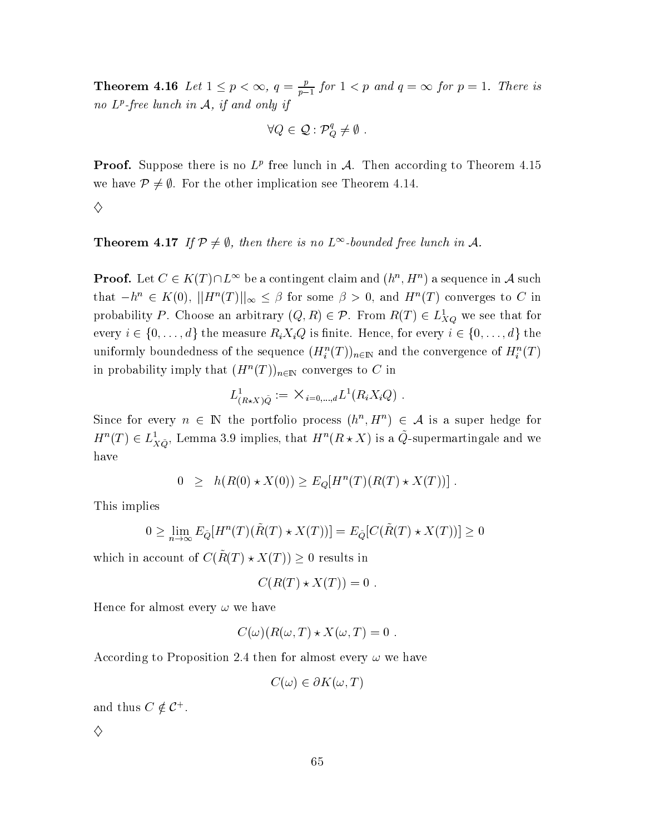**Theorem 4.16** Let  $1 \leq p < \infty$ ,  $q = \frac{p}{p-1}$  for  $1 < p$  and  $q = \infty$  for  $p = 1$ . There is no  $L^p$ -free lunch in  $A$ , if and only if

$$
\forall Q \in \mathcal{Q} : \mathcal{P}_Q^q \neq \emptyset \ .
$$

**Proof.** Suppose there is no  $L^p$  free lunch in A. Then according to Theorem 4.15 we have  $\mathcal{P} \neq \emptyset$ . For the other implication see Theorem 4.14.

♦

### **Theorem 4.17** If  $\mathcal{P} \neq \emptyset$ , then there is no  $L^{\infty}$ -bounded free lunch in A.

**Proof.** Let  $C \in K(T) \cap L^{\infty}$  be a contingent claim and  $(h^n, H^n)$  a sequence in A such that  $-h^n \in K(0)$ ,  $||H^n(T)||_{\infty} \leq \beta$  for some  $\beta > 0$ , and  $H^n(T)$  converges to C in probability P. Choose an arbitrary  $(Q, R) \in \mathcal{P}$ . From  $R(T) \in L_{XQ}^1$  we see that for every  $i \in \{0, ..., d\}$  the measure  $R_i X_i Q$  is finite. Hence, for every  $i \in \{0, ..., d\}$  the uniformly boundedness of the sequence  $(H_i^n(T))_{n\in\mathbb{N}}$  and the convergence of  $H_i^n(T)$ in probability imply that  $(H^n(T))_{n\in\mathbb{N}}$  converges to C in

$$
L^1_{(R\star X)\tilde{Q}}:=\times_{i=0,...,d}L^1(R_iX_iQ)
$$

Since for every  $n \in \mathbb{N}$  the portfolio process  $(h^n, H^n) \in \mathcal{A}$  is a super hedge for  $H^n(T) \in L^1_{X\tilde{Q}}$ , Lemma 3.9 implies, that  $H^n(R \star X)$  is a  $\tilde{Q}$ -supermartingale and we have

$$
0 \geq h(R(0) \star X(0)) \geq E_Q[H^n(T)(R(T) \star X(T))] .
$$

This implies

$$
0 \ge \lim_{n \to \infty} E_{\tilde{Q}}[H^n(T)(\tilde{R}(T) \star X(T))] = E_{\tilde{Q}}[C(\tilde{R}(T) \star X(T))] \ge 0
$$

which in account of  $C(\tilde{R}(T) \star X(T)) \geq 0$  results in

$$
C(R(T) \star X(T)) = 0
$$

Hence for almost every  $\omega$  we have

$$
C(\omega)(R(\omega,T)\star X(\omega,T)=0
$$

According to Proposition 2.4 then for almost every  $\omega$  we have

 $C(\omega) \in \partial K(\omega,T)$ 

and thus  $C \notin \mathcal{C}^+$ .

♦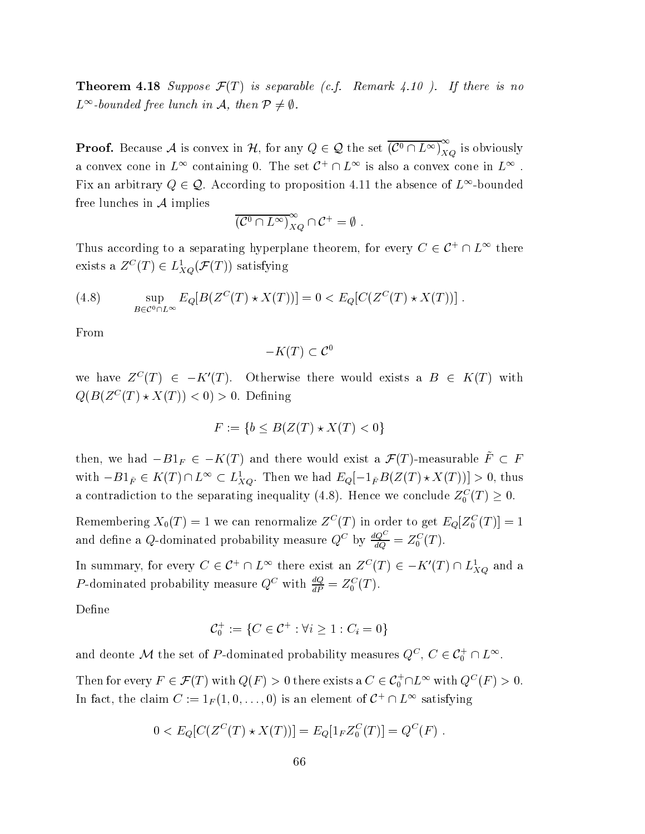**Theorem 4.18** Suppose  $\mathcal{F}(T)$  is separable (c.f. Remark 4.10). If there is no  $L^{\infty}$ -bounded free lunch in A, then  $\mathcal{P} \neq \emptyset$ .

**Proof.** Because A is convex in H, for any  $Q \in \mathcal{Q}$  the set  $\overline{(C^0 \cap L^\infty)}_{XQ}^{\infty}$  is obviously a convex cone in  $L^{\infty}$  containing 0. The set  $C^+ \cap L^{\infty}$  is also a convex cone in  $L^{\infty}$ . Fix an arbitrary  $Q \in \mathcal{Q}$ . According to proposition 4.11 the absence of  $L^{\infty}$ -bounded free lunches in  $A$  implies

$$
\overline{(\mathcal{C}^0 \cap L^\infty)}_{XQ}^\infty \cap \mathcal{C}^+ = \emptyset
$$

Thus according to a separating hyperplane theorem, for every  $C \in \mathcal{C}^+ \cap L^{\infty}$  there exists a  $Z^C(T) \in L^1_{XQ}(\mathcal{F}(T))$  satisfying

(4.8) 
$$
\sup_{B \in \mathcal{C}^0 \cap L^{\infty}} E_Q[B(Z^C(T) \star X(T))] = 0 < E_Q[C(Z^C(T) \star X(T))].
$$

From

$$
-K(T) \subset \mathcal{C}^0
$$

we have  $Z^{C}(T) \in -K'(T)$ . Otherwise there would exists a  $B \in K(T)$  with  $Q(B(Z^C(T) \star X(T)) < 0) > 0$ . Defining

$$
F := \{ b \le B(Z(T) \star X(T) < 0 \}
$$

then, we had  $-B1_F \in -K(T)$  and there would exist a  $\mathcal{F}(T)$ -measurable  $\tilde{F} \subset F$ with  $-B1_{\tilde{F}} \in K(T) \cap L^{\infty} \subset L_{XQ}^1$ . Then we had  $E_Q[-1_{\tilde{F}}B(Z(T)\star X(T))] > 0$ , thus a contradiction to the separating inequality (4.8). Hence we conclude  $Z_0^C(T) \geq 0$ .

Remembering  $X_0(T) = 1$  we can renormalize  $Z^C(T)$  in order to get  $E_Q[Z_0^C(T)] = 1$ and define a Q-dominated probability measure  $Q^C$  by  $\frac{dQ^C}{dQ} = Z_0^C(T)$ .

In summary, for every  $C \in \mathcal{C}^+ \cap L^{\infty}$  there exist an  $Z^C(T) \in -K'(T) \cap L^1_{XQ}$  and a *P*-dominated probability measure  $Q^C$  with  $\frac{dQ}{dP} = Z_0^C(T)$ .

Define

$$
\mathcal{C}_0^+ := \{ C \in \mathcal{C}^+ : \forall i \geq 1 : C_i = 0 \}
$$

and deonte M the set of P-dominated probability measures  $Q^C$ ,  $C \in \mathcal{C}_0^+ \cap L^\infty$ .

Then for every  $F \in \mathcal{F}(T)$  with  $Q(F) > 0$  there exists a  $C \in \mathcal{C}_0^+ \cap L^{\infty}$  with  $Q^C(F) > 0$ . In fact, the claim  $C := 1_F(1,0,\ldots,0)$  is an element of  $C^+ \cap L^{\infty}$  satisfying

$$
0 < E_Q[C(Z^C(T) \star X(T))] = E_Q[1_F Z_0^C(T)] = Q^C(F) .
$$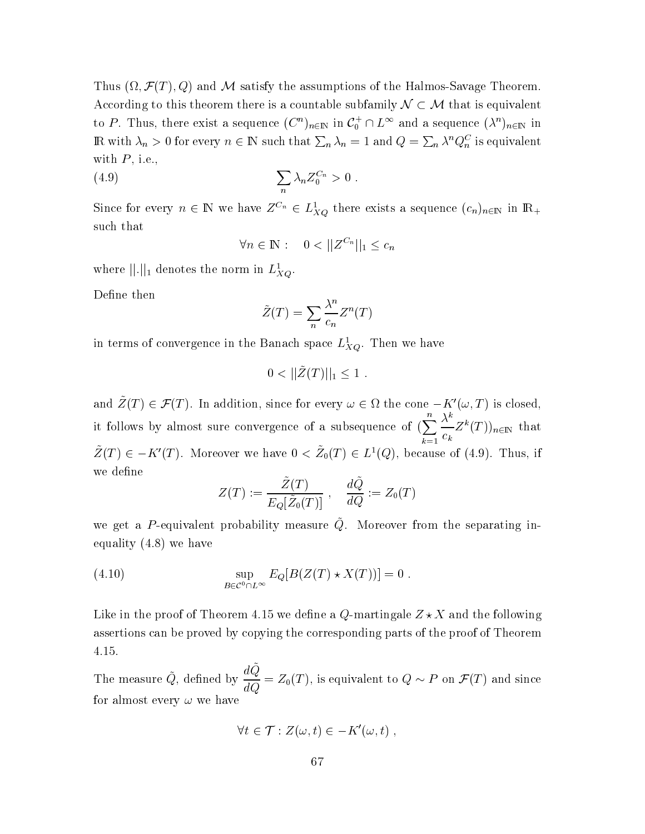Thus  $(\Omega, \mathcal{F}(T), Q)$  and M satisfy the assumptions of the Halmos-Savage Theorem. According to this theorem there is a countable subfamily  $\mathcal{N} \subset \mathcal{M}$  that is equivalent to P. Thus, there exist a sequence  $(C^n)_{n\in\mathbb{N}}$  in  $C_0^+\cap L^\infty$  and a sequence  $(\lambda^n)_{n\in\mathbb{N}}$  in R with  $λ_n > 0$  for every  $n ∈ ℕ$  such that  $Σ_n λ_n = 1$  and  $Q = Σ_n λ^n Q_n^C$  is equivalent with  $P$ , i.e.,

$$
\sum_{n} \lambda_n Z_0^{C_n} > 0
$$

Since for every  $n \in \mathbb{N}$  we have  $Z^{C_n} \in L^1_{XQ}$  there exists a sequence  $(c_n)_{n \in \mathbb{N}}$  in  $\mathbb{R}_+$ such that

$$
\forall n \in \mathbb{N}: \quad 0 < ||Z^{C_n}||_1 \leq c_n
$$

where  $||.||_1$  denotes the norm in  $L_{XQ}^1$ .

Define then

$$
\tilde{Z}(T) = \sum_{n} \frac{\lambda^n}{c_n} Z^n(T)
$$

in terms of convergence in the Banach space  $L_{XQ}^1$ . Then we have

$$
0 < ||\tilde{Z}(T)||_1 \leq 1.
$$

and  $\tilde{Z}(T) \in \mathcal{F}(T)$ . In addition, since for every  $\omega \in \Omega$  the cone  $-K'(\omega,T)$  is closed, it follows by almost sure convergence of a subsequence of  $(\sum_{k=1}^n \frac{\lambda^k}{c_k} Z^k(T))_{n \in \mathbb{N}}$  that  $\tilde{Z}(T) \in -K'(T)$ . Moreover we have  $0 < \tilde{Z}_0(T) \in L^1(Q)$ , because of (4.9). Thus, if we define

$$
Z(T) := \frac{Z(T)}{E_Q[\tilde{Z}_0(T)]}, \quad \frac{dQ}{dQ} := Z_0(T)
$$

we get a P-equivalent probability measure  $\tilde{Q}$ . Moreover from the separating inequality  $(4.8)$  we have

(4.10) 
$$
\sup_{B \in \mathcal{C}^0 \cap L^{\infty}} E_Q[B(Z(T) \star X(T))] = 0.
$$

Like in the proof of Theorem 4.15 we define a Q-martingale  $Z \star X$  and the following assertions can be proved by copying the corresponding parts of the proof of Theorem 4.15.

The measure  $\tilde{Q}$ , defined by  $\frac{dQ}{dQ} = Z_0(T)$ , is equivalent to  $Q \sim P$  on  $\mathcal{F}(T)$  and since for almost every  $\omega$  we have

$$
\forall t \in \mathcal{T} : Z(\omega, t) \in -K'(\omega, t)
$$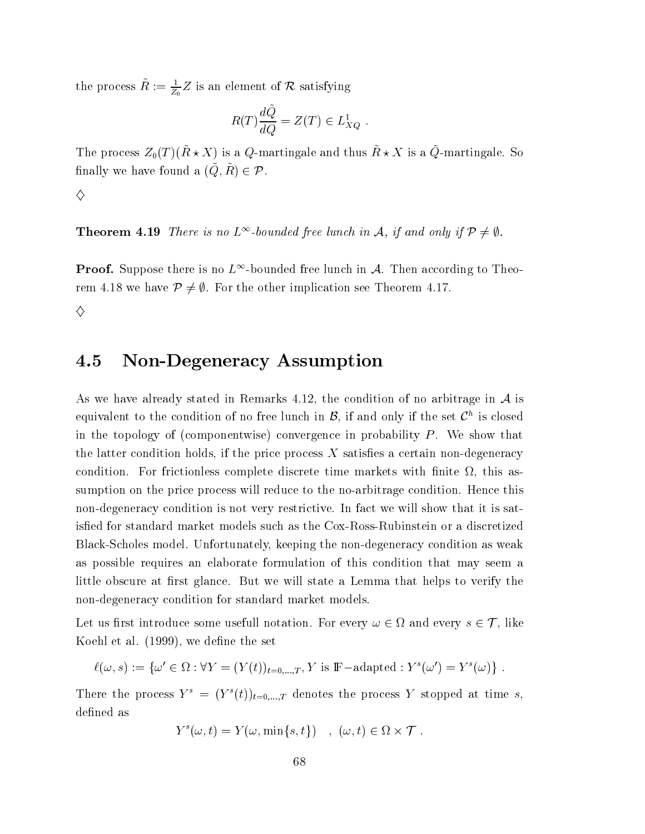the process  $\tilde{R} := \frac{1}{Z_0} Z$  is an element of  $\mathcal R$  satisfying

$$
R(T)\frac{d\tilde{Q}}{dQ} = Z(T) \in L_{XQ}^1
$$

The process  $Z_0(T)(\tilde{R} \star X)$  is a Q-martingale and thus  $\tilde{R} \star X$  is a  $\tilde{Q}$ -martingale. So finally we have found a  $(\tilde{Q}, \tilde{R}) \in \mathcal{P}$ .

♦

**Theorem 4.19** There is no  $L^{\infty}$ -bounded free lunch in A, if and only if  $\mathcal{P} \neq \emptyset$ .

**Proof.** Suppose there is no  $L^{\infty}$ -bounded free lunch in A. Then according to Theorem 4.18 we have  $\mathcal{P} \neq \emptyset$ . For the other implication see Theorem 4.17.

♦

### **Non-Degeneracy Assumption** 4.5

As we have already stated in Remarks 4.12, the condition of no arbitrage in  $A$  is equivalent to the condition of no free lunch in  $\mathcal{B}$ , if and only if the set  $\mathcal{C}^h$  is closed in the topology of (componentwise) convergence in probability  $P$ . We show that the latter condition holds, if the price process  $X$  satisfies a certain non-degeneracy condition. For frictionless complete discrete time markets with finite  $\Omega$ , this assumption on the price process will reduce to the no-arbitrage condition. Hence this non-degeneracy condition is not very restrictive. In fact we will show that it is satisfied for standard market models such as the Cox-Ross-Rubinstein or a discretized Black-Scholes model. Unfortunately, keeping the non-degeneracy condition as weak as possible requires an elaborate formulation of this condition that may seem a little obscure at first glance. But we will state a Lemma that helps to verify the non-degeneracy condition for standard market models.

Let us first introduce some usefull notation. For every  $\omega \in \Omega$  and every  $s \in \mathcal{T}$ , like Koehl et al. (1999), we define the set

 $\ell(\omega, s) := {\omega' \in \Omega : \forall Y = (Y(t))_{t=0,\dots,T}, Y \text{ is } \mathbb{F}-\text{adapted} : Y^s(\omega') = Y^s(\omega)}.$ 

There the process  $Y^s = (Y^s(t))_{t=0,...,T}$  denotes the process Y stopped at time s, defined as

$$
Y^{s}(\omega, t) = Y(\omega, \min\{s, t\}) \quad , \ (\omega, t) \in \Omega \times \mathcal{T} \ .
$$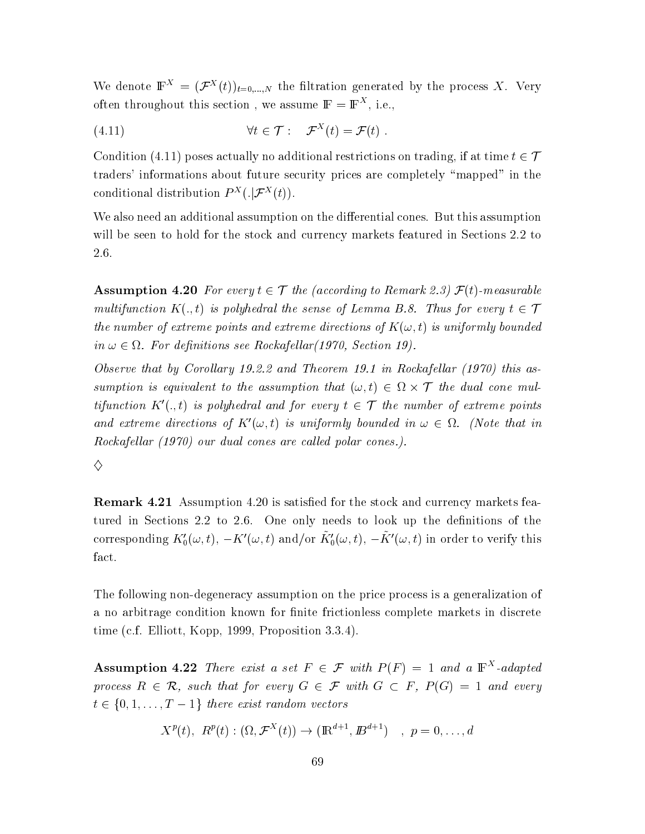We denote  $\mathbb{F}^X = (\mathcal{F}^X(t))_{t=0,\dots,N}$  the filtration generated by the process X. Very often throughout this section, we assume  $\mathbb{F} = \mathbb{F}^{X}$ , i.e.,

(4.11) 
$$
\forall t \in \mathcal{T} : \mathcal{F}^X(t) = \mathcal{F}(t) .
$$

Condition (4.11) poses actually no additional restrictions on trading, if at time  $t \in \mathcal{T}$ traders' informations about future security prices are completely "mapped" in the conditional distribution  $P^{X}(.|\mathcal{F}^{X}(t))$ .

We also need an additional assumption on the differential cones. But this assumption will be seen to hold for the stock and currency markets featured in Sections 2.2 to 2.6.

**Assumption 4.20** For every  $t \in \mathcal{T}$  the (according to Remark 2.3)  $\mathcal{F}(t)$ -measurable multifunction  $K(.,t)$  is polyhedral the sense of Lemma B.8. Thus for every  $t \in \mathcal{T}$ the number of extreme points and extreme directions of  $K(\omega, t)$  is uniformly bounded in  $\omega \in \Omega$ . For definitions see Rockafellar(1970, Section 19).

Observe that by Corollary 19.2.2 and Theorem 19.1 in Rockafellar (1970) this assumption is equivalent to the assumption that  $(\omega, t) \in \Omega \times \mathcal{T}$  the dual cone multifunction  $K'(.,t)$  is polyhedral and for every  $t \in \mathcal{T}$  the number of extreme points and extreme directions of  $K'(\omega, t)$  is uniformly bounded in  $\omega \in \Omega$ . (Note that in Rockafellar (1970) our dual cones are called polar cones.).

♦

**Remark 4.21** Assumption 4.20 is satisfied for the stock and currency markets featured in Sections 2.2 to 2.6. One only needs to look up the definitions of the corresponding  $K'_0(\omega, t)$ ,  $-K'(\omega, t)$  and/or  $\tilde{K}'_0(\omega, t)$ ,  $-\tilde{K}'(\omega, t)$  in order to verify this fact.

The following non-degeneracy assumption on the price process is a generalization of a no arbitrage condition known for finite frictionless complete markets in discrete time (c.f. Elliott, Kopp, 1999, Proposition 3.3.4).

**Assumption 4.22** There exist a set  $F \in \mathcal{F}$  with  $P(F) = 1$  and a  $\mathbb{F}^{X}$ -adapted process  $R \in \mathcal{R}$ , such that for every  $G \in \mathcal{F}$  with  $G \subset F$ ,  $P(G) = 1$  and every  $t \in \{0, 1, \ldots, T-1\}$  there exist random vectors

$$
X^{p}(t), R^{p}(t): (\Omega, \mathcal{F}^{X}(t)) \to (\mathbb{R}^{d+1}, \mathbb{B}^{d+1}) \ , p = 0, ..., d
$$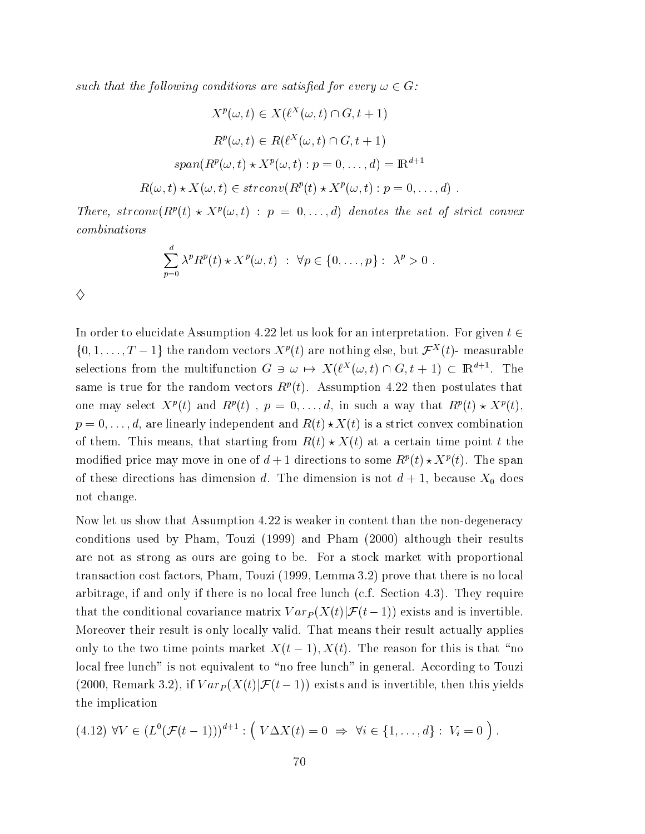such that the following conditions are satisfied for every  $\omega \in G$ :

$$
X^{p}(\omega, t) \in X(\ell^{X}(\omega, t) \cap G, t+1)
$$

$$
R^{p}(\omega, t) \in R(\ell^{X}(\omega, t) \cap G, t+1)
$$

$$
span(R^{p}(\omega, t) \star X^{p}(\omega, t) : p = 0, ..., d) = \mathbb{R}^{d+1}
$$

$$
R(\omega, t) \star X(\omega, t) \in strconv(R^{p}(t) \star X^{p}(\omega, t) : p = 0, ..., d) .
$$

There, strconv $(R^p(t) \star X^p(\omega, t) : p = 0, \ldots, d)$  denotes the set of strict convex  $combinations$ 

$$
\sum_{p=0}^{d} \lambda^p R^p(t) \star X^p(\omega, t) : \forall p \in \{0, \dots, p\} : \lambda^p > 0
$$

♦

In order to elucidate Assumption 4.22 let us look for an interpretation. For given  $t \in$  $\{0, 1, \ldots, T-1\}$  the random vectors  $X^p(t)$  are nothing else, but  $\mathcal{F}^X(t)$ - measurable selections from the multifunction  $G \ni \omega \mapsto X(\ell^X(\omega, t) \cap G, t+1) \subset \mathbb{R}^{d+1}$ . The same is true for the random vectors  $R^p(t)$ . Assumption 4.22 then postulates that one may select  $X^p(t)$  and  $R^p(t)$ ,  $p = 0, \ldots, d$ , in such a way that  $R^p(t) \star X^p(t)$ ,  $p = 0, \ldots, d$ , are linearly independent and  $R(t) \star X(t)$  is a strict convex combination of them. This means, that starting from  $R(t) \star X(t)$  at a certain time point t the modified price may move in one of  $d+1$  directions to some  $R^p(t) \star X^p(t)$ . The span of these directions has dimension d. The dimension is not  $d+1$ , because  $X_0$  does not change.

Now let us show that Assumption 4.22 is weaker in content than the non-degeneracy conditions used by Pham, Touzi (1999) and Pham (2000) although their results are not as strong as ours are going to be. For a stock market with proportional transaction cost factors, Pham, Touzi (1999, Lemma 3.2) prove that there is no local arbitrage, if and only if there is no local free lunch (c.f. Section 4.3). They require that the conditional covariance matrix  $Var_P(X(t)|\mathcal{F}(t-1))$  exists and is invertible. Moreover their result is only locally valid. That means their result actually applies only to the two time points market  $X(t-1)$ ,  $X(t)$ . The reason for this is that "no local free lunch" is not equivalent to "no free lunch" in general. According to Touzi (2000, Remark 3.2), if  $Var_P(X(t)|\mathcal{F}(t-1))$  exists and is invertible, then this yields the implication

$$
(4.12) \ \forall V \in (L^0(\mathcal{F}(t-1)))^{d+1} : (\ V\Delta X(t) = 0 \ \Rightarrow \ \forall i \in \{1,\ldots,d\} : \ V_i = 0 ).
$$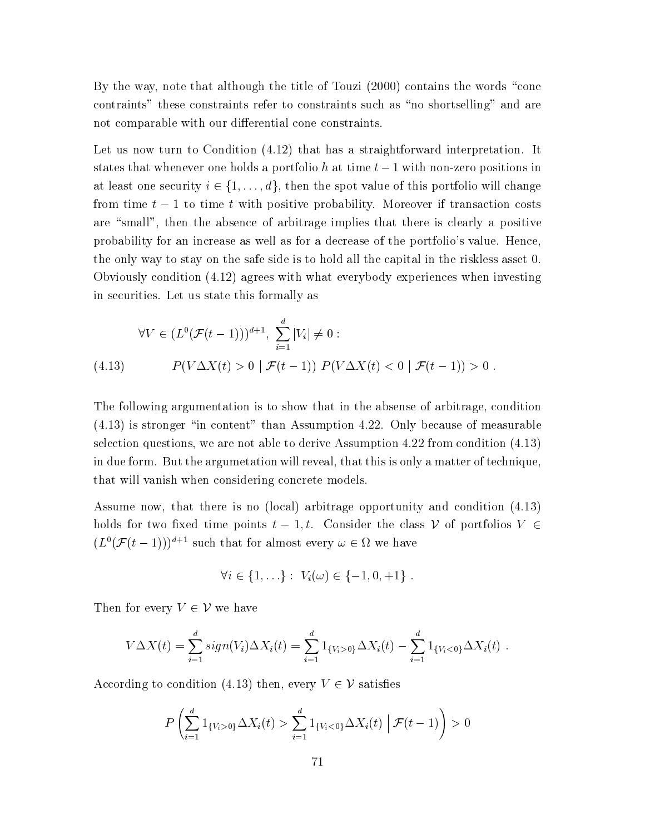By the way, note that although the title of Touzi (2000) contains the words "cone contraints" these constraints refer to constraints such as "no shortselling" and are not comparable with our differential cone constraints.

Let us now turn to Condition (4.12) that has a straightforward interpretation. It states that whenever one holds a portfolio h at time  $t-1$  with non-zero positions in at least one security  $i \in \{1, ..., d\}$ , then the spot value of this portfolio will change from time  $t-1$  to time t with positive probability. Moreover if transaction costs are "small", then the absence of arbitrage implies that there is clearly a positive probability for an increase as well as for a decrease of the portfolio's value. Hence, the only way to stay on the safe side is to hold all the capital in the riskless asset 0. Obviously condition  $(4.12)$  agrees with what everybody experiences when investing in securities. Let us state this formally as

$$
\forall V \in (L^0(\mathcal{F}(t-1)))^{d+1}, \sum_{i=1}^d |V_i| \neq 0 :
$$
\n(4.13) 
$$
P(V\Delta X(t) > 0 \mid \mathcal{F}(t-1)) P(V\Delta X(t) < 0 \mid \mathcal{F}(t-1)) > 0
$$

The following argumentation is to show that in the absense of arbitrage, condition  $(4.13)$  is stronger "in content" than Assumption 4.22. Only because of measurable selection questions, we are not able to derive Assumption 4.22 from condition  $(4.13)$ in due form. But the argumetation will reveal, that this is only a matter of technique, that will vanish when considering concrete models.

Assume now, that there is no (local) arbitrage opportunity and condition (4.13) holds for two fixed time points  $t-1, t$ . Consider the class V of portfolios  $V \in$  $(L^0(\mathcal{F}(t-1)))^{d+1}$  such that for almost every  $\omega \in \Omega$  we have

$$
\forall i \in \{1, \ldots\} : V_i(\omega) \in \{-1, 0, +1\} .
$$

Then for every  $V \in \mathcal{V}$  we have

$$
V\Delta X(t) = \sum_{i=1}^d sign(V_i)\Delta X_i(t) = \sum_{i=1}^d 1_{\{V_i > 0\}}\Delta X_i(t) - \sum_{i=1}^d 1_{\{V_i < 0\}}\Delta X_i(t) .
$$

According to condition (4.13) then, every  $V \in \mathcal{V}$  satisfies

$$
P\left(\sum_{i=1}^d 1_{\{V_i>0\}} \Delta X_i(t) > \sum_{i=1}^d 1_{\{V_i<0\}} \Delta X_i(t) \mid \mathcal{F}(t-1)\right) > 0
$$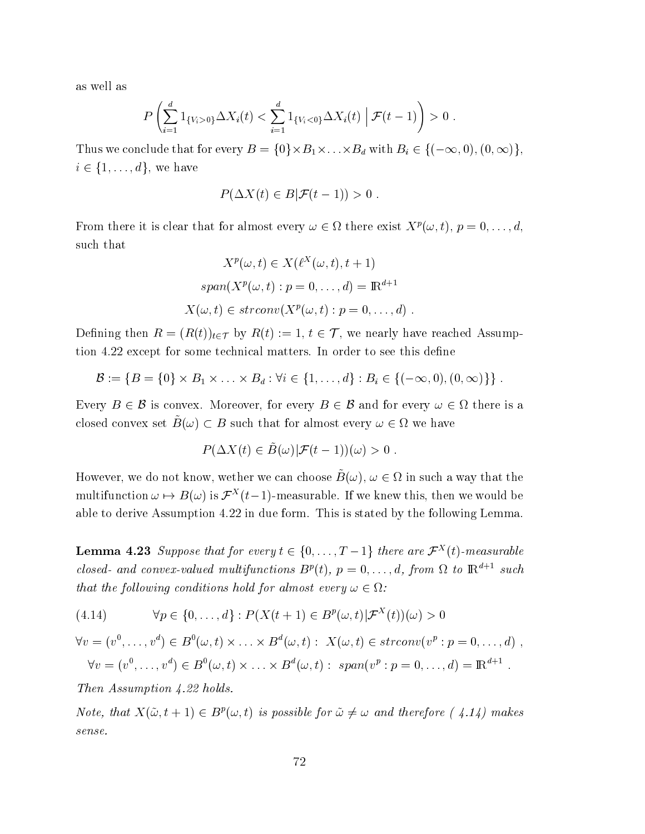as well as

$$
P\left(\sum_{i=1}^d 1_{\{V_i>0\}}\Delta X_i(t) < \sum_{i=1}^d 1_{\{V_i<0\}}\Delta X_i(t) \middle| \mathcal{F}(t-1)\right) > 0.
$$

Thus we conclude that for every  $B = \{0\} \times B_1 \times \ldots \times B_d$  with  $B_i \in \{(-\infty, 0), (0, \infty)\},$  $i \in \{1, \ldots, d\}$ , we have

$$
P(\Delta X(t) \in B | \mathcal{F}(t-1)) > 0
$$

From there it is clear that for almost every  $\omega \in \Omega$  there exist  $X^p(\omega, t)$ ,  $p = 0, \ldots, d$ , such that

$$
X^{p}(\omega, t) \in X(\ell^{X}(\omega, t), t+1)
$$

$$
span(X^{p}(\omega, t) : p = 0, \dots, d) = \mathbb{R}^{d+1}
$$

$$
X(\omega, t) \in strconv(X^{p}(\omega, t) : p = 0, \dots, d)
$$

Defining then  $R = (R(t))_{t \in \mathcal{T}}$  by  $R(t) := 1, t \in \mathcal{T}$ , we nearly have reached Assumption 4.22 except for some technical matters. In order to see this define

$$
\mathcal{B} := \{B = \{0\} \times B_1 \times \ldots \times B_d : \forall i \in \{1, \ldots, d\} : B_i \in \{(-\infty, 0), (0, \infty)\}\}.
$$

Every  $B \in \mathcal{B}$  is convex. Moreover, for every  $B \in \mathcal{B}$  and for every  $\omega \in \Omega$  there is a closed convex set  $\tilde{B}(\omega) \subset B$  such that for almost every  $\omega \in \Omega$  we have

$$
P(\Delta X(t) \in \tilde{B}(\omega) | \mathcal{F}(t-1))(\omega) > 0
$$

However, we do not know, we then we can choose  $\tilde{B}(\omega)$ ,  $\omega \in \Omega$  in such a way that the multifunction  $\omega \mapsto B(\omega)$  is  $\mathcal{F}^{X}(t-1)$ -measurable. If we knew this, then we would be able to derive Assumption 4.22 in due form. This is stated by the following Lemma.

**Lemma 4.23** Suppose that for every  $t \in \{0, ..., T-1\}$  there are  $\mathcal{F}^{X}(t)$ -measurable closed- and convex-valued multifunctions  $B^p(t)$ ,  $p = 0, \ldots, d$ , from  $\Omega$  to  $\mathbb{R}^{d+1}$  such that the following conditions hold for almost every  $\omega \in \Omega$ :

 $\forall p \in \{0, ..., d\} : P(X(t+1) \in B^p(\omega, t) | \mathcal{F}^X(t)|(\omega) > 0$  $(4.14)$ 

 $\forall v = (v^0, \dots, v^d) \in B^0(\omega, t) \times \dots \times B^d(\omega, t) : X(\omega, t) \in \text{stron}(v^p : p = 0, \dots, d)$  $\forall v = (v^0, \dots, v^d) \in B^0(\omega, t) \times \dots \times B^d(\omega, t) : span(v^p : p = 0, \dots, d) = \mathbb{R}^{d+1}$ .

Then Assumption 4.22 holds.

Note, that  $X(\tilde{\omega}, t + 1) \in B^p(\omega, t)$  is possible for  $\tilde{\omega} \neq \omega$  and therefore (4.14) makes  $sense.$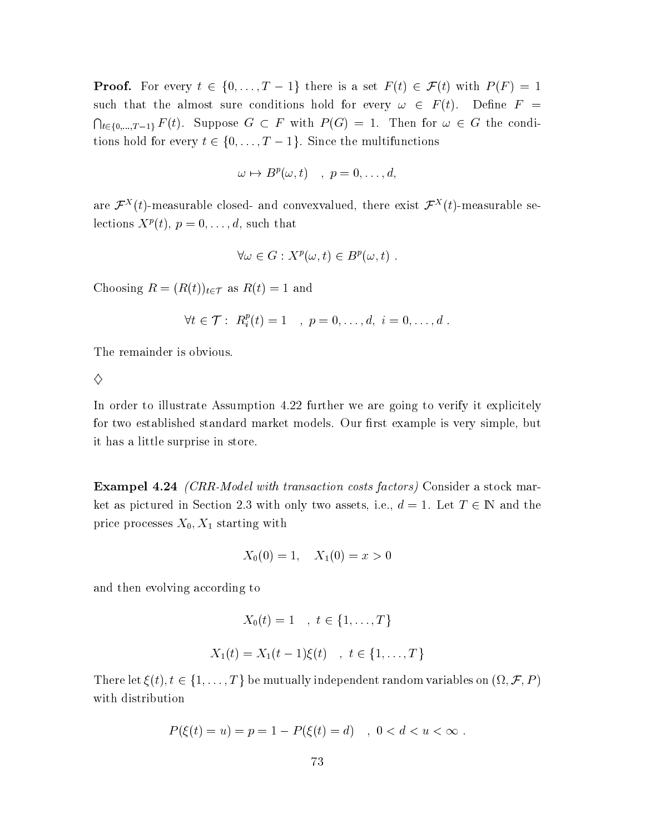**Proof.** For every  $t \in \{0, ..., T-1\}$  there is a set  $F(t) \in \mathcal{F}(t)$  with  $P(F) = 1$ such that the almost sure conditions hold for every  $\omega \in F(t)$ . Define  $F =$  $\bigcap_{t\in\{0,\ldots,T-1\}} F(t)$ . Suppose  $G \subset F$  with  $P(G) = 1$ . Then for  $\omega \in G$  the conditions hold for every  $t \in \{0, ..., T-1\}$ . Since the multifunctions

$$
\omega \mapsto B^p(\omega, t) \quad , \quad p = 0, \ldots, d,
$$

are  $\mathcal{F}^{X}(t)$ -measurable closed- and convexvalued, there exist  $\mathcal{F}^{X}(t)$ -measurable selections  $X^p(t)$ ,  $p = 0, \ldots, d$ , such that

$$
\forall \omega \in G : X^p(\omega, t) \in B^p(\omega, t) .
$$

Choosing  $R = (R(t))_{t \in \mathcal{T}}$  as  $R(t) = 1$  and

$$
\forall t \in \mathcal{T}: R_i^p(t) = 1 \quad , \ p = 0, \ldots, d, \ i = 0, \ldots, d \ .
$$

The remainder is obvious.

♦

In order to illustrate Assumption 4.22 further we are going to verify it explicitely for two established standard market models. Our first example is very simple, but it has a little surprise in store.

**Exampel 4.24** *(CRR-Model with transaction costs factors)* Consider a stock market as pictured in Section 2.3 with only two assets, i.e.,  $d = 1$ . Let  $T \in \mathbb{N}$  and the price processes  $X_0, X_1$  starting with

$$
X_0(0) = 1, \quad X_1(0) = x > 0
$$

and then evolving according to

$$
X_0(t) = 1 \quad , \ t \in \{1, ..., T\}
$$
  

$$
X_1(t) = X_1(t-1)\xi(t) \quad , \ t \in \{1, ..., T\}
$$

There let  $\xi(t), t \in \{1, ..., T\}$  be mutually independent random variables on  $(\Omega, \mathcal{F}, P)$ with distribution

$$
P(\xi(t) = u) = p = 1 - P(\xi(t) = d) \quad , \ 0 < d < u < \infty \; .
$$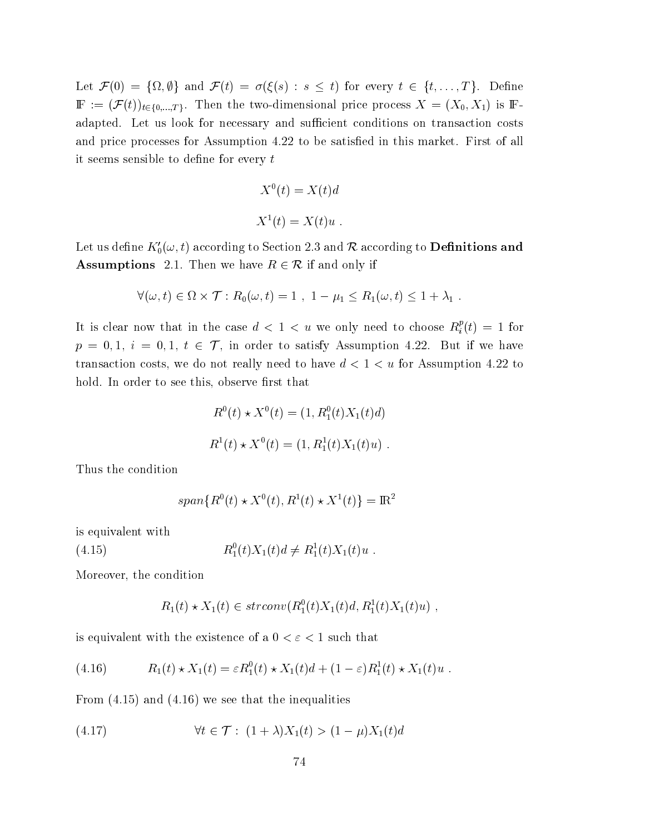Let  $\mathcal{F}(0) = \{\Omega, \emptyset\}$  and  $\mathcal{F}(t) = \sigma(\xi(s) : s \leq t)$  for every  $t \in \{t, ..., T\}$ . Define  $\mathbb{F} := (\mathcal{F}(t))_{t \in \{0,\ldots,T\}}$ . Then the two-dimensional price process  $X = (X_0, X_1)$  is Fadapted. Let us look for necessary and sufficient conditions on transaction costs and price processes for Assumption 4.22 to be satisfied in this market. First of all it seems sensible to define for every  $t$ 

$$
X^{0}(t) = X(t)d
$$
  

$$
X^{1}(t) = X(t)u.
$$

Let us define  $K'_0(\omega, t)$  according to Section 2.3 and R according to **Definitions and Assumptions** 2.1. Then we have  $R \in \mathcal{R}$  if and only if

$$
\forall (\omega, t) \in \Omega \times \mathcal{T} : R_0(\omega, t) = 1 , 1 - \mu_1 \leq R_1(\omega, t) \leq 1 + \lambda_1 .
$$

It is clear now that in the case  $d < 1 < u$  we only need to choose  $R_i^p(t) = 1$  for  $p = 0, 1, i = 0, 1, t \in \mathcal{T}$ , in order to satisfy Assumption 4.22. But if we have transaction costs, we do not really need to have  $d < 1 < u$  for Assumption 4.22 to hold. In order to see this, observe first that

$$
R^{0}(t) \star X^{0}(t) = (1, R_{1}^{0}(t)X_{1}(t)d)
$$
  

$$
R^{1}(t) \star X^{0}(t) = (1, R_{1}^{1}(t)X_{1}(t)u).
$$

Thus the condition

$$
span{R^{0}(t) * X^{0}(t), R^{1}(t) * X^{1}(t)} = \mathbb{R}^{2}
$$

is equivalent with

 $R_1^0(t)X_1(t)d \neq R_1^1(t)X_1(t)u$ .  $(4.15)$ 

Moreover, the condition

$$
R_1(t) \star X_1(t) \in strconv(R_1^0(t)X_1(t)d, R_1^1(t)X_1(t)u) ,
$$

is equivalent with the existence of a  $0 < \varepsilon < 1$  such that

(4.16) 
$$
R_1(t) \star X_1(t) = \varepsilon R_1^0(t) \star X_1(t) d + (1 - \varepsilon) R_1^1(t) \star X_1(t) u.
$$

From  $(4.15)$  and  $(4.16)$  we see that the inequalities

(4.17) 
$$
\forall t \in \mathcal{T}: (1 + \lambda)X_1(t) > (1 - \mu)X_1(t)d
$$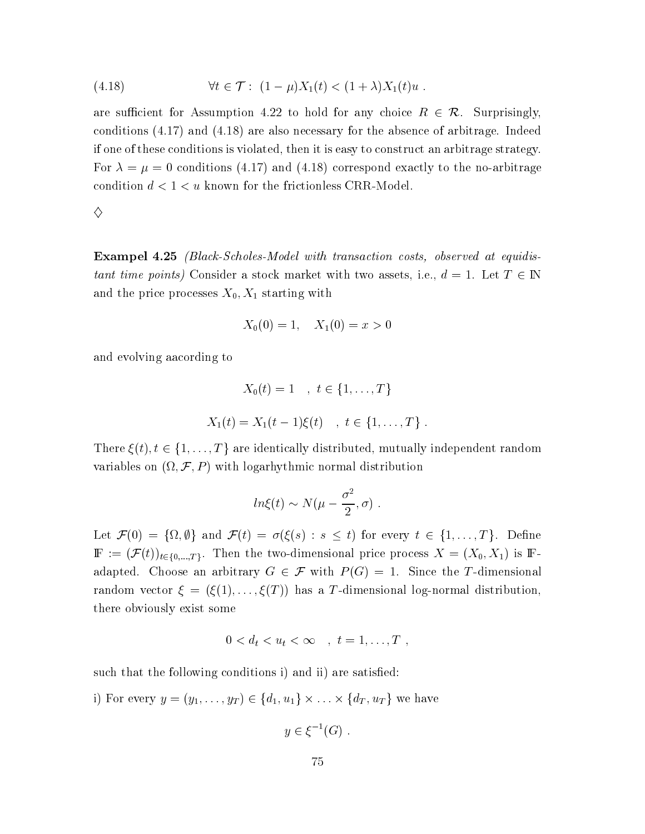(4.18) 
$$
\forall t \in \mathcal{T}: (1 - \mu)X_1(t) < (1 + \lambda)X_1(t)u \, .
$$

are sufficient for Assumption 4.22 to hold for any choice  $R \in \mathcal{R}$ . Surprisingly, conditions  $(4.17)$  and  $(4.18)$  are also necessary for the absence of arbitrage. Indeed if one of these conditions is violated, then it is easy to construct an arbitrage strategy. For  $\lambda = \mu = 0$  conditions (4.17) and (4.18) correspond exactly to the no-arbitrage condition  $d < 1 < u$  known for the frictionless CRR-Model.

♦

**Exampel 4.25** (Black-Scholes-Model with transaction costs, observed at equidistant time points) Consider a stock market with two assets, i.e.,  $d = 1$ . Let  $T \in \mathbb{N}$ and the price processes  $X_0, X_1$  starting with

$$
X_0(0) = 1, \quad X_1(0) = x > 0
$$

and evolving aacording to

$$
X_0(t) = 1 \quad , \ t \in \{1, ..., T\}
$$
  

$$
X_1(t) = X_1(t-1)\xi(t) \quad , \ t \in \{1, ..., T\} .
$$

There  $\xi(t)$ ,  $t \in \{1, ..., T\}$  are identically distributed, mutually independent random variables on  $(\Omega, \mathcal{F}, P)$  with logarhythmic normal distribution

$$
ln\xi(t) \sim N(\mu - \frac{\sigma^2}{2}, \sigma)
$$
.

Let  $\mathcal{F}(0) = {\Omega, \emptyset}$  and  $\mathcal{F}(t) = \sigma(\xi(s) : s \leq t)$  for every  $t \in \{1, ..., T\}$ . Define  $\mathbb{F} := (\mathcal{F}(t))_{t \in \{0,\ldots,T\}}$ . Then the two-dimensional price process  $X = (X_0, X_1)$  is Fadapted. Choose an arbitrary  $G \in \mathcal{F}$  with  $P(G) = 1$ . Since the T-dimensional random vector  $\xi = (\xi(1), \ldots, \xi(T))$  has a T-dimensional log-normal distribution, there obviously exist some

$$
0 < d_t < u_t < \infty \quad , \quad t = 1, \ldots, T \; ,
$$

such that the following conditions i) and ii) are satisfied:

i) For every  $y = (y_1, \ldots, y_T) \in \{d_1, u_1\} \times \ldots \times \{d_T, u_T\}$  we have

$$
y\in \xi^{-1}(G) .
$$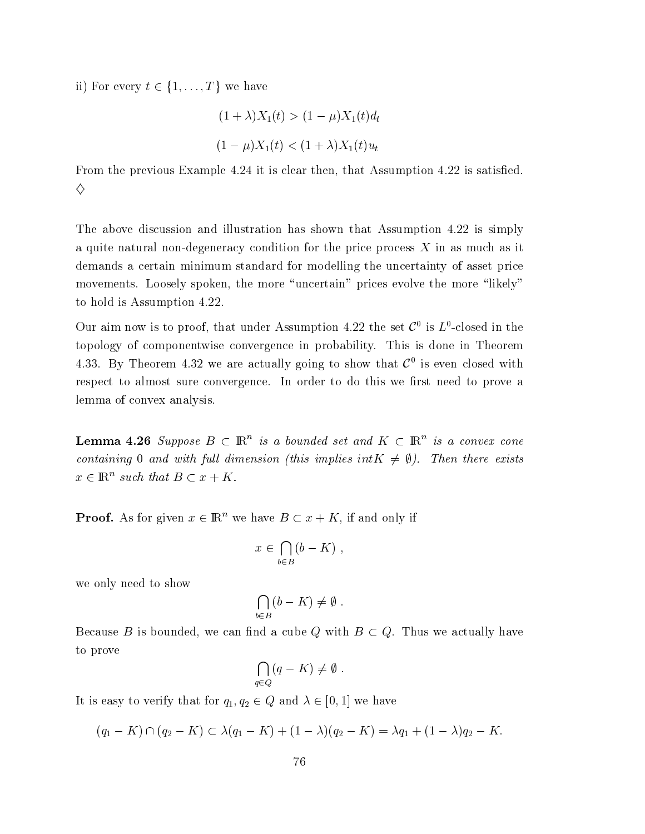ii) For every  $t \in \{1, ..., T\}$  we have

$$
(1 + \lambda)X_1(t) > (1 - \mu)X_1(t)d_t
$$
  

$$
(1 - \mu)X_1(t) < (1 + \lambda)X_1(t)u_t
$$

From the previous Example 4.24 it is clear then, that Assumption 4.22 is satisfied. ♦

The above discussion and illustration has shown that Assumption 4.22 is simply a quite natural non-degeneracy condition for the price process  $X$  in as much as it demands a certain minimum standard for modelling the uncertainty of asset price movements. Loosely spoken, the more "uncertain" prices evolve the more "likely" to hold is Assumption 4.22.

Our aim now is to proof, that under Assumption 4.22 the set  $\mathcal{C}^0$  is  $L^0$ -closed in the topology of componentwise convergence in probability. This is done in Theorem 4.33. By Theorem 4.32 we are actually going to show that  $\mathcal{C}^0$  is even closed with respect to almost sure convergence. In order to do this we first need to prove a lemma of convex analysis.

**Lemma 4.26** Suppose  $B \subset \mathbb{R}^n$  is a bounded set and  $K \subset \mathbb{R}^n$  is a convex cone containing 0 and with full dimension (this implies  $intK \neq \emptyset$ ). Then there exists  $x \in \mathbb{R}^n$  such that  $B \subset x + K$ .

**Proof.** As for given  $x \in \mathbb{R}^n$  we have  $B \subset x + K$ , if and only if

$$
x \in \bigcap_{b \in B} (b - K)
$$

we only need to show

$$
\bigcap_{b \in B} (b - K) \neq \emptyset
$$

Because B is bounded, we can find a cube Q with  $B \subset Q$ . Thus we actually have to prove

$$
\bigcap_{q\in Q} (q - K) \neq \emptyset.
$$

It is easy to verify that for  $q_1, q_2 \in Q$  and  $\lambda \in [0, 1]$  we have

$$
(q_1 - K) \cap (q_2 - K) \subset \lambda (q_1 - K) + (1 - \lambda)(q_2 - K) = \lambda q_1 + (1 - \lambda)q_2 - K.
$$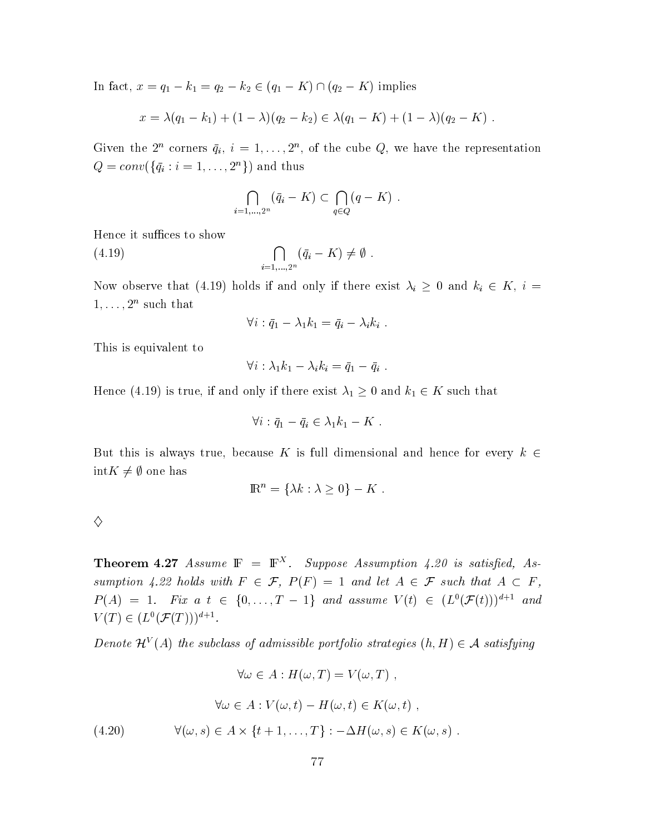In fact,  $x = q_1 - k_1 = q_2 - k_2 \in (q_1 - K) \cap (q_2 - K)$  implies

$$
x = \lambda(q_1 - k_1) + (1 - \lambda)(q_2 - k_2) \in \lambda(q_1 - K) + (1 - \lambda)(q_2 - K).
$$

Given the  $2^n$  corners  $\bar{q}_i$ ,  $i = 1, ..., 2^n$ , of the cube Q, we have the representation  $Q = conv({\{\bar{q}_i : i = 1, ..., 2^n\}})$  and thus

$$
\bigcap_{i=1,\dots,2^n} (\bar{q}_i - K) \subset \bigcap_{q \in Q} (q - K)
$$

Hence it suffices to show

 $\bigcap_{i=1,...,2^n} (\bar{q}_i - K) \neq \emptyset$ .  $(4.19)$ 

Now observe that (4.19) holds if and only if there exist  $\lambda_i \geq 0$  and  $k_i \in K$ ,  $i =$  $1, \ldots, 2^n$  such that

$$
\forall i : \bar{q}_1 - \lambda_1 k_1 = \bar{q}_i - \lambda_i k_i .
$$

This is equivalent to

$$
\forall i: \lambda_1 k_1 - \lambda_i k_i = \bar{q}_1 - \bar{q}_i .
$$

Hence (4.19) is true, if and only if there exist  $\lambda_1 \geq 0$  and  $k_1 \in K$  such that

$$
\forall i : \bar{q}_1 - \bar{q}_i \in \lambda_1 k_1 - K
$$

But this is always true, because K is full dimensional and hence for every  $k \in$  $\mathrm{int}K\neq\emptyset$  one has

$$
\mathbb{R}^n = \{\lambda k : \lambda \geq 0\} - K.
$$

 $\Diamond$ 

**Theorem 4.27** Assume  $\mathbb{F} = \mathbb{F}^{X}$ . Suppose Assumption 4.20 is satisfied, Assumption 4.22 holds with  $F \in \mathcal{F}$ ,  $P(F) = 1$  and let  $A \in \mathcal{F}$  such that  $A \subset F$ ,  $P(A) = 1$ . Fix a  $t \in \{0, ..., T - 1\}$  and assume  $V(t) \in (L^{0}(\mathcal{F}(t)))^{d+1}$  and  $V(T) \in (L^{0}(\mathcal{F}(T)))^{d+1}.$ 

Denote  $\mathcal{H}^V(A)$  the subclass of admissible portfolio strategies  $(h, H) \in \mathcal{A}$  satisfying

 $\forall \omega \in A : H(\omega, T) = V(\omega, T)$ ,

(4.20) 
$$
\forall \omega \in A : V(\omega, t) - H(\omega, t) \in K(\omega, t) ,
$$

$$
\forall (\omega, s) \in A \times \{t + 1, ..., T\} : -\Delta H(\omega, s) \in K(\omega, s) .
$$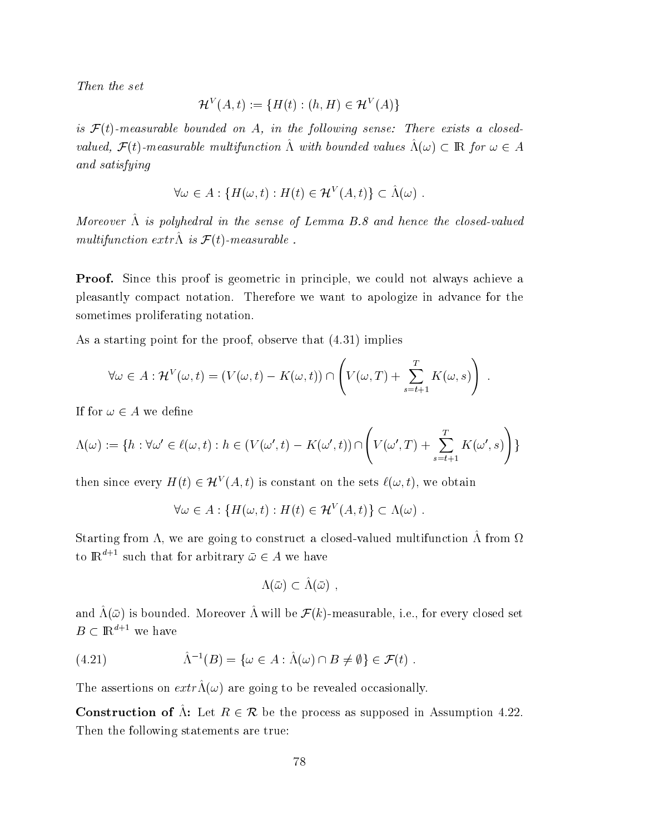Then the set

$$
\mathcal{H}^V(A,t) := \{ H(t) : (h, H) \in \mathcal{H}^V(A) \}
$$

is  $\mathcal{F}(t)$ -measurable bounded on A, in the following sense: There exists a closedvalued,  $\mathcal{F}(t)$ -measurable multifunction  $\hat{\Lambda}$  with bounded values  $\hat{\Lambda}(\omega) \subset \mathbb{R}$  for  $\omega \in A$ and satisfying

$$
\forall \omega \in A : \{ H(\omega, t) : H(t) \in \mathcal{H}^V(A, t) \} \subset \hat{\Lambda}(\omega) .
$$

Moreover  $\hat{\Lambda}$  is polyhedral in the sense of Lemma B.8 and hence the closed-valued multifunction extr $\hat{\Lambda}$  is  $\mathcal{F}(t)$ -measurable.

**Proof.** Since this proof is geometric in principle, we could not always achieve a pleasantly compact notation. Therefore we want to apologize in advance for the sometimes proliferating notation.

As a starting point for the proof, observe that  $(4.31)$  implies

$$
\forall \omega \in A : \mathcal{H}^V(\omega, t) = (V(\omega, t) - K(\omega, t)) \cap \left( V(\omega, T) + \sum_{s=t+1}^T K(\omega, s) \right) .
$$

If for  $\omega \in A$  we define

$$
\Lambda(\omega) := \{ h : \forall \omega' \in \ell(\omega, t) : h \in (V(\omega', t) - K(\omega', t)) \cap \left( V(\omega', T) + \sum_{s=t+1}^{T} K(\omega', s) \right) \}
$$

then since every  $H(t) \in \mathcal{H}^V(A,t)$  is constant on the sets  $\ell(\omega, t)$ , we obtain

$$
\forall \omega \in A : \{H(\omega, t) : H(t) \in \mathcal{H}^V(A, t)\} \subset \Lambda(\omega) .
$$

Starting from  $\Lambda$ , we are going to construct a closed-valued multifunction  $\hat{\Lambda}$  from  $\Omega$ to  $\mathbb{R}^{d+1}$  such that for arbitrary  $\bar{\omega} \in A$  we have

$$
\Lambda(\bar\omega)\subset\hat\Lambda(\bar\omega)_-
$$

and  $\hat{\Lambda}(\bar{\omega})$  is bounded. Moreover  $\hat{\Lambda}$  will be  $\mathcal{F}(k)$ -measurable, i.e., for every closed set  $B\subset \mathbbm{R}^{d+1}$  we have

(4.21) 
$$
\hat{\Lambda}^{-1}(B) = \{ \omega \in A : \hat{\Lambda}(\omega) \cap B \neq \emptyset \} \in \mathcal{F}(t) .
$$

The assertions on  $extr \hat{\Lambda}(\omega)$  are going to be revealed occasionally.

**Construction of**  $\hat{\Lambda}$ : Let  $R \in \mathcal{R}$  be the process as supposed in Assumption 4.22. Then the following statements are true: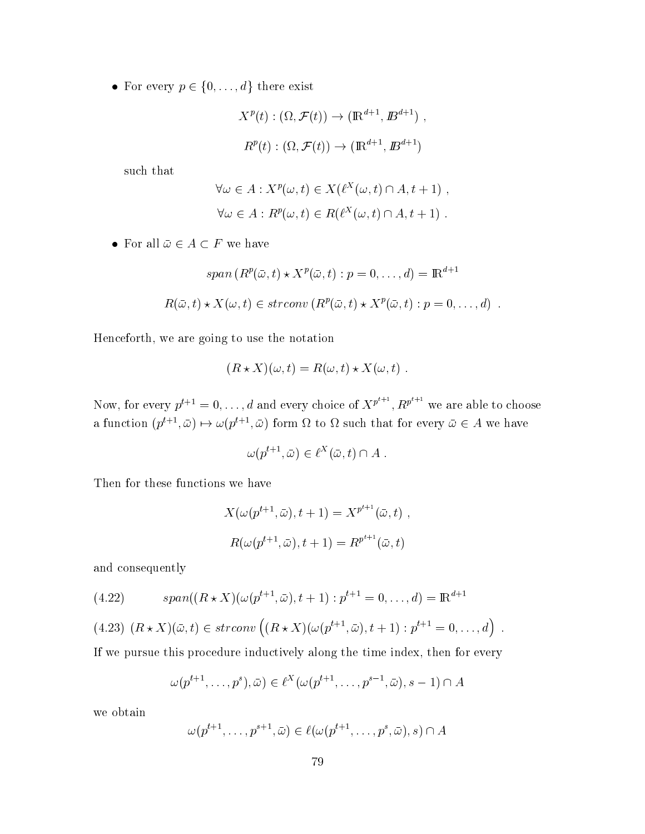• For every  $p \in \{0, \ldots, d\}$  there exist

$$
X^{p}(t): (\Omega, \mathcal{F}(t)) \to (\mathbb{R}^{d+1}, \mathbb{B}^{d+1}),
$$
  

$$
R^{p}(t): (\Omega, \mathcal{F}(t)) \to (\mathbb{R}^{d+1}, \mathbb{B}^{d+1})
$$

such that

$$
\forall \omega \in A : X^{p}(\omega, t) \in X(\ell^{X}(\omega, t) \cap A, t + 1),
$$
  

$$
\forall \omega \in A : R^{p}(\omega, t) \in R(\ell^{X}(\omega, t) \cap A, t + 1).
$$

 $\bullet\,$  For all  $\bar\omega\in A\subset F$  we have

$$
span(R^{p}(\bar{\omega},t) \star X^{p}(\bar{\omega},t) : p = 0,\ldots,d) = \mathbb{R}^{d+1}
$$
  

$$
R(\bar{\omega},t) \star X(\omega,t) \in strconv(R^{p}(\bar{\omega},t) \star X^{p}(\bar{\omega},t) : p = 0,\ldots,d)
$$

Henceforth, we are going to use the notation

$$
(R \star X)(\omega, t) = R(\omega, t) \star X(\omega, t) .
$$

Now, for every  $p^{t+1} = 0, ..., d$  and every choice of  $X^{p^{t+1}}$ ,  $R^{p^{t+1}}$  we are able to choose a function  $(p^{t+1}, \bar{\omega}) \mapsto \omega(p^{t+1}, \bar{\omega})$  form  $\Omega$  to  $\Omega$  such that for every  $\bar{\omega} \in A$  we have

$$
\omega(p^{t+1}, \bar{\omega}) \in \ell^X(\bar{\omega}, t) \cap A .
$$

Then for these functions we have

$$
X(\omega(p^{t+1}, \bar{\omega}), t+1) = X^{p^{t+1}}(\bar{\omega}, t) ,
$$
  

$$
R(\omega(p^{t+1}, \bar{\omega}), t+1) = R^{p^{t+1}}(\bar{\omega}, t)
$$

and consequently

(4.22) 
$$
span((R \star X)(\omega(p^{t+1}, \bar{\omega}), t+1): p^{t+1} = 0, ..., d) = \mathbb{R}^{d+1}
$$

(4.23)  $(R * X)(\bar{\omega}, t) \in strconv ((R * X)(\omega(p^{t+1}, \bar{\omega}), t + 1) : p^{t+1} = 0, ..., d)$ .

If we pursue this procedure inductively along the time index, then for every

$$
\omega(p^{t+1},\ldots,p^s),\bar{\omega})\in\ell^X(\omega(p^{t+1},\ldots,p^{s-1},\bar{\omega}),s-1)\cap A
$$

we obtain

$$
\omega(p^{t+1},\ldots,p^{s+1},\bar{\omega})\in \ell(\omega(p^{t+1},\ldots,p^s,\bar{\omega}),s)\cap A
$$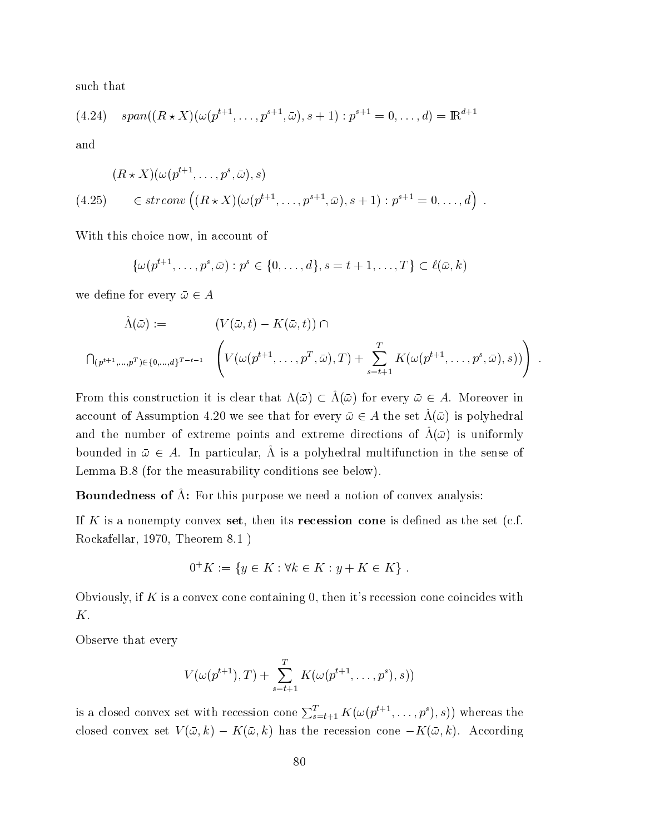such that

$$
(4.24) \quad span((R \star X)(\omega(p^{t+1}, \ldots, p^{s+1}, \bar{\omega}), s+1) : p^{s+1} = 0, \ldots, d) = \mathbb{R}^{d+1}
$$

and

$$
(R \star X)(\omega(p^{t+1}, \dots, p^s, \bar{\omega}), s)
$$
  
(4.25) 
$$
\in strconv\left((R \star X)(\omega(p^{t+1}, \dots, p^{s+1}, \bar{\omega}), s+1) : p^{s+1} = 0, \dots, d\right)
$$

With this choice now, in account of

$$
\{\omega(p^{t+1},\ldots,p^{s},\bar{\omega}):p^{s}\in\{0,\ldots,d\},s=t+1,\ldots,T\}\subset\ell(\bar{\omega},k)
$$

we define for every  $\bar{\omega} \in A$ 

$$
\hat{\Lambda}(\bar{\omega}) := \qquad (V(\bar{\omega}, t) - K(\bar{\omega}, t)) \cap
$$
\n
$$
\bigcap_{(p^{t+1}, \ldots, p^T) \in \{0, \ldots, d\}^{T-t-1}} \left( V(\omega(p^{t+1}, \ldots, p^T, \bar{\omega}), T) + \sum_{s=t+1}^T K(\omega(p^{t+1}, \ldots, p^s, \bar{\omega}), s)) \right) .
$$

From this construction it is clear that  $\Lambda(\bar{\omega}) \subset \hat{\Lambda}(\bar{\omega})$  for every  $\bar{\omega} \in A$ . Moreover in account of Assumption 4.20 we see that for every  $\bar{\omega} \in A$  the set  $\tilde{\Lambda}(\bar{\omega})$  is polyhedral and the number of extreme points and extreme directions of  $\tilde{\Lambda}(\bar{\omega})$  is uniformly bounded in  $\bar{\omega} \in A$ . In particular,  $\Lambda$  is a polyhedral multifunction in the sense of Lemma B.8 (for the measurability conditions see below).

**Boundedness of**  $\hat{\Lambda}$ : For this purpose we need a notion of convex analysis:

If K is a nonempty convex set, then its recession cone is defined as the set (c.f. Rockafellar, 1970, Theorem 8.1)

$$
0^+K := \{ y \in K : \forall k \in K : y + K \in K \} .
$$

Obviously, if K is a convex cone containing 0, then it's recession cone coincides with Κ.

Observe that every

$$
V(\omega(p^{t+1}),T) + \sum_{s=t+1}^{T} K(\omega(p^{t+1}, \ldots, p^{s}), s))
$$

is a closed convex set with recession cone  $\sum_{s=t+1}^{T} K(\omega(p^{t+1}, \ldots, p^s), s))$  whereas the closed convex set  $V(\bar{\omega},k) - K(\bar{\omega},k)$  has the recession cone  $-K(\bar{\omega},k)$ . According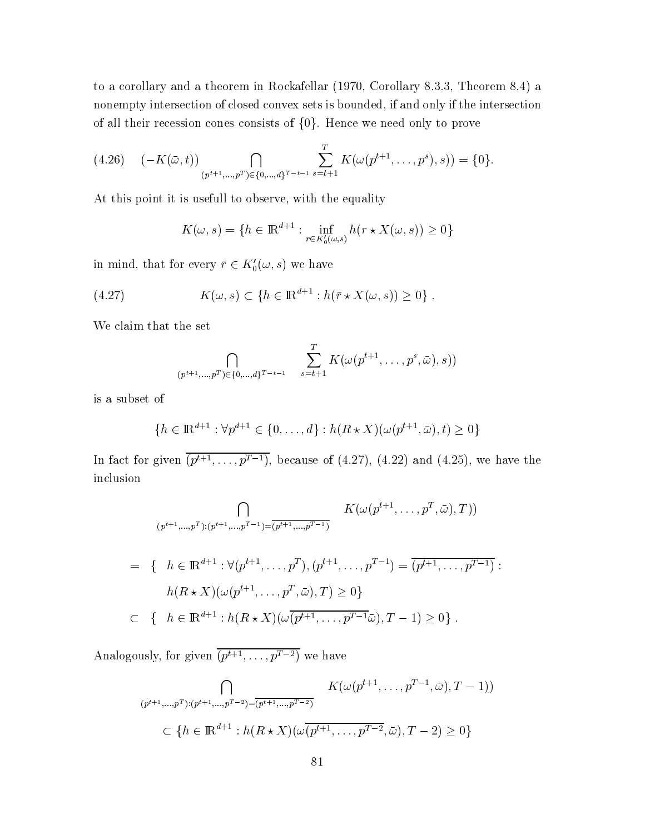to a corollary and a theorem in Rockafellar (1970, Corollary 8.3.3, Theorem 8.4) a nonempty intersection of closed convex sets is bounded, if and only if the intersection of all their recession cones consists of  $\{0\}$ . Hence we need only to prove

$$
(4.26) \quad (-K(\bar{\omega}, t)) \bigcap_{(p^{t+1}, \ldots, p^T) \in \{0, \ldots, d\}^{T-1}} \sum_{s=t+1}^T K(\omega(p^{t+1}, \ldots, p^s), s)) = \{0\}.
$$

At this point it is usefull to observe, with the equality

$$
K(\omega, s) = \{ h \in \mathbb{R}^{d+1} : \inf_{r \in K'_0(\omega, s)} h(r \star X(\omega, s)) \ge 0 \}
$$

in mind, that for every  $\bar{r} \in K_0'(\omega, s)$  we have

(4.27) 
$$
K(\omega, s) \subset \{h \in \mathbb{R}^{d+1} : h(\bar{r} \star X(\omega, s)) \ge 0\}
$$

We claim that the set

$$
\bigcap_{(p^{t+1},...,p^T)\in\{0,...,d\}^{T-1}} \sum_{s=t+1}^{T} K(\omega(p^{t+1},...,p^s,\bar{\omega}),s))
$$

is a subset of

$$
\{h \in \mathbb{R}^{d+1} : \forall p^{d+1} \in \{0, ..., d\} : h(R \star X)(\omega(p^{t+1}, \bar{\omega}), t) \ge 0\}
$$

In fact for given  $\overline{(p^{t+1}, \ldots, p^{T-1})}$ , because of (4.27), (4.22) and (4.25), we have the inclusion

$$
\bigcap_{(p^{t+1}, \dots, p^T) : (p^{t+1}, \dots, p^{T-1}) = \overline{(p^{t+1}, \dots, p^{T-1})}} K(\omega(p^{t+1}, \dots, p^T, \bar{\omega}), T))
$$
\n
$$
= \{ h \in \mathbb{R}^{d+1} : \forall (p^{t+1}, \dots, p^T), (p^{t+1}, \dots, p^{T-1}) = \overline{(p^{t+1}, \dots, p^{T-1})} :
$$
\n
$$
h(R \star X)(\omega(p^{t+1}, \dots, p^T, \bar{\omega}), T) \ge 0 \}
$$
\n
$$
\subset \{ h \in \mathbb{R}^{d+1} : h(R \star X)(\omega\overline{(p^{t+1}, \dots, p^{T-1}\bar{\omega}), T-1}) \ge 0 \} .
$$

Analogously, for given  $\overline{(p^{t+1}, \ldots, p^{T-2})}$  we have

$$
\bigcap_{(p^{t+1}, \dots, p^T): (p^{t+1}, \dots, p^{T-2}) = \overline{(p^{t+1}, \dots, p^{T-2})}} K(\omega(p^{t+1}, \dots, p^{T-1}, \bar{\omega}), T-1))
$$
\n
$$
\subset \{h \in \mathbb{R}^{d+1} : h(R \star X)(\omega(p^{t+1}, \dots, p^{T-2}, \bar{\omega}), T-2) \ge 0\}
$$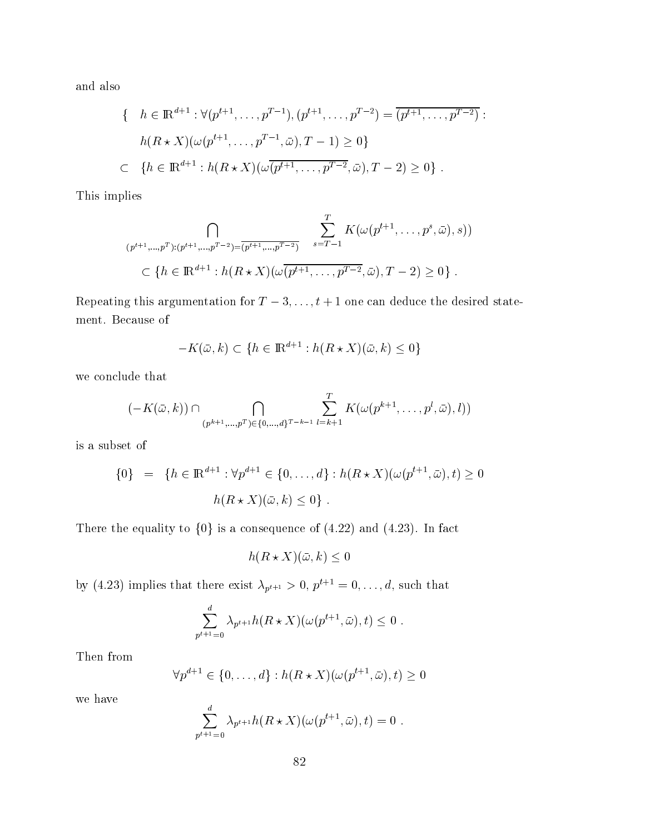and also

$$
\{ \quad h \in \mathbb{R}^{d+1} : \forall (p^{t+1}, \dots, p^{T-1}), (p^{t+1}, \dots, p^{T-2}) = \overline{(p^{t+1}, \dots, p^{T-2})} :
$$
  
\n
$$
h(R \star X)(\omega(p^{t+1}, \dots, p^{T-1}, \bar{\omega}), T-1) \ge 0 \}
$$
  
\n
$$
\subset \{ h \in \mathbb{R}^{d+1} : h(R \star X)(\omega \overline{(p^{t+1}, \dots, p^{T-2}, \bar{\omega})}, T-2) \ge 0 \} .
$$

This implies

$$
\bigcap_{(p^{t+1}, \ldots, p^T) : (p^{t+1}, \ldots, p^{T-2}) = \overline{(p^{t+1}, \ldots, p^{T-2})}} \sum_{s = T-1}^{T} K(\omega(p^{t+1}, \ldots, p^s, \bar{\omega}), s))
$$
\n
$$
\subset \{h \in \mathbb{R}^{d+1} : h(R \star X)(\omega(p^{t+1}, \ldots, p^{T-2}, \bar{\omega}), T-2) \ge 0\} .
$$

Repeating this argumentation for  $T-3, \ldots, t+1$  one can deduce the desired statement. Because of

$$
-K(\bar{\omega}, k) \subset \{h \in \mathbb{R}^{d+1} : h(R \star X)(\bar{\omega}, k) \le 0\}
$$

 $\scriptstyle\rm{we\,\,conclude\,\,that}$ 

$$
(-K(\bar{\omega},k)) \cap \bigcap_{(p^{k+1},...,p^T) \in \{0,...,d\}^{T-k-1}} \sum_{l=k+1}^{T} K(\omega(p^{k+1},...,p^l,\bar{\omega}),l))
$$

 $\;$  is a subset of  $\;$ 

$$
\{0\} = \{h \in \mathbb{R}^{d+1} : \forall p^{d+1} \in \{0, ..., d\} : h(R \star X)(\omega(p^{t+1}, \bar{\omega}), t) \ge 0
$$

$$
h(R \star X)(\bar{\omega}, k) \le 0\} .
$$

There the equality to  $\{0\}$  is a consequence of  $(4.22)$  and  $(4.23)$ . In fact

$$
h(R \star X)(\bar{\omega}, k) \le 0
$$

by (4.23) implies that there exist  $\lambda_{p^{t+1}} > 0$ ,  $p^{t+1} = 0, \ldots, d$ , such that

$$
\sum_{p^{t+1}=0}^d \lambda_{p^{t+1}} h(R \star X)(\omega(p^{t+1}, \bar{\omega}), t) \leq 0.
$$

Then from  $\mathbb{R}$  and  $\mathbb{R}$  are  $\mathbb{R}$  and  $\mathbb{R}$  are  $\mathbb{R}$  and  $\mathbb{R}$  are  $\mathbb{R}$  are  $\mathbb{R}$  and  $\mathbb{R}$  are  $\mathbb{R}$  are  $\mathbb{R}$  are  $\mathbb{R}$  are  $\mathbb{R}$  are  $\mathbb{R}$  are  $\mathbb{R}$  are  $\mathbb{R}$  are  $\math$ 

$$
\forall p^{d+1} \in \{0, \ldots, d\} : h(R \star X)(\omega(p^{t+1}, \bar{\omega}), t) \ge 0
$$

we have

$$
\sum_{p^{t+1}=0}^d \lambda_{p^{t+1}} h(R \star X)(\omega(p^{t+1}, \bar{\omega}), t) = 0.
$$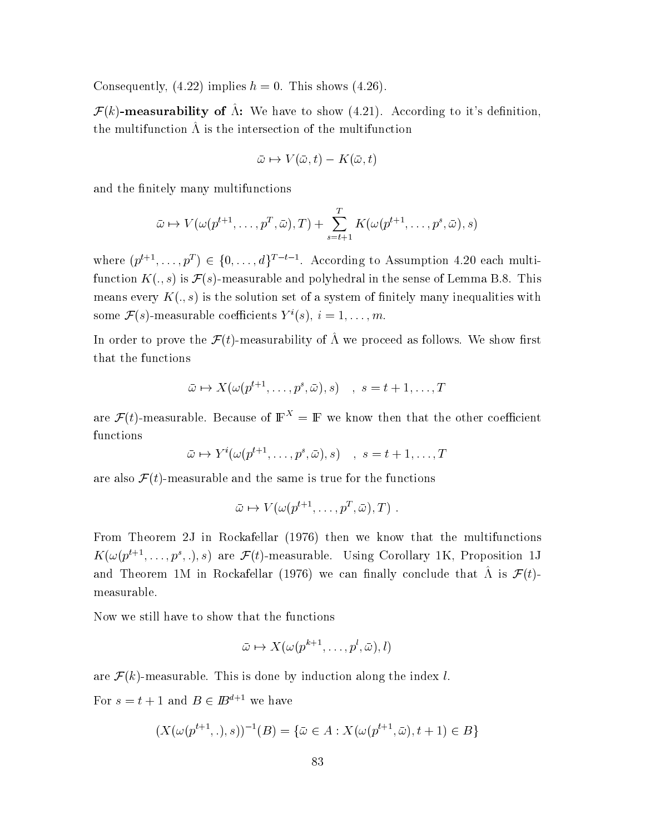Consequently, (4.22) implies  $h = 0$ . This shows (4.26).

 $\mathcal{F}(k)$ -measurability of  $\hat{\Lambda}$ : We have to show (4.21). According to it's definition, the multifunction  $\Lambda$  is the intersection of the multifunction

$$
\bar{\omega} \mapsto V(\bar{\omega}, t) - K(\bar{\omega}, t)
$$

and the finitely many multifunctions

$$
\bar{\omega} \mapsto V(\omega(p^{t+1}, \dots, p^T, \bar{\omega}), T) + \sum_{s=t+1}^T K(\omega(p^{t+1}, \dots, p^s, \bar{\omega}), s)
$$

where  $(p^{t+1}, \ldots, p^T) \in \{0, \ldots, d\}^{T-t-1}$ . According to Assumption 4.20 each multifunction  $K(., s)$  is  $\mathcal{F}(s)$ -measurable and polyhedral in the sense of Lemma B.8. This means every  $K(., s)$  is the solution set of a system of finitely many inequalities with some  $\mathcal{F}(s)$ -measurable coefficients  $Y^{i}(s), i = 1, ..., m$ .

In order to prove the  $\mathcal{F}(t)$ -measurability of  $\hat{\Lambda}$  we proceed as follows. We show first that the functions

$$
\bar{\omega}\mapsto X(\omega(p^{t+1},\ldots,p^s,\bar{\omega}),s)\quad ,\;s=t+1,\ldots,T
$$

are  $\mathcal{F}(t)$ -measurable. Because of  $\mathbb{F}^X = \mathbb{F}$  we know then that the other coefficient functions

$$
\bar{\omega} \mapsto Y^{i}(\omega(p^{t+1}, \ldots, p^{s}, \bar{\omega}), s) \quad , \ s = t+1, \ldots, T
$$

are also  $\mathcal{F}(t)$ -measurable and the same is true for the functions

$$
\bar{\omega}\mapsto V(\omega(p^{t+1},\ldots,p^T,\bar{\omega}),T)\,\,.
$$

From Theorem 2J in Rockafellar (1976) then we know that the multifunctions  $K(\omega(p^{t+1},\ldots,p^{s},\ldots),s)$  are  $\mathcal{F}(t)$ -measurable. Using Corollary 1K, Proposition 1J and Theorem 1M in Rockafellar (1976) we can finally conclude that  $\hat{\Lambda}$  is  $\mathcal{F}(t)$ measurable.

Now we still have to show that the functions

$$
\bar{\omega}\mapsto X(\omega(p^{k+1},\ldots,p^l,\bar{\omega}),l)
$$

are  $\mathcal{F}(k)$ -measurable. This is done by induction along the index l.

For  $s = t + 1$  and  $B \in \mathbb{B}^{d+1}$  we have

$$
(X(\omega(p^{t+1},\cdot),s))^{-1}(B) = \{\bar{\omega} \in A : X(\omega(p^{t+1},\bar{\omega}),t+1) \in B\}
$$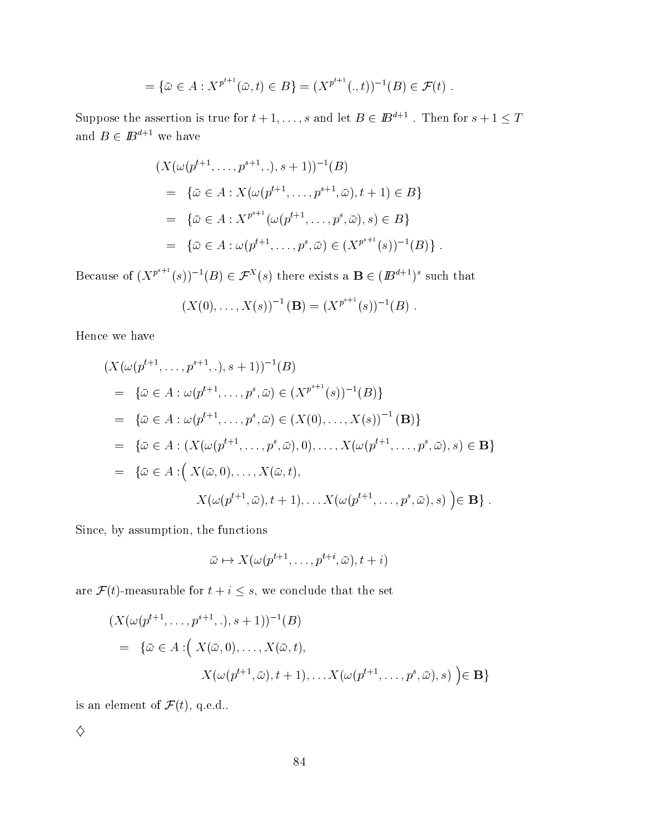$$
= \{\bar{\omega} \in A : X^{p^{t+1}}(\bar{\omega}, t) \in B\} = (X^{p^{t+1}}(., t))^{-1}(B) \in \mathcal{F}(t) .
$$

Suppose the assertion is true for  $t+1,\ldots,s$  and let  $B\in \mathbb{B}^{a+1}$ . Then for  $s+1\leq T$ and  $B \in I\!\!B^{d+1}$  we have

$$
(X(\omega(p^{t+1}, \dots, p^{s+1}, \cdot), s+1))^{-1}(B)
$$
  
= { $\bar{\omega} \in A : X(\omega(p^{t+1}, \dots, p^{s+1}, \bar{\omega}), t+1) \in B$ }  
= { $\bar{\omega} \in A : X^{p^{s+1}}(\omega(p^{t+1}, \dots, p^s, \bar{\omega}), s) \in B$ }  
= { $\bar{\omega} \in A : \omega(p^{t+1}, \dots, p^s, \bar{\omega}) \in (X^{p^{s+1}}(s))^{-1}(B)$ } .

Because of  $(X^{p^{s+1}}(s))^{-1}(B) \in \mathcal{F}^X(s)$  there exists a  $\mathbf{B} \in (B^{d+1})^s$  such that

$$
(X(0),...,X(s))^{-1}(\mathbf{B})=(X^{p^{s+1}}(s))^{-1}(B).
$$

Hence we have

$$
(X(\omega(p^{t+1},...,p^{s+1},.),s+1))^{-1}(B)
$$
  
= { $\bar{\omega}$   $\in$  A :  $\omega(p^{t+1},...,p^{s},\bar{\omega}) \in (X^{p^{s+1}}(s))^{-1}(B)$ }  
= { $\bar{\omega}$   $\in$  A :  $\omega(p^{t+1},...,p^{s},\bar{\omega}) \in (X(0),...,X(s))^{-1}$  **(B)**}  
= { $\bar{\omega}$   $\in$  A :  $(X(\omega(p^{t+1},...,p^{s},\bar{\omega}),0),...,X(\omega(p^{t+1},...,p^{s},\bar{\omega}),s) \in$  **B**}  
= { $\bar{\omega}$   $\in$  A :  $(X(\bar{\omega},0),...,X(\bar{\omega},t),$   
 $X(\omega(p^{t+1},\bar{\omega}),t+1),...,X(\omega(p^{t+1},...,p^{s},\bar{\omega}),s)$  **(B)**.

 $\it Since,$  by assumption, the functions

$$
\bar{\omega} \mapsto X(\omega(p^{t+1}, \dots, p^{t+i}, \bar{\omega}), t+i)
$$

are  $\mathcal{F}(t)$ -measurable for  $t+i\leq s,$  we conclude that the set

$$
(X(\omega(p^{t+1}, \dots, p^{s+1}, \cdot), s+1))^{-1}(B)
$$
  
= { $\bar{\omega} \in A : (X(\bar{\omega}, 0), \dots, X(\bar{\omega}, t),$   
 $X(\omega(p^{t+1}, \bar{\omega}), t+1), \dots X(\omega(p^{t+1}, \dots, p^s, \bar{\omega}), s) \in \mathbf{B}$ }

is an element of  $\mathcal{F}(t),$  q.e.d..

 $\Diamond$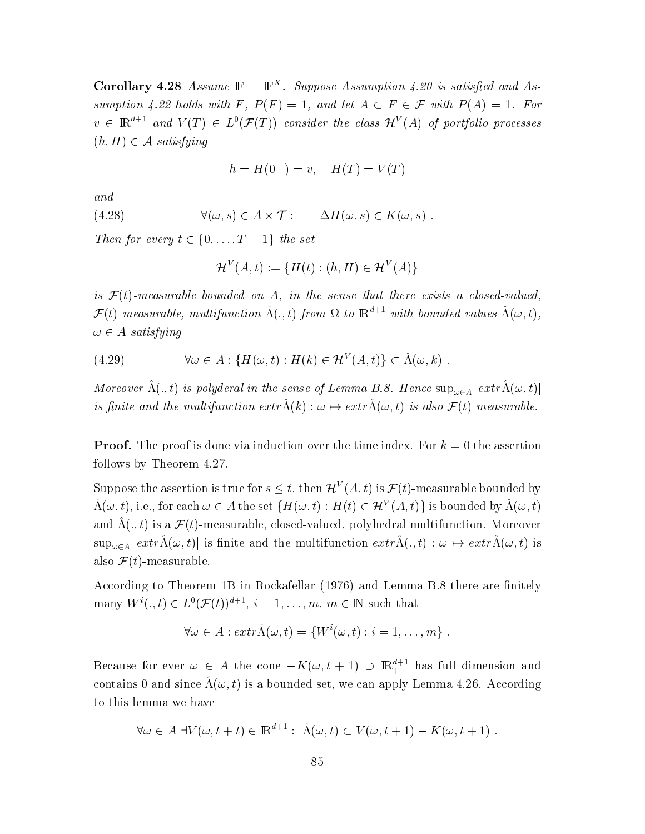**Corollary 4.28** Assume  $\mathbb{F} = \mathbb{F}^{X}$ . Suppose Assumption 4.20 is satisfied and Assumption 4.22 holds with F,  $P(F) = 1$ , and let  $A \subset F \in \mathcal{F}$  with  $P(A) = 1$ . For  $v \in \mathbb{R}^{d+1}$  and  $V(T) \in L^0(\mathcal{F}(T))$  consider the class  $\mathcal{H}^V(A)$  of portfolio processes  $(h, H) \in \mathcal{A}$  satisfying

$$
h = H(0-) = v, \quad H(T) = V(T)
$$

 $and$ 

(4.28) 
$$
\forall (\omega, s) \in A \times T: -\Delta H(\omega, s) \in K(\omega, s)
$$

Then for every  $t \in \{0, \ldots, T-1\}$  the set

$$
\mathcal{H}^V(A,t) := \{ H(t) : (h, H) \in \mathcal{H}^V(A) \}
$$

is  $\mathcal{F}(t)$ -measurable bounded on A, in the sense that there exists a closed-valued,  $\mathcal{F}(t)$ -measurable, multifunction  $\hat{\Lambda}(.t)$  from  $\Omega$  to  $\mathbb{R}^{d+1}$  with bounded values  $\hat{\Lambda}(\omega,t)$ ,  $\omega \in A$  satisfying

$$
(4.29) \qquad \forall \omega \in A : \{H(\omega, t) : H(k) \in \mathcal{H}^V(A, t)\} \subset \hat{\Lambda}(\omega, k) .
$$

Moreover  $\hat{\Lambda}(.,t)$  is polyderal in the sense of Lemma B.8. Hence  $\sup_{\omega \in A} |extr\hat{\Lambda}(\omega,t)|$ is finite and the multifunction  $extr\hat{\Lambda}(k): \omega \mapsto extr\hat{\Lambda}(\omega, t)$  is also  $\mathcal{F}(t)$ -measurable.

**Proof.** The proof is done via induction over the time index. For  $k = 0$  the assertion follows by Theorem 4.27.

Suppose the assertion is true for  $s \leq t$ , then  $\mathcal{H}^V(A, t)$  is  $\mathcal{F}(t)$ -measurable bounded by  $\hat{\Lambda}(\omega, t)$ , i.e., for each  $\omega \in A$  the set  $\{H(\omega, t): H(t) \in \mathcal{H}^V(A, t)\}$  is bounded by  $\hat{\Lambda}(\omega, t)$ and  $\hat{\Lambda}(. , t)$  is a  $\mathcal{F}(t)$ -measurable, closed-valued, polyhedral multifunction. Moreover  $\sup_{\omega \in A} |extr\hat{\Lambda}(\omega, t)|$  is finite and the multifunction  $extr\hat{\Lambda}(., t) : \omega \mapsto extr\hat{\Lambda}(\omega, t)$  is also  $\mathcal{F}(t)$ -measurable.

According to Theorem 1B in Rockafellar (1976) and Lemma B.8 there are finitely many  $W^i(.,t) \in L^0(\mathcal{F}(t))^{d+1}, i = 1, \ldots, m, m \in \mathbb{N}$  such that

$$
\forall \omega \in A : \text{extr}\Lambda(\omega, t) = \{W^i(\omega, t) : i = 1, \ldots, m\} .
$$

Because for ever  $\omega \in A$  the cone  $-K(\omega, t+1) \supset \mathbb{R}^{d+1}$  has full dimension and contains 0 and since  $\hat{\Lambda}(\omega, t)$  is a bounded set, we can apply Lemma 4.26. According to this lemma we have

$$
\forall \omega \in A \; \exists V(\omega, t+t) \in \mathbb{R}^{d+1} : \; \hat{\Lambda}(\omega, t) \subset V(\omega, t+1) - K(\omega, t+1)
$$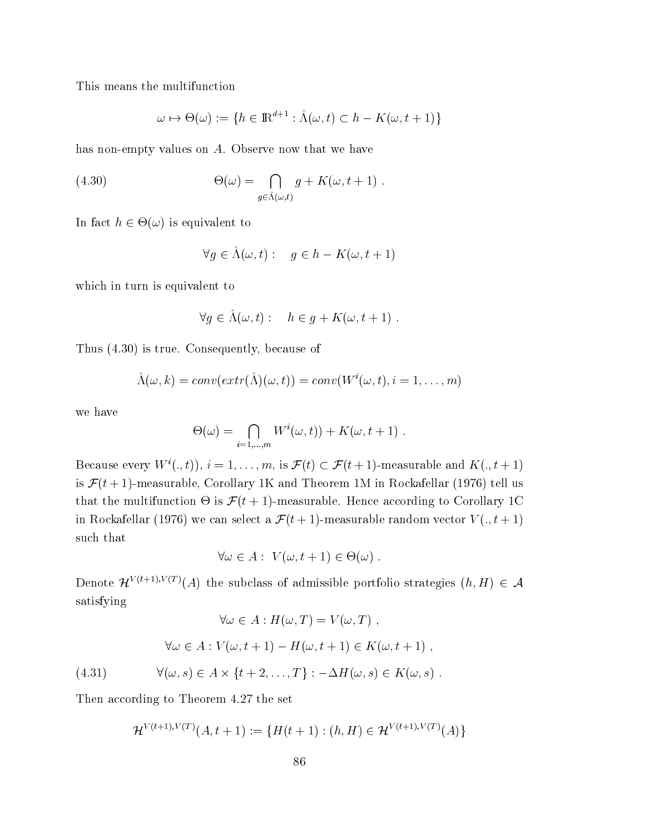This means the multifunction

$$
\omega \mapsto \Theta(\omega) := \{ h \in \mathbb{R}^{d+1} : \hat{\Lambda}(\omega, t) \subset h - K(\omega, t+1) \}
$$

has non-empty values on  $A$ . Observe now that we have

(4.30) 
$$
\Theta(\omega) = \bigcap_{g \in \hat{\Lambda}(\omega, t)} g + K(\omega, t+1) .
$$

In fact  $h \in \Theta(\omega)$  is equivalent to

$$
\forall g \in \Lambda(\omega, t): \quad g \in h - K(\omega, t + 1)
$$

which in turn is equivalent to

$$
\forall g \in \hat{\Lambda}(\omega, t): \quad h \in g + K(\omega, t + 1) .
$$

Thus  $(4.30)$  is true. Consequently, because of

$$
\hat{\Lambda}(\omega, k) = conv(extr(\hat{\Lambda})(\omega, t)) = conv(W^{i}(\omega, t), i = 1, ..., m)
$$

we have

$$
\Theta(\omega) = \bigcap_{i=1,\dots,m} W^i(\omega, t) + K(\omega, t+1) .
$$

Because every  $W^i(.,t)$ ,  $i=1,\ldots,m$ , is  $\mathcal{F}(t) \subset \mathcal{F}(t+1)$ -measurable and  $K(.,t+1)$ is  $\mathcal{F}(t+1)$ -measurable, Corollary 1K and Theorem 1M in Rockafellar (1976) tell us that the multifunction  $\Theta$  is  $\mathcal{F}(t+1)$ -measurable. Hence according to Corollary 1C in Rockafellar (1976) we can select a  $\mathcal{F}(t+1)$ -measurable random vector  $V(., t+1)$ such that

$$
\forall \omega \in A: V(\omega, t+1) \in \Theta(\omega) .
$$

Denote  $\mathcal{H}^{V(t+1),V(T)}(A)$  the subclass of admissible portfolio strategies  $(h,H) \in \mathcal{A}$ satisfying

$$
\forall \omega \in A : H(\omega, T) = V(\omega, T) ,
$$

$$
\forall \omega \in A : V(\omega, t+1) - H(\omega, t+1) \in K(\omega, t+1) ,
$$

 $\forall (\omega, s) \in A \times \{t + 2, \ldots, T\} : -\Delta H(\omega, s) \in K(\omega, s)$ .  $(4.31)$ 

Then according to Theorem 4.27 the set

$$
\mathcal{H}^{V(t+1),V(T)}(A,t+1) := \{ H(t+1) : (h,H) \in \mathcal{H}^{V(t+1),V(T)}(A) \}
$$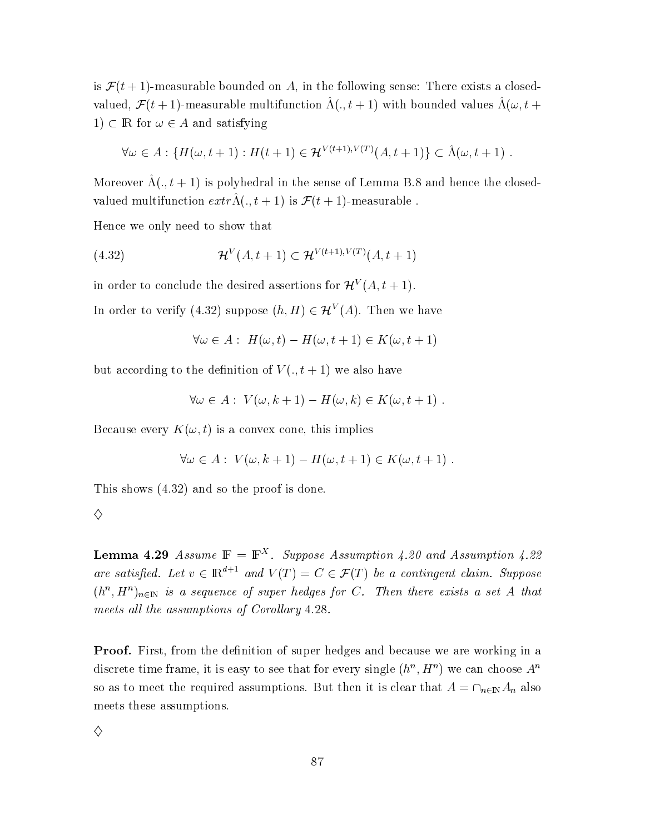is  $\mathcal{F}(t+1)$ -measurable bounded on A, in the following sense: There exists a closedvalued,  $\mathcal{F}(t+1)$ -measurable multifunction  $\hat{\Lambda}(\cdot, t+1)$  with bounded values  $\hat{\Lambda}(\omega, t+1)$ 1)  $\subset \mathbb{R}$  for  $\omega \in A$  and satisfying

$$
\forall \omega \in A : \{ H(\omega, t+1) : H(t+1) \in \mathcal{H}^{V(t+1), V(T)}(A, t+1) \} \subset \hat{\Lambda}(\omega, t+1) .
$$

Moreover  $\hat{\Lambda}(.,t+1)$  is polyhedral in the sense of Lemma B.8 and hence the closedvalued multifunction  $ext{r\hat{\Lambda}}(.,t+1)$  is  $\mathcal{F}(t+1)$ -measurable.

Hence we only need to show that

(4.32) 
$$
\mathcal{H}^{V}(A, t+1) \subset \mathcal{H}^{V(t+1), V(T)}(A, t+1)
$$

in order to conclude the desired assertions for  $\mathcal{H}^V(A, t+1)$ .

In order to verify (4.32) suppose  $(h, H) \in \mathcal{H}^V(A)$ . Then we have

$$
\forall \omega \in A: H(\omega, t) - H(\omega, t+1) \in K(\omega, t+1)
$$

but according to the definition of  $V(.,t+1)$  we also have

$$
\forall \omega \in A: \ V(\omega, k+1) - H(\omega, k) \in K(\omega, t+1)
$$

Because every  $K(\omega, t)$  is a convex cone, this implies

$$
\forall \omega \in A: V(\omega, k+1) - H(\omega, t+1) \in K(\omega, t+1) .
$$

This shows  $(4.32)$  and so the proof is done.

| ٥<br>I<br>i<br>ï<br>I<br>٠ |  |
|----------------------------|--|
| 2<br>٦<br>I<br>i           |  |
| I<br>I                     |  |

**Lemma 4.29** Assume  $\mathbb{F} = \mathbb{F}^{X}$ . Suppose Assumption 4.20 and Assumption 4.22 are satisfied. Let  $v \in \mathbb{R}^{d+1}$  and  $V(T) = C \in \mathcal{F}(T)$  be a contingent claim. Suppose  $(h^n, H^n)_{n \in \mathbb{N}}$  is a sequence of super hedges for C. Then there exists a set A that meets all the assumptions of Corollary 4.28.

**Proof.** First, from the definition of super hedges and because we are working in a discrete time frame, it is easy to see that for every single  $(h^n, H^n)$  we can choose  $A^n$ so as to meet the required assumptions. But then it is clear that  $A = \cap_{n \in \mathbb{N}} A_n$  also meets these assumptions.

♦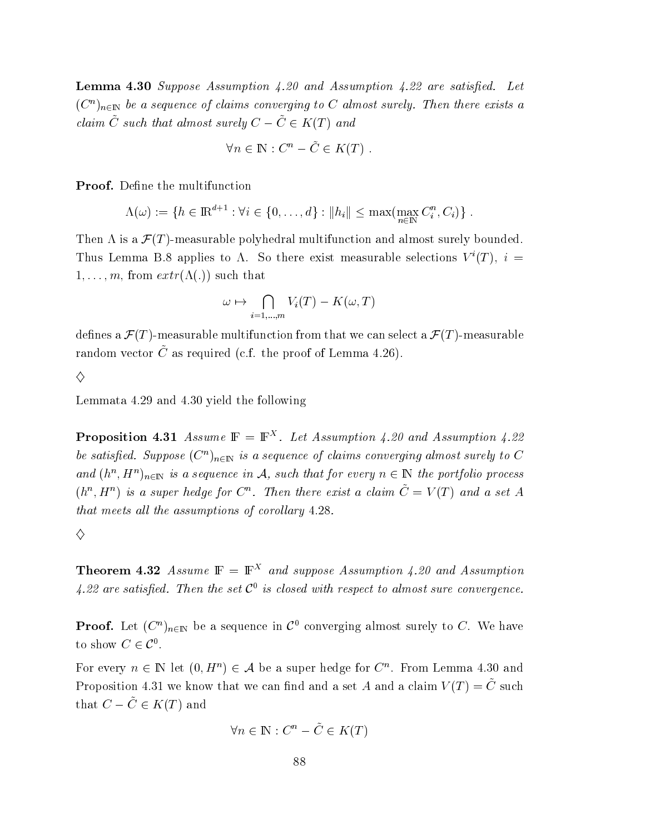**Lemma 4.30** Suppose Assumption 4.20 and Assumption 4.22 are satisfied. Let  $(C^n)_{n\in\mathbb{N}}$  be a sequence of claims converging to C almost surely. Then there exists a claim  $\tilde{C}$  such that almost surely  $C - \tilde{C} \in K(T)$  and

$$
\forall n \in \mathbb{N} : C^n - \tilde{C} \in K(T)
$$

**Proof.** Define the multifunction

$$
\Lambda(\omega) := \{ h \in \mathbb{R}^{d+1} : \forall i \in \{0, ..., d\} : ||h_i|| \le \max(\max_{n \in \mathbb{N}} C_i^n, C_i) \} .
$$

Then  $\Lambda$  is a  $\mathcal{F}(T)$ -measurable polyhedral multifunction and almost surely bounded. Thus Lemma B.8 applies to  $\Lambda$ . So there exist measurable selections  $V^{i}(T)$ ,  $i =$  $1, \ldots, m$ , from  $extr(\Lambda(.))$  such that

$$
\omega \mapsto \bigcap_{i=1,\dots,m} V_i(T) - K(\omega, T)
$$

defines a  $\mathcal{F}(T)$ -measurable multifunction from that we can select a  $\mathcal{F}(T)$ -measurable random vector  $\tilde{C}$  as required (c.f. the proof of Lemma 4.26).

$$
\Diamond
$$

Lemmata 4.29 and 4.30 yield the following

**Proposition 4.31** Assume  $\mathbb{F} = \mathbb{F}^{X}$ . Let Assumption 4.20 and Assumption 4.22 be satisfied. Suppose  $(C^n)_{n\in\mathbb{N}}$  is a sequence of claims converging almost surely to C and  $(h^n, H^n)_{n \in \mathbb{N}}$  is a sequence in A, such that for every  $n \in \mathbb{N}$  the portfolio process  $(h^n, H^n)$  is a super hedge for  $C^n$ . Then there exist a claim  $\tilde{C} = V(T)$  and a set A that meets all the assumptions of corollary 4.28.

### ♦

**Theorem 4.32** Assume  $\mathbb{F} = \mathbb{F}^{X}$  and suppose Assumption 4.20 and Assumption 4.22 are satisfied. Then the set  $C^0$  is closed with respect to almost sure convergence.

**Proof.** Let  $(C^n)_{n\in\mathbb{N}}$  be a sequence in  $\mathcal{C}^0$  converging almost surely to C. We have to show  $C \in \mathcal{C}^0$ .

For every  $n \in \mathbb{N}$  let  $(0, H^n) \in \mathcal{A}$  be a super hedge for  $C^n$ . From Lemma 4.30 and Proposition 4.31 we know that we can find and a set A and a claim  $V(T) = \tilde{C}$  such that  $C - \tilde{C} \in K(T)$  and

$$
\forall n \in \mathbb{N} : C^n - \tilde{C} \in K(T)
$$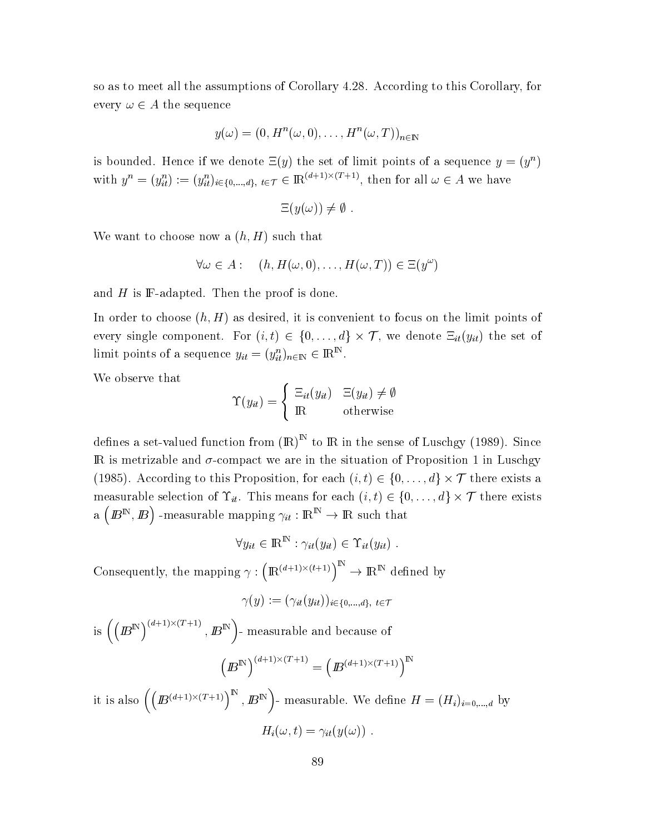so as to meet all the assumptions of Corollary 4.28. According to this Corollary, for every  $\omega \in A$  the sequence

$$
y(\omega) = (0, H^n(\omega, 0), \dots, H^n(\omega, T))_{n \in \mathbb{N}}
$$

is bounded. Hence if we denote  $\Xi(y)$  the set of limit points of a sequence  $y = (y^n)$ with  $y^n = (y_{it}^n) := (y_{it}^n)_{i \in \{0, ..., d\}, t \in \mathcal{T}} \in \mathbb{R}^{(d+1) \times (T+1)}$ , then for all  $\omega \in A$  we have

$$
\Xi(y(\omega)) \neq \emptyset
$$

We want to choose now a  $(h, H)$  such that

$$
\forall \omega \in A: \quad (h, H(\omega, 0), \dots, H(\omega, T)) \in \Xi(y^{\omega})
$$

and  $H$  is  $\mathbb F$ -adapted. Then the proof is done.

In order to choose  $(h, H)$  as desired, it is convenient to focus on the limit points of every single component. For  $(i, t) \in \{0, ..., d\} \times \mathcal{T}$ , we denote  $\Xi_{it}(y_{it})$  the set of limit points of a sequence  $y_{it} = (y_{it}^n)_{n \in \mathbb{N}} \in \mathbb{R}^{\mathbb{N}}$ .

We observe that

$$
\Upsilon(y_{it}) = \begin{cases} \Xi_{it}(y_{it}) & \Xi(y_{it}) \neq \emptyset \\ \mathbb{R} & \text{otherwise} \end{cases}
$$

defines a set-valued function from  $(R)^N$  to R in the sense of Luschgy (1989). Since  $\mathbb R$  is metrizable and  $\sigma$ -compact we are in the situation of Proposition 1 in Luschgy (1985). According to this Proposition, for each  $(i, t) \in \{0, ..., d\} \times \mathcal{T}$  there exists a measurable selection of  $\Upsilon_{it}$ . This means for each  $(i, t) \in \{0, ..., d\} \times \mathcal{T}$  there exists a  $(B^{\mathbb{N}}, B)$  -measurable mapping  $\gamma_{it} : \mathbb{R}^{\mathbb{N}} \to \mathbb{R}$  such that

$$
\forall y_{it} \in \mathbb{R}^{\mathbb{N}} : \gamma_{it}(y_{it}) \in \Upsilon_{it}(y_{it}) .
$$

Consequently, the mapping  $\gamma:\left(\mathbbm{R}^{(d+1)\times(t+1)}\right)^{\mathbbm{N}}\to\mathbbm{R}^{\mathbbm{N}}$  defined by

$$
\gamma(y):=(\gamma_{it}(y_{it}))_{i\in\{0,\dots,d\},\,\,t\in\mathcal{T}}
$$

is  $\left(\left(\boldsymbol{E}^{\mathbb{N}}\right)^{(d+1)\times (T+1)}, \boldsymbol{E}^{\mathbb{N}}\right)$  - measurable and because of  $\left( B^{\mathbb{N}} \right)^{(d+1) \times (T+1)} = \left( B^{(d+1) \times (T+1)} \right)^{\mathbb{N}}$ 

it is also  $((E^{(d+1)\times(T+1)})^{\mathbb{N}}, E^{\mathbb{N}})$ - measurable. We define  $H = (H_i)_{i=0,\dots,d}$  by  $H_i(\omega, t) = \gamma_{it}(y(\omega))$ .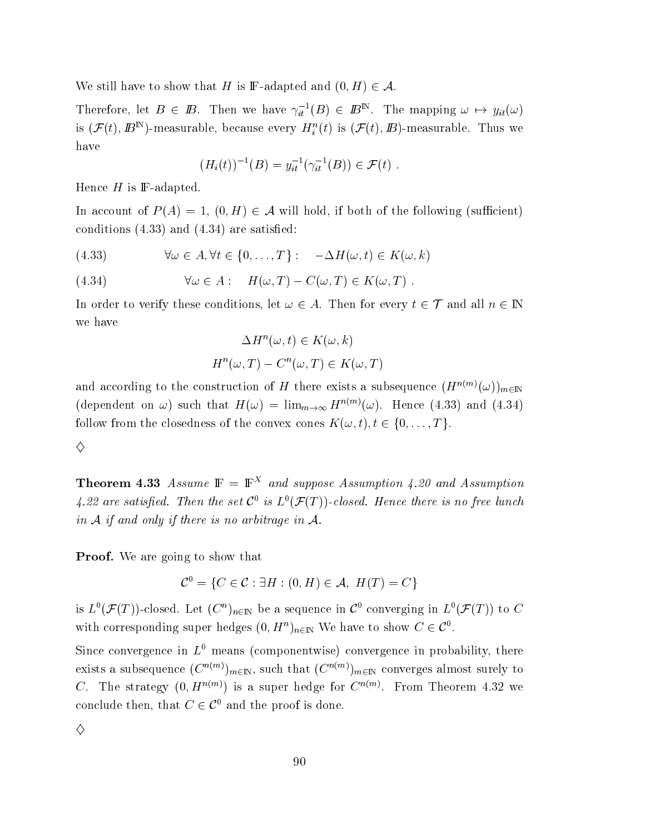We still have to show that H is F-adapted and  $(0, H) \in \mathcal{A}$ .

Therefore, let  $B \in \mathbb{B}$ . Then we have  $\gamma_{it}^{-1}(B) \in \mathbb{B}^{\mathbb{N}}$ . The mapping  $\omega \mapsto y_{it}(\omega)$ is  $(\mathcal{F}(t),\bm{\mathit{B}}^{\text{IN}})$ -measurable, because every  $H^n_i(t)$  is  $(\mathcal{F}(t),\bm{\mathit{B}})$ -measurable. Thus we have

$$
(H_i(t))^{-1}(B) = y_{it}^{-1}(\gamma_{it}^{-1}(B)) \in \mathcal{F}(t) .
$$

Hence  $H$  is  $\mathbb F\text{-adapted}.$ 

In account of  $P(A) = 1, (0, H) \in \mathcal{A}$  will hold, if both of the following (sufficient) conditions  $(4.33)$  and  $(4.34)$  are satisfied:

(4.33) 
$$
\forall \omega \in A, \forall t \in \{0, ..., T\} : -\Delta H(\omega, t) \in K(\omega, k)
$$

(4.34) 
$$
\forall \omega \in A: \quad H(\omega, T) - C(\omega, T) \in K(\omega, T).
$$

In order to verify these conditions, let  $\omega \in A$ . Then for every  $t \in \mathcal{T}$  and all  $n \in \mathbb{N}$ we have

$$
\Delta H^n(\omega, t) \in K(\omega, k)
$$

$$
H^n(\omega, T) - C^n(\omega, T) \in K(\omega, T)
$$

and according to the construction of  $H$  there exists a subsequence  $(H^{n(m)}(\omega))_{m\in\mathbb{Z}}$ (dependent on  $\omega$ ) such that  $H(\omega) = \lim_{m\to\infty} H^{n(m)}(\omega)$ . Hence (4.33) and (4.34) follow from the closedness of the convex cones  $K(\omega,t), t\in\{0,\ldots,T\}.$ 

♦

**Theorem 4.33** Assume  $\mathbb{F} = \mathbb{F}^{\lambda}$  and suppose Assumption 4.20 and Assumption 4.22 are satisfied. Then the set  $\mathcal{C}^0$  is  $L^0(\mathcal{F}(T))$ -closed. Hence there is no free lunch - - -  - -

**Proof.** We are going to show that

$$
\mathcal{C}^0 = \{ C \in \mathcal{C} : \exists H : (0, H) \in \mathcal{A}, H(T) = C \}
$$

is  $L^0(\mathcal{F}(T))$ -closed. Let  $(C^n)_{n\in\mathbb{N}}$  be a sequence in  $\mathcal{C}^0$  converging in  $L^0(\mathcal{F}(T))$  to  $C$ with corresponding super hedges  $(0, H^n)_{n \in \mathbb{N}}$  We have to show  $C \in \mathcal{C}^0$ .  $\bullet$  . The contract of  $\bullet$ 

Since convergence in  $L^0$  means (componentwise) convergence in probability, there exists a subsequence  $(C^{n(m)})_{m\in\mathbb{N}},$  such that  $(C^{n(m)})_{m\in\mathbb{N}}$  converges almost surely to C. The strategy  $(0, H^{n(m)})$  is a super hedge for  $C^{n(m)}$ . From Theorem 4.32 we conclude then, that  $C \in \mathcal{C}^0$  and the proof is done  $\bullet$  . The contract of  $\bullet$ 

♦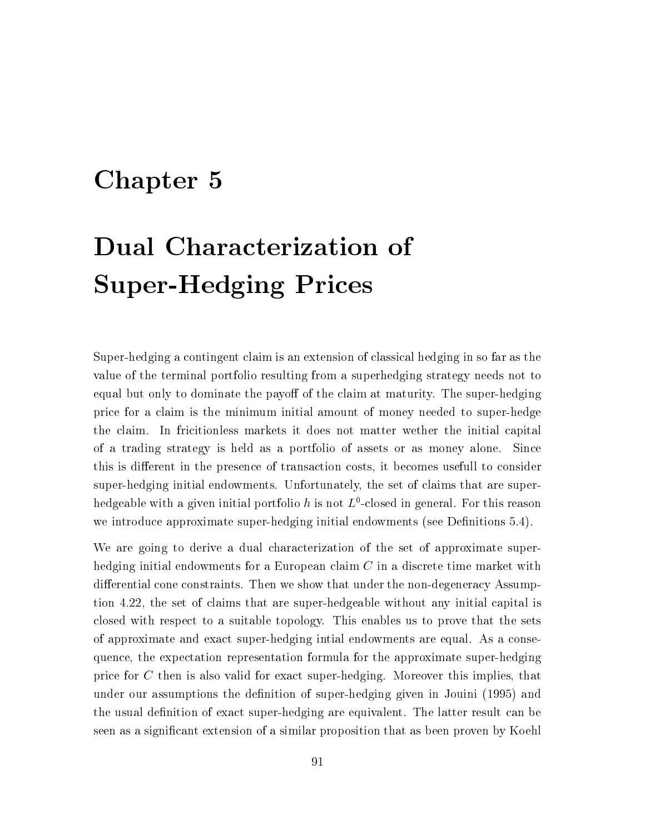# Chapter 5

# Dual Characterization of **Super-Hedging Prices**

Super-hedging a contingent claim is an extension of classical hedging in so far as the value of the terminal portfolio resulting from a superhedging strategy needs not to equal but only to dominate the payoff of the claim at maturity. The super-hedging price for a claim is the minimum initial amount of money needed to super-hedge the claim. In fricitionless markets it does not matter wether the initial capital of a trading strategy is held as a portfolio of assets or as money alone. Since this is different in the presence of transaction costs, it becomes usefull to consider super-hedging initial endowments. Unfortunately, the set of claims that are superhedgeable with a given initial portfolio h is not  $L^0$ -closed in general. For this reason we introduce approximate super-hedging initial endowments (see Definitions 5.4).

We are going to derive a dual characterization of the set of approximate superhedging initial endowments for a European claim  $C$  in a discrete time market with differential cone constraints. Then we show that under the non-degeneracy Assumption 4.22, the set of claims that are super-hedgeable without any initial capital is closed with respect to a suitable topology. This enables us to prove that the sets of approximate and exact super-hedging initial endowments are equal. As a consequence, the expectation representation formula for the approximate super-hedging price for  $C$  then is also valid for exact super-hedging. Moreover this implies, that under our assumptions the definition of super-hedging given in Jouini (1995) and the usual definition of exact super-hedging are equivalent. The latter result can be seen as a significant extension of a similar proposition that as been proven by Koehl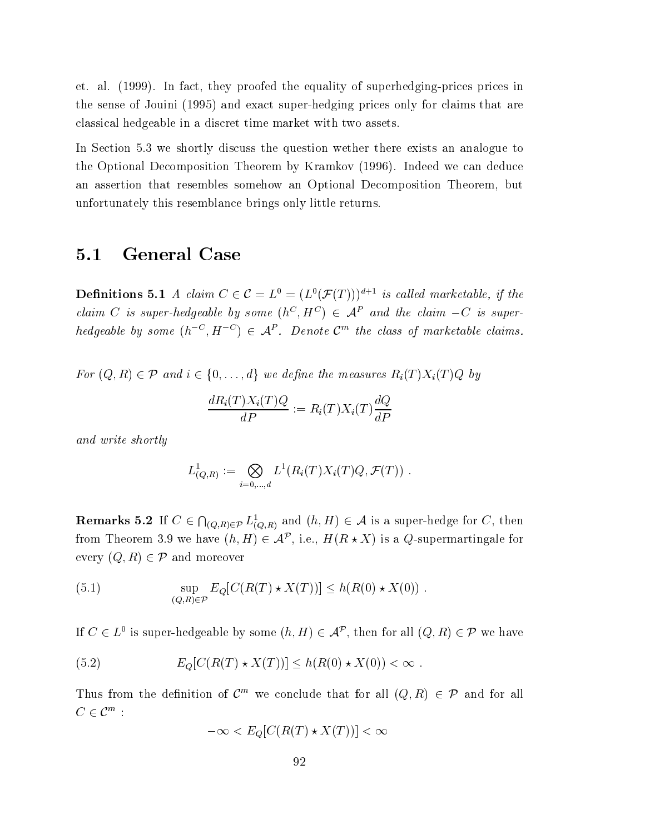et. al. (1999). In fact, they proofed the equality of superhedging-prices prices in the sense of Jouini (1995) and exact super-hedging prices only for claims that are classical hedgeable in a discret time market with two assets.

In Section 5.3 we shortly discuss the question wether there exists an analogue to the Optional Decomposition Theorem by Kramkov (1996). Indeed we can deduce an assertion that resembles somehow an Optional Decomposition Theorem, but unfortunately this resemblance brings only little returns.

#### $5.1$ **General Case**

**Definitions 5.1** A claim  $C \in \mathcal{C} = L^0 = (L^0(\mathcal{F}(T)))^{d+1}$  is called marketable, if the claim C is super-hedgeable by some  $(h^C, H^C) \in A^P$  and the claim  $-C$  is superhedgeable by some  $(h^{-C}, H^{-C}) \in \mathcal{A}^P$ . Denote  $\mathcal{C}^m$  the class of marketable claims.

For  $(Q, R) \in \mathcal{P}$  and  $i \in \{0, ..., d\}$  we define the measures  $R_i(T)X_i(T)Q$  by

$$
\frac{dR_i(T)X_i(T)Q}{dP} := R_i(T)X_i(T)\frac{dQ}{dP}
$$

and write shortly

$$
L^1_{(Q,R)} := \bigotimes_{i=0,\dots,d} L^1(R_i(T)X_i(T)Q, \mathcal{F}(T)) \ .
$$

**Remarks 5.2** If  $C \in \bigcap_{(Q,R)\in\mathcal{P}} L^1_{(Q,R)}$  and  $(h,H) \in \mathcal{A}$  is a super-hedge for C, then from Theorem 3.9 we have  $(h, H) \in \mathcal{A}^{\mathcal{P}}$ , i.e.,  $H(R \star X)$  is a Q-supermartingale for every  $(Q, R) \in \mathcal{P}$  and moreover

(5.1) 
$$
\sup_{(Q,R)\in\mathcal{P}} E_Q[C(R(T)\star X(T))] \le h(R(0)\star X(0))
$$

If  $C \in L^0$  is super-hedgeable by some  $(h, H) \in \mathcal{A}^p$ , then for all  $(Q, R) \in \mathcal{P}$  we have

(5.2) 
$$
E_Q[C(R(T) * X(T))] \le h(R(0) * X(0)) < \infty.
$$

Thus from the definition of  $\mathcal{C}^m$  we conclude that for all  $(Q, R) \in \mathcal{P}$  and for all  $C\in\mathcal{C}^m$ :

$$
-\infty < E_Q[C(R(T) \star X(T))] < \infty
$$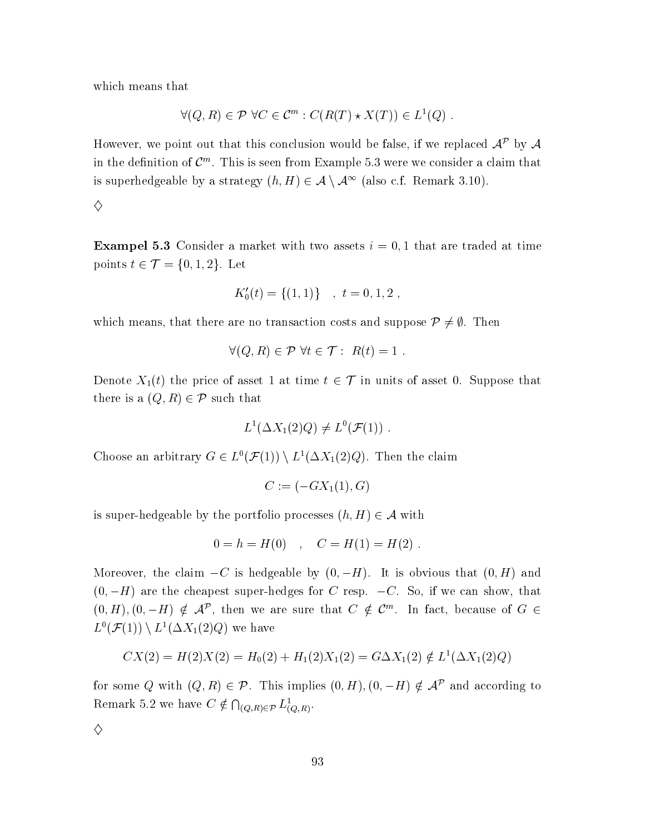which means that

$$
\forall (Q, R) \in \mathcal{P} \,\forall C \in \mathcal{C}^m : C(R(T) \star X(T)) \in L^1(Q) .
$$

However, we point out that this conclusion would be false, if we replaced  $A^{\mathcal{P}}$  by A in the definition of  $\mathcal{C}^m$ . This is seen from Example 5.3 were we consider a claim that is superhedgeable by a strategy  $(h, H) \in \mathcal{A} \setminus \mathcal{A}^{\infty}$  (also c.f. Remark 3.10).

 $\diamondsuit$ 

**Exampel 5.3** Consider a market with two assets  $i = 0, 1$  that are traded at time points  $t \in \mathcal{T} = \{0, 1, 2\}$ . Let

$$
K_0'(t) = \{(1,1)\} \quad , \ t = 0, 1, 2 \ ,
$$

which means, that there are no transaction costs and suppose  $\mathcal{P} \neq \emptyset$ . Then

$$
\forall (Q, R) \in \mathcal{P} \,\forall t \in \mathcal{T} : R(t) = 1 .
$$

Denote  $X_1(t)$  the price of asset 1 at time  $t \in \mathcal{T}$  in units of asset 0. Suppose that there is a  $(Q, R) \in \mathcal{P}$  such that

$$
L^1(\Delta X_1(2)Q) \neq L^0(\mathcal{F}(1))
$$

Choose an arbitrary  $G \in L^0(\mathcal{F}(1)) \setminus L^1(\Delta X_1(2)Q)$ . Then the claim

$$
C := (-GX_1(1), G)
$$

is super-hedgeable by the portfolio processes  $(h, H) \in \mathcal{A}$  with

$$
0 = h = H(0) \quad , \quad C = H(1) = H(2)
$$

Moreover, the claim  $-C$  is hedgeable by  $(0, -H)$ . It is obvious that  $(0, H)$  and  $(0, -H)$  are the cheapest super-hedges for C resp.  $-C$ . So, if we can show, that  $(0, H), (0, -H) \notin \mathcal{A}^{\mathcal{P}}$ , then we are sure that  $C \notin \mathcal{C}^m$ . In fact, because of  $G \in$  $L^0(\mathcal{F}(1)) \setminus L^1(\Delta X_1(2)Q)$  we have

$$
CX(2) = H(2)X(2) = H_0(2) + H_1(2)X_1(2) = G\Delta X_1(2) \notin L^1(\Delta X_1(2)Q)
$$

for some Q with  $(Q, R) \in \mathcal{P}$ . This implies  $(0, H), (0, -H) \notin \mathcal{A}^{\mathcal{P}}$  and according to Remark 5.2 we have  $C \notin \bigcap_{(Q,R)\in\mathcal{P}} L^1_{(Q,R)}$ .

 $\diamondsuit$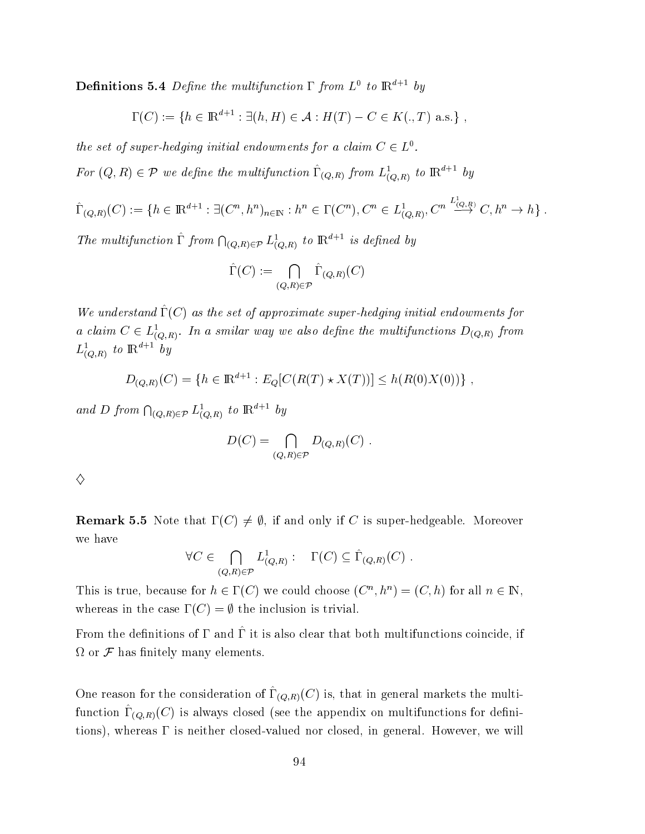**Definitions 5.4** Define the multifunction  $\Gamma$  from  $L^0$  to  $\mathbb{R}^{d+1}$  by

$$
\Gamma(C) := \{ h \in \mathbb{R}^{d+1} : \exists (h, H) \in \mathcal{A} : H(T) - C \in K(., T) \text{ a.s.} \},
$$

the set of super-hedging initial endowments for a claim  $C \in L^0$ .

For  $(Q, R) \in \mathcal{P}$  we define the multifunction  $\hat{\Gamma}_{(Q,R)}$  from  $L^1_{(Q,R)}$  to  $\mathbb{R}^{d+1}$  by

$$
\hat{\Gamma}_{(Q,R)}(C) := \{ h \in \mathbb{R}^{d+1} : \exists (C^n, h^n)_{n \in \mathbb{N}} : h^n \in \Gamma(C^n), C^n \in L^1_{(Q,R)}, C^n \xrightarrow{L^2_{(Q,R)}} C, h^n \to h \} .
$$

The multifunction  $\hat{\Gamma}$  from  $\bigcap_{(Q,R)\in\mathcal{P}} L^1_{(Q,R)}$  to  $\mathbb{R}^{d+1}$  is defined by

$$
\widehat{\Gamma}(C) := \bigcap_{(Q,R)\in\mathcal{P}} \widehat{\Gamma}_{(Q,R)}(C)
$$

We understand  $\hat{\Gamma}(C)$  as the set of approximate super-hedging initial endowments for a claim  $C \in L^1_{(O,R)}$ . In a smilar way we also define the multifunctions  $D_{(Q,R)}$  from  $L^1_{(Q,R)}$  to  $\mathbb{R}^{d+1}$  by

$$
D_{(Q,R)}(C) = \{ h \in \mathbb{R}^{d+1} : E_Q[C(R(T) \star X(T))] \le h(R(0)X(0)) \}
$$

and D from  $\bigcap_{(Q,R)\in\mathcal{P}} L^1_{(Q,R)}$  to  $\mathbb{R}^{d+1}$  by

$$
D(C) = \bigcap_{(Q,R)\in\mathcal{P}} D_{(Q,R)}(C) .
$$

|    | i |
|----|---|
|    |   |
|    |   |
| I  |   |
|    |   |
| S  |   |
|    |   |
|    |   |
|    |   |
|    | ı |
|    |   |
|    | I |
| î, |   |
|    | I |
|    | i |
|    | I |
|    | I |

**Remark 5.5** Note that  $\Gamma(C) \neq \emptyset$ , if and only if C is super-hedgeable. Moreover we have

$$
\forall C \in \bigcap_{(Q,R) \in \mathcal{P}} L^1_{(Q,R)}: \quad \Gamma(C) \subseteq \hat{\Gamma}_{(Q,R)}(C) .
$$

This is true, because for  $h \in \Gamma(C)$  we could choose  $(C^n, h^n) = (C, h)$  for all  $n \in \mathbb{N}$ , whereas in the case  $\Gamma(C) = \emptyset$  the inclusion is trivial.

From the definitions of  $\Gamma$  and  $\hat{\Gamma}$  it is also clear that both multifunctions coincide, if  $\Omega$  or  $\mathcal F$  has finitely many elements.

One reason for the consideration of  $\hat{\Gamma}_{(Q,R)}(C)$  is, that in general markets the multifunction  $\hat{\Gamma}_{(Q,R)}(C)$  is always closed (see the appendix on multifunctions for definitions), whereas  $\Gamma$  is neither closed-valued nor closed, in general. However, we will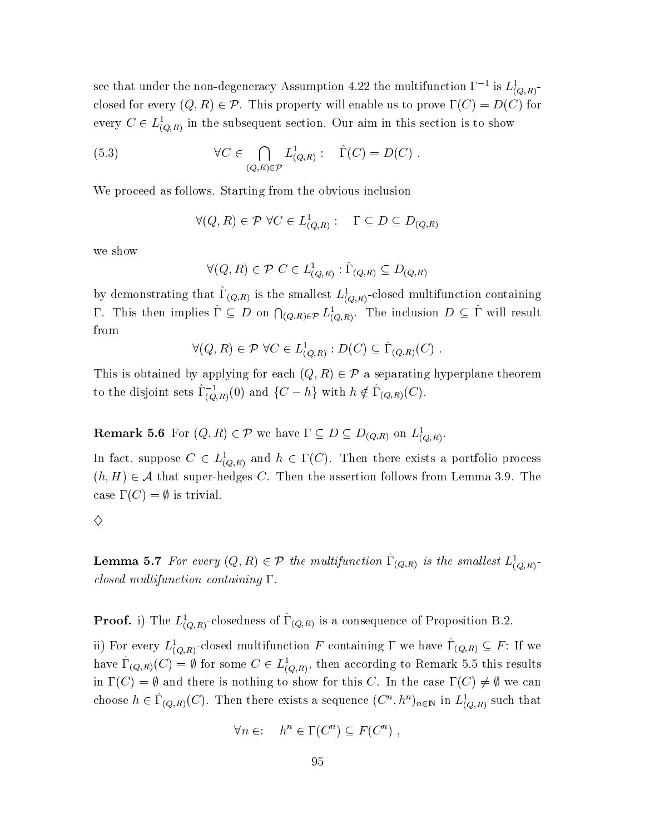see that under the non-degeneracy Assumption 4.22 the multifunction  $\Gamma^{-1}$  is  $L^1_{(Q,R)}$ closed for every  $(Q, R) \in \mathcal{P}$ . This property will enable us to prove  $\Gamma(C) = D(C)$  for every  $C \in L^1_{(Q,R)}$  in the subsequent section. Our aim in this section is to show

(5.3) 
$$
\forall C \in \bigcap_{(Q,R) \in \mathcal{P}} L^1_{(Q,R)}: \quad \hat{\Gamma}(C) = D(C) .
$$

We proceed as follows. Starting from the obvious inclusion

$$
\forall (Q, R) \in \mathcal{P} \ \forall C \in L^1_{(Q, R)}: \quad \Gamma \subseteq D \subseteq D_{(Q, R)}
$$

we show

$$
\forall (Q, R) \in \mathcal{P} \ C \in L^1_{(Q,R)} : \hat{\Gamma}_{(Q,R)} \subseteq D_{(Q,R)}
$$

by demonstrating that  $\hat{\Gamma}_{(Q,R)}$  is the smallest  $L^1_{(Q,R)}$ -closed multifunction containing  $\Gamma$ . This then implies  $\hat{\Gamma} \subseteq D$  on  $\bigcap_{(Q,R)\in\mathcal{P}} L^1_{(Q,R)}$ . The inclusion  $D \subseteq \hat{\Gamma}$  will result from

$$
\forall (Q, R) \in \mathcal{P} \,\,\forall C \in L^1_{(Q,R)} : D(C) \subseteq \Gamma_{(Q,R)}(C)
$$

This is obtained by applying for each  $(Q, R) \in \mathcal{P}$  a separating hyperplane theorem to the disjoint sets  $\hat{\Gamma}_{(Q,R)}^{-1}(0)$  and  $\{C-h\}$  with  $h \notin \hat{\Gamma}_{(Q,R)}(C)$ .

## **Remark 5.6** For  $(Q, R) \in \mathcal{P}$  we have  $\Gamma \subseteq D \subseteq D_{(Q,R)}$  on  $L^1_{(Q,R)}$ .

In fact, suppose  $C \in L^1_{(Q,R)}$  and  $h \in \Gamma(C)$ . Then there exists a portfolio process  $(h, H) \in \mathcal{A}$  that super-hedges C. Then the assertion follows from Lemma 3.9. The case  $\Gamma(C) = \emptyset$  is trivial.

 $\diamond$ 

**Lemma 5.7** For every  $(Q, R) \in \mathcal{P}$  the multifunction  $\hat{\Gamma}_{(Q,R)}$  is the smallest  $L^1_{(Q,R)}$ . closed multifunction containing  $\Gamma$ .

**Proof.** i) The  $L^1_{(Q,R)}$ -closedness of  $\hat{\Gamma}_{(Q,R)}$  is a consequence of Proposition B.2.

ii) For every  $L^1_{(Q,R)}$ -closed multifunction F containing  $\Gamma$  we have  $\hat{\Gamma}_{(Q,R)} \subseteq F$ : If we have  $\Gamma_{(Q,R)}(C) = \emptyset$  for some  $C \in L^1_{(Q,R)}$ , then according to Remark 5.5 this results in  $\Gamma(C) = \emptyset$  and there is nothing to show for this C. In the case  $\Gamma(C) \neq \emptyset$  we can choose  $h \in \hat{\Gamma}_{(Q,R)}(C)$ . Then there exists a sequence  $(C^n, h^n)_{n \in \mathbb{N}}$  in  $L^1_{(Q,R)}$  such that

$$
\forall n \in \mathbb{N} \quad h^n \in \Gamma(C^n) \subseteq F(C^n) \ ,
$$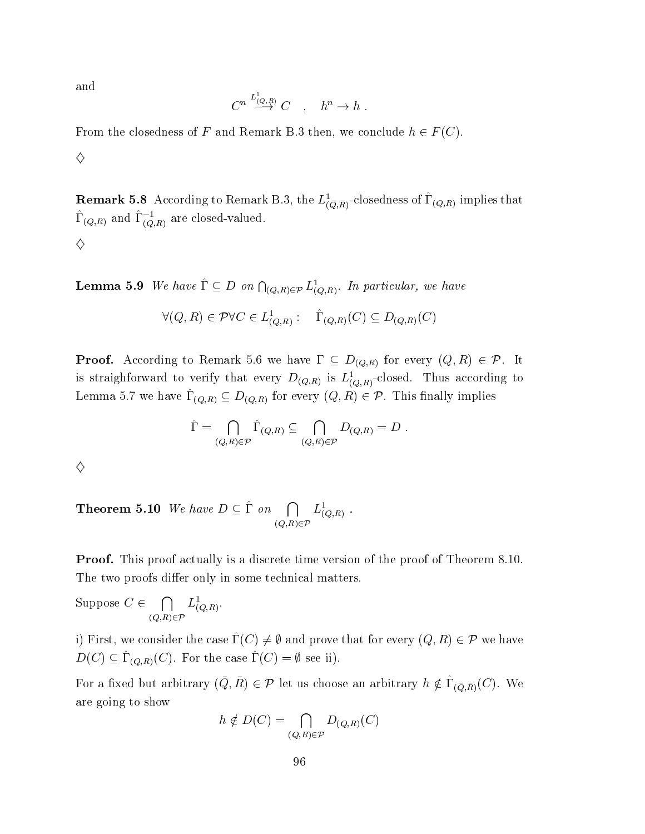and

$$
C^n \stackrel{L^1_{(Q,R)}}{\longrightarrow} C \quad , \quad h^n \to h \ .
$$

From the closedness of F and Remark B.3 then, we conclude  $h \in F(C)$ .

♦

**Remark 5.8** According to Remark B.3, the  $L^1_{(\bar{Q},\bar{R})}$ -closedness of  $\hat{\Gamma}_{(Q,R)}$  implies that  $\hat{\Gamma}_{(Q,R)}$  and  $\hat{\Gamma}_{(Q,R)}^{-1}$  are closed-valued. ♦

**Lemma 5.9** We have  $\hat{\Gamma} \subseteq D$  on  $\bigcap_{(Q,R)\in\mathcal{P}} L^1_{(Q,R)}$ . In particular, we have

$$
\forall (Q, R) \in \mathcal{P} \forall C \in L^1_{(Q,R)}: \quad \widehat{\Gamma}_{(Q,R)}(C) \subseteq D_{(Q,R)}(C)
$$

**Proof.** According to Remark 5.6 we have  $\Gamma \subseteq D_{(Q,R)}$  for every  $(Q,R) \in \mathcal{P}$ . It is straighforward to verify that every  $D_{(Q,R)}$  is  $L^1_{(Q,R)}$ -closed. Thus according to Lemma 5.7 we have  $\hat{\Gamma}_{(Q,R)} \subseteq D_{(Q,R)}$  for every  $(Q,R) \in \mathcal{P}$ . This finally implies

$$
\hat{\Gamma} = \bigcap_{(Q,R)\in\mathcal{P}} \hat{\Gamma}_{(Q,R)} \subseteq \bigcap_{(Q,R)\in\mathcal{P}} D_{(Q,R)} = D.
$$

♦

**Theorem 5.10** We have  $D \subseteq \hat{\Gamma}$  on  $\bigcap_{(O,R)\in\mathcal{P}} L^1_{(Q,R)}$ .

**Proof.** This proof actually is a discrete time version of the proof of Theorem 8.10. The two proofs differ only in some technical matters.

Suppose  $C \in \bigcap_{(Q,R)\in \mathcal{P}} L^1_{(Q,R)}.$ 

i) First, we consider the case  $\hat{\Gamma}(C) \neq \emptyset$  and prove that for every  $(Q, R) \in \mathcal{P}$  we have  $D(C) \subseteq \hat{\Gamma}_{(Q,R)}(C)$ . For the case  $\hat{\Gamma}(C) = \emptyset$  see ii).

For a fixed but arbitrary  $(\bar{Q}, \bar{R}) \in \mathcal{P}$  let us choose an arbitrary  $h \notin \hat{\Gamma}_{(\bar{Q}, \bar{R})}(C)$ . We are going to show

$$
h \notin D(C) = \bigcap_{(Q,R) \in \mathcal{P}} D_{(Q,R)}(C)
$$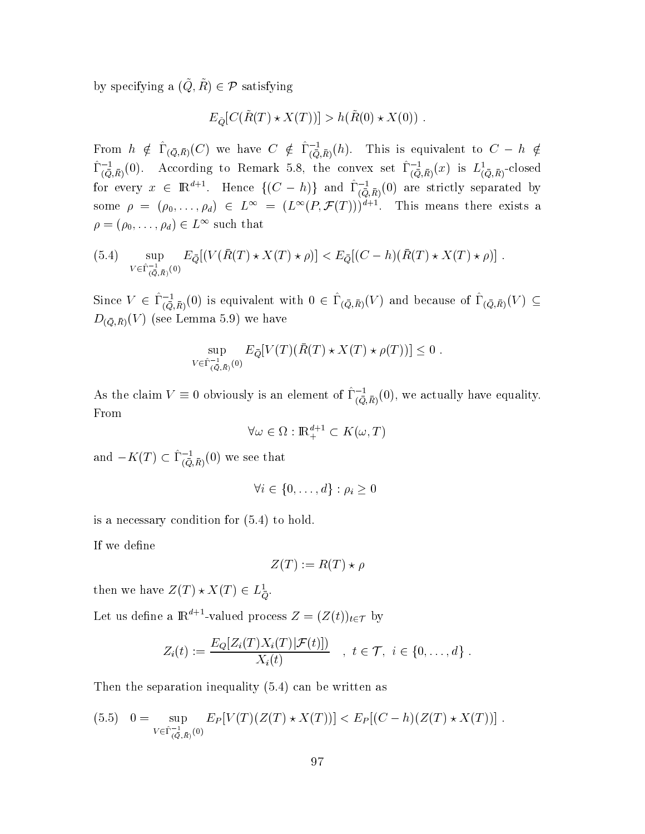by specifying a  $(\tilde{Q}, \tilde{R}) \in \mathcal{P}$  satisfying

$$
E_{\tilde{Q}}[C(\tilde{R}(T) \star X(T))] > h(\tilde{R}(0) \star X(0)).
$$

From  $h \notin \hat{\Gamma}_{(\bar{Q},\bar{R})}(C)$  we have  $C \notin \hat{\Gamma}_{(\bar{Q},\bar{R})}^{-1}(h)$ . This is equivalent to  $C-h \notin$  $\hat{\Gamma}_{(\bar{Q},\bar{R})}^{-1}(0)$ . According to Remark 5.8, the convex set  $\hat{\Gamma}_{(\bar{Q},\bar{R})}^{-1}(x)$  is  $L^1_{(\bar{Q},\bar{R})}$ -closed for every  $x \in \mathbb{R}^{d+1}$ . Hence  $\{(C - h)\}$  and  $\hat{\Gamma}_{(\bar{Q}, \bar{R})}^{-1}(0)$  are strictly separated by<br>some  $\rho = (\rho_0, \ldots, \rho_d) \in L^{\infty} = (L^{\infty}(P, \mathcal{F}(T)))^{d+1}$ . This means there exists a  $\rho = (\rho_0, \ldots, \rho_d) \in L^{\infty}$  such that

(5.4) 
$$
\sup_{V \in \hat{\Gamma}_{(\bar{Q},\bar{R})}^{-1}(0)} E_{\bar{Q}}[(V(\bar{R}(T) \star X(T) \star \rho)] < E_{\bar{Q}}[(C - h)(\bar{R}(T) \star X(T) \star \rho)]
$$

Since  $V \in \hat{\Gamma}_{(\bar{Q},\bar{R})}^{-1}(0)$  is equivalent with  $0 \in \hat{\Gamma}_{(\bar{Q},\bar{R})}(V)$  and because of  $\hat{\Gamma}_{(\bar{Q},\bar{R})}(V) \subseteq$  $D_{(\bar{Q},\bar{R})}(V)$  (see Lemma 5.9) we have

$$
\sup_{V \in \hat{\Gamma}_{(\bar{Q},\bar{R})}^{-1}(0)} E_{\bar{Q}}[V(T)(\bar{R}(T) \star X(T) \star \rho(T))] \le 0
$$

As the claim  $V \equiv 0$  obviously is an element of  $\hat{\Gamma}_{(\bar{Q},\bar{R})}^{-1}(0)$ , we actually have equality. From

$$
\forall \omega \in \Omega : \mathbb{R}_+^{d+1} \subset K(\omega, T)
$$

and  $-K(T) \subset \hat{\Gamma}_{(\bar{Q},\bar{R})}^{-1}(0)$  we see that

$$
\forall i \in \{0, \ldots, d\} : \rho_i \geq 0
$$

is a necessary condition for  $(5.4)$  to hold.

If we define

$$
Z(T) := R(T) \star \rho
$$

then we have  $Z(T) \star X(T) \in L^1_{\overline{Q}}$ .

Let us define a  $\mathbb{R}^{d+1}$ -valued process  $Z = (Z(t))_{t \in \mathcal{T}}$  by

$$
Z_i(t) := \frac{E_Q[Z_i(T)X_i(T)|\mathcal{F}(t)])}{X_i(t)} \quad , \ t \in \mathcal{T}, \ i \in \{0, \ldots, d\}
$$

Then the separation inequality  $(5.4)$  can be written as

$$
(5.5) \quad 0 = \sup_{V \in \hat{\Gamma}_{(\vec{Q},\vec{R})}^{-1}(0)} E_P[V(T)(Z(T) \star X(T))] < E_P[(C-h)(Z(T) \star X(T))] \; .
$$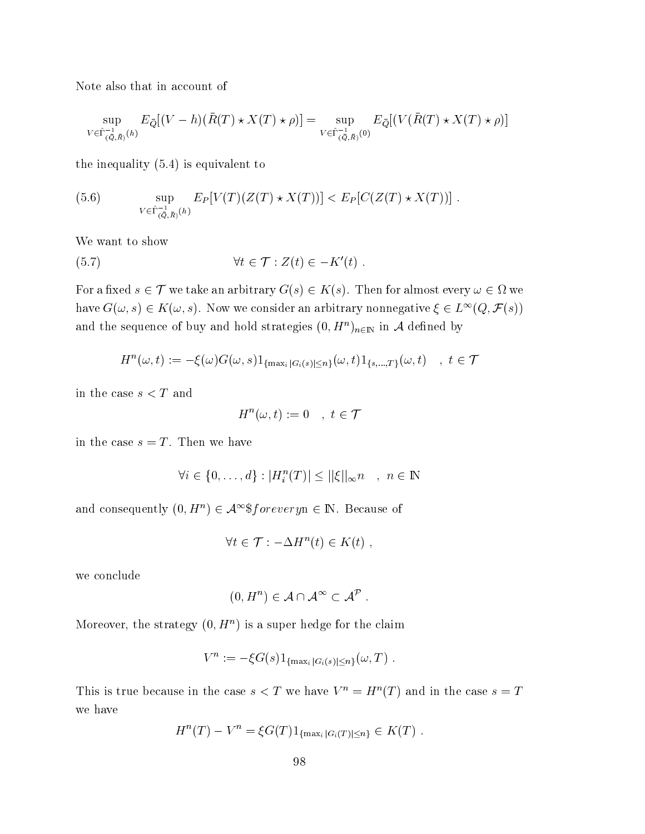Note also that in account of

$$
\sup_{V \in \hat{\Gamma}_{(\bar{Q},\bar{R})}^{-1}(h)} E_{\bar{Q}}[(V-h)(\bar{R}(T) \star X(T) \star \rho)] = \sup_{V \in \hat{\Gamma}_{(\bar{Q},\bar{R})}^{-1}(0)} E_{\bar{Q}}[(V(\bar{R}(T) \star X(T) \star \rho)]
$$

the inequality  $(5.4)$  is equivalent to

(5.6) 
$$
\sup_{V \in \hat{\Gamma}_{(\bar{Q},\bar{R})}^{-1}(h)} E_{P}[V(T)(Z(T) \star X(T))] < E_{P}[C(Z(T) \star X(T))]
$$

We want to show

$$
(5.7) \t\t\t \forall t \in \mathcal{T} : Z(t) \in -K'(t)
$$

For a fixed  $s \in \mathcal{T}$  we take an arbitrary  $G(s) \in K(s)$ . Then for almost every  $\omega \in \Omega$  we have  $G(\omega, s) \in K(\omega, s)$ . Now we consider an arbitrary nonnegative  $\xi \in L^{\infty}(Q, \mathcal{F}(s))$ and the sequence of buy and hold strategies  $(0, H^n)_{n \in \mathbb{N}}$  in A defined by

$$
H^{n}(\omega, t) := -\xi(\omega)G(\omega, s)1_{\{\max_{i} |G_{i}(s)| \leq n\}}(\omega, t)1_{\{s, \dots, T\}}(\omega, t) , t \in \mathcal{T}
$$

in the case  $s < T$  and

$$
H^n(\omega, t) := 0 \quad , \ t \in \mathcal{T}
$$

in the case  $s = T$ . Then we have

$$
\forall i \in \{0, \dots, d\} : |H_i^n(T)| \le ||\xi||_{\infty} n \quad , \ n \in \mathbb{N}
$$

and consequently  $(0, H^n) \in \mathcal{A}^{\infty}$ \$foreveryn  $\in \mathbb{N}$ . Because of

$$
\forall t \in \mathcal{T} : -\Delta H^n(t) \in K(t) ,
$$

we conclude

$$
(0, H^n) \in \mathcal{A} \cap \mathcal{A}^{\infty} \subset \mathcal{A}^{\mathcal{P}}.
$$

Moreover, the strategy  $(0, H^n)$  is a super hedge for the claim

$$
V^n := -\xi G(s) 1_{\{\max_i |G_i(s)| \leq n\}}(\omega, T) .
$$

This is true because in the case  $s < T$  we have  $V^n = H^n(T)$  and in the case  $s = T$ we have

$$
H^{n}(T) - V^{n} = \xi G(T) 1_{\{\max_{i} |G_{i}(T)| \leq n\}} \in K(T) .
$$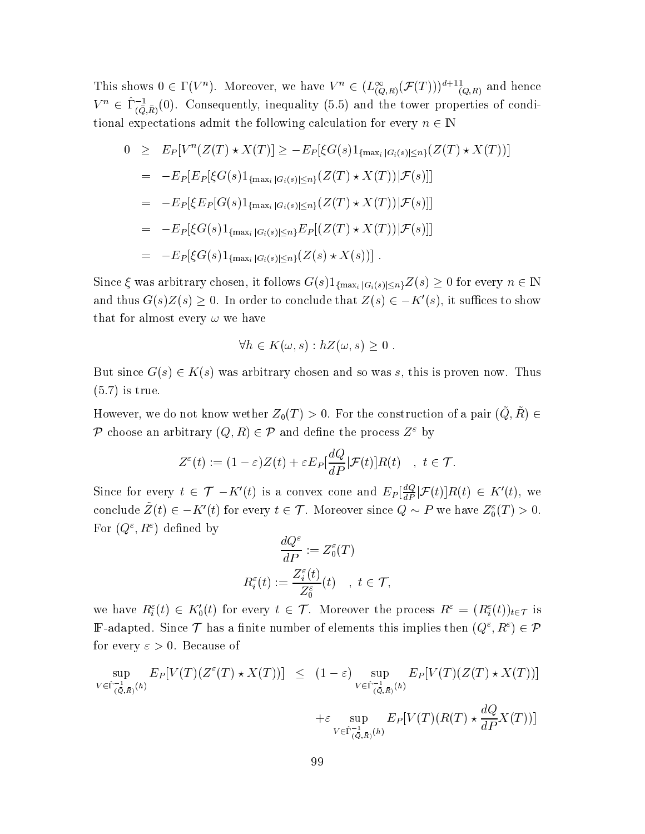This shows  $0 \in \Gamma(V^n)$ . Moreover, we have  $V^n \in (L_{(Q,R)}^{\infty}(\mathcal{F}(T)))^{d+1}$ , and hence  $V^n \in \hat{\Gamma}_{(\bar{Q},\bar{R})}^{-1}(0)$ . Consequently, inequality (5.5) and the tower properties of conditional expectations admit the following calculation for every  $n\in\mathbb{N}$ 

$$
0 \geq E_P[V^n(Z(T) \star X(T)] \geq -E_P[\xi G(s)1_{\{\max_i |G_i(s)| \leq n\}}(Z(T) \star X(T))]
$$
  
\n
$$
= -E_P[E_P[\xi G(s)1_{\{\max_i |G_i(s)| \leq n\}}(Z(T) \star X(T)) | \mathcal{F}(s)]]
$$
  
\n
$$
= -E_P[\xi E_P[G(s)1_{\{\max_i |G_i(s)| \leq n\}}(Z(T) \star X(T)) | \mathcal{F}(s)]]
$$
  
\n
$$
= -E_P[\xi G(s)1_{\{\max_i |G_i(s)| \leq n\}} E_P[(Z(T) \star X(T)) | \mathcal{F}(s)]]
$$
  
\n
$$
= -E_P[\xi G(s)1_{\{\max_i |G_i(s)| \leq n\}}(Z(s) \star X(s))].
$$

Since  $\xi$  was arbitrary chosen, it follows  $G(s)1_{\{\max_i |G_i(s)| \leq n\}} Z(s) \geq 0$  for every  $n \in \mathbb{N}$ and thus  $G(s)Z(s) \geq 0$ . In order to conclude that  $Z(s) \in -K'(s)$ , it suffices to show that for almost every  $\omega$  we have

$$
\forall h \in K(\omega, s) : hZ(\omega, s) \geq 0.
$$

But since  $G(s) \in K(s)$  was arbitrary chosen and so was s, this is proven now. Thus  $(5.7)$  is true.

However, we do not know wether  $Z_0(T) > 0$ . For the construction of a pair  $(\tilde{Q}, \tilde{R}) \in$ P choose an arbitrary  $(Q, R) \in \mathcal{P}$  and define the process  $Z^{\varepsilon}$  by

$$
Z^{\varepsilon}(t) := (1 - \varepsilon)Z(t) + \varepsilon E_P[\frac{dQ}{dP}|\mathcal{F}(t)]R(t) \quad , \ t \in \mathcal{T}.
$$

Since for every  $t \in \mathcal{T}$  –  $K'(t)$  is a convex cone and  $E_P[\frac{dQ}{dP}|\mathcal{F}(t)]R(t) \in K'(t)$ , we conclude  $\tilde{Z}(t) \in -K'(t)$  for every  $t \in \mathcal{T}$ . Moreover since  $Q \sim P$  we have  $Z_0^{\varepsilon}(T) > 0$ . For  $(Q^{\varepsilon}, R^{\varepsilon})$  defined by  $\overline{100}$ 

$$
\frac{dQ^{\varepsilon}}{dP} := Z_0^{\varepsilon}(T)
$$

$$
R_i^{\varepsilon}(t) := \frac{Z_i^{\varepsilon}(t)}{Z_0^{\varepsilon}}(t) \quad , \ t \in \mathcal{T}
$$

we have  $R_i^{\varepsilon}(t) \in K_0'(t)$  for every  $t \in \mathcal{T}$ . Moreover the process  $R^{\varepsilon} = (R_i^{\varepsilon}(t))_{t \in \mathcal{T}}$  is **F**-adapted. Since  $\mathcal T$  has a finite number of elements this implies then  $(Q^{\varepsilon}, R^{\varepsilon}) \in \mathcal P$ for every  $\varepsilon > 0$ . Because of

$$
\sup_{V \in \hat{\Gamma}_{(\bar{Q},\bar{R})}^{-1}(h)} E_P[V(T)(Z^{\epsilon}(T) \star X(T))] \leq (1-\epsilon) \sup_{V \in \hat{\Gamma}_{(\bar{Q},\bar{R})}^{-1}(h)} E_P[V(T)(Z(T) \star X(T))]
$$
  
 
$$
+ \epsilon \sup_{V \in \hat{\Gamma}_{(\bar{Q},\bar{R})}^{-1}(h)} E_P[V(T)(R(T) \star \frac{dQ}{dP}X(T))]
$$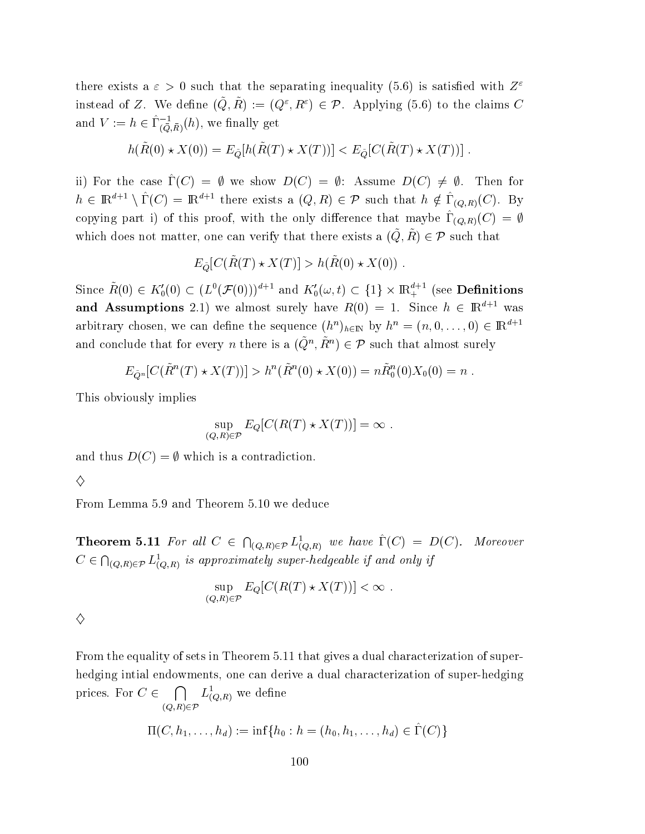there exists a  $\varepsilon > 0$  such that the separating inequality (5.6) is satisfied with  $Z^{\varepsilon}$ instead of Z. We define  $(\tilde{Q}, \tilde{R}) := (Q^{\varepsilon}, R^{\varepsilon}) \in \mathcal{P}$ . Applying (5.6) to the claims C and  $V := h \in \hat{\Gamma}_{(\bar{Q},\bar{R})}^{-1}(h)$ , we finally get

$$
h(\tilde{R}(0) \star X(0)) = E_{\tilde{Q}}[h(\tilde{R}(T) \star X(T))] < E_{\tilde{Q}}[C(\tilde{R}(T) \star X(T))]
$$

ii) For the case  $\hat{\Gamma}(C) = \emptyset$  we show  $D(C) = \emptyset$ : Assume  $D(C) \neq \emptyset$ . Then for  $h \in \mathbb{R}^{d+1} \setminus \hat{\Gamma}(C) = \mathbb{R}^{d+1}$  there exists a  $(Q, R) \in \mathcal{P}$  such that  $h \notin \hat{\Gamma}_{(Q,R)}(C)$ . By copying part i) of this proof, with the only difference that maybe  $\hat{\Gamma}_{(Q,R)}(C) = \emptyset$ which does not matter, one can verify that there exists a  $(\tilde{Q}, \tilde{R}) \in \mathcal{P}$  such that

$$
E_{\tilde{Q}}[C(\tilde{R}(T) \star X(T)] > h(\tilde{R}(0) \star X(0))
$$

Since  $\tilde{R}(0) \in K'_0(0) \subset (L^0(\mathcal{F}(0)))^{d+1}$  and  $K'_0(\omega, t) \subset \{1\} \times \mathbb{R}^{d+1}_+$  (see **Definitions** and Assumptions 2.1) we almost surely have  $R(0) = 1$ . Since  $h \in \mathbb{R}^{d+1}$  was arbitrary chosen, we can define the sequence  $(h^n)_{h \in \mathbb{N}}$  by  $h^n = (n, 0, \ldots, 0) \in \mathbb{R}^{d+1}$ and conclude that for every *n* there is a  $(\tilde{Q}^n, \tilde{R}^n) \in \mathcal{P}$  such that almost surely

$$
E_{\tilde{Q}^n}[C(\tilde{R}^n(T) \star X(T))] > h^n(\tilde{R}^n(0) \star X(0)) = n\tilde{R}_0^n(0)X_0(0) = n
$$

This obviously implies

$$
\sup_{(Q,R)\in\mathcal{P}} E_Q[C(R(T)\star X(T))] = \infty.
$$

and thus  $D(C) = \emptyset$  which is a contradiction.

$$
\Diamond
$$

From Lemma 5.9 and Theorem 5.10 we deduce

**Theorem 5.11** For all  $C \in \bigcap_{(Q,R)\in\mathcal{P}} L^1_{(Q,R)}$  we have  $\hat{\Gamma}(C) = D(C)$ . Moreover  $C \in \bigcap_{(Q,R)\in\mathcal{P}} L^1_{(Q,R)}$  is approximately super-hedgeable if and only if

$$
\sup_{(Q,R)\in\mathcal{P}} E_Q[C(R(T)\star X(T))] < \infty
$$

| i<br>I                     |
|----------------------------|
| Ņ<br>ı<br>I<br>I<br>i<br>I |
| I<br>٦                     |

From the equality of sets in Theorem 5.11 that gives a dual characterization of superhedging intial endowments, one can derive a dual characterization of super-hedging prices. For  $C \in \bigcap_{(Q,R)\in\mathcal{P}} L^1_{(Q,R)}$  we define

$$
\Pi(C, h_1, \ldots, h_d) := \inf\{h_0 : h = (h_0, h_1, \ldots, h_d) \in \hat{\Gamma}(C)\}
$$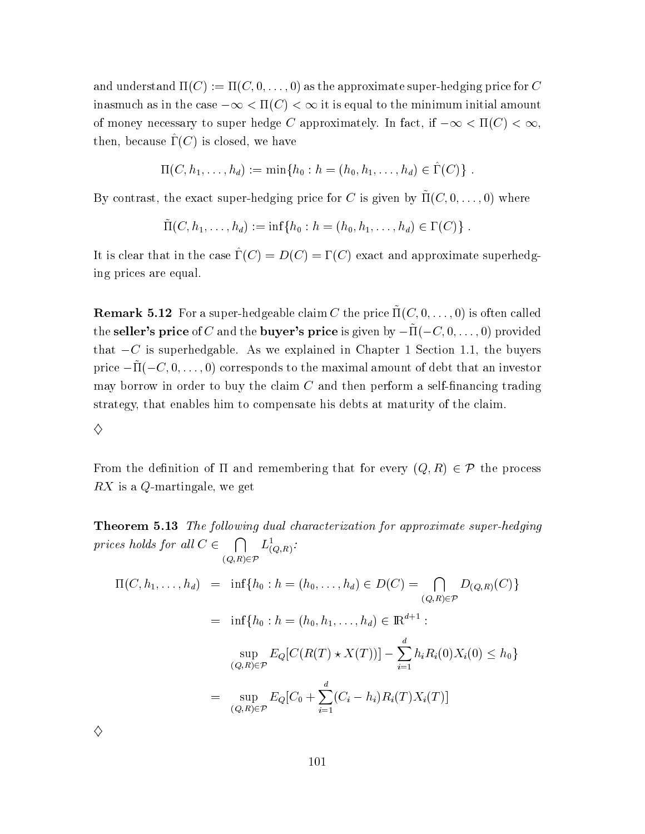and understand  $\Pi(C) := \Pi(C, 0, \ldots, 0)$  as the approximate super-hedging price for C inasmuch as in the case  $-\infty < \Pi(C) < \infty$  it is equal to the minimum initial amount of money necessary to super hedge C approximately. In fact, if  $-\infty < \Pi(C) < \infty$ , then, because  $\hat{\Gamma}(C)$  is closed, we have

$$
\Pi(C, h_1, \ldots, h_d) := \min\{h_0 : h = (h_0, h_1, \ldots, h_d) \in \hat{\Gamma}(C)\}
$$

By contrast, the exact super-hedging price for C is given by  $\tilde{\Pi}(C,0,\ldots,0)$  where

$$
\tilde{\Pi}(C, h_1, \ldots, h_d) := \inf \{ h_0 : h = (h_0, h_1, \ldots, h_d) \in \Gamma(C) \}
$$

It is clear that in the case  $\hat{\Gamma}(C) = D(C) = \Gamma(C)$  exact and approximate superhedging prices are equal.

**Remark 5.12** For a super-hedgeable claim C the price  $\Pi(C, 0, \ldots, 0)$  is often called the seller's price of C and the buyer's price is given by  $-\tilde{\Pi}(-C,0,\ldots,0)$  provided that  $-C$  is superhedgable. As we explained in Chapter 1 Section 1.1, the buyers price  $-\tilde{\Pi}(-C,0,\ldots,0)$  corresponds to the maximal amount of debt that an investor may borrow in order to buy the claim  $C$  and then perform a self-financing trading strategy, that enables him to compensate his debts at maturity of the claim.

### ♦

From the definition of  $\Pi$  and remembering that for every  $(Q, R) \in \mathcal{P}$  the process  $RX$  is a Q-martingale, we get

**Theorem 5.13** The following dual characterization for approximate super-hedging prices holds for all  $C \in \bigcap_{(Q,R) \in \mathcal{P}} L^1_{(Q,R)}$ :

$$
\Pi(C, h_1, \dots, h_d) = \inf\{h_0 : h = (h_0, \dots, h_d) \in D(C) = \bigcap_{(Q, R) \in \mathcal{P}} D_{(Q, R)}(C)\}
$$
  
\n
$$
= \inf\{h_0 : h = (h_0, h_1, \dots, h_d) \in \mathbb{R}^{d+1} :
$$
  
\n
$$
\sup_{(Q, R) \in \mathcal{P}} E_Q[C(R(T) \star X(T))] - \sum_{i=1}^d h_i R_i(0) X_i(0) \le h_0\}
$$
  
\n
$$
= \sup_{(Q, R) \in \mathcal{P}} E_Q[C_0 + \sum_{i=1}^d (C_i - h_i) R_i(T) X_i(T)]
$$

| I<br>i<br>I      |
|------------------|
| I<br>i<br>I<br>I |
| ٦                |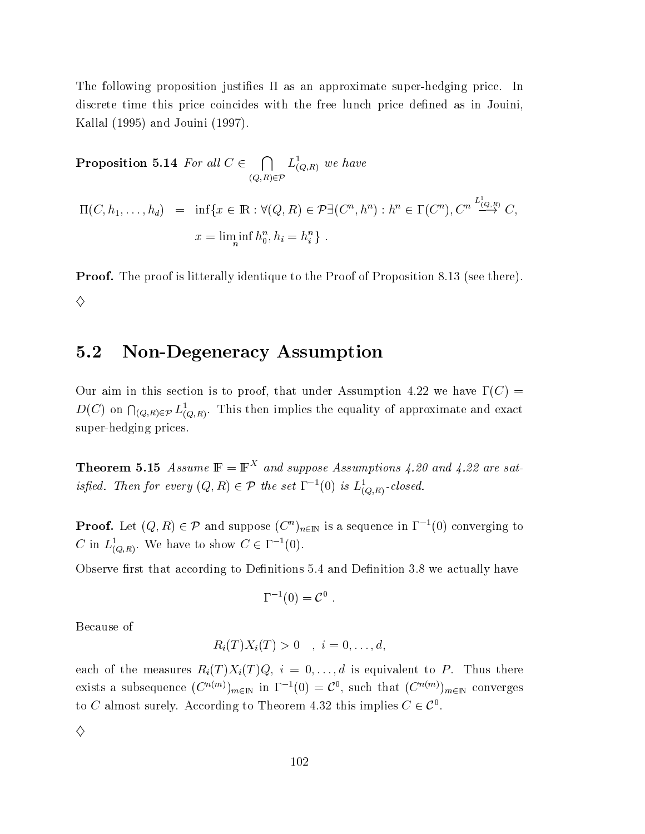The following proposition justifies  $\Pi$  as an approximate super-hedging price. In discrete time this price coincides with the free lunch price defined as in Jouini, Kallal (1995) and Jouini (1997).

**Proposition 5.14** For all  $C \in \bigcap_{(Q,R)\in\mathcal{P}} L^1_{(Q,R)}$  we have  $\Pi(C, h_1, \ldots, h_d) = \inf \{ x \in \mathbb{R} : \forall (Q, R) \in \mathcal{P} \exists (C^n, h^n) : h^n \in \Gamma(C^n), C^n \stackrel{L^1_{(Q,R)}}{\longrightarrow} C,$  $x = \liminf_{n} h_0^n, h_i = h_i^n$ .

**Proof.** The proof is litterally identique to the Proof of Proposition 8.13 (see there). ♦

#### $5.2$ **Non-Degeneracy Assumption**

Our aim in this section is to proof, that under Assumption 4.22 we have  $\Gamma(C)$  =  $D(C)$  on  $\bigcap_{(Q,R)\in\mathcal{P}} L^1_{(Q,R)}$ . This then implies the equality of approximate and exact super-hedging prices.

**Theorem 5.15** Assume  $\mathbb{F} = \mathbb{F}^{X}$  and suppose Assumptions 4.20 and 4.22 are satisfied. Then for every  $(Q, R) \in \mathcal{P}$  the set  $\Gamma^{-1}(0)$  is  $L^1_{(Q,R)}$ -closed.

**Proof.** Let  $(Q, R) \in \mathcal{P}$  and suppose  $(C^n)_{n \in \mathbb{N}}$  is a sequence in  $\Gamma^{-1}(0)$  converging to C in  $L^1_{(Q,R)}$ . We have to show  $C \in \Gamma^{-1}(0)$ .

Observe first that according to Definitions 5.4 and Definition 3.8 we actually have

$$
\Gamma^{-1}(0) = \mathcal{C}^0
$$

Because of

$$
R_i(T)X_i(T) > 0 \quad , \ i = 0, \ldots, d,
$$

each of the measures  $R_i(T)X_i(T)Q$ ,  $i = 0, ..., d$  is equivalent to P. Thus there exists a subsequence  $(C^{n(m)})_{m\in\mathbb{N}}$  in  $\Gamma^{-1}(0) = C^0$ , such that  $(C^{n(m)})_{m\in\mathbb{N}}$  converges to C almost surely. According to Theorem 4.32 this implies  $C \in \mathcal{C}^0$ .

♦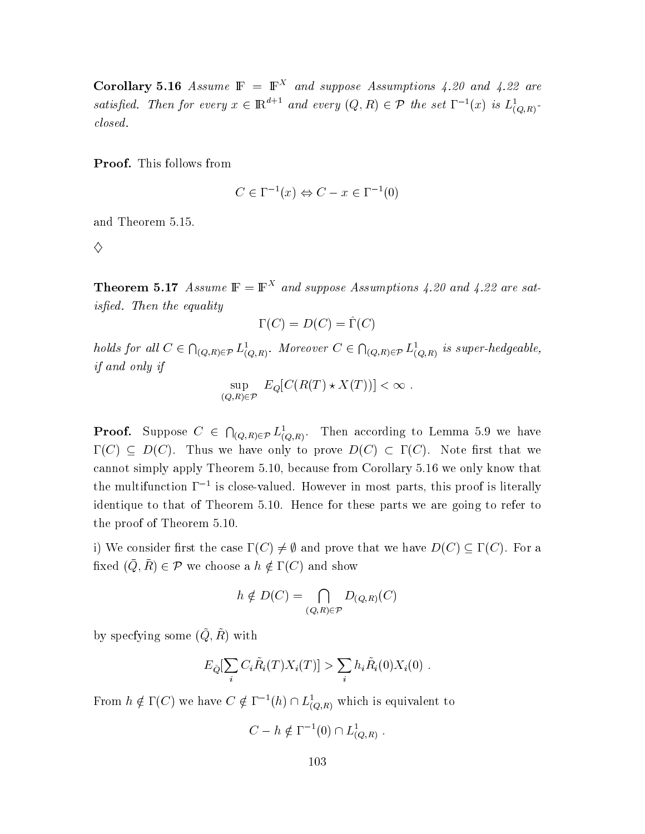**Corollary 5.16** Assume  $\mathbb{F} = \mathbb{F}^{X}$  and suppose Assumptions 4.20 and 4.22 are satisfied. Then for every  $x \in \mathbb{R}^{d+1}$  and every  $(Q, R) \in \mathcal{P}$  the set  $\Gamma^{-1}(x)$  is  $L^1_{(Q,R)}$ .  $closed.$ 

Proof. This follows from

$$
C \in \Gamma^{-1}(x) \Leftrightarrow C - x \in \Gamma^{-1}(0)
$$

and Theorem 5.15.

♦

**Theorem 5.17** Assume  $\mathbb{F} = \mathbb{F}^{X}$  and suppose Assumptions 4.20 and 4.22 are satisfied. Then the equality

$$
\Gamma(C) = D(C) = \hat{\Gamma}(C)
$$

holds for all  $C \in \bigcap_{(Q,R)\in\mathcal{P}} L^1_{(Q,R)}$ . Moreover  $C \in \bigcap_{(Q,R)\in\mathcal{P}} L^1_{(Q,R)}$  is super-hedgeable, if and only if

$$
\sup_{(Q,R)\in\mathcal{P}} E_Q[C(R(T)\star X(T))] < \infty.
$$

**Proof.** Suppose  $C \in \bigcap_{(Q,R)\in\mathcal{P}} L^1_{(Q,R)}$ . Then according to Lemma 5.9 we have  $\Gamma(C) \subseteq D(C)$ . Thus we have only to prove  $D(C) \subset \Gamma(C)$ . Note first that we cannot simply apply Theorem 5.10, because from Corollary 5.16 we only know that the multifunction  $\Gamma^{-1}$  is close-valued. However in most parts, this proof is literally identique to that of Theorem 5.10. Hence for these parts we are going to refer to the proof of Theorem 5.10.

i) We consider first the case  $\Gamma(C) \neq \emptyset$  and prove that we have  $D(C) \subseteq \Gamma(C)$ . For a fixed  $(\bar{Q}, \bar{R}) \in \mathcal{P}$  we choose a  $h \notin \Gamma(C)$  and show

$$
h \notin D(C) = \bigcap_{(Q,R)\in \mathcal{P}} D_{(Q,R)}(C)
$$

by specfying some  $(\tilde{Q}, \tilde{R})$  with

$$
E_{\tilde{Q}}[\sum_i C_i \tilde{R}_i(T) X_i(T)] > \sum_i h_i \tilde{R}_i(0) X_i(0)
$$

From  $h \notin \Gamma(C)$  we have  $C \notin \Gamma^{-1}(h) \cap L^1_{(Q,R)}$  which is equivalent to

$$
C - h \notin \Gamma^{-1}(0) \cap L^1_{(Q,R)}.
$$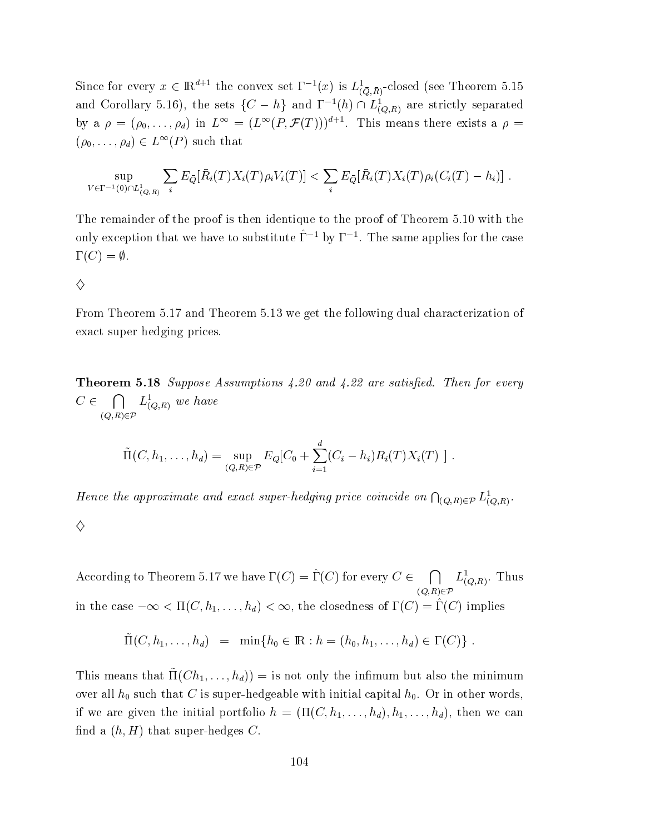Since for every  $x \in \mathbb{R}^{d+1}$  the convex set  $\Gamma^{-1}(x)$  is  $L^1_{(Q,\bar{R})}$ -closed (see Theorem 5.15 and Corollary 5.16), the sets  $\{C - h\}$  and  $\Gamma^{-1}(h) \cap L^1_{(Q,R)}$  are strictly separated by a  $\rho = (\rho_0, \ldots, \rho_d)$  in  $L^{\infty} = (L^{\infty}(P, \mathcal{F}(T)))^{d+1}$ . This means there exists a  $\rho =$  $(\rho_0,\ldots,\rho_d)\in L^{\infty}(P)$  such that

$$
\sup_{V \in \Gamma^{-1}(0) \cap L^1_{(Q,R)}} \sum_i E_{\bar{Q}}[\bar{R}_i(T)X_i(T)\rho_i V_i(T)] < \sum_i E_{\bar{Q}}[\bar{R}_i(T)X_i(T)\rho_i(C_i(T) - h_i)]
$$

The remainder of the proof is then identique to the proof of Theorem 5.10 with the only exception that we have to substitute  $\hat{\Gamma}^{-1}$  by  $\Gamma^{-1}$ . The same applies for the case  $\Gamma(C) = \emptyset.$ 

♦

From Theorem 5.17 and Theorem 5.13 we get the following dual characterization of exact super hedging prices.

**Theorem 5.18** Suppose Assumptions 4.20 and 4.22 are satisfied. Then for every  $C \in \bigcap_{(Q,R)\in \mathcal{P}} L^1_{(Q,R)}$  we have

$$
\tilde{\Pi}(C, h_1, \ldots, h_d) = \sup_{(Q, R) \in \mathcal{P}} E_Q[C_0 + \sum_{i=1}^d (C_i - h_i) R_i(T) X_i(T) ].
$$

Hence the approximate and exact super-hedging price coincide on  $\bigcap_{(Q,R)\in\mathcal{P}} L^1_{(Q,R)}$ . ♦

According to Theorem 5.17 we have  $\Gamma(C) = \hat{\Gamma}(C)$  for every  $C \in \bigcap_{(Q,R) \in \mathcal{P}} L^1_{(Q,R)}$ . Thus in the case  $-\infty < \Pi(C, h_1, \ldots, h_d) < \infty$ , the closedness of  $\Gamma(C) = \hat{\Gamma}(C)$  implies

$$
\tilde{\Pi}(C, h_1, \ldots, h_d) = \min\{h_0 \in \mathbb{R} : h = (h_0, h_1, \ldots, h_d) \in \Gamma(C)\}.
$$

This means that  $\tilde{\Pi}(Ch_1,\ldots, h_d)) =$  is not only the infimum but also the minimum over all  $h_0$  such that C is super-hedgeable with initial capital  $h_0$ . Or in other words, if we are given the initial portfolio  $h = (\Pi(C, h_1, \ldots, h_d), h_1, \ldots, h_d)$ , then we can find a  $(h, H)$  that super-hedges C.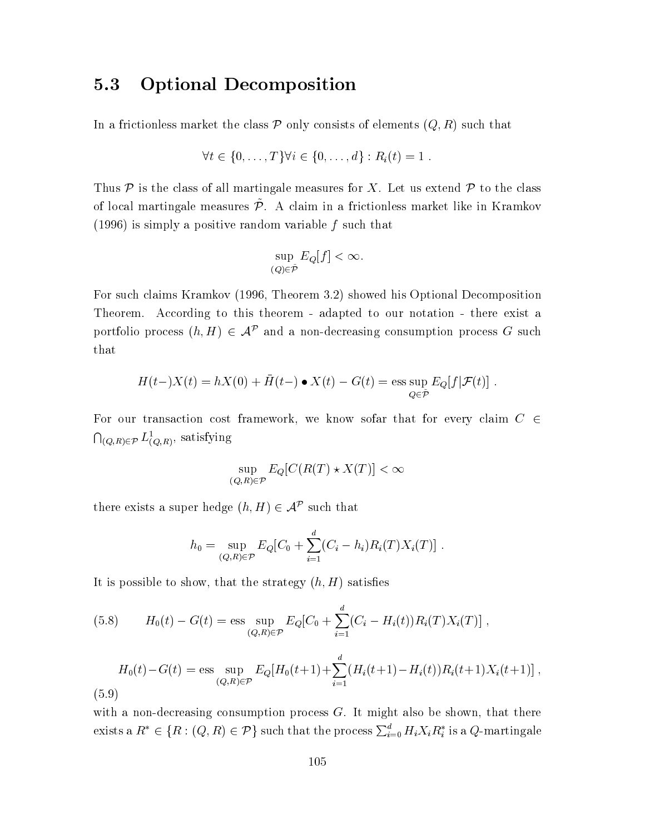#### **Optional Decomposition** 5.3

In a frictionless market the class  $P$  only consists of elements  $(Q, R)$  such that

$$
\forall t \in \{0, \ldots, T\} \forall i \in \{0, \ldots, d\} : R_i(t) = 1 .
$$

Thus  $P$  is the class of all martingale measures for X. Let us extend  $P$  to the class of local martingale measures  $\tilde{\mathcal{P}}$ . A claim in a frictionless market like in Kramkov (1996) is simply a positive random variable  $f$  such that

$$
\sup_{(Q)\in\tilde{\mathcal{P}}} E_Q[f] < \infty.
$$

For such claims Kramkov (1996, Theorem 3.2) showed his Optional Decomposition Theorem. According to this theorem - adapted to our notation - there exist a portfolio process  $(h, H) \in \mathcal{A}^{\mathcal{P}}$  and a non-decreasing consumption process G such that

$$
H(t-)X(t) = hX(0) + \bar{H}(t-) \bullet X(t) - G(t) = \operatorname{ess} \sup_{Q \in \tilde{\mathcal{P}}} E_Q[f|\mathcal{F}(t)]
$$

For our transaction cost framework, we know sofar that for every claim  $C \in$  $\bigcap_{(Q,R)\in\mathcal{P}} L^1_{(Q,R)}$ , satisfying

$$
\sup_{(Q,R)\in\mathcal{P}} E_Q[C(R(T)\star X(T)] < \infty
$$

there exists a super hedge  $(h, H) \in \mathcal{A}^{\mathcal{P}}$  such that

$$
h_0 = \sup_{(Q,R)\in\mathcal{P}} E_Q[C_0 + \sum_{i=1}^d (C_i - h_i)R_i(T)X_i(T)]
$$

It is possible to show, that the strategy  $(h, H)$  satisfies

(5.8) 
$$
H_0(t) - G(t) = \text{ess} \sup_{(Q,R)\in\mathcal{P}} E_Q[C_0 + \sum_{i=1}^d (C_i - H_i(t))R_i(T)X_i(T)],
$$

$$
H_0(t) - G(t) = \text{ess} \sup_{(Q,R)\in\mathcal{P}} E_Q[H_0(t+1) + \sum_{i=1}^d (H_i(t+1) - H_i(t))R_i(t+1)X_i(t+1)],
$$
(5.9)

with a non-decreasing consumption process  $G$ . It might also be shown, that there exists a  $R^* \in \{R : (Q, R) \in \mathcal{P}\}\$  such that the process  $\sum_{i=0}^d H_i X_i R_i^*$  is a Q-martingale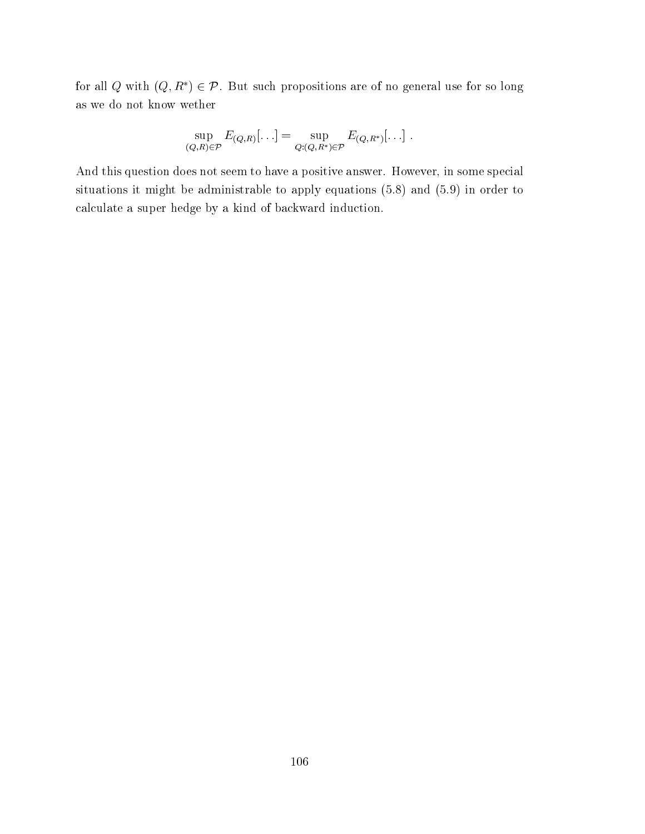for all Q with  $(Q, R^*) \in \mathcal{P}$ . But such propositions are of no general use for so long as we do not know wether

$$
\sup_{(Q,R)\in\mathcal{P}} E_{(Q,R)}[\ldots] = \sup_{Q:(Q,R^*)\in\mathcal{P}} E_{(Q,R^*)}[\ldots].
$$

And this question does not seem to have a positive answer. However, in some special situations it might be administrable to apply equations  $(5.8)$  and  $(5.9)$  in order to calculate a super hedge by a kind of backward induction.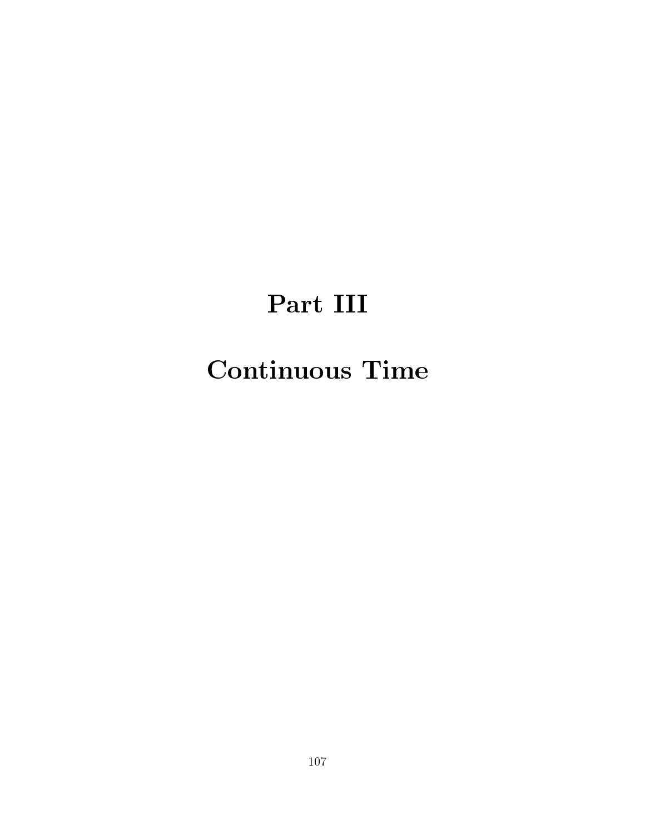# Part III

## **Continuous Time**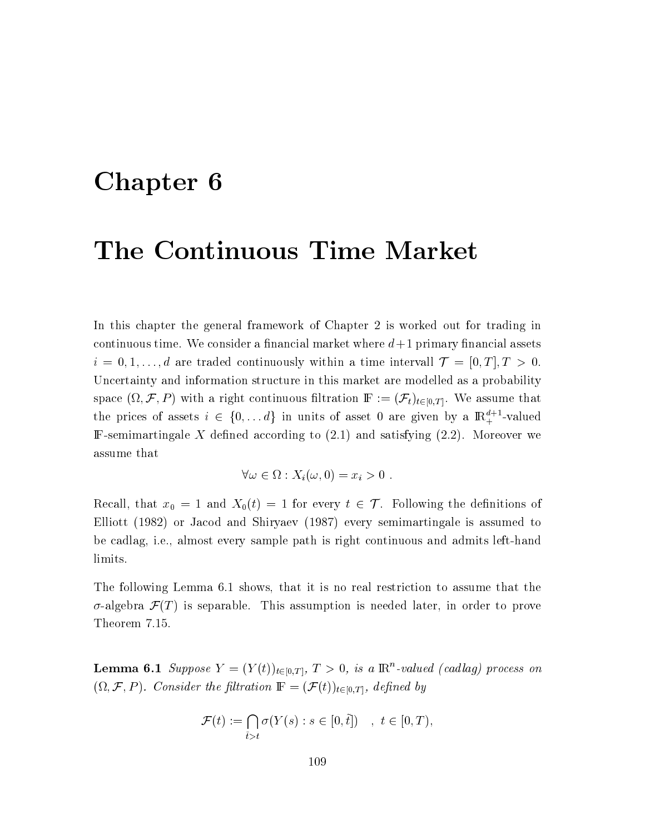## Chapter 6

### The Continuous Time Market

In this chapter the general framework of Chapter 2 is worked out for trading in continuous time. We consider a financial market where  $d+1$  primary financial assets  $i = 0, 1, \ldots, d$  are traded continuously within a time intervall  $\mathcal{T} = [0, T], T > 0$ . Uncertainty and information structure in this market are modelled as a probability space  $(\Omega, \mathcal{F}, P)$  with a right continuous filtration  $\mathbb{F} := (\mathcal{F}_t)_{t \in [0,T]}$ . We assume that the prices of assets  $i \in \{0, ..., d\}$  in units of asset 0 are given by a  $\mathbb{R}^{d+1}_+$ -valued F-semimartingale X defined according to  $(2.1)$  and satisfying  $(2.2)$ . Moreover we assume that

$$
\forall \omega \in \Omega : X_i(\omega, 0) = x_i > 0.
$$

Recall, that  $x_0 = 1$  and  $X_0(t) = 1$  for every  $t \in \mathcal{T}$ . Following the definitions of Elliott (1982) or Jacod and Shiryaev (1987) every semimartingale is assumed to be cadlag, i.e., almost every sample path is right continuous and admits left-hand limits.

The following Lemma 6.1 shows, that it is no real restriction to assume that the  $\sigma$ -algebra  $\mathcal{F}(T)$  is separable. This assumption is needed later, in order to prove Theorem 7.15.

**Lemma 6.1** Suppose  $Y = (Y(t))_{t \in [0,T]}, T > 0$ , is a  $\mathbb{R}^n$ -valued (cadlag) process on  $(\Omega, \mathcal{F}, P)$ . Consider the filtration  $\mathbb{F} = (\mathcal{F}(t))_{t \in [0,T]},$  defined by

$$
\mathcal{F}(t) := \bigcap_{\tilde{t} > t} \sigma(Y(s) : s \in [0, \tilde{t}]) \quad , \ t \in [0, T),
$$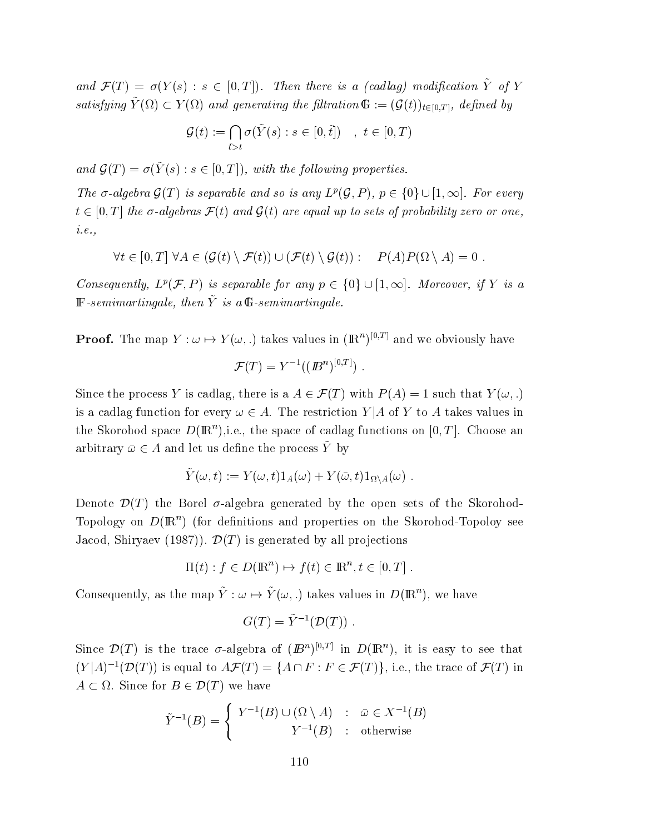and  $\mathcal{F}(T) = \sigma(Y(s) : s \in [0,T])$ . Then there is a (cadlag) modification  $\tilde{Y}$  of Y satisfying  $\tilde{Y}(\Omega) \subset Y(\Omega)$  and generating the filtration  $\mathbb{G} := (\mathcal{G}(t))_{t \in [0,T]},$  defined by

$$
\mathcal{G}(t) := \bigcap_{\tilde{t} > t} \sigma(\tilde{Y}(s) : s \in [0, \tilde{t}]) \quad , \ t \in [0, T)
$$

and  $\mathcal{G}(T) = \sigma(\tilde{Y}(s) : s \in [0,T])$ , with the following properties.

The  $\sigma$ -algebra  $\mathcal{G}(T)$  is separable and so is any  $L^p(\mathcal{G}, P)$ ,  $p \in \{0\} \cup [1, \infty]$ . For every  $t \in [0,T]$  the  $\sigma$ -algebras  $\mathcal{F}(t)$  and  $\mathcal{G}(t)$  are equal up to sets of probability zero or one,  $i.e.,$ 

$$
\forall t \in [0, T] \ \forall A \in (\mathcal{G}(t) \setminus \mathcal{F}(t)) \cup (\mathcal{F}(t) \setminus \mathcal{G}(t)) : \quad P(A)P(\Omega \setminus A) = 0 \ .
$$

Consequently,  $L^p(\mathcal{F}, P)$  is separable for any  $p \in \{0\} \cup [1, \infty]$ . Moreover, if Y is a  $\mathbb{F}\text{-}\mathit{semimartingale}, \mathit{then} \ \tilde{Y} \ \mathit{is} \ \mathit{a} \ \mathbb{G}\text{-}\mathit{semimartingale}.$ 

**Proof.** The map  $Y : \omega \mapsto Y(\omega,.)$  takes values in  $(\mathbb{R}^n)^{[0,T]}$  and we obviously have

$$
\mathcal{F}(T) = Y^{-1}((\mathbf{B}^n)^{[0,T]})
$$

Since the process Y is cadlag, there is a  $A \in \mathcal{F}(T)$  with  $P(A) = 1$  such that  $Y(\omega,.)$ is a cadlag function for every  $\omega \in A$ . The restriction Y|A of Y to A takes values in the Skorohod space  $D(\mathbb{R}^n)$ , i.e., the space of cadlag functions on [0, T]. Choose an arbitrary  $\bar{\omega} \in A$  and let us define the process  $\tilde{Y}$  by

$$
\tilde{Y}(\omega, t) := Y(\omega, t) 1_A(\omega) + Y(\bar{\omega}, t) 1_{\Omega \setminus A}(\omega) .
$$

Denote  $\mathcal{D}(T)$  the Borel  $\sigma$ -algebra generated by the open sets of the Skorohod-Topology on  $D(\mathbb{R}^n)$  (for definitions and properties on the Skorohod-Topoloy see Jacod, Shiryaev (1987)).  $\mathcal{D}(T)$  is generated by all projections

$$
\Pi(t) : f \in D(\mathbb{R}^n) \mapsto f(t) \in \mathbb{R}^n, t \in [0, T].
$$

Consequently, as the map  $\tilde{Y}: \omega \mapsto \tilde{Y}(\omega,.)$  takes values in  $D(\mathbb{R}^n)$ , we have

$$
G(T) = \tilde{Y}^{-1}(\mathcal{D}(T))
$$

Since  $\mathcal{D}(T)$  is the trace  $\sigma$ -algebra of  $(B^n)^{[0,T]}$  in  $D(\mathbb{R}^n)$ , it is easy to see that  $(Y|A)^{-1}(\mathcal{D}(T))$  is equal to  $A\mathcal{F}(T) = \{A \cap F : F \in \mathcal{F}(T)\}\)$ , i.e., the trace of  $\mathcal{F}(T)$  in  $A \subset \Omega$ . Since for  $B \in \mathcal{D}(T)$  we have

$$
\tilde{Y}^{-1}(B) = \begin{cases}\nY^{-1}(B) \cup (\Omega \setminus A) & : \bar{\omega} \in X^{-1}(B) \\
Y^{-1}(B) & : \text{otherwise}\n\end{cases}
$$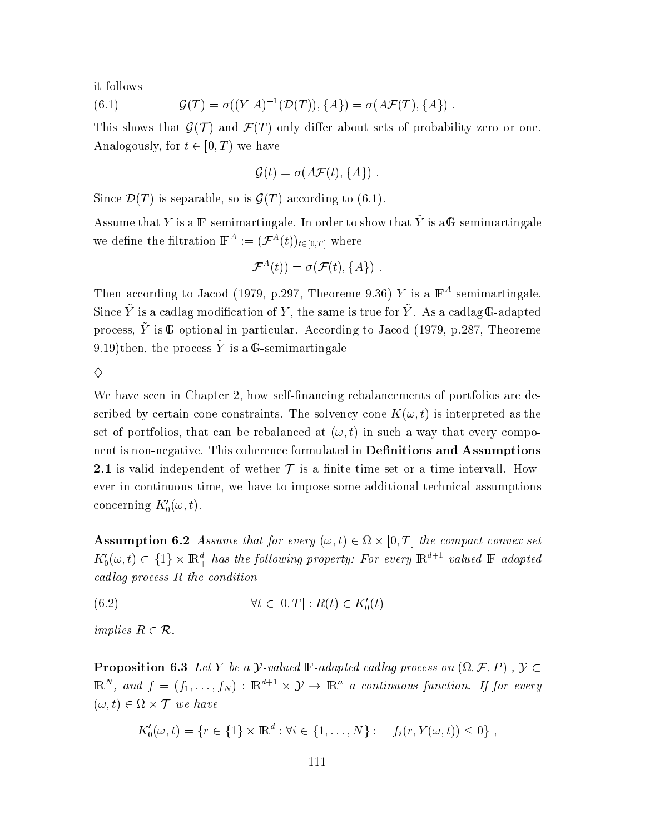it follows

(6.1) 
$$
\mathcal{G}(T) = \sigma((Y|A)^{-1}(\mathcal{D}(T)), \{A\}) = \sigma(A\mathcal{F}(T), \{A\})
$$

This shows that  $\mathcal{G}(\mathcal{T})$  and  $\mathcal{F}(T)$  only differ about sets of probability zero or one. Analogously, for  $t \in [0, T)$  we have

$$
\mathcal{G}(t) = \sigma(A\mathcal{F}(t), \{A\})
$$

Since  $\mathcal{D}(T)$  is separable, so is  $\mathcal{G}(T)$  according to (6.1).

Assume that Y is a IF-semimartingale. In order to show that  $\tilde{Y}$  is a G-semimartingale we define the filtration  $\mathbb{F}^{A} := (\mathcal{F}^{A}(t))_{t \in [0,T]}$  where

$$
\mathcal{F}^{A}(t))=\sigma(\mathcal{F}(t),\{A\}) .
$$

Then according to Jacod (1979, p.297, Theoreme 9.36) Y is a  $\mathbb{F}^A$ -semimartingale. Since  $\tilde{Y}$  is a cadlag modification of Y, the same is true for  $\tilde{Y}$ . As a cadlag G-adapted process,  $\tilde{Y}$  is G-optional in particular. According to Jacod (1979, p.287, Theoreme 9.19)then, the process  $\tilde{Y}$  is a G-semimartingale

 $\Diamond$ 

We have seen in Chapter 2, how self-financing rebalancements of portfolios are described by certain cone constraints. The solvency cone  $K(\omega, t)$  is interpreted as the set of portfolios, that can be rebalanced at  $(\omega, t)$  in such a way that every component is non-negative. This coherence formulated in **Definitions and Assumptions** 2.1 is valid independent of wether  $\mathcal T$  is a finite time set or a time intervall. However in continuous time, we have to impose some additional technical assumptions concerning  $K'_0(\omega, t)$ .

**Assumption 6.2** Assume that for every  $(\omega, t) \in \Omega \times [0, T]$  the compact convex set  $K'_0(\omega, t) \subset \{1\} \times \mathbb{R}^d_+$  has the following property: For every  $\mathbb{R}^{d+1}$ -valued  $\mathbb{F}$ -adapted cadlag process  $R$  the condition

$$
(6.2) \qquad \forall t \in [0, T] : R(t) \in K'_0(t)
$$

implies  $R \in \mathcal{R}$ .

**Proposition 6.3** Let Y be a *y*-valued F-adapted cadlag process on  $(\Omega, \mathcal{F}, P)$ ,  $\mathcal{Y} \subset$  $\mathbb{R}^N$ , and  $f = (f_1, \ldots, f_N) : \mathbb{R}^{d+1} \times \mathcal{Y} \to \mathbb{R}^n$  a continuous function. If for every  $(\omega, t) \in \Omega \times \mathcal{T}$  we have

$$
K'_0(\omega, t) = \{r \in \{1\} \times \mathbb{R}^d : \forall i \in \{1, ..., N\} : f_i(r, Y(\omega, t)) \leq 0\},
$$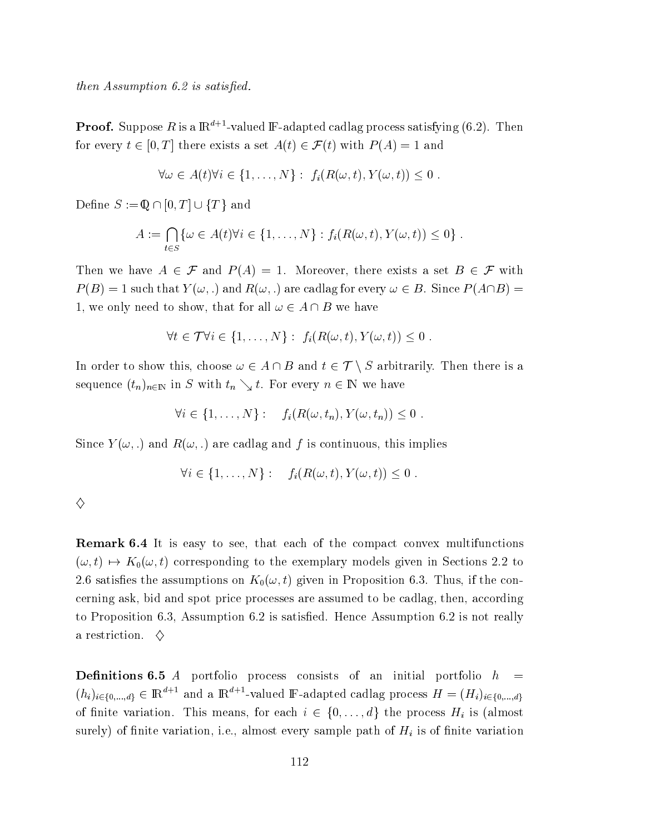- "
- B)  

 $\bf{Proof.}$  Suppose  $R$  is a  ${\rm I\!R}^{d+1}$ -valued  ${\rm I\!F\!}$ -adapted cadlag process satisfying (6.2). Then for every  $t \in [0,T]$  there exists a set  $A(t) \in \mathcal{F}(t)$  with  $P(A) = 1$  and

$$
\forall \omega \in A(t) \forall i \in \{1, ..., N\} : f_i(R(\omega, t), Y(\omega, t)) \leq 0.
$$

Define  $S := \mathbb{Q} \cap [0,T] \cup \{T\}$  and

$$
A := \bigcap_{t \in S} \{ \omega \in A(t) \forall i \in \{1, \ldots, N\} : f_i(R(\omega, t), Y(\omega, t)) \leq 0 \} .
$$

Then we have  $A \in \mathcal{F}$  and  $P(A) = 1$ . Moreover, there exists a set  $B \in \mathcal{F}$  with  $P(B) = 1$  such that  $Y(\omega,.)$  and  $R(\omega,.)$  are cadlag for every  $\omega \in B$ . Since  $P(A \cap B) =$ 1, we only need to show, that for all  $\omega \in A \cap B$  we have

$$
\forall t \in \mathcal{T} \forall i \in \{1, \ldots, N\} : f_i(R(\omega, t), Y(\omega, t)) \leq 0.
$$

In order to show this, choose  $\omega \in A \cap B$  and  $t \in \mathcal{T} \setminus S$  arbitrarily. Then there is a sequence  $(t_n)_{n\in\mathbb{N}}$  in S with  $t_n\searrow t$ . For every  $n\in\mathbb{N}$  we have

$$
\forall i \in \{1, \ldots, N\} : f_i(R(\omega, t_n), Y(\omega, t_n)) \leq 0.
$$

Since  $Y(\omega,.)$  and  $R(\omega,.)$  are cadlag and  $f$  is continuous, this implie  $\mathbf{s}$  and  $\mathbf{s}$ 

$$
\forall i \in \{1, \ldots, N\} : f_i(R(\omega, t), Y(\omega, t)) \leq 0.
$$

**Remark 6.4** It is easy to see, that each of the compact convex multifunctions  $(\omega,t)\mapsto K_0(\omega,t)$  corresponding to the exemplary models given in Sections 2.2 to 2.6 satisfies the assumptions on  $K_0(\omega,t)$  given in Proposition 6.3. Thus, if the concerning ask, bid and spot price processes are assumed to be cadlag, then, according to Proposition 6.3, Assumption 6.2 is satisfied. Hence Assumption 6.2 is not really a restriction.  $\Diamond$ 

**Definitions 6.5** A portfolio process consists of an initial portfolio  $h =$  $(h_i)_{i \in \{0,\ldots,d\}} \in \mathbb{R}^{d+1}$  and a  $\mathbb{R}^{d+1}$ -valued  $\mathbb{F}\text{-adapted}$  cadlag process  $H = (H_i)_{i \in \{0,\ldots,d\}}$ of finite variation. This means, for each  $i \in \{0, ..., d\}$  the process  $H_i$  is (almost surely) of finite variation, i.e., almost every sample path of  $H_i$  is of finite variation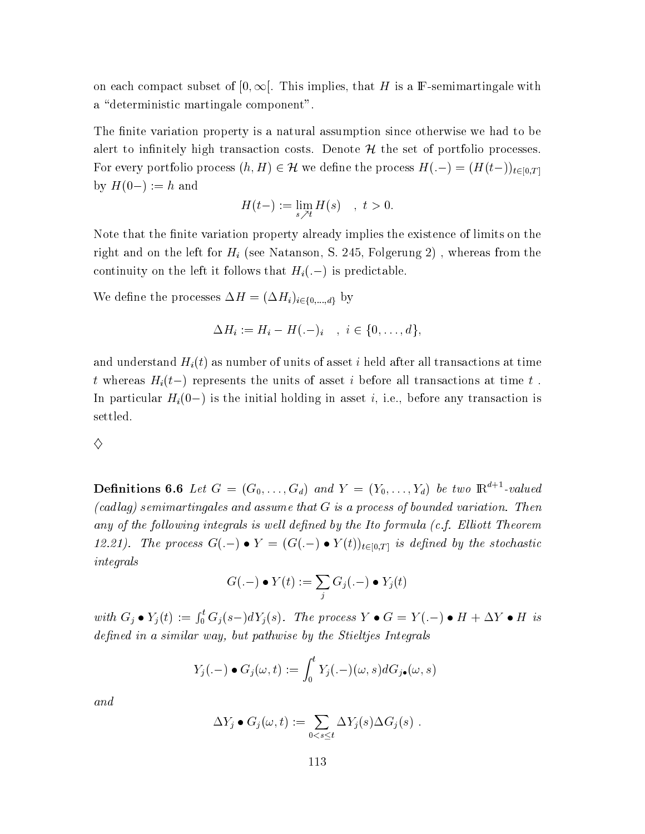on each compact subset of  $[0, \infty)$ . This implies, that H is a F-semimartingale with a "deterministic martingale component".

The finite variation property is a natural assumption since otherwise we had to be alert to infinitely high transaction costs. Denote  $\mathcal{H}$  the set of portfolio processes. For every portfolio process  $(h, H) \in \mathcal{H}$  we define the process  $H(-) = (H(t-))_{t \in [0,T]}$ by  $H(0-) := h$  and

$$
H(t-) := \lim_{s \nearrow t} H(s) \quad , \ t > 0.
$$

Note that the finite variation property already implies the existence of limits on the right and on the left for  $H_i$  (see Natanson, S. 245, Folgerung 2), whereas from the continuity on the left it follows that  $H_i(-)$  is predictable.

We define the processes  $\Delta H = (\Delta H_i)_{i \in \{0,\dots,d\}}$  by

$$
\Delta H_i := H_i - H(-i), \quad i \in \{0, ..., d\},
$$

and understand  $H_i(t)$  as number of units of asset i held after all transactions at time t whereas  $H_i(t-)$  represents the units of asset i before all transactions at time t. In particular  $H_i(0-)$  is the initial holding in asset *i*, i.e., before any transaction is settled.

### ♦

**Definitions 6.6** Let  $G = (G_0, \ldots, G_d)$  and  $Y = (Y_0, \ldots, Y_d)$  be two  $\mathbb{R}^{d+1}$ -valued  $(cadlag)$  semimartingales and assume that  $G$  is a process of bounded variation. Then any of the following integrals is well defined by the Ito formula (c.f. Elliott Theorem 12.21). The process  $G(-) \bullet Y = (G(-) \bullet Y(t))_{t \in [0,T]}$  is defined by the stochastic  $integrals$ 

$$
G(-) \bullet Y(t) := \sum_j G_j(-) \bullet Y_j(t)
$$

with  $G_j \bullet Y_j(t) := \int_0^t G_j(s-) dY_j(s)$ . The process  $Y \bullet G = Y(.) \bullet H + \Delta Y \bullet H$  is defined in a similar way, but pathwise by the Stieltjes Integrals

$$
Y_j(.-) \bullet G_j(\omega, t) := \int_0^t Y_j(.-) (\omega, s) dG_{j\bullet}(\omega, s)
$$

 $\it{and}$ 

$$
\Delta Y_j \bullet G_j(\omega, t) := \sum_{0 < s \leq t} \Delta Y_j(s) \Delta G_j(s) \ .
$$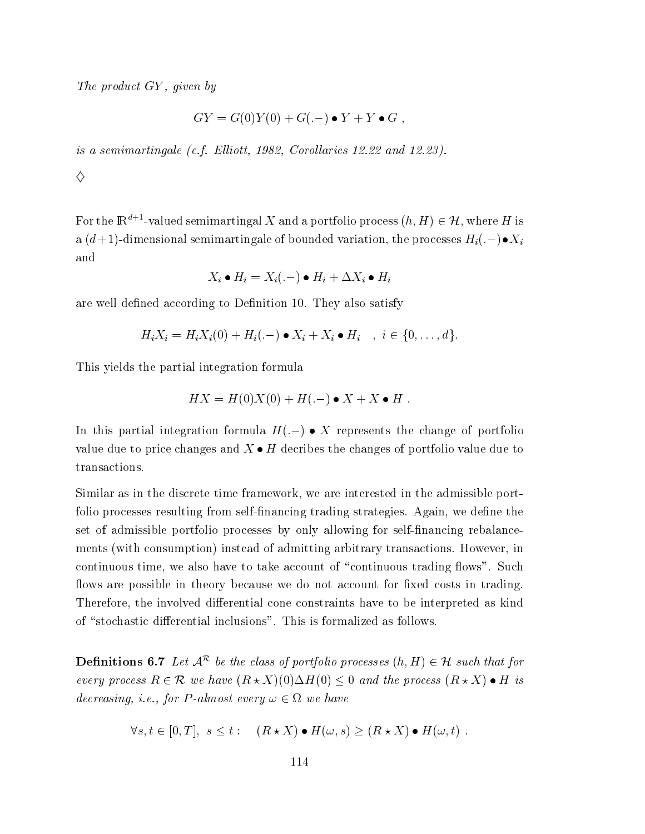The product GY, given by

$$
GY = G(0)Y(0) + G(-) \bullet Y + Y \bullet G ,
$$

is a semimartingale (c.f. Elliott, 1982, Corollaries 12.22 and 12.23).

♦

For the  $\mathbb{R}^{d+1}$ -valued semimartingal X and a portfolio process  $(h, H) \in \mathcal{H}$ , where H is a  $(d+1)$ -dimensional semimartingale of bounded variation, the processes  $H_i(.-) \bullet X_i$ and

$$
X_i \bullet H_i = X_i(.-) \bullet H_i + \Delta X_i \bullet H_i
$$

are well defined according to Definition 10. They also satisfy

$$
H_i X_i = H_i X_i(0) + H_i(-) \bullet X_i + X_i \bullet H_i \quad , \quad i \in \{0, \ldots, d\}
$$

This yields the partial integration formula

$$
HX = H(0)X(0) + H(-) \bullet X + X \bullet H.
$$

In this partial integration formula  $H(-) \bullet X$  represents the change of portfolio value due to price changes and  $X \bullet H$  decribes the changes of portfolio value due to transactions.

Similar as in the discrete time framework, we are interested in the admissible portfolio processes resulting from self-financing trading strategies. Again, we define the set of admissible portfolio processes by only allowing for self-financing rebalancements (with consumption) instead of admitting arbitrary transactions. However, in continuous time, we also have to take account of "continuous trading flows". Such flows are possible in theory because we do not account for fixed costs in trading. Therefore, the involved differential cone constraints have to be interpreted as kind of "stochastic differential inclusions". This is formalized as follows.

**Definitions 6.7** Let  $A^{\mathcal{R}}$  be the class of portfolio processes  $(h, H) \in \mathcal{H}$  such that for every process  $R \in \mathcal{R}$  we have  $(R \star X)(0) \Delta H(0) \leq 0$  and the process  $(R \star X) \bullet H$  is decreasing, i.e., for P-almost every  $\omega \in \Omega$  we have

$$
\forall s, t \in [0, T], s \le t : (R \star X) \bullet H(\omega, s) \ge (R \star X) \bullet H(\omega, t).
$$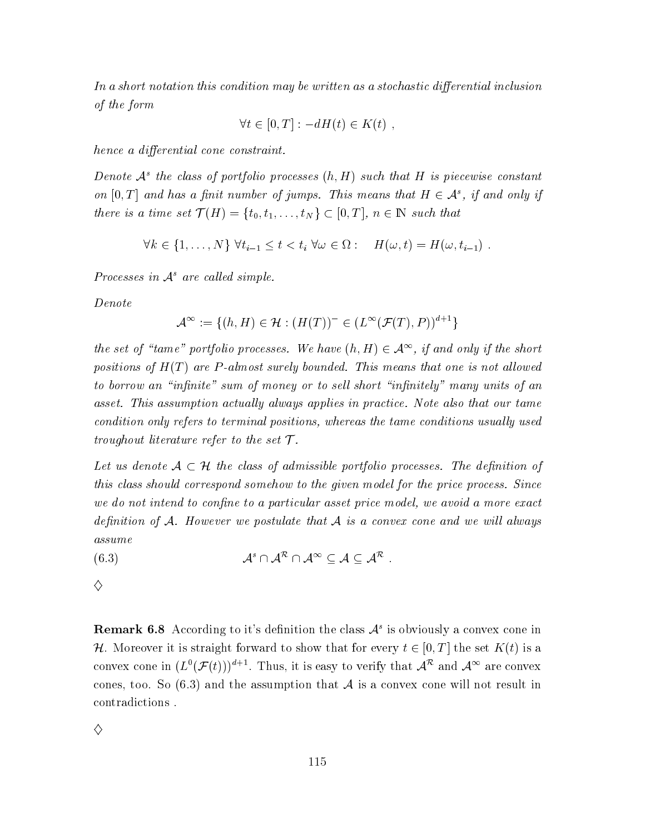In a short notation this condition may be written as a stochastic differential inclusion of the form

$$
\forall t \in [0, T] : -dH(t) \in K(t) ,
$$

hence a differential cone constraint.

Denote  $\mathcal{A}^s$  the class of portfolio processes  $(h,H)$  such that H is piecewise constant on  $[0, T]$  and has a finit number of jumps. This means that  $H \in \mathcal{A}^s$ , if and only if there is a time set  $\mathcal{T}(H) = \{t_0, t_1, \ldots, t_N\} \subset [0, T], n \in \mathbb{N}$  such that

$$
\forall k \in \{1, \ldots, N\} \; \forall t_{i-1} \leq t < t_i \; \forall \omega \in \Omega: \quad H(\omega, t) = H(\omega, t_{i-1}) \; .
$$

Processes in  $A^s$  are called simple.

Denote

$$
\mathcal{A}^{\infty} := \{ (h, H) \in \mathcal{H} : (H(T))^{-} \in (L^{\infty}(\mathcal{F}(T), P))^{d+1} \}
$$

the set of "tame" portfolio processes. We have  $(h, H) \in \mathcal{A}^{\infty}$ , if and only if the short positions of  $H(T)$  are P-almost surely bounded. This means that one is not allowed to borrow an "infinite" sum of money or to sell short "infinitely" many units of an asset. This assumption actually always applies in practice. Note also that our tame condition only refers to terminal positions, whereas the tame conditions usually used troughout literature refer to the set  $\mathcal T$ .

Let us denote  $A \subset \mathcal{H}$  the class of admissible portfolio processes. The definition of this class should correspond somehow to the given model for the price process. Since we do not intend to confine to a particular asset price model, we avoid a more exact definition of A. However we postulate that A is a convex cone and we will always assume

$$
(6.3) \t\t \t\t \t\t \t\t \t\t \mathcal{A}^s \cap \t \mathcal{A}^\infty \subseteq \mathcal{A} \subseteq \mathcal{A}^\mathcal{R}
$$

 $\diamondsuit$ 

**Remark 6.8** According to it's definition the class  $A<sup>s</sup>$  is obviously a convex cone in H. Moreover it is straight forward to show that for every  $t \in [0, T]$  the set  $K(t)$  is a convex cone in  $(L^0(\mathcal{F}(t)))^{d+1}$ . Thus, it is easy to verify that  $\mathcal{A}^R$  and  $\mathcal{A}^{\infty}$  are convex cones, too. So (6.3) and the assumption that A is a convex cone will not result in contradictions.

 $\diamondsuit$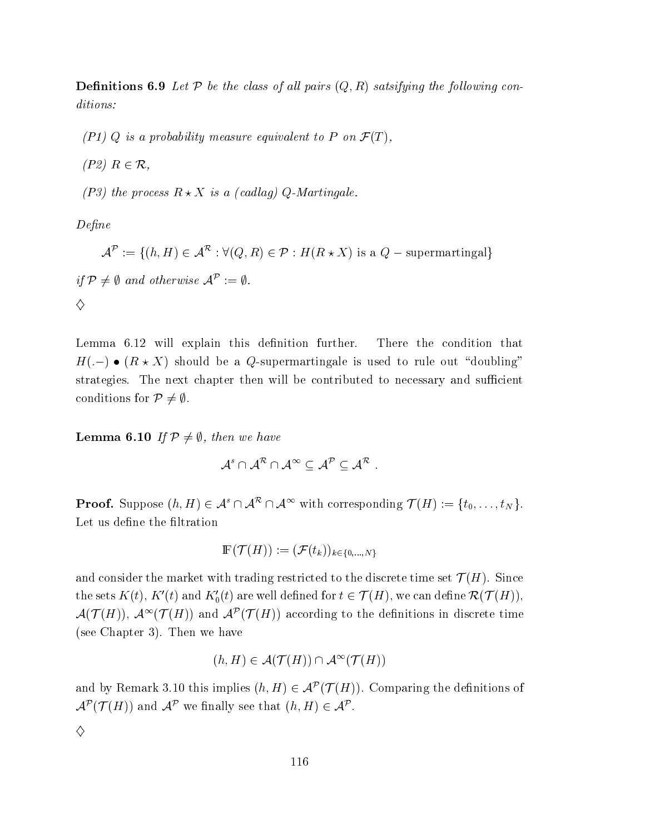**Definitions 6.9** Let P be the class of all pairs  $(Q, R)$  satsifying the following conditions:

 $(P1)$  Q is a probability measure equivalent to P on  $\mathcal{F}(T)$ ,

 $(P2)$   $R \in \mathcal{R}$ ,

(P3) the process  $R \star X$  is a (cadlag) Q-Martingale.

 $Define$ 

 $\mathcal{A}^{\mathcal{P}} := \{(h, H) \in \mathcal{A}^{\mathcal{R}} : \forall (Q, R) \in \mathcal{P} : H(R \star X) \text{ is a } Q \text{ - supermartingal}\}\$ if  $\mathcal{P} \neq \emptyset$  and otherwise  $\mathcal{A}^{\mathcal{P}} := \emptyset$ . ♦

Lemma 6.12 will explain this definition further. There the condition that  $H(-) \bullet (R \star X)$  should be a Q-supermartingale is used to rule out "doubling" strategies. The next chapter then will be contributed to necessary and sufficient conditions for  $\mathcal{P} \neq \emptyset$ .

**Lemma 6.10** If  $\mathcal{P} \neq \emptyset$ , then we have

$$
\mathcal{A}^s\cap\mathcal{A}^\mathcal{R}\cap\mathcal{A}^\infty\subseteq\mathcal{A}^\mathcal{P}\subseteq\mathcal{A}^\mathcal{R}
$$

**Proof.** Suppose  $(h, H) \in \mathcal{A}^s \cap \mathcal{A}^{\mathcal{R}} \cap \mathcal{A}^{\infty}$  with corresponding  $\mathcal{T}(H) := \{t_0, \ldots, t_N\}.$ Let us define the filtration

$$
\mathbb{F}(\mathcal{T}(H)) := (\mathcal{F}(t_k))_{k \in \{0,\ldots,N\}}
$$

and consider the market with trading restricted to the discrete time set  $\mathcal{T}(H)$ . Since the sets  $K(t)$ ,  $K'(t)$  and  $K'_0(t)$  are well defined for  $t \in \mathcal{T}(H)$ , we can define  $\mathcal{R}(\mathcal{T}(H))$ ,  $\mathcal{A}(\mathcal{T}(H)), \mathcal{A}^{\infty}(\mathcal{T}(H))$  and  $\mathcal{A}^{p}(\mathcal{T}(H))$  according to the definitions in discrete time (see Chapter 3). Then we have

$$
(h, H) \in \mathcal{A}(\mathcal{T}(H)) \cap \mathcal{A}^{\infty}(\mathcal{T}(H))
$$

and by Remark 3.10 this implies  $(h, H) \in \mathcal{A}^p(\mathcal{T}(H))$ . Comparing the definitions of  $\mathcal{A}^{\mathcal{P}}(\mathcal{T}(H))$  and  $\mathcal{A}^{\mathcal{P}}$  we finally see that  $(h,H) \in \mathcal{A}^{\mathcal{P}}$ . ♦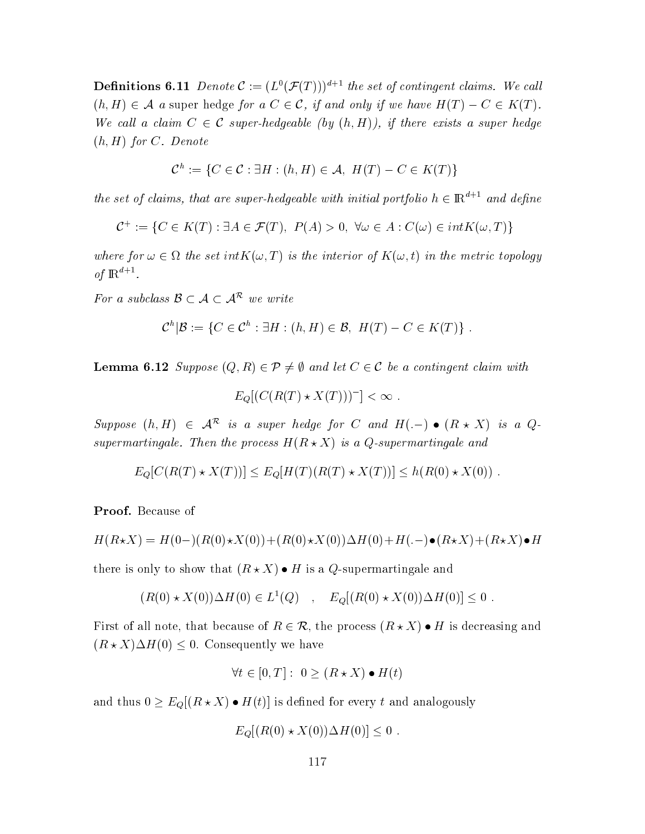**Definitions 6.11** Denote  $\mathcal{C} := (L^0(\mathcal{F}(T)))^{d+1}$  the set of contingent claims. We call  $(h,H)\in \mathcal{A}$  a super hedge for a  $C\in \mathcal{C}$ , if and only if we have  $H(T)-C\in K(T)$ . We call a claim  $C \in \mathcal{C}$  super-hedgeable (by  $(h, H)$ ), if there exists a super hedge  $(h,H)$  for  $C.$  Denote

$$
\mathcal{C}^h := \{ C \in \mathcal{C} : \exists H : (h, H) \in \mathcal{A}, \ H(T) - C \in K(T) \}
$$

the set of claims, that are super-hedgeable with initial portfolio  $h \in \mathbb{R}^{a+1}$  and define

$$
\mathcal{C}^+ := \{ C \in K(T) : \exists A \in \mathcal{F}(T), \ P(A) > 0, \ \forall \omega \in A : C(\omega) \in int K(\omega, T) \}
$$

where for  $\omega \in \Omega$  the set  $intK(\omega,T)$  is the interior of  $K(\omega,t)$  in the metric topology of  $\mathbb{R}^{d+1}$ .

For a subclass  $\mathcal{B} \subset \mathcal{A} \subset \mathcal{A}^{\mathcal{R}}$  we write

$$
\mathcal{C}^h|\mathcal{B}:=\{C\in\mathcal{C}^h:\exists H:(h,H)\in\mathcal{B},\ H(T)-C\in K(T)\}.
$$

**Lemma 6.12** Suppose  $(Q, R) \in \mathcal{P} \neq \emptyset$  and let  $C \in \mathcal{C}$  be a contingent claim with

$$
E_Q[(C(R(T) \star X(T)))^-] < \infty .
$$

Suppose  $(h,H) \in \mathcal{A}^{\mathcal{R}}$  is a super hedge for C and  $H(-) \bullet (R \star X)$  is a Qsupermartingale. Then the process  $H(R\star X)$  is a Q-supermartingale and

$$
E_Q[C(R(T) \star X(T))] \le E_Q[H(T)(R(T) \star X(T))] \le h(R(0) \star X(0)).
$$

 $\mathbf{Proof.}\ \mathbf{Because}\ \mathbf{of}$ 

$$
H(R\star X) = H(0-)(R(0)\star X(0)) + (R(0)\star X(0))\Delta H(0) + H(-)\bullet (R\star X) + (R\star X)\bullet H
$$

there is only to show that  $(R \star X) \bullet H$  is a Q-supermartingale and

$$
(R(0) * X(0)) \Delta H(0) \in L^{1}(Q) , E_{Q}[(R(0) * X(0)) \Delta H(0)] \leq 0 .
$$

First of all note, that because of  $R \in \mathcal{R}$ , the process  $(R \star X) \bullet H$  is decreasing and  $(R \star X) \Delta H(0) \leq 0$ . Consequently we have

$$
\forall t \in [0, T]: 0 \ge (R \star X) \bullet H(t)
$$

and thus  $0 \ge E_Q[(R \star X) \bullet H(t)]$  is defined for every  $t$  and analogously

$$
E_Q[(R(0) \star X(0)) \Delta H(0)] \le 0.
$$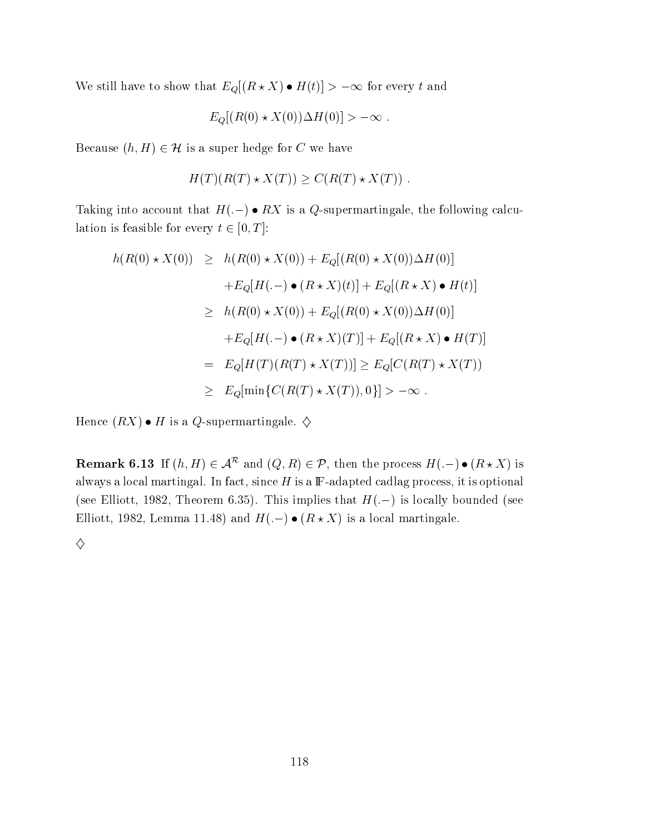We still have to show that  $E_Q[(R \star X) \bullet H(t)] > -\infty$  for every t and

$$
E_Q[(R(0) \star X(0)) \Delta H(0)] > -\infty .
$$

Because  $(h,H)\in \mathcal{H}$  is a super hedge for  $C$  we have

$$
H(T)(R(T) \star X(T)) \ge C(R(T) \star X(T)).
$$

Taking into account that  $H(.-)\bullet RX$  is a  $Q$ -supermartingale, the following calculation is feasible for every  $t\in[0,T]$ :

$$
h(R(0) * X(0)) \geq h(R(0) * X(0)) + E_Q[(R(0) * X(0))\Delta H(0)]
$$
  
+
$$
E_Q[H(-) \bullet (R * X)(t)] + E_Q[(R * X) \bullet H(t)]
$$
  

$$
\geq h(R(0) * X(0)) + E_Q[(R(0) * X(0))\Delta H(0)]
$$
  
+
$$
E_Q[H(-) \bullet (R * X)(T)] + E_Q[(R * X) \bullet H(T)]
$$
  
= 
$$
E_Q[H(T)(R(T) * X(T))] \geq E_Q[C(R(T) * X(T))]
$$
  

$$
\geq E_Q[\min\{C(R(T) * X(T)), 0\}] > -\infty.
$$

Hence  $(RX)\bullet H$  is a  $Q$ -supermartingale.  $\diamondsuit$ 

**Remark 6.13** If  $(h, H) \in \mathcal{A}^{\mathcal{R}}$  and  $(Q, R) \in \mathcal{P}$ , then the process  $H(.) \bullet (R \star X)$  is always a local martingal. In fact, since  $H$  is a  ${\mathbb F}$ -adapted cadlag process, it is optional (see Elliott, 1982, Theorem 6.35). This implies that  $H(.-)$  is locally bounded (see Elliott, 1982, Lemma 11.48) and  $H(.-) \bullet (R \star X)$  is a local martingale  $\blacksquare$ 

 $\Diamond$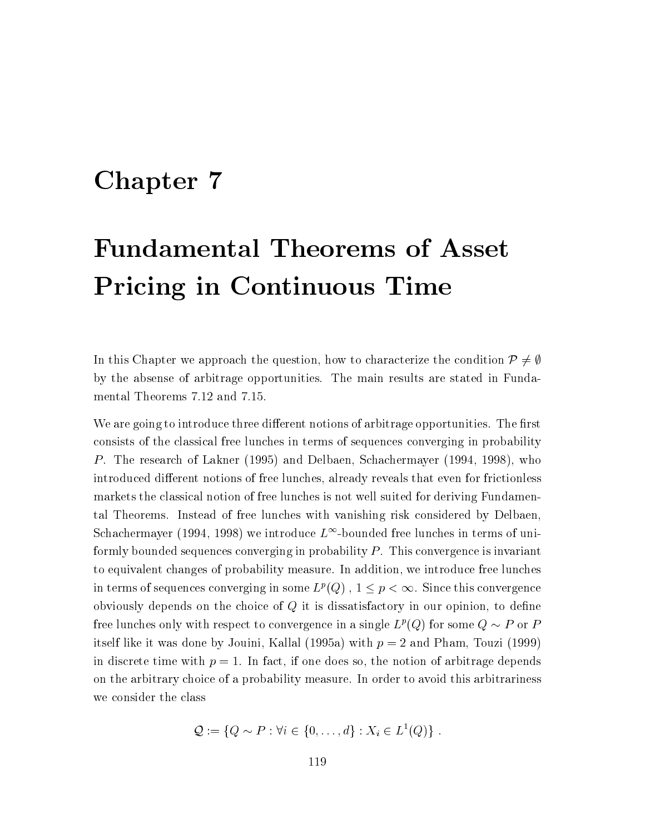## Chapter 7

## **Fundamental Theorems of Asset Pricing in Continuous Time**

In this Chapter we approach the question, how to characterize the condition  $\mathcal{P} \neq \emptyset$ by the absense of arbitrage opportunities. The main results are stated in Fundamental Theorems 7.12 and 7.15.

We are going to introduce three different notions of arbitrage opportunities. The first consists of the classical free lunches in terms of sequences converging in probability P. The research of Lakner (1995) and Delbaen, Schachermayer (1994, 1998), who introduced different notions of free lunches, already reveals that even for frictionless markets the classical notion of free lunches is not well suited for deriving Fundamental Theorems. Instead of free lunches with vanishing risk considered by Delbaen, Schachermayer (1994, 1998) we introduce  $L^{\infty}$ -bounded free lunches in terms of uniformly bounded sequences converging in probability  $P$ . This convergence is invariant to equivalent changes of probability measure. In addition, we introduce free lunches in terms of sequences converging in some  $L^p(Q)$ ,  $1 \leq p < \infty$ . Since this convergence obviously depends on the choice of  $Q$  it is dissatisfactory in our opinion, to define free lunches only with respect to convergence in a single  $L^p(Q)$  for some  $Q \sim P$  or P itself like it was done by Jouini, Kallal (1995a) with  $p = 2$  and Pham, Touzi (1999) in discrete time with  $p = 1$ . In fact, if one does so, the notion of arbitrage depends on the arbitrary choice of a probability measure. In order to avoid this arbitrariness we consider the class

$$
\mathcal{Q} := \{Q \sim P : \forall i \in \{0, \ldots, d\} : X_i \in L^1(Q)\}.
$$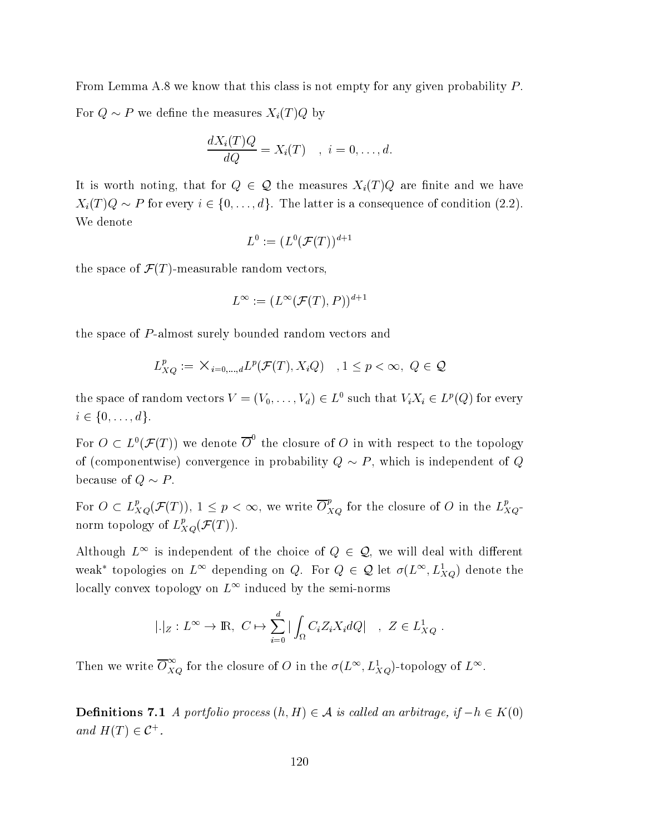From Lemma A.8 we know that this class is not empty for any given probability  $P$ . For  $Q \sim P$  we define the measures  $X_i(T)Q$  by

$$
\frac{dX_i(T)Q}{dQ} = X_i(T) \quad , \quad i = 0, \dots, d.
$$

It is worth noting, that for  $Q \in \mathcal{Q}$  the measures  $X_i(T)Q$  are finite and we have  $X_i(T)Q \sim P$  for every  $i \in \{0, ..., d\}$ . The latter is a consequence of condition (2.2). We denote

$$
L^0 := (L^0(\mathcal{F}(T))^{d+1}
$$

the space of  $\mathcal{F}(T)$ -measurable random vectors,

$$
L^{\infty} := (L^{\infty}(\mathcal{F}(T), P))^{d+1}
$$

the space of P-almost surely bounded random vectors and

$$
L_{XQ}^p := \mathsf{X}_{i=0,\dots,d} L^p(\mathcal{F}(T), X_iQ) \quad , 1 \le p < \infty, \ Q \in \mathcal{Q}
$$

the space of random vectors  $V = (V_0, \ldots, V_d) \in L^0$  such that  $V_i X_i \in L^p(Q)$  for every  $i \in \{0,\ldots,d\}.$ 

For  $O \subset L^0(\mathcal{F}(T))$  we denote  $\overline{O}^0$  the closure of O in with respect to the topology of (componentwise) convergence in probability  $Q \sim P$ , which is independent of Q because of  $Q \sim P$ .

For  $O \subset L_{XQ}^p(\mathcal{F}(T))$ ,  $1 \leq p < \infty$ , we write  $\overline{O}_{XQ}^p$  for the closure of O in the  $L_{XQ}^p$ norm topology of  $L_{XQ}^p(\mathcal{F}(T))$ .

Although  $L^{\infty}$  is independent of the choice of  $Q \in \mathcal{Q}$ , we will deal with different weak\* topologies on  $L^{\infty}$  depending on Q. For  $Q \in \mathcal{Q}$  let  $\sigma(L^{\infty}, L^1_{XQ})$  denote the locally convex topology on  $L^{\infty}$  induced by the semi-norms

$$
|.|_Z: L^{\infty} \to \mathbb{R}, C \mapsto \sum_{i=0}^d |\int_{\Omega} C_i Z_i X_i dQ| \quad , Z \in L^1_{XQ}
$$

Then we write  $\overline{O}_{XQ}^{\infty}$  for the closure of O in the  $\sigma(L^{\infty}, L_{XQ}^1)$ -topology of  $L^{\infty}$ .

**Definitions 7.1** A portfolio process  $(h, H) \in \mathcal{A}$  is called an arbitrage, if  $-h \in K(0)$ and  $H(T) \in \mathcal{C}^+$ .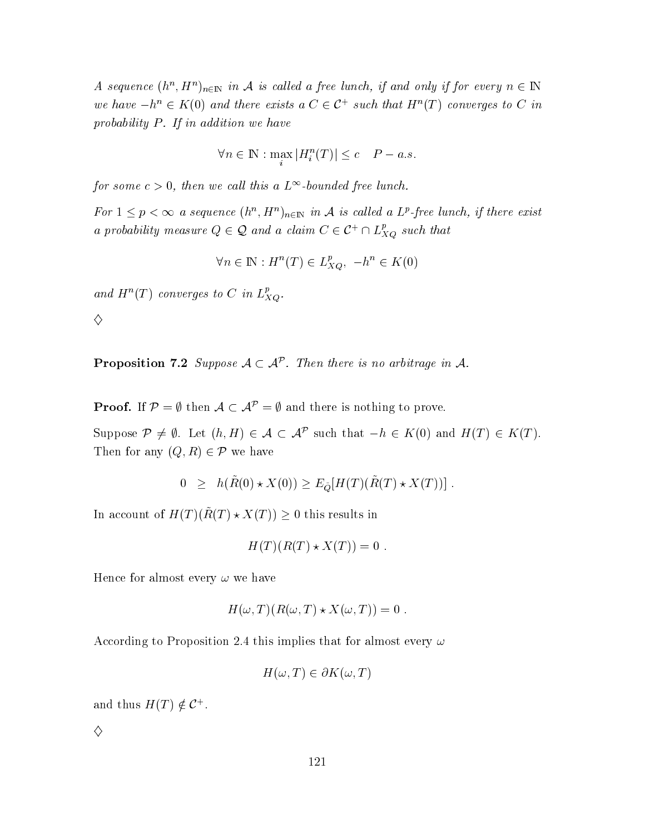A sequence  $(h^n, H^n)_{n \in \mathbb{N}}$  in A is called a free lunch, if and only if for every  $n \in \mathbb{N}$ we have  $-h^n \in K(0)$  and there exists a  $C \in \mathcal{C}^+$  such that  $H^n(T)$  converges to C in probability  $P$ . If in addition we have

$$
\forall n \in \mathbb{N} : \max_{i} |H_{i}^{n}(T)| \leq c \quad P - a.s.
$$

for some  $c > 0$ , then we call this a  $L^{\infty}$ -bounded free lunch.

For  $1 \leq p < \infty$  a sequence  $(h^n, H^n)_{n \in \mathbb{N}}$  in A is called a L<sup>p</sup>-free lunch, if there exist a probability measure  $Q \in \mathcal{Q}$  and a claim  $C \in \mathcal{C}^+ \cap L_{XQ}^p$  such that

$$
\forall n \in \mathbb{N}: H^n(T) \in L_{XQ}^p, \ -h^n \in K(0)
$$

and  $H^n(T)$  converges to C in  $L_{XQ}^p$ .

 $\diamondsuit$ 

**Proposition 7.2** Suppose  $A \subset \mathcal{A}^{\mathcal{P}}$ . Then there is no arbitrage in A.

**Proof.** If  $\mathcal{P} = \emptyset$  then  $\mathcal{A} \subset \mathcal{A}^{\mathcal{P}} = \emptyset$  and there is nothing to prove.

Suppose  $\mathcal{P} \neq \emptyset$ . Let  $(h, H) \in \mathcal{A} \subset \mathcal{A}^{\mathcal{P}}$  such that  $-h \in K(0)$  and  $H(T) \in K(T)$ . Then for any  $(Q, R) \in \mathcal{P}$  we have

$$
0 \geq h(\tilde{R}(0) \star X(0)) \geq E_{\tilde{Q}}[H(T)(\tilde{R}(T) \star X(T))].
$$

In account of  $H(T)(\tilde{R}(T) * X(T)) \geq 0$  this results in

$$
H(T)(R(T) \star X(T)) = 0.
$$

Hence for almost every  $\omega$  we have

$$
H(\omega, T)(R(\omega, T) \star X(\omega, T)) = 0.
$$

According to Proposition 2.4 this implies that for almost every  $\omega$ 

$$
H(\omega, T) \in \partial K(\omega, T)
$$

and thus  $H(T) \notin \mathcal{C}^+$ .

♦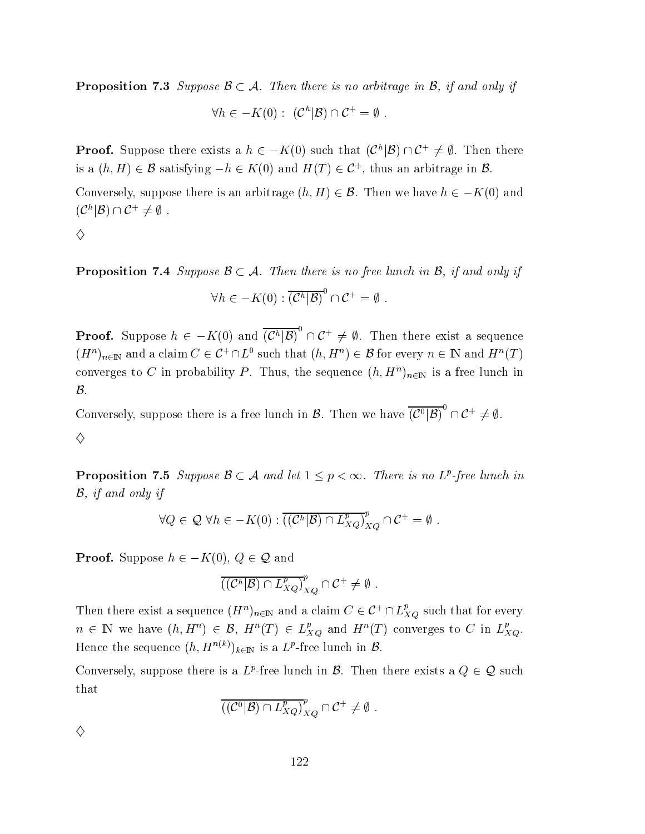**Proposition 7.3** Suppose  $\mathcal{B} \subset \mathcal{A}$ . Then there is no arbitrage in  $\mathcal{B}$ , if and only if

$$
\forall h \in -K(0): (C^h|\mathcal{B}) \cap C^+ = \emptyset.
$$

**Proof.** Suppose there exists a  $h \in -K(0)$  such that  $(\mathcal{C}^h|\mathcal{B}) \cap \mathcal{C}^+ \neq \emptyset$ . Then there is a  $(h, H) \in \mathcal{B}$  satisfying  $-h \in K(0)$  and  $H(T) \in \mathcal{C}^+$ , thus an arbitrage in  $\mathcal{B}$ .

Conversely, suppose there is an arbitrage  $(h, H) \in \mathcal{B}$ . Then we have  $h \in -K(0)$  and  $(C^h|\mathcal{B})\cap\mathcal{C}^+\neq\emptyset$ .

♦

**Proposition 7.4** Suppose  $\mathcal{B} \subset \mathcal{A}$ . Then there is no free lunch in  $\mathcal{B}$ , if and only if

$$
\forall h \in -K(0) : \overline{(\mathcal{C}^h|\mathcal{B})}^0 \cap \mathcal{C}^+ = \emptyset.
$$

**Proof.** Suppose  $h \in -K(0)$  and  $\overline{(\mathcal{C}^h|\mathcal{B})}^0 \cap \mathcal{C}^+ \neq \emptyset$ . Then there exist a sequence  $(H^n)_{n\in\mathbb{N}}$  and a claim  $C\in\mathcal{C}^+\cap L^0$  such that  $(h,H^n)\in\mathcal{B}$  for every  $n\in\mathbb{N}$  and  $H^n(T)$ converges to C in probability P. Thus, the sequence  $(h, H^n)_{n \in \mathbb{N}}$  is a free lunch in  $\mathcal{B}.$ 

Conversely, suppose there is a free lunch in  $\mathcal{B}$ . Then we have  $\overline{\left(\mathcal{C}^0|\mathcal{B}\right)}^0 \cap \mathcal{C}^+ \neq \emptyset$ . ♦

**Proposition 7.5** Suppose  $\mathcal{B} \subset \mathcal{A}$  and let  $1 \leq p < \infty$ . There is no  $L^p$ -free lunch in  $\mathcal{B}$ , if and only if

$$
\forall Q \in \mathcal{Q} \ \forall h \in -K(0) : \overline{((\mathcal{C}^h|\mathcal{B}) \cap L_{XQ}^p)}_{XQ}^p \cap \mathcal{C}^+ = \emptyset.
$$

**Proof.** Suppose  $h \in -K(0), Q \in \mathcal{Q}$  and

$$
((\mathcal{C}^h|\mathcal{B})\cap L_{XQ}^p)_{XQ}^p\cap \mathcal{C}^+\neq \emptyset.
$$

Then there exist a sequence  $(H^n)_{n\in\mathbb{N}}$  and a claim  $C\in\mathcal{C}^+\cap L_{XQ}^p$  such that for every  $n \in \mathbb{N}$  we have  $(h, H^n) \in \mathcal{B}$ ,  $H^n(T) \in L_{XQ}^p$  and  $H^n(T)$  converges to C in  $L_{XQ}^p$ . Hence the sequence  $(h, H^{n(k)})_{k \in \mathbb{N}}$  is a  $L^p$ -free lunch in  $\mathcal{B}$ .

Conversely, suppose there is a L<sup>p</sup>-free lunch in B. Then there exists a  $Q \in \mathcal{Q}$  such that

$$
\overline{((\mathcal{C}^0|\mathcal{B}) \cap L_{XQ}^p)}_{XQ}^p \cap \mathcal{C}^+ \neq \emptyset.
$$

♦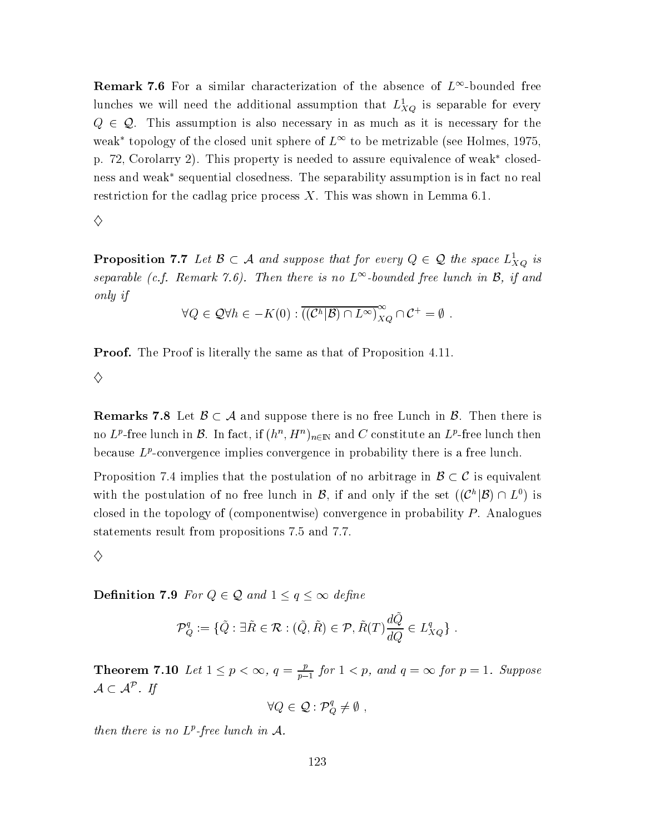**Remark 7.6** For a similar characterization of the absence of  $L^{\infty}$ -bounded free lunches we will need the additional assumption that  $L_{XQ}^1$  is separable for every  $Q \in \mathcal{Q}$ . This assumption is also necessary in as much as it is necessary for the weak<sup>\*</sup> topology of the closed unit sphere of  $L^{\infty}$  to be metrizable (see Holmes, 1975. p. 72, Corolarry 2). This property is needed to assure equivalence of weak\* closedness and weak\* sequential closedness. The separability assumption is in fact no real restriction for the cadlag price process  $X$ . This was shown in Lemma 6.1.

#### ♦

**Proposition 7.7** Let  $\mathcal{B} \subset \mathcal{A}$  and suppose that for every  $Q \in \mathcal{Q}$  the space  $L_{XQ}^1$  is separable (c.f. Remark 7.6). Then there is no  $L^{\infty}$ -bounded free lunch in  $\mathcal{B}$ , if and only if

$$
\forall Q \in \mathcal{Q}\forall h \in -K(0): \overline{((\mathcal{C}^h|\mathcal{B}) \cap L^{\infty})}_{XQ}^{\infty} \cap \mathcal{C}^+ = \emptyset
$$

**Proof.** The Proof is literally the same as that of Proposition 4.11.

♦

**Remarks 7.8** Let  $\mathcal{B} \subset \mathcal{A}$  and suppose there is no free Lunch in  $\mathcal{B}$ . Then there is no L<sup>p</sup>-free lunch in  $\mathcal{B}$ . In fact, if  $(h^n, H^n)_{n \in \mathbb{N}}$  and C constitute an L<sup>p</sup>-free lunch then because  $L^p$ -convergence implies convergence in probability there is a free lunch.

Proposition 7.4 implies that the postulation of no arbitrage in  $\mathcal{B} \subset \mathcal{C}$  is equivalent with the postulation of no free lunch in  $\mathcal{B}$ , if and only if the set  $((\mathcal{C}^h|\mathcal{B}) \cap L^0)$  is closed in the topology of (componentwise) convergence in probability  $P$ . Analogues statements result from propositions 7.5 and 7.7.

 $\diamond$ 

**Definition 7.9** For  $Q \in \mathcal{Q}$  and  $1 \le q \le \infty$  define

$$
\mathcal{P}_Q^q := \{ \tilde{Q} : \exists \tilde{R} \in \mathcal{R} : (\tilde{Q}, \tilde{R}) \in \mathcal{P}, \tilde{R}(T) \frac{d\tilde{Q}}{dQ} \in L_{XQ}^q \}
$$

**Theorem 7.10** Let  $1 \leq p < \infty$ ,  $q = \frac{p}{p-1}$  for  $1 < p$ , and  $q = \infty$  for  $p = 1$ . Suppose  $\mathcal{A} \subset \mathcal{A}^{\mathcal{P}}$ . If

 $\forall Q \in \mathcal{Q} : \mathcal{P}_Q^q \neq \emptyset$ ,

then there is no  $L^p$ -free lunch in A.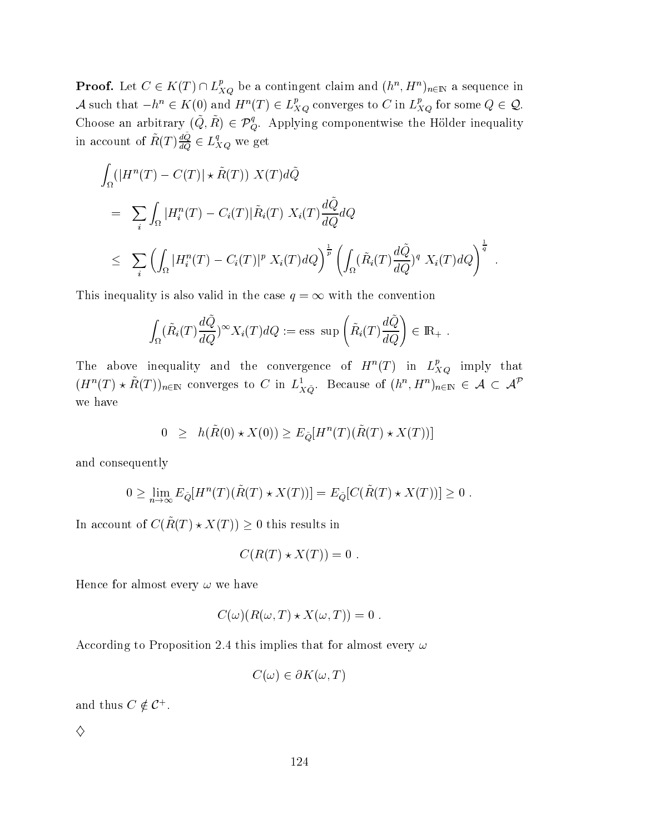**Proof.** Let  $C \in K(T) \cap L_{XQ}^p$  be a contingent claim and  $(h^n, H^n)_{n \in \mathbb{N}}$  a sequence in A such that  $-h^n \in K(0)$  and  $H^n(T) \in L_{XQ}^p$  converges to C in  $L_{XQ}^p$  for some  $Q \in \mathcal{Q}$ . Choose an arbitrary  $(\tilde{Q}, \tilde{R}) \in \mathcal{P}_{Q}^{q}$ . Applying componentwise the Hölder inequality in account of  $\tilde{R}(T)\frac{d\tilde{Q}}{dQ} \in L_{XQ}^q$  we get

$$
\int_{\Omega} (|H^n(T) - C(T)| \star \tilde{R}(T)) X(T) d\tilde{Q}
$$
\n
$$
= \sum_{i} \int_{\Omega} |H_i^n(T) - C_i(T)| \tilde{R}_i(T) X_i(T) \frac{d\tilde{Q}}{dQ} dQ
$$
\n
$$
\leq \sum_{i} \left( \int_{\Omega} |H_i^n(T) - C_i(T)|^p X_i(T) dQ \right)^{\frac{1}{p}} \left( \int_{\Omega} (\tilde{R}_i(T) \frac{d\tilde{Q}}{dQ})^q X_i(T) dQ \right)^{\frac{1}{q}}
$$

This inequality is also valid in the case  $q = \infty$  with the convention

$$
\int_{\Omega} (\tilde{R}_i(T) \frac{d\tilde{Q}}{dQ})^{\infty} X_i(T) dQ := \text{ess sup}\left(\tilde{R}_i(T) \frac{d\tilde{Q}}{dQ}\right) \in \mathbb{R}_+
$$

The above inequality and the convergence of  $H^n(T)$  in  $L_{XQ}^p$  imply that  $(H^n(T) \star \tilde{R}(T))_{n \in \mathbb{N}}$  converges to C in  $L^1_{X\tilde{Q}}$ . Because of  $(h^n, H^n)_{n \in \mathbb{N}} \in \mathcal{A} \subset \mathcal{A}^{\mathcal{P}}$ we have

$$
0 \ge h(\tilde{R}(0) \star X(0)) \ge E_{\tilde{Q}}[H^n(T)(\tilde{R}(T) \star X(T))]
$$

and consequently

$$
0 \geq \lim_{n \to \infty} E_{\tilde{Q}}[H^n(T)(\tilde{R}(T) \star X(T))] = E_{\tilde{Q}}[C(\tilde{R}(T) \star X(T))] \geq 0.
$$

In account of  $C(\tilde{R}(T) \star X(T)) \geq 0$  this results in

$$
C(R(T) \star X(T)) = 0.
$$

Hence for almost every  $\omega$  we have

$$
C(\omega)(R(\omega,T)\star X(\omega,T))=0.
$$

According to Proposition 2.4 this implies that for almost every  $\omega$ 

$$
C(\omega) \in \partial K(\omega, T)
$$

and thus  $C \notin \mathcal{C}^+$ .

♦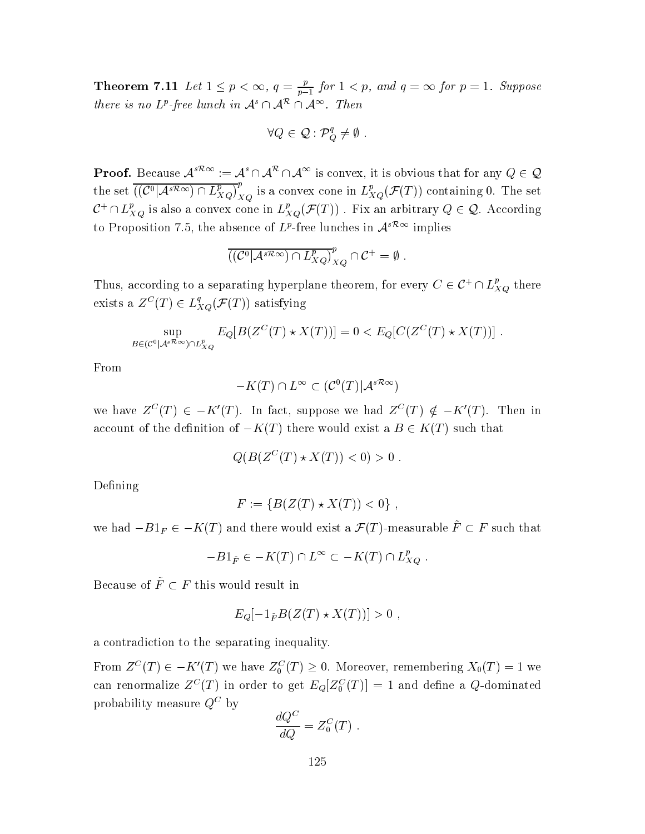**Theorem 7.11** Let  $1 \leq p < \infty$ ,  $q = \frac{p}{p-1}$  for  $1 < p$ , and  $q = \infty$  for  $p = 1$ . Suppose there is no  $L^p$ -free lunch in  $\mathcal{A}^s \cap \mathcal{A}^{\mathcal{R}} \cap \mathcal{A}^{\infty}$ . Then

$$
\forall Q \in \mathcal{Q} : \mathcal{P}_Q^q \neq \emptyset \ .
$$

**Proof.** Because  $A^{s\mathcal{R}\infty} := A^s \cap A^{\mathcal{R}} \cap A^{\infty}$  is convex, it is obvious that for any  $Q \in \mathcal{Q}$ the set  $\overline{((\mathcal{C}^0|\mathcal{A}^{sR_{\infty}})\cap L_{XQ}^p)}_{XQ}^p$  is a convex cone in  $L_{XQ}^p(\mathcal{F}(T))$  containing 0. The set  $\mathcal{C}^+\cap L_{XO}^p$  is also a convex cone in  $L_{XO}^p(\mathcal{F}(T))$ . Fix an arbitrary  $Q\in\mathcal{Q}$ . According to Proposition 7.5, the absence of  $L^p$ -free lunches in  $\mathcal{A}^{s\mathcal{R}\infty}$  implies

$$
((\mathcal{C}^0|\mathcal{A}^{s\mathcal{R}\infty})\cap L_{XQ}^p)_{XQ}^p\cap \mathcal{C}^+=\emptyset
$$

Thus, according to a separating hyperplane theorem, for every  $C \in \mathcal{C}^+ \cap L_{XQ}^p$  there exists a  $Z^C(T) \in L_{XQ}^q(\mathcal{F}(T))$  satisfying

$$
\sup_{B \in (\mathcal{C}^0 | \mathcal{A}^{s \mathcal{R}_{\infty}}) \cap L_{XQ}^p} E_Q[B(Z^C(T) \star X(T))] = 0 < E_Q[C(Z^C(T) \star X(T))]
$$

From

$$
-K(T) \cap L^{\infty} \subset (\mathcal{C}^0(T)|\mathcal{A}^{s\mathcal{R}\infty})
$$

we have  $Z^{C}(T) \in -K'(T)$ . In fact, suppose we had  $Z^{C}(T) \notin -K'(T)$ . Then in account of the definition of  $-K(T)$  there would exist a  $B \in K(T)$  such that

$$
Q(B(Z^C(T) \star X(T)) < 0) > 0 \; .
$$

Defining

$$
F := \{ B(Z(T) * X(T)) < 0 \} \, .
$$

we had  $-B1_F \in -K(T)$  and there would exist a  $\mathcal{F}(T)$ -measurable  $\tilde{F} \subset F$  such that

$$
-B1_{\tilde{F}} \in -K(T) \cap L^{\infty} \subset -K(T) \cap L_{XQ}^p.
$$

Because of  $\tilde{F} \subset F$  this would result in

$$
E_Q[-1_{\tilde{F}}B(Z(T)\star X(T))]>0
$$

a contradiction to the separating inequality.

From  $Z^{C}(T) \in -K'(T)$  we have  $Z_{0}^{C}(T) \geq 0$ . Moreover, remembering  $X_{0}(T) = 1$  we can renormalize  $Z^C(T)$  in order to get  $E_Q[Z_0^C(T)] = 1$  and define a Q-dominated probability measure  $Q^C$  by

$$
\frac{dQ^C}{dQ} = Z_0^C(T) .
$$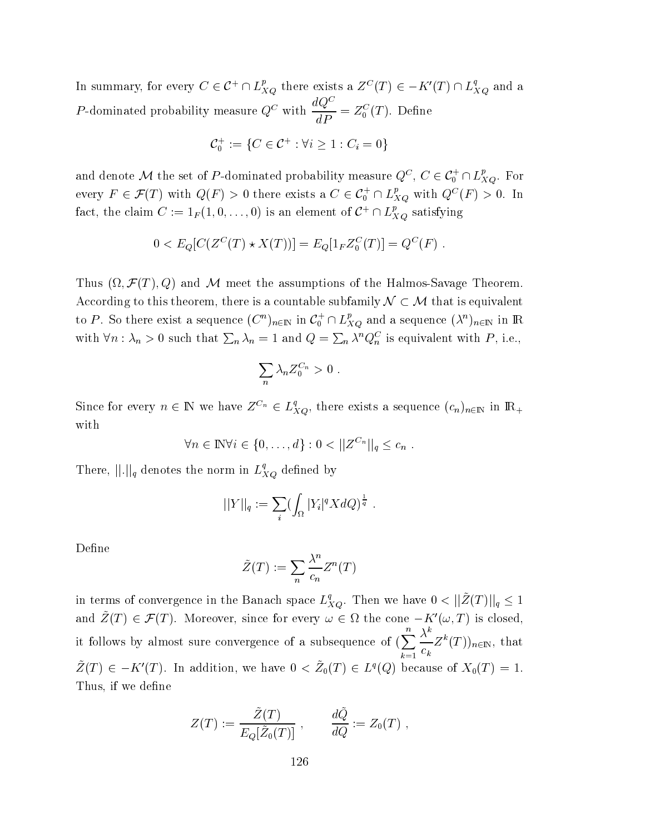In summary, for every  $C \in \mathcal{C}^+ \cap L_{XQ}^p$  there exists a  $Z^C(T) \in -K'(T) \cap L_{XQ}^q$  and a *P*-dominated probability measure  $Q^C$  with  $\frac{dQ^C}{dP} = Z_0^C(T)$ . Define

$$
C_0^+ := \{ C \in C^+ : \forall i \ge 1 : C_i = 0 \}
$$

and denote M the set of P-dominated probability measure  $Q^C$ ,  $C \in \mathcal{C}_0^+ \cap L_{XQ}^p$ . For every  $F \in \mathcal{F}(T)$  with  $Q(F) > 0$  there exists a  $C \in \mathcal{C}_0^+ \cap L_{XQ}^p$  with  $Q^C(F) > 0$ . In fact, the claim  $C := 1_F(1,0,\ldots,0)$  is an element of  $C^+ \cap L_{XQ}^p$  satisfying

$$
0 < E_Q[C(Z^C(T) \star X(T))] = E_Q[1_F Z_0^C(T)] = Q^C(F)
$$

Thus  $(\Omega, \mathcal{F}(T), Q)$  and M meet the assumptions of the Halmos-Savage Theorem. According to this theorem, there is a countable subfamily  $\mathcal{N} \subset \mathcal{M}$  that is equivalent to P. So there exist a sequence  $(C^n)_{n\in\mathbb{N}}$  in  $C_0^+\cap L_{XQ}^p$  and a sequence  $(\lambda^n)_{n\in\mathbb{N}}$  in R with  $\forall n : \lambda_n > 0$  such that  $\sum_n \lambda_n = 1$  and  $Q = \sum_n \lambda^n Q_n^C$  is equivalent with P, i.e.,

$$
\sum_n \lambda_n Z_0^{C_n} > 0
$$

Since for every  $n \in \mathbb{N}$  we have  $Z^{C_n} \in L_{XQ}^q$ , there exists a sequence  $(c_n)_{n \in \mathbb{N}}$  in  $\mathbb{R}_+$ with

$$
\forall n \in \mathbb{N} \forall i \in \{0,\ldots,d\} : 0 < ||Z^{C_n}||_q \leq c_n .
$$

There,  $\left\| . \right\|_q$  denotes the norm in  $L_{XQ}^q$  defined by

$$
||Y||_q := \sum_i (\int_{\Omega} |Y_i|^q X dQ)^{\frac{1}{q}}
$$

Define

$$
\tilde{Z}(T) := \sum_{n} \frac{\lambda^n}{c_n} Z^n(T)
$$

in terms of convergence in the Banach space  $L_{XQ}^q$ . Then we have  $0 < ||\tilde{Z}(T)||_q \leq 1$ and  $\tilde{Z}(T) \in \mathcal{F}(T)$ . Moreover, since for every  $\omega \in \Omega$  the cone  $-K'(\omega,T)$  is closed, it follows by almost sure convergence of a subsequence of  $(\sum_{k=1}^{n} \frac{\lambda^{k}}{c_{k}} Z^{k}(T))_{n \in \mathbb{N}}$ , that  $\tilde{Z}(T) \in -K'(T)$ . In addition, we have  $0 < \tilde{Z}_0(T) \in L^q(Q)$  because of  $X_0(T) = 1$ . Thus, if we define

$$
Z(T) := \frac{\tilde{Z}(T)}{E_Q[\tilde{Z}_0(T)]}, \qquad \frac{d\tilde{Q}}{dQ} := Z_0(T) ,
$$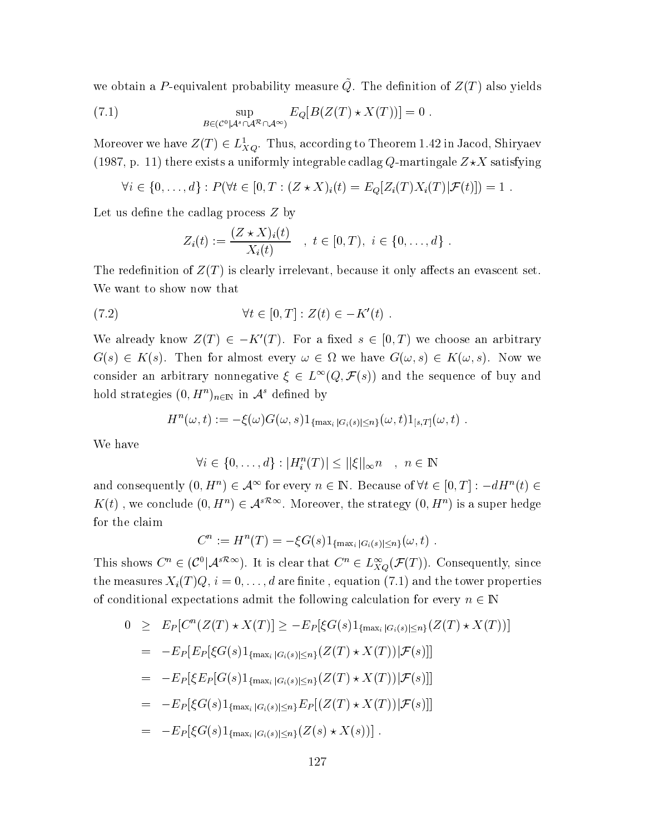we obtain a P-equivalent probability measure  $\tilde{Q}$ . The definition of  $Z(T)$  also yields

(7.1) 
$$
\sup_{B \in (\mathcal{C}^0 | \mathcal{A}^s \cap \mathcal{A}^\infty) } E_Q[B(Z(T) \star X(T))] = 0.
$$

Moreover we have  $Z(T) \in L^1_{XO}$ . Thus, according to Theorem 1.42 in Jacod, Shiryaev (1987, p. 11) there exists a uniformly integrable cadlag Q-martingale  $Z\star X$  satisfying

$$
\forall i \in \{0, ..., d\} : P(\forall t \in [0, T : (Z * X)_i(t) = E_Q[Z_i(T)X_i(T)|\mathcal{F}(t)]) = 1.
$$

Let us define the cadlag process  $Z$  by

$$
Z_i(t) := \frac{(Z \star X)_i(t)}{X_i(t)} \quad , \ t \in [0, T), \ i \in \{0, \ldots, d\}
$$

The redefinition of  $Z(T)$  is clearly irrelevant, because it only affects an evascent set. We want to show now that

$$
(7.2) \t\t\t \forall t \in [0, T] : Z(t) \in -K'(t)
$$

We already know  $Z(T) \in -K'(T)$ . For a fixed  $s \in [0,T)$  we choose an arbitrary  $G(s) \in K(s)$ . Then for almost every  $\omega \in \Omega$  we have  $G(\omega, s) \in K(\omega, s)$ . Now we consider an arbitrary nonnegative  $\xi \in L^{\infty}(Q, \mathcal{F}(s))$  and the sequence of buy and hold strategies  $(0, H^n)_{n \in \mathbb{N}}$  in  $\mathcal{A}^s$  defined by

$$
H^n(\omega, t) := -\xi(\omega)G(\omega, s)1_{\{\max_i |G_i(s)| \leq n\}}(\omega, t)1_{[s,T]}(\omega, t) .
$$

We have

$$
\forall i \in \{0, \ldots, d\} : |H_i^n(T)| \leq ||\xi||_{\infty} n \quad , \ n \in \mathbb{N}
$$

and consequently  $(0, H^n) \in \mathcal{A}^{\infty}$  for every  $n \in \mathbb{N}$ . Because of  $\forall t \in [0, T] : -dH^n(t) \in$  $K(t)$ , we conclude  $(0, H^n) \in \mathcal{A}^{s\mathcal{R}\infty}$ . Moreover, the strategy  $(0, H^n)$  is a super hedge for the claim

$$
C^{n} := H^{n}(T) = -\xi G(s) 1_{\{\max_{i} |G_{i}(s)| \leq n\}}(\omega, t) .
$$

This shows  $C^n \in (\mathcal{C}^0 | \mathcal{A}^{s\mathcal{R}\infty})$ . It is clear that  $C^n \in L^{\infty}_{XO}(\mathcal{F}(T))$ . Consequently, since the measures  $X_i(T)Q, i = 0, \ldots, d$  are finite, equation (7.1) and the tower properties of conditional expectations admit the following calculation for every  $n \in \mathbb{N}$ 

$$
0 \geq E_P[C^n(Z(T) \star X(T)] \geq -E_P[\xi G(s)1_{\{\max_i |G_i(s)| \leq n\}}(Z(T) \star X(T))]
$$
  
\n
$$
= -E_P[E_P[\xi G(s)1_{\{\max_i |G_i(s)| \leq n\}}(Z(T) \star X(T)) | \mathcal{F}(s)]]
$$
  
\n
$$
= -E_P[\xi E_P[G(s)1_{\{\max_i |G_i(s)| \leq n\}}(Z(T) \star X(T)) | \mathcal{F}(s)]]
$$
  
\n
$$
= -E_P[\xi G(s)1_{\{\max_i |G_i(s)| \leq n\}} E_P[(Z(T) \star X(T)) | \mathcal{F}(s)]]
$$
  
\n
$$
= -E_P[\xi G(s)1_{\{\max_i |G_i(s)| \leq n\}}(Z(s) \star X(s))].
$$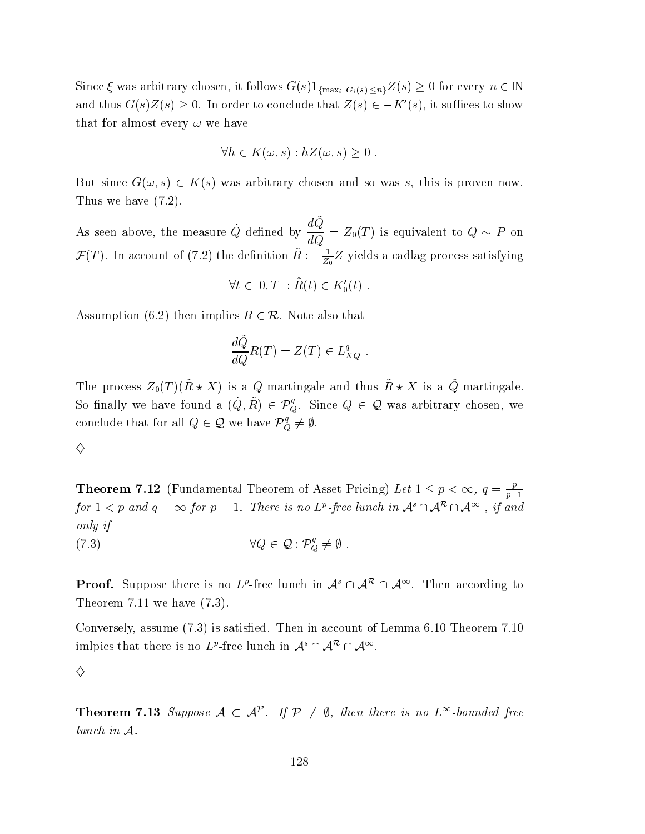Since  $\xi$  was arbitrary chosen, it follows  $G(s)1_{\{\max_i |G_i(s)| \leq n\}} Z(s) \geq 0$  for every  $n \in \mathbb{N}$ and thus  $G(s)Z(s) \geq 0$ . In order to conclude that  $Z(s) \in -K'(s)$ , it suffices to show that for almost every  $\omega$  we have

$$
\forall h \in K(\omega, s) : hZ(\omega, s) \ge 0
$$

But since  $G(\omega, s) \in K(s)$  was arbitrary chosen and so was s, this is proven now. Thus we have  $(7.2)$ .

As seen above, the measure  $\tilde{Q}$  defined by  $\frac{dQ}{dQ} = Z_0(T)$  is equivalent to  $Q \sim P$  on  $\mathcal{F}(T)$ . In account of (7.2) the definition  $\tilde{R} := \frac{1}{Z_0} Z$  yields a cadlag process satisfying

$$
\forall t \in [0, T] : \tilde{R}(t) \in K'_0(t) .
$$

Assumption (6.2) then implies  $R \in \mathcal{R}$ . Note also that

$$
\frac{d\tilde{Q}}{dQ}R(T) = Z(T) \in L_{XQ}^{q}.
$$

The process  $Z_0(T)(\tilde{R} \star X)$  is a Q-martingale and thus  $\tilde{R} \star X$  is a  $\tilde{Q}$ -martingale. So finally we have found a  $(\tilde{Q}, \tilde{R}) \in \mathcal{P}_{Q}^{q}$ . Since  $Q \in \mathcal{Q}$  was arbitrary chosen, we conclude that for all  $Q \in \mathcal{Q}$  we have  $\mathcal{P}_Q^q \neq \emptyset$ .

$$
\Diamond
$$

**Theorem 7.12** (Fundamental Theorem of Asset Pricing) Let  $1 \leq p < \infty$ ,  $q = \frac{p}{p-1}$ for  $1 < p$  and  $q = \infty$  for  $p = 1$ . There is no  $L^p$ -free lunch in  $\mathcal{A}^s \cap \mathcal{A}^{\infty}$ , if and only if

$$
\forall Q \in \mathcal{Q} : \mathcal{P}_Q^q \neq \emptyset.
$$

**Proof.** Suppose there is no  $L^p$ -free lunch in  $\mathcal{A}^s \cap \mathcal{A}^{\mathcal{R}} \cap \mathcal{A}^{\infty}$ . Then according to Theorem 7.11 we have  $(7.3)$ .

Conversely, assume (7.3) is satisfied. Then in account of Lemma 6.10 Theorem 7.10 imiples that there is no  $L^p$ -free lunch in  $\mathcal{A}^s \cap \mathcal{A}^R \cap \mathcal{A}^\infty$ .

**Theorem 7.13** Suppose  $A \subset A^{\mathcal{P}}$ . If  $\mathcal{P} \neq \emptyset$ , then there is no  $L^{\infty}$ -bounded free lunch in  $A$ .

<sup>♦</sup>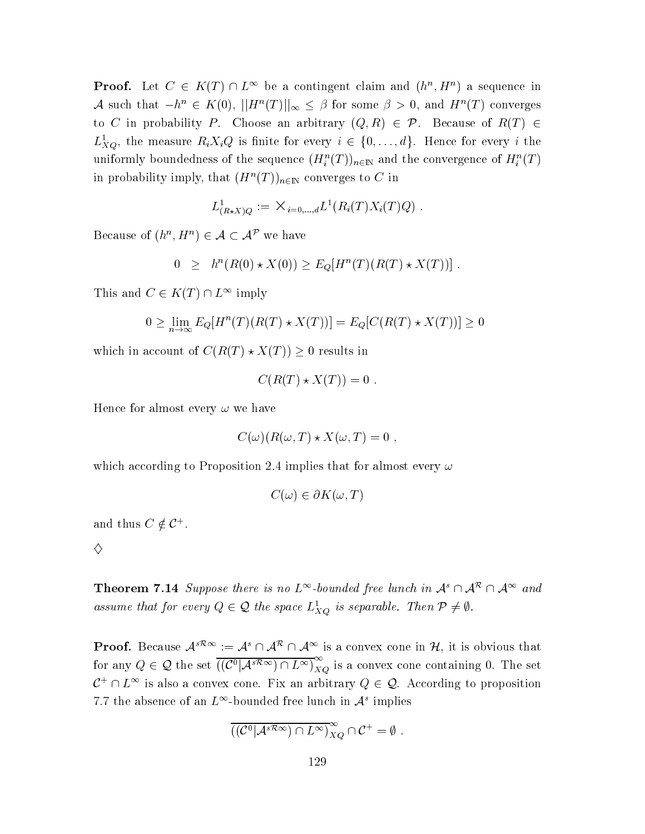**Proof.** Let  $C \in K(T) \cap L^{\infty}$  be a contingent claim and  $(h^{n}, H^{n})$  a sequence in A such that  $-h^n \in K(0)$ ,  $||H^n(T)||_{\infty} \leq \beta$  for some  $\beta > 0$ , and  $H^n(T)$  converges to C in probability P. Choose an arbitrary  $(Q, R) \in \mathcal{P}$ . Because of  $R(T) \in$  $L_{XQ}^1$ , the measure  $R_i X_i Q$  is finite for every  $i \in \{0, \ldots, d\}$ . Hence for every i the uniformly boundedness of the sequence  $(H_i^n(T))_{n\in\mathbb{N}}$  and the convergence of  $H_i^n(T)$ in probability imply, that  $(H^n(T))_{n\in\mathbb{N}}$  converges to C in

$$
L^1_{(R \star X)Q} := \times_{i=0,\dots,d} L^1(R_i(T)X_i(T)Q)
$$

Because of  $(h^n, H^n) \in \mathcal{A} \subset \mathcal{A}^{\mathcal{P}}$  we have

$$
0 \geq h^{n}(R(0) * X(0)) \geq E_{Q}[H^{n}(T)(R(T) * X(T))]
$$

This and  $C \in K(T) \cap L^{\infty}$  imply

$$
0 \ge \lim_{n \to \infty} E_Q[H^n(T)(R(T) \star X(T))] = E_Q[C(R(T) \star X(T))] \ge 0
$$

which in account of  $C(R(T) \star X(T)) \geq 0$  results in

 $\overline{(\ }$ 

$$
C(R(T) \star X(T)) = 0
$$

Hence for almost every  $\omega$  we have

$$
C(\omega)(R(\omega,T)\star X(\omega,T)=0,
$$

which according to Proposition 2.4 implies that for almost every  $\omega$ 

$$
C(\omega) \in \partial K(\omega, T)
$$

and thus  $C \notin \mathcal{C}^+$ .

♦

**Theorem 7.14** Suppose there is no  $L^{\infty}$ -bounded free lunch in  $\mathcal{A}^{s} \cap \mathcal{A}^{\infty}$  and assume that for every  $Q \in \mathcal{Q}$  the space  $L^1_{X_O}$  is separable. Then  $\mathcal{P} \neq \emptyset$ .

**Proof.** Because  $A^{s\mathcal{R}\infty} := A^s \cap A^{\mathcal{R}} \cap A^{\infty}$  is a convex cone in  $\mathcal{H}$ , it is obvious that for any  $Q \in \mathcal{Q}$  the set  $\overline{((\mathcal{C}^0 | A^{s\mathcal{R}\infty}) \cap L^{\infty})}_{XQ}^{\infty}$  is a convex cone containing 0. The set  $\mathcal{C}^+\cap L^{\infty}$  is also a convex cone. Fix an arbitrary  $Q\in\mathcal{Q}$ . According to proposition 7.7 the absence of an  $L^{\infty}$ -bounded free lunch in  $\mathcal{A}^s$  implies

$$
(\mathcal{C}^0|\mathcal{A}^{s\mathcal{R}\infty})\cap L^{\infty})_{XQ}^{\infty}\cap\mathcal{C}^+=\emptyset
$$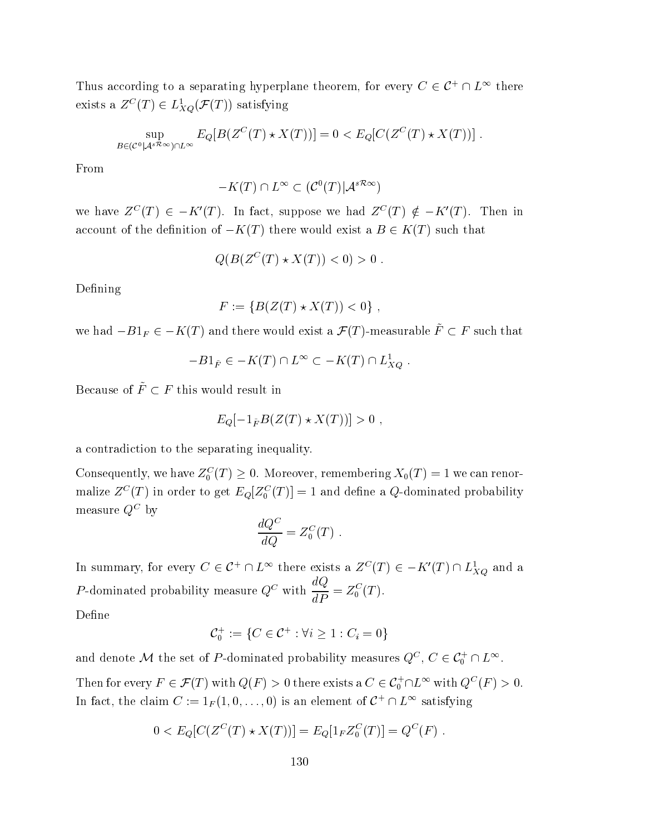Thus according to a separating hyperplane theorem, for every  $C \in \mathcal{C}^+ \cap L^{\infty}$  there exists a  $Z^C(T) \in L^1_{XQ}(\mathcal{F}(T))$  satisfying

$$
\sup_{B \in (\mathcal{C}^0 \mid \mathcal{A}^{s \mathcal{R}_{\infty}}) \cap L^{\infty}} E_Q[B(Z^C(T) \star X(T))] = 0 < E_Q[C(Z^C(T) \star X(T))]
$$

From

$$
-K(T) \cap L^{\infty} \subset (\mathcal{C}^0(T)|\mathcal{A}^{s\mathcal{R}\infty})
$$

we have  $Z^{C}(T) \in -K'(T)$ . In fact, suppose we had  $Z^{C}(T) \notin -K'(T)$ . Then in account of the definition of  $-K(T)$  there would exist a  $B \in K(T)$  such that

$$
Q(B(Z^C(T) \star X(T)) < 0) > 0
$$

Defining

$$
F := \{ B(Z(T) * X(T)) < 0 \},
$$

we had  $-B1_F \in -K(T)$  and there would exist a  $\mathcal{F}(T)$ -measurable  $\tilde{F} \subset F$  such that

$$
-B1_{\tilde{F}} \in -K(T) \cap L^{\infty} \subset -K(T) \cap L_{XQ}^{1}
$$

Because of  $\tilde{F}\subset F$  this would result in

$$
E_Q[-1_{\tilde{F}}B(Z(T)\star X(T))]>0
$$

a contradiction to the separating inequality.

Consequently, we have  $Z_0^C(T) \geq 0$ . Moreover, remembering  $X_0(T) = 1$  we can renormalize  $Z^{C}(T)$  in order to get  $E_{Q}[Z_{0}^{C}(T)] = 1$  and define a Q-dominated probability measure  $Q^C$  by

$$
\frac{dQ^C}{dQ} = Z_0^C(T) \ .
$$

In summary, for every  $C \in \mathcal{C}^+ \cap L^{\infty}$  there exists a  $Z^C(T) \in -K'(T) \cap L^1_{XQ}$  and a *P*-dominated probability measure  $Q^C$  with  $\frac{dQ}{dP} = Z_0^C(T)$ . Defi

$$
_{\rm{Jehne}}
$$

$$
C_0^+ := \{ C \in C^+ : \forall i \ge 1 : C_i = 0 \}
$$

and denote M the set of P-dominated probability measures  $Q^C$ ,  $C \in \mathcal{C}_0^+ \cap L^\infty$ .

Then for every  $F \in \mathcal{F}(T)$  with  $Q(F) > 0$  there exists a  $C \in C_0^+ \cap L^{\infty}$  with  $Q^C(F) > 0$ . In fact, the claim  $C := 1_F(1,0,\ldots,0)$  is an element of  $C^+ \cap L^{\infty}$  satisfying

$$
0 < E_Q[C(Z^C(T) \star X(T))] = E_Q[1_F Z_0^C(T)] = Q^C(F)
$$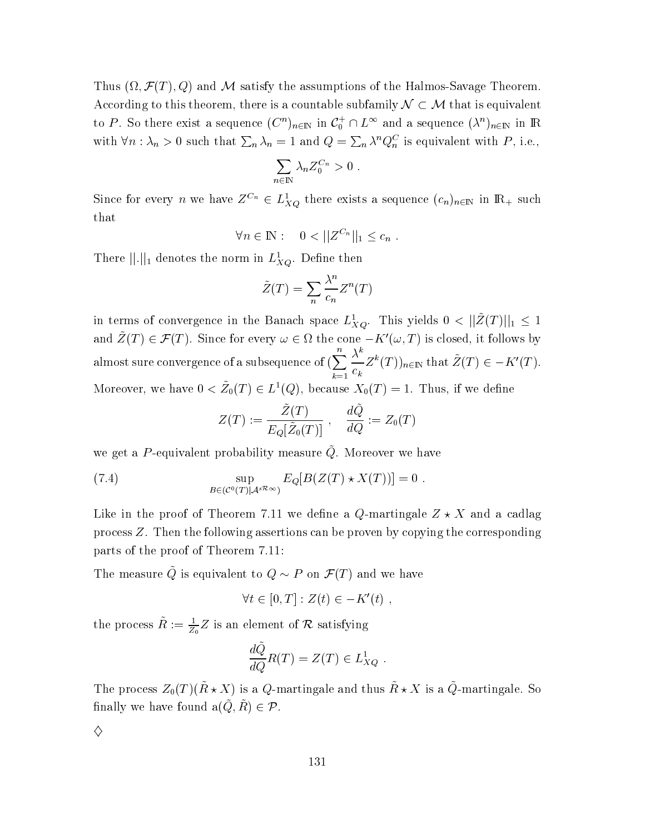Thus  $(\Omega, \mathcal{F}(T), Q)$  and M satisfy the assumptions of the Halmos-Savage Theorem. According to this theorem, there is a countable subfamily  $\mathcal{N} \subset \mathcal{M}$  that is equivalent to P. So there exist a sequence  $(C^n)_{n\in\mathbb{N}}$  in  $C_0^+\cap L^\infty$  and a sequence  $(\lambda^n)_{n\in\mathbb{N}}$  in R with  $\forall n : \lambda_n > 0$  such that  $\sum_n \lambda_n = 1$  and  $Q = \sum_n \lambda^n Q_n^C$  is equivalent with P, i.e.,

$$
\sum_{n\in\mathbb{N}}\lambda_n Z_0^{C_n}>0
$$

Since for every n we have  $Z^{C_n} \in L^1_{XQ}$  there exists a sequence  $(c_n)_{n \in \mathbb{N}}$  in  $\mathbb{R}_+$  such that

$$
\forall n \in \mathbb{N}: \quad 0 < ||Z^{C_n}||_1 \leq c_n.
$$

There  $||.||_1$  denotes the norm in  $L_{XQ}^1$ . Define then

$$
\tilde{Z}(T) = \sum_{n} \frac{\lambda^n}{c_n} Z^n(T)
$$

in terms of convergence in the Banach space  $L_{XQ}^1$ . This yields  $0 < ||\tilde{Z}(T)||_1 \leq 1$ and  $\tilde{Z}(T) \in \mathcal{F}(T)$ . Since for every  $\omega \in \Omega$  the cone  $-K'(\omega,T)$  is closed, it follows by almost sure convergence of a subsequence of  $(\sum_{k=1}^{n} \frac{\lambda^{k}}{c_{k}} Z^{k}(T))_{n \in \mathbb{N}}$  that  $\tilde{Z}(T) \in -K'(T)$ . Moreover, we have  $0 < \tilde{Z}_0(T) \in L^1(Q)$ , because  $X_0(T) = 1$ . Thus, if we define

$$
Z(T) := \frac{\tilde{Z}(T)}{E_Q[\tilde{Z}_0(T)]}, \quad \frac{d\tilde{Q}}{dQ} := Z_0(T)
$$

we get a P-equivalent probability measure  $\tilde{Q}$ . Moreover we have

(7.4) 
$$
\sup_{B \in (C^0(T)|\mathcal{A}^{s\mathcal{R}_{\infty}})} E_Q[B(Z(T) \star X(T))] = 0.
$$

Like in the proof of Theorem 7.11 we define a Q-martingale  $Z \star X$  and a cadlag process  $Z$ . Then the following assertions can be proven by copying the corresponding parts of the proof of Theorem 7.11:

The measure  $\tilde{Q}$  is equivalent to  $Q \sim P$  on  $\mathcal{F}(T)$  and we have

$$
\forall t \in [0, T] : Z(t) \in -K'(t) ,
$$

the process  $\tilde{R} := \frac{1}{Z_0} Z$  is an element of  $\mathcal R$  satisfying

$$
\frac{dQ}{dQ}R(T) = Z(T) \in L_{XQ}^1
$$

The process  $Z_0(T)(\tilde{R} \star X)$  is a Q-martingale and thus  $\tilde{R} \star X$  is a  $\tilde{Q}$ -martingale. So finally we have found  $a(\tilde{Q}, \tilde{R}) \in \mathcal{P}$ .

 $\diamond$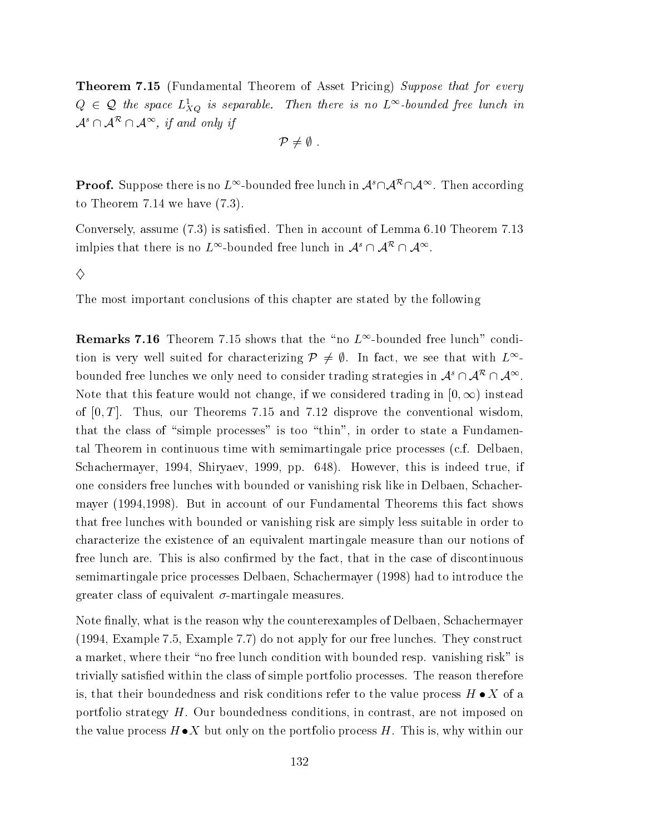**Theorem 7.15** (Fundamental Theorem of Asset Pricing) Suppose that for every  $Q \in \mathcal{Q}$  the space  $L_{XQ}^1$  is separable. Then there is no  $L^{\infty}$ -bounded free lunch in  $\mathcal{A}^s \cap \mathcal{A}^{\mathcal{R}} \cap \mathcal{A}^{\infty}$ , if and only if

$$
\mathcal{P}\neq\emptyset\,\,.
$$

**Proof.** Suppose there is no  $L^{\infty}$ -bounded free lunch in  $\mathcal{A}^s \cap \mathcal{A}^{\infty}$ . Then according to Theorem 7.14 we have  $(7.3)$ .

Conversely, assume (7.3) is satisfied. Then in account of Lemma 6.10 Theorem 7.13 imiples that there is no  $L^{\infty}$ -bounded free lunch in  $\mathcal{A}^{s} \cap \mathcal{A}^{R} \cap \mathcal{A}^{\infty}$ .

 $\Diamond$ 

The most important conclusions of this chapter are stated by the following

**Remarks 7.16** Theorem 7.15 shows that the "no  $L^{\infty}$ -bounded free lunch" condition is very well suited for characterizing  $\mathcal{P} \neq \emptyset$ . In fact, we see that with  $L^{\infty}$ bounded free lunches we only need to consider trading strategies in  $\mathcal{A}^s \cap \mathcal{A}^{\mathcal{R}} \cap \mathcal{A}^{\infty}$ . Note that this feature would not change, if we considered trading in  $[0, \infty)$  instead of  $[0, T]$ . Thus, our Theorems 7.15 and 7.12 disprove the conventional wisdom, that the class of "simple processes" is too "thin", in order to state a Fundamental Theorem in continuous time with semimartingale price processes (c.f. Delbaen, Schachermayer, 1994, Shiryaev, 1999, pp. 648). However, this is indeed true, if one considers free lunches with bounded or vanishing risk like in Delbaen, Schachermayer (1994,1998). But in account of our Fundamental Theorems this fact shows that free lunches with bounded or vanishing risk are simply less suitable in order to characterize the existence of an equivalent martingale measure than our notions of free lunch are. This is also confirmed by the fact, that in the case of discontinuous semimartingale price processes Delbaen, Schachermayer (1998) had to introduce the greater class of equivalent  $\sigma$ -martingale measures.

Note finally, what is the reason why the counterexamples of Delbaen, Schachermayer  $(1994, Example 7.5, Example 7.7)$  do not apply for our free lunches. They construct a market, where their "no free lunch condition with bounded resp. vanishing risk" is trivially satisfied within the class of simple portfolio processes. The reason therefore is, that their boundedness and risk conditions refer to the value process  $H \bullet X$  of a portfolio strategy  $H$ . Our boundedness conditions, in contrast, are not imposed on the value process  $H \bullet X$  but only on the portfolio process H. This is, why within our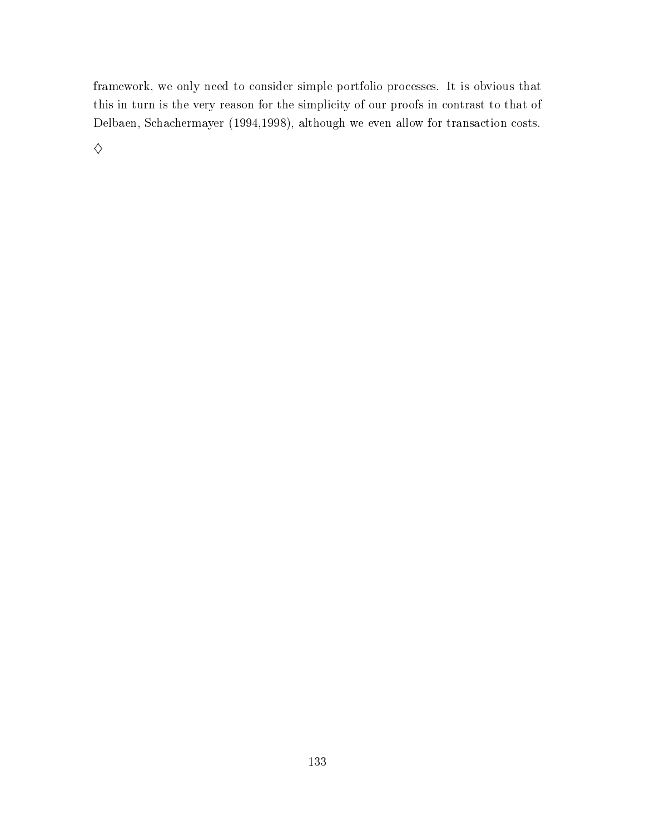framework, we only need to consider simple portfolio processes. It is obvious that this in turn is the very reason for the simplicity of our proofs in contrast to that of Delbaen, Schachermayer (1994,1998), although we even allow for transaction costs.

 $\diamondsuit$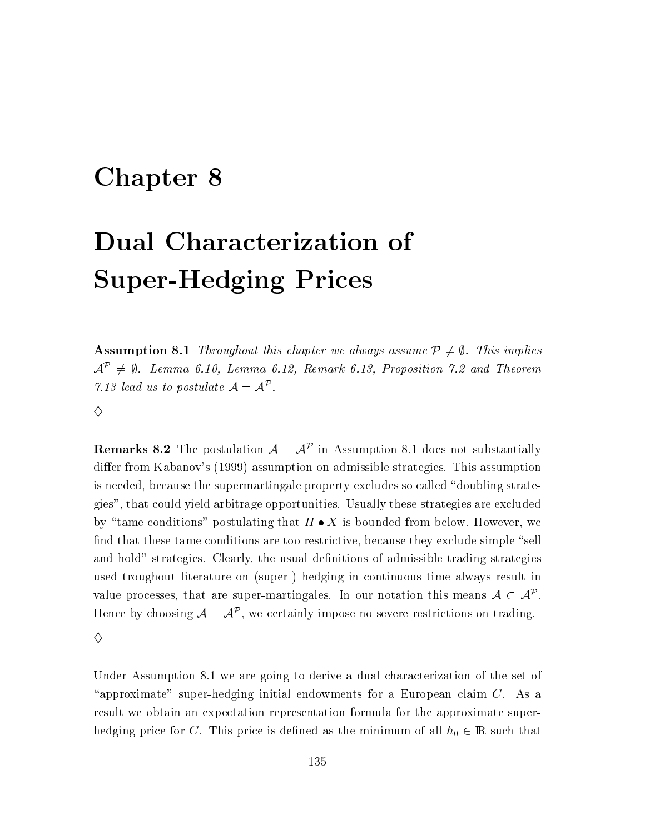### Chapter 8

# Dual Characterization of **Super-Hedging Prices**

**Assumption 8.1** Throughout this chapter we always assume  $P \neq \emptyset$ . This implies  $\mathcal{A}^{\mathcal{P}} \neq \emptyset$ . Lemma 6.10, Lemma 6.12, Remark 6.13, Proposition 7.2 and Theorem 7.13 lead us to postulate  $A = A^{\mathcal{P}}$ .

 $\Diamond$ 

**Remarks 8.2** The postulation  $A = A^{\mathcal{P}}$  in Assumption 8.1 does not substantially differ from Kabanov's (1999) assumption on admissible strategies. This assumption is needed, because the supermartingale property excludes so called "doubling strategies", that could yield arbitrage opportunities. Usually these strategies are excluded by "tame conditions" postulating that  $H \bullet X$  is bounded from below. However, we find that these tame conditions are too restrictive, because they exclude simple "sell and hold" strategies. Clearly, the usual definitions of admissible trading strategies used troughout literature on (super-) hedging in continuous time always result in value processes, that are super-martingales. In our notation this means  $A \subset A^{\mathcal{P}}$ . Hence by choosing  $A = A^{\mathcal{P}}$ , we certainly impose no severe restrictions on trading.  $\diamond$ 

Under Assumption 8.1 we are going to derive a dual characterization of the set of "approximate" super-hedging initial endowments for a European claim  $C$ . As a result we obtain an expectation representation formula for the approximate superhedging price for C. This price is defined as the minimum of all  $h_0 \in \mathbb{R}$  such that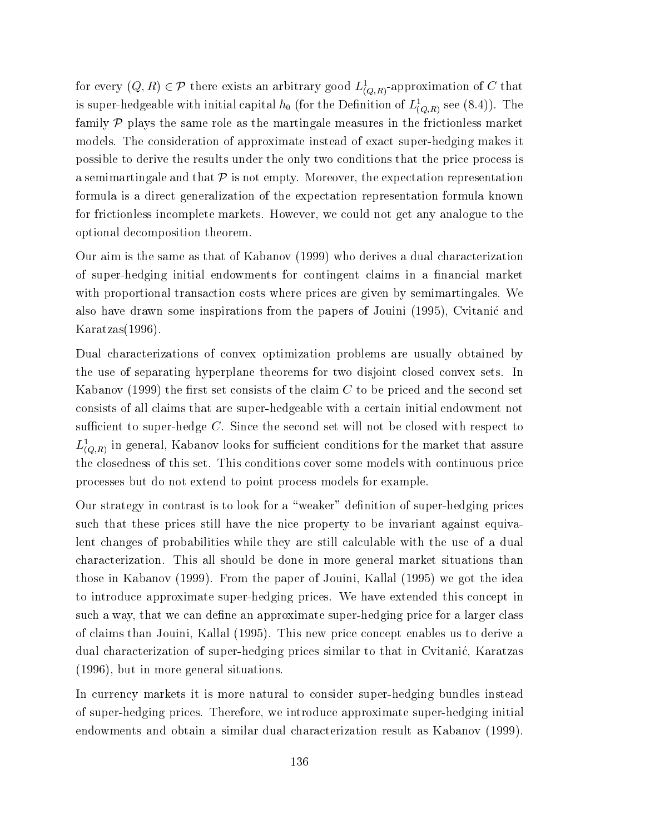for every  $(Q, R) \in \mathcal{P}$  there exists an arbitrary good  $L^1_{(Q,R)}$ -approximation of C that is super-hedgeable with initial capital  $h_0$  (for the Definition of  $L^1_{(Q,R)}$  see (8.4)). The family  $P$  plays the same role as the martingale measures in the frictionless market models. The consideration of approximate instead of exact super-hedging makes it possible to derive the results under the only two conditions that the price process is a semimartingale and that  $P$  is not empty. Moreover, the expectation representation formula is a direct generalization of the expectation representation formula known for frictionless incomplete markets. However, we could not get any analogue to the optional decomposition theorem.

Our aim is the same as that of Kabanov (1999) who derives a dual characterization of super-hedging initial endowments for contingent claims in a financial market with proportional transaction costs where prices are given by semimartingales. We also have drawn some inspirations from the papers of Jouini (1995), Cvitanic and  $Karatzas(1996).$ 

Dual characterizations of convex optimization problems are usually obtained by the use of separating hyperplane theorems for two disjoint closed convex sets. In Kabanov (1999) the first set consists of the claim  $C$  to be priced and the second set consists of all claims that are super-hedgeable with a certain initial endowment not sufficient to super-hedge  $C$ . Since the second set will not be closed with respect to  $L^1_{(Q,R)}$  in general, Kabanov looks for sufficient conditions for the market that assure the closedness of this set. This conditions cover some models with continuous price processes but do not extend to point process models for example.

Our strategy in contrast is to look for a "weaker" definition of super-hedging prices such that these prices still have the nice property to be invariant against equivalent changes of probabilities while they are still calculable with the use of a dual characterization. This all should be done in more general market situations than those in Kabanov (1999). From the paper of Jouini, Kallal (1995) we got the idea to introduce approximate super-hedging prices. We have extended this concept in such a way, that we can define an approximate super-hedging price for a larger class of claims than Jouini, Kallal (1995). This new price concept enables us to derive a dual characterization of super-hedging prices similar to that in Cvitanić, Karatzas  $(1996)$ , but in more general situations.

In currency markets it is more natural to consider super-hedging bundles instead of super-hedging prices. Therefore, we introduce approximate super-hedging initial endowments and obtain a similar dual characterization result as Kabanov (1999).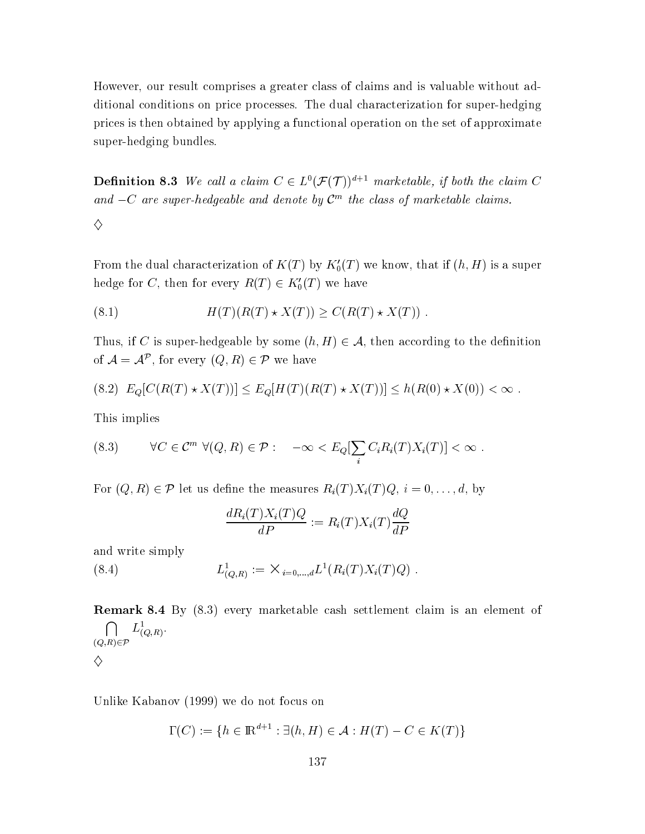However, our result comprises a greater class of claims and is valuable without additional conditions on price processes. The dual characterization for super-hedging prices is then obtained by applying a functional operation on the set of approximate super-hedging bundles.

**Definition 8.3** We call a claim  $C \in L^0(\mathcal{F}(\mathcal{T}))^{d+1}$  marketable, if both the claim C and  $-C$  are super-hedgeable and denote by  $C<sup>m</sup>$  the class of marketable claims.

From the dual characterization of  $K(T)$  by  $K'_0(T)$  we know, that if  $(h, H)$  is a super hedge for C, then for every  $R(T) \in K'_0(T)$  we have

(8.1) 
$$
H(T)(R(T) \star X(T)) \ge C(R(T) \star X(T))
$$

Thus, if C is super-hedgeable by some  $(h, H) \in \mathcal{A}$ , then according to the definition of  $\mathcal{A} = \mathcal{A}^{\mathcal{P}}$ , for every  $(Q, R) \in \mathcal{P}$  we have

$$
(8.2) E_Q[C(R(T) \star X(T))] \le E_Q[H(T)(R(T) \star X(T))] \le h(R(0) \star X(0)) < \infty.
$$

This implies

 $\Diamond$ 

(8.3) 
$$
\forall C \in \mathcal{C}^m \ \forall (Q, R) \in \mathcal{P} : \quad -\infty < E_Q[\sum_i C_i R_i(T) X_i(T)] < \infty
$$

For  $(Q, R) \in \mathcal{P}$  let us define the measures  $R_i(T)X_i(T)Q, i = 0, \ldots, d$ , by

$$
\frac{dR_i(T)X_i(T)Q}{dP} := R_i(T)X_i(T)\frac{dQ}{dP}
$$

and write simply

(8.4) 
$$
L^1_{(Q,R)} := \times_{i=0,\dots,d} L^1(R_i(T)X_i(T)Q)
$$

**Remark 8.4** By (8.3) every marketable cash settlement claim is an element of  $\bigcap_{(Q,R)\in\mathcal{P}} L^1_{(Q,R)}.$ ♦

Unlike Kabanov (1999) we do not focus on

$$
\Gamma(C) := \{ h \in \mathbb{R}^{d+1} : \exists (h, H) \in \mathcal{A} : H(T) - C \in K(T) \}
$$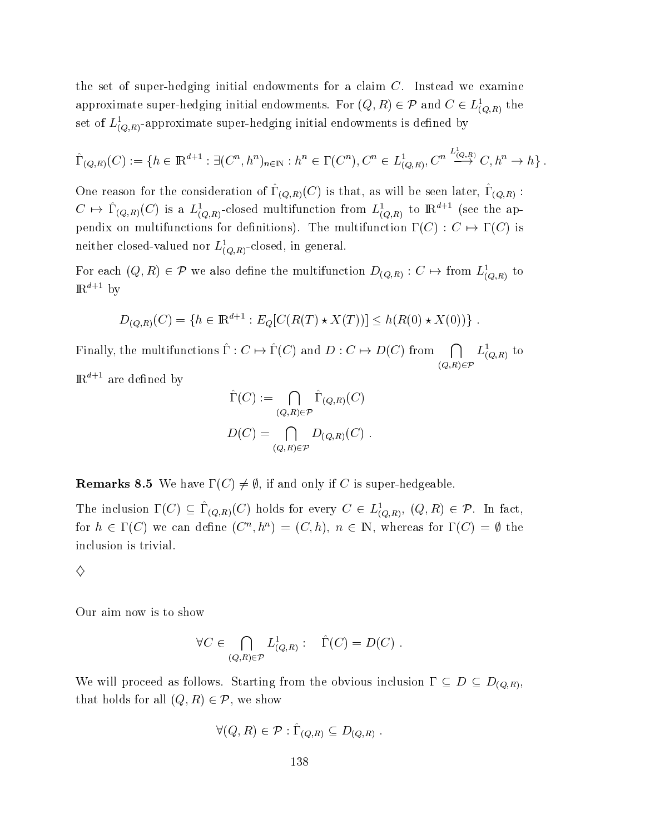the set of super-hedging initial endowments for a claim  $C$ . Instead we examine approximate super-hedging initial endowments. For  $(Q, R) \in \mathcal{P}$  and  $C \in L^1_{(O,R)}$  the set of  $L^1_{(O,R)}$ -approximate super-hedging initial endowments is defined by

$$
\hat{\Gamma}_{(Q,R)}(C) := \{ h \in \mathbb{R}^{d+1} : \exists (C^n, h^n)_{n \in \mathbb{N}} : h^n \in \Gamma(C^n), C^n \in L^1_{(Q,R)}, C^n \stackrel{L^1_{(Q,R)}}{\longrightarrow} C, h^n \to h \} .
$$

One reason for the consideration of  $\hat{\Gamma}_{(Q,R)}(C)$  is that, as will be seen later,  $\hat{\Gamma}_{(Q,R)}$  :  $C \mapsto \hat{\Gamma}_{(Q,R)}(C)$  is a  $L^1_{(Q,R)}$ -closed multifunction from  $L^1_{(Q,R)}$  to  $\mathbb{R}^{d+1}$  (see the appendix on multifunctions for definitions). The multifunction  $\Gamma(C): C \mapsto \Gamma(C)$  is neither closed-valued nor  $L_{(O,R)}^1$ -closed, in general.

For each  $(Q, R) \in \mathcal{P}$  we also define the multifunction  $D_{(Q,R)} : C \mapsto \text{from } L^1_{(Q,R)}$  to  $\mathbb{R}^{a+1}$  by

$$
D_{(Q,R)}(C) = \{ h \in \mathbb{R}^{d+1} : E_Q[C(R(T) \star X(T))] \le h(R(0) \star X(0)) \} .
$$

Finally, the multifunctions  $\hat{\Gamma}: C \mapsto \hat{\Gamma}(C)$  and  $D: C \mapsto D(C)$  from  $\bigcap L^1_{(O,R)}$  to  $\sim$  -  $\sim$  -  $\sim$  -  $\sim$  -  $\sim$  -  $\sim$  -  $\sim$  -  $\sim$  -  $\sim$  -  $\sim$  -  $\sim$  -  $\sim$  -  $\sim$  -  $\sim$  -  $\sim$  -  $\sim$  -  $\sim$  -  $\sim$  -  $\sim$  -  $\sim$  -  $\sim$  -  $\sim$  -  $\sim$  -  $\sim$  -  $\sim$  -  $\sim$  -  $\sim$  -  $\sim$  -  $\sim$  -  $\sim$  -  $\sim$  -  $\sim$  $L_{(Q,R)}^{\perp}$  to  $\mathbb{R}^{a+1}$  are defined by

$$
\hat{\Gamma}(C) := \bigcap_{(Q,R)\in\mathcal{P}} \hat{\Gamma}_{(Q,R)}(C)
$$

$$
D(C) = \bigcap_{(Q,R)\in\mathcal{P}} D_{(Q,R)}(C) .
$$

 ${\bf Remarks}$  8.5 We have  $\Gamma (C) \neq \emptyset ,$  if and only if  $C$  is super-hedgeable

The inclusion  $\Gamma(C) \subseteq \hat{\Gamma}_{(Q,R)}(C)$  holds for every  $C \in L^1_{(Q,R)}$ ,  $(Q,R) \in \mathcal{P}$ . In fact, for  $h \in \Gamma(C)$  we can define  $(C^n, h^n) = (C, h), n \in \mathbb{N}$ , whereas for  $\Gamma(C) = \emptyset$  the inclusion is trivial. The set of the set of the set of the set of the set of the set of the set of the set of t

 $\bullet$  . The contract of  $\bullet$ 

♦

Our aim now is to show

$$
\forall C \in \bigcap_{(Q,R) \in \mathcal{P}} L^1_{(Q,R)}: \quad \hat{\Gamma}(C) = D(C) .
$$

We will proceed as follows. Starting from the obvious inclusion  $\Gamma \subseteq D \subseteq D_{(Q,R)}$ ,<br>that holds for all  $(Q, R) \in \mathcal{P}$ , we show  $(R, R) \in \mathcal{P}$ , we show

$$
\forall (Q, R) \in \mathcal{P} : \hat{\Gamma}_{(Q,R)} \subseteq D_{(Q,R)} .
$$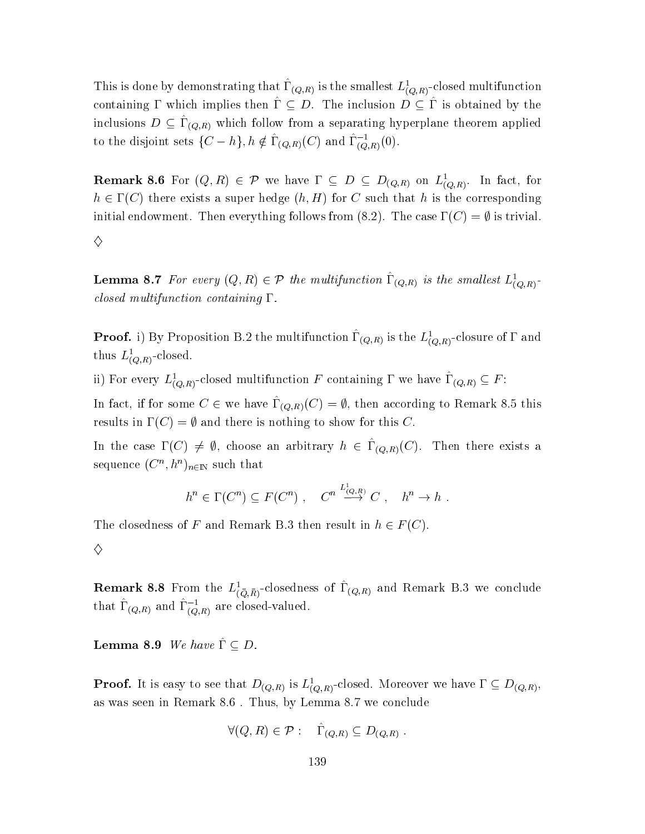This is done by demonstrating that  $\hat{\Gamma}_{(Q,R)}$  is the smallest  $L^1_{(Q,R)}$ -closed multifunction containing  $\Gamma$  which implies then  $\hat{\Gamma} \subseteq D$ . The inclusion  $D \subseteq \Gamma$  is obtained by the inclusions  $D \subseteq \hat{\Gamma}_{(Q,R)}$  which follow from a separating hyperplane theorem applied to the disjoint sets  $\{C - h\}, h \notin \widehat{\Gamma}_{(Q,R)}(C)$  and  $\widehat{\Gamma}_{(Q,R)}^{-1}(0)$ 

**Remark 8.6** For  $(Q, R) \in \mathcal{P}$  we have  $\Gamma \subseteq D \subseteq D_{(Q,R)}$  on  $L^1_{(Q,R)}$ . In fact, for  $h \in \Gamma(C)$  there exists a super hedge  $(h, H)$  for C such that h is the corresponding initial endowment. Then everything follows from (8.2). The case  $\Gamma(C) = \emptyset$  is trivial.

♦

**Lemma 8.7** For every  $(Q, R) \in \mathcal{P}$  the multifunction  $\hat{\Gamma}_{(Q,R)}$  is the smallest  $L^1_{(Q,R)}$ . closed multifunction containing  $\Gamma$ .

**Proof.** i) By Proposition B.2 the multifunction  $\hat{\Gamma}_{(Q,R)}$  is the  $L^1_{(Q,R)}$ -closure of  $\Gamma$  and thus  $L^1_{(Q,R)}$ -closed.

ii) For every  $L^1_{(Q,R)}$ -closed multifunction F containing  $\Gamma$  we have  $\hat{\Gamma}_{(Q,R)} \subseteq F$ :

In fact, if for some  $C \in$  we have  $\hat{\Gamma}_{(Q,R)}(C) = \emptyset$ , then according to Remark 8.5 this results in  $\Gamma(C) = \emptyset$  and there is nothing to show for this C.

In the case  $\Gamma(C) \neq \emptyset$ , choose an arbitrary  $h \in \hat{\Gamma}_{(Q,R)}(C)$ . Then there exists a sequence  $(C^n, h^n)_{n \in \mathbb{N}}$  such that

$$
h^n \in \Gamma(C^n) \subseteq F(C^n) , \quad C^n \stackrel{L^i_{(Q,R)}}{\longrightarrow} C , \quad h^n \to h .
$$

The closedness of F and Remark B.3 then result in  $h \in F(C)$ .

 $\diamondsuit$ 

**Remark 8.8** From the  $L^1_{(\bar{Q},\bar{R})}$ -closedness of  $\hat{\Gamma}_{(Q,R)}$  and Remark B.3 we conclude that  $\hat{\Gamma}_{(Q,R)}$  and  $\hat{\Gamma}_{(Q,R)}^{-1}$  are closed-valued.

**Lemma 8.9** We have  $\hat{\Gamma} \subseteq D$ .

**Proof.** It is easy to see that  $D_{(Q,R)}$  is  $L^1_{(Q,R)}$ -closed. Moreover we have  $\Gamma \subseteq D_{(Q,R)}$ , as was seen in Remark 8.6. Thus, by Lemma 8.7 we conclude

$$
\forall (Q, R) \in \mathcal{P} : \quad \hat{\Gamma}_{(Q,R)} \subseteq D_{(Q,R)}
$$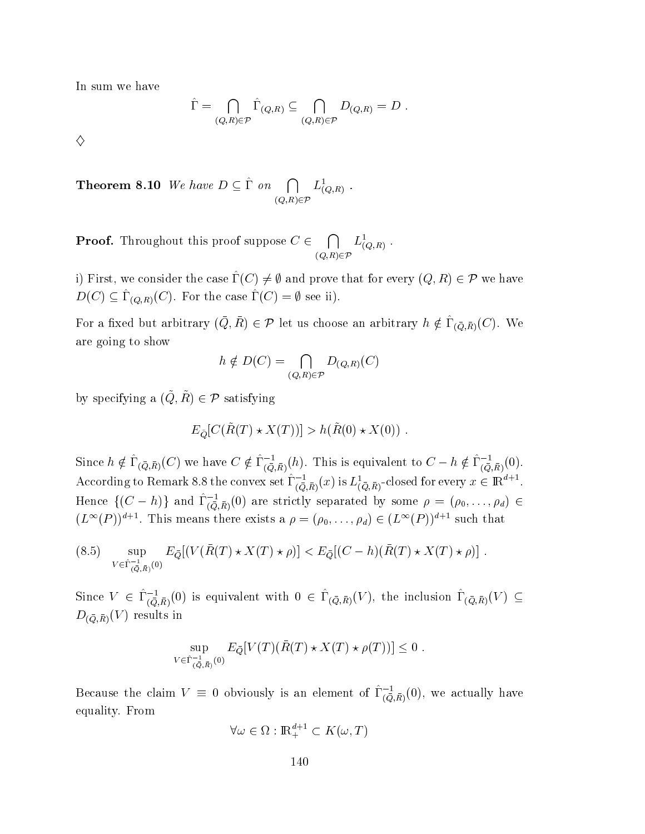In sum we have

$$
\hat{\Gamma} = \bigcap_{(Q,R)\in\mathcal{P}} \hat{\Gamma}_{(Q,R)} \subseteq \bigcap_{(Q,R)\in\mathcal{P}} D_{(Q,R)} = D.
$$

 $\diamondsuit$ 

**Theorem 8.10** We have  $D \subseteq \hat{\Gamma}$  on  $\bigcap_{(Q,R)\in\mathcal{P}} L^1_{(Q,R)}$ .

**Proof.** Throughout this proof suppose  $C \in \bigcap_{(O,R) \in \mathcal{P}} L^1_{(Q,R)}$ .

i) First, we consider the case  $\hat{\Gamma}(C) \neq \emptyset$  and prove that for every  $(Q, R) \in \mathcal{P}$  we have  $D(C) \subseteq \hat{\Gamma}_{(Q,R)}(C)$ . For the case  $\hat{\Gamma}(C) = \emptyset$  see ii).

For a fixed but arbitrary  $(\bar{Q}, \bar{R}) \in \mathcal{P}$  let us choose an arbitrary  $h \notin \hat{\Gamma}_{(\bar{Q}, \bar{R})}(C)$ . We are going to show

$$
h \notin D(C) = \bigcap_{(Q,R) \in \mathcal{P}} D_{(Q,R)}(C)
$$

by specifying a  $(\tilde{Q}, \tilde{R}) \in \mathcal{P}$  satisfying

$$
E_{\tilde{Q}}[C(\tilde{R}(T) \star X(T))] > h(\tilde{R}(0) \star X(0)).
$$

Since  $h \notin \hat{\Gamma}_{(\bar{Q},\bar{R})}(C)$  we have  $C \notin \hat{\Gamma}_{(\bar{Q},\bar{R})}^{-1}(h)$ . This is equivalent to  $C - h \notin \hat{\Gamma}_{(\bar{Q},\bar{R})}^{-1}(0)$ . According to Remark 8.8 the convex set  $\hat{\Gamma}_{(\bar{Q},\bar{R})}^{-1}(x)$  is  $L^1_{(\bar{Q},\bar{R})}$ -closed for every  $x \in \mathbb{R}^{d+1}$ . Hence  $\{(C-h)\}\$ and  $\hat{\Gamma}_{(\bar{Q},\bar{R})}^{-1}(0)$  are strictly separated by some  $\rho = (\rho_0,\ldots,\rho_d) \in$  $(L^{\infty}(P))^{d+1}$ . This means there exists a  $\rho = (\rho_0, \ldots, \rho_d) \in (L^{\infty}(P))^{d+1}$  such that

$$
(8.5) \quad \sup_{V \in \hat{\Gamma}_{(\bar{Q},\bar{R})}^{-1}(0)} E_{\bar{Q}}[(V(\bar{R}(T) \star X(T) \star \rho)] < E_{\bar{Q}}[(C-h)(\bar{R}(T) \star X(T) \star \rho)].
$$

Since  $V \in \hat{\Gamma}_{(\bar{Q},\bar{R})}^{-1}(0)$  is equivalent with  $0 \in \hat{\Gamma}_{(\bar{Q},\bar{R})}(V)$ , the inclusion  $\hat{\Gamma}_{(\bar{Q},\bar{R})}(V) \subseteq$  $D_{(\bar{Q},\bar{R})}(V)$  results in

$$
\sup_{V \in \hat{\Gamma}_{(\bar{Q},\bar{R})}^{-1}(0)} E_{\bar{Q}}[V(T)(\bar{R}(T) \star X(T) \star \rho(T))] \leq 0.
$$

Because the claim  $V \equiv 0$  obviously is an element of  $\hat{\Gamma}_{(\bar{Q},\bar{R})}^{-1}(0)$ , we actually have equality. From

$$
\forall \omega \in \Omega : \mathbb{R}^{d+1}_+ \subset K(\omega, T)
$$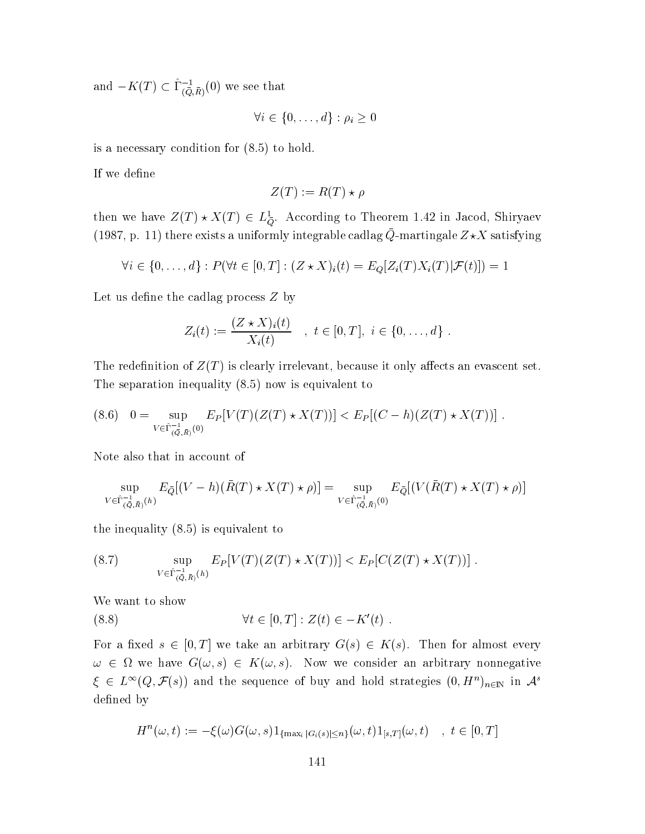and  $-K(T) \subset \widehat{\Gamma}_{(\overline{Q},\overline{R})}^{-1}(0)$  we see that

$$
\forall i \in \{0, \ldots, d\} : \rho_i \geq 0
$$

is a necessary condition for  $(8.5)$  to hold.

If we define

$$
Z(T) := R(T) \star \rho
$$

then we have  $Z(T) \star X(T) \in L^1_{\bar{Q}}$ . According to Theorem 1.42 in Jacod, Shiryaev (1987, p. 11) there exists a uniformly integrable cadlag  $\bar{Q}$ -martingale  $Z\star X$  satisfying

$$
\forall i \in \{0,\ldots,d\} : P(\forall t \in [0,T] : (Z \star X)_i(t) = E_Q[Z_i(T)X_i(T)|\mathcal{F}(t)]) = 1
$$

Let us define the cadlag process  $Z$  by

$$
Z_i(t) := \frac{(Z \star X)_i(t)}{X_i(t)} \quad , \ t \in [0, T], \ i \in \{0, \ldots, d\}
$$

The redefinition of  $Z(T)$  is clearly irrelevant, because it only affects an evascent set. The separation inequality  $(8.5)$  now is equivalent to

$$
(8.6) \quad 0 = \sup_{V \in \hat{\Gamma}_{(\bar{Q},\bar{R})}^{-1}(0)} E_P[V(T)(Z(T) \star X(T))] < E_P[(C - h)(Z(T) \star X(T))]
$$

Note also that in account of

$$
\sup_{V \in \hat{\Gamma}_{(\bar{Q},\bar{R})}^{-1}(h)} E_{\bar{Q}}[(V-h)(\bar{R}(T) \star X(T) \star \rho)] = \sup_{V \in \hat{\Gamma}_{(\bar{Q},\bar{R})}^{-1}(0)} E_{\bar{Q}}[(V(\bar{R}(T) \star X(T) \star \rho)]
$$

the inequality  $(8.5)$  is equivalent to

(8.7) 
$$
\sup_{V \in \hat{\Gamma}_{(\bar{Q},\bar{R})}^{-1}(h)} E_{P}[V(T)(Z(T) \star X(T))] < E_{P}[C(Z(T) \star X(T))]
$$

We want to show

(8.8) 
$$
\forall t \in [0, T] : Z(t) \in -K'(t) .
$$

For a fixed  $s \in [0, T]$  we take an arbitrary  $G(s) \in K(s)$ . Then for almost every  $\omega \in \Omega$  we have  $G(\omega, s) \in K(\omega, s)$ . Now we consider an arbitrary nonnegative  $\xi \in L^{\infty}(Q, \mathcal{F}(s))$  and the sequence of buy and hold strategies  $(0, H^n)_{n \in \mathbb{N}}$  in  $\mathcal{A}^s$ defined by

$$
H^{n}(\omega, t) := -\xi(\omega)G(\omega, s)1_{\{\max_{i} |G_{i}(s)| \leq n\}}(\omega, t)1_{[s,T]}(\omega, t) \quad , \ t \in [0, T]
$$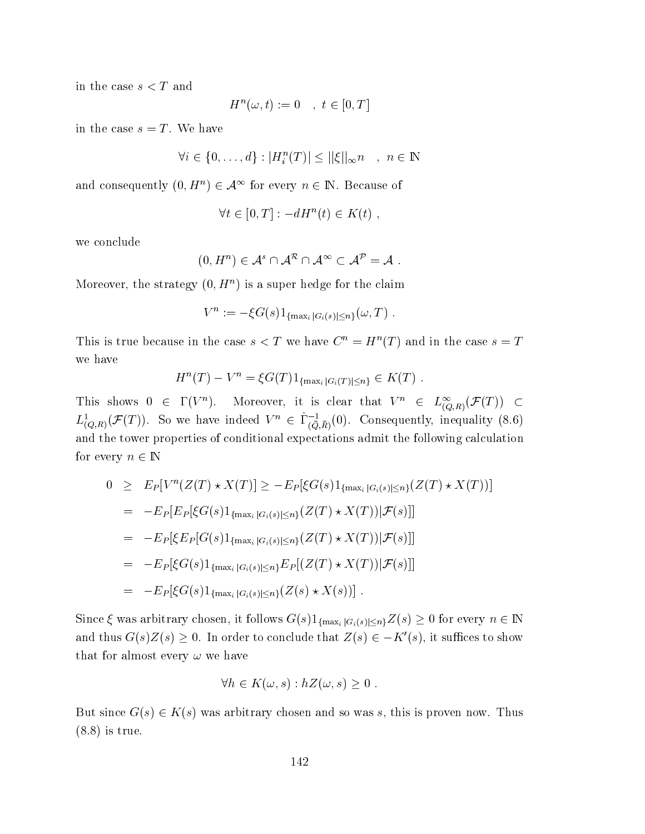in the case  $s < T$  and

$$
H^n(\omega, t) := 0 \quad , \ t \in [0, T]
$$

in the case  $s = T$ . We have

 $\forall i \in \{0, ..., d\} : |H_i^n(T)| \leq ||\xi||_{\infty} n \quad , n \in \mathbb{N}$ 

and consequently  $(0, H^n) \in \mathcal{A}^{\infty}$  for every  $n \in \mathbb{N}$ . Because of

$$
\forall t \in [0, T] : -dH^n(t) \in K(t) ,
$$

we conclude

$$
(0,H^n)\in\mathcal{A}^s\cap\mathcal{A}^\mathcal{R}\cap\mathcal{A}^\infty\subset\mathcal{A}^\mathcal{P}=\mathcal{A}.
$$

Moreover, the strategy  $(0, H^n)$  is a super hedge for the claim

$$
V^n := -\xi G(s) 1_{\{\max_i |G_i(s)| \leq n\}}(\omega, T) .
$$

This is true because in the case  $s < T$  we have  $C^n = H^n(T)$  and in the case  $s = T$ we have

$$
H^{n}(T) - V^{n} = \xi G(T) 1_{\{\max_{i} |G_{i}(T)| \leq n\}} \in K(T) .
$$

This shows  $0 \in \Gamma(V^n)$ . Moreover, it is clear that  $V^n \in L^{\infty}_{(Q,R)}(\mathcal{F}(T)) \subset$  $L^1_{(Q,R)}(\mathcal{F}(T))$ . So we have indeed  $V^n \in \hat{\Gamma}^{-1}_{(\bar{Q},\bar{R})}(0)$ . Consequently, inequality (8.6) and the tower properties of conditional expectations admit the following calculation for every  $n \in \mathbb{N}$ 

$$
0 \geq E_P[V^n(Z(T) \star X(T)] \geq -E_P[\xi G(s)1_{\{\max_i |G_i(s)| \leq n\}}(Z(T) \star X(T))]
$$
  
\n
$$
= -E_P[E_P[\xi G(s)1_{\{\max_i |G_i(s)| \leq n\}}(Z(T) \star X(T)) | \mathcal{F}(s)]]
$$
  
\n
$$
= -E_P[\xi E_P[G(s)1_{\{\max_i |G_i(s)| \leq n\}}(Z(T) \star X(T)) | \mathcal{F}(s)]]
$$
  
\n
$$
= -E_P[\xi G(s)1_{\{\max_i |G_i(s)| \leq n\}} E_P[(Z(T) \star X(T)) | \mathcal{F}(s)]]
$$
  
\n
$$
= -E_P[\xi G(s)1_{\{\max_i |G_i(s)| \leq n\}}(Z(s) \star X(s))].
$$

Since  $\xi$  was arbitrary chosen, it follows  $G(s)1_{\{\max_i |G_i(s)| \leq n\}} Z(s) \geq 0$  for every  $n \in \mathbb{N}$ and thus  $G(s)Z(s) \geq 0$ . In order to conclude that  $Z(s) \in -K'(s)$ , it suffices to show that for almost every  $\omega$  we have

$$
\forall h \in K(\omega, s) : hZ(\omega, s) \ge 0
$$

But since  $G(s) \in K(s)$  was arbitrary chosen and so was s, this is proven now. Thus  $(8.8)$  is true.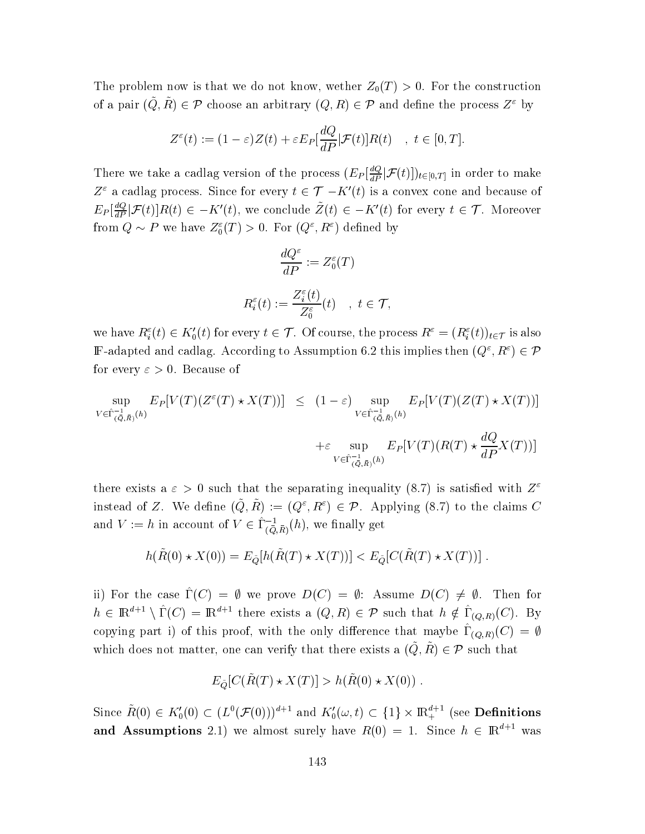The problem now is that we do not know, wether  $Z_0(T) > 0$ . For the construction of a pair  $(\tilde{Q}, \tilde{R}) \in \mathcal{P}$  choose an arbitrary  $(Q, R) \in \mathcal{P}$  and define the process  $Z^{\varepsilon}$  by

$$
Z^{\varepsilon}(t) := (1 - \varepsilon)Z(t) + \varepsilon E_P[\frac{dQ}{dP}|\mathcal{F}(t)]R(t) \quad , \ t \in [0, T].
$$

There we take a cadlag version of the process  $(E_P[\frac{dQ}{dP}|\mathcal{F}(t)])_{t\in[0,T]}$  in order to make  $Z^{\varepsilon}$  a cadlag process. Since for every  $t \in \mathcal{T}$   $-K'(t)$  is a convex cone and because of  $E_P[\frac{dQ}{dP}|\mathcal{F}(t)]R(t) \in -K'(t)$ , we conclude  $\tilde{Z}(t) \in -K'(t)$  for every  $t \in \mathcal{T}$ . Moreover from  $Q \sim P$  we have  $Z_0^{\varepsilon}(T) > 0$ . For  $(Q^{\varepsilon}, R^{\varepsilon})$  defined by

$$
\frac{dQ^{\varepsilon}}{dP} := Z_0^{\varepsilon}(T)
$$
  

$$
R_i^{\varepsilon}(t) := \frac{Z_i^{\varepsilon}(t)}{Z_0^{\varepsilon}}(t) \quad , \ t \in \mathcal{T},
$$

we have  $R_i^\varepsilon(t)\in K_0'(t)$  for every  $t\in\mathcal{T}.$  Of course, the process  $R^\varepsilon=(R_i^\varepsilon(t))_{t\in\mathcal{T}}$  is also  $\Bbb{F}\!$ -adapted and cadlag. According to Assumption 6.2 this implies then  $(Q^\varepsilon,R^\varepsilon)\in\mathcal{P}$ for every  $\varepsilon > 0$ . Because of

$$
\sup_{V \in \hat{\Gamma}_{(\bar{Q},\bar{R})}^{-1}(h)} E_P[V(T)(Z^{\varepsilon}(T) \star X(T))] \leq (1-\varepsilon) \sup_{V \in \hat{\Gamma}_{(\bar{Q},\bar{R})}^{-1}(h)} E_P[V(T)(Z(T) \star X(T))]
$$
  
 
$$
+ \varepsilon \sup_{V \in \hat{\Gamma}_{(\bar{Q},\bar{R})}^{-1}(h)} E_P[V(T)(R(T) \star \frac{dQ}{dP}X(T))]
$$

there exists a  $\varepsilon > 0$  such that the separating inequality (8.7) is satisfied with  $Z^{\varepsilon}$ instead of Z. We define  $(\tilde{Q}, \tilde{R}) := (Q^{\varepsilon}, R^{\varepsilon}) \in \mathcal{P}$ . Applying (8.7) to the claims C and  $V := h$  in account of  $V \in \hat{\Gamma}_{(\bar{O}, \bar{R})}^{-1}(h)$ , we finally ge  $t \sim$ 

$$
h(\tilde{R}(0) \star X(0)) = E_{\tilde{Q}}[h(\tilde{R}(T) \star X(T))] < E_{\tilde{Q}}[C(\tilde{R}(T) \star X(T))].
$$

ii) For the case  $\hat{\Gamma}(C) = \emptyset$  we prove  $D(C) = \emptyset$ : Assume  $D(C) \neq \emptyset$ . Then for  $h \in \mathbb{R}^{d+1} \setminus \hat{\Gamma}(C) = \mathbb{R}^{d+1}$  there exists a  $(Q, R) \in \mathcal{P}$  such that  $h \notin \hat{\Gamma}_{(Q,R)}(C)$ . By copying part i) of this proof, with the only difference that maybe  $\hat{\Gamma}_{(Q,R)}(C) = \emptyset$ which does not matter, one can verify that there exists a  $(\tilde{Q}, \tilde{R}) \in \mathcal{P}$  such that

$$
E_{\tilde{Q}}[C(\tilde{R}(T) \star X(T)] > h(\tilde{R}(0) \star X(0)).
$$

Since  $\tilde R(0)\in K_0'(0)\subset (L^0(\mathcal{F}(0)))^{d+1}$  and  $K_0'(\omega,t)\subset \{1\}\times\mathbb R^{d+1}_+$  (see **Definitions** and Assumptions 2.1) we almost surely have  $R(0) = 1$ . Since  $h \in \mathbb{R}^{d+1}$  was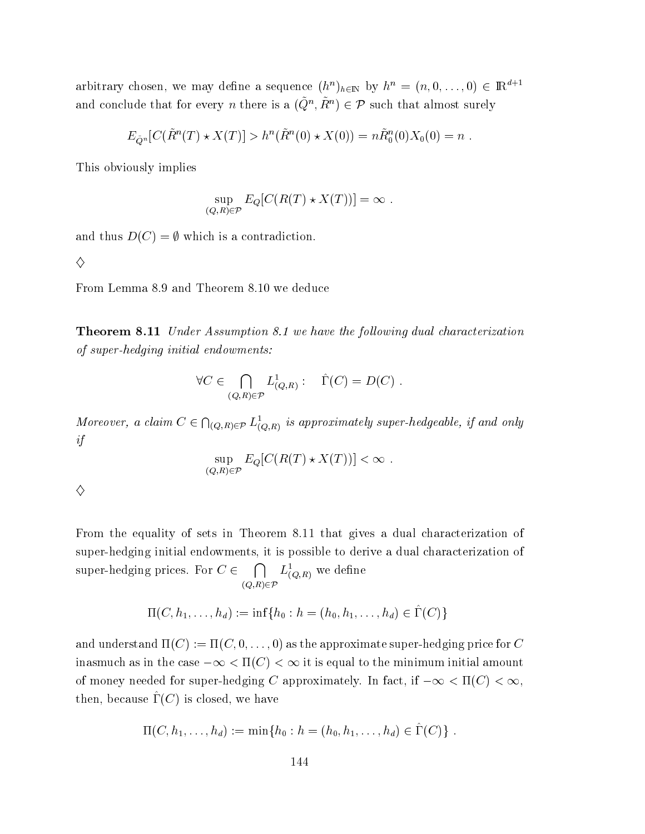arbitrary chosen, we may define a sequence  $(h^n)_{h \in \mathbb{N}}$  by  $h^n = (n, 0, \ldots, 0) \in \mathbb{R}^{d+1}$ and conclude that for every *n* there is a  $(\tilde{Q}^n, \tilde{R}^n) \in \mathcal{P}$  such that almost surely

$$
E_{\tilde{Q}^n}[C(\tilde{R}^n(T) * X(T)] > h^n(\tilde{R}^n(0) * X(0)) = n\tilde{R}_0^n(0)X_0(0) = n.
$$

This obviously implies

$$
\sup_{(Q,R)\in\mathcal{P}} E_Q[C(R(T)\star X(T))] = \infty.
$$

and thus  $D(C) = \emptyset$  which is a contradiction.

$$
\Diamond
$$

From Lemma 8.9 and Theorem 8.10 we deduce

**Theorem 8.11** Under Assumption 8.1 we have the following dual characterization of super-hedging initial endowments:

$$
\forall C \in \bigcap_{(Q,R) \in \mathcal{P}} L^1_{(Q,R)}: \quad \hat{\Gamma}(C) = D(C) .
$$

Moreover, a claim  $C \in \bigcap_{(Q,R)\in\mathcal{P}} L^1_{(Q,R)}$  is approximately super-hedgeable, if and only  $if$ 

$$
\sup_{(Q,R)\in\mathcal{P}} E_Q[C(R(T)\star X(T))] < \infty
$$

| i<br>I<br>2           |
|-----------------------|
| ı<br>I<br>I<br>i<br>I |
| I<br>٦                |

From the equality of sets in Theorem 8.11 that gives a dual characterization of super-hedging initial endowments, it is possible to derive a dual characterization of super-hedging prices. For  $C \in \bigcap_{(Q,R)\in\mathcal{P}} L^1_{(Q,R)}$  we define

$$
\Pi(C, h_1, \ldots, h_d) := \inf \{ h_0 : h = (h_0, h_1, \ldots, h_d) \in \hat{\Gamma}(C) \}
$$

and understand  $\Pi(C) := \Pi(C, 0, \ldots, 0)$  as the approximate super-hedging price for C inasmuch as in the case  $-\infty < \Pi(C) < \infty$  it is equal to the minimum initial amount of money needed for super-hedging C approximately. In fact, if  $-\infty < \Pi(C) < \infty$ , then, because  $\Gamma(C)$  is closed, we have

$$
\Pi(C, h_1, \ldots, h_d) := \min\{h_0 : h = (h_0, h_1, \ldots, h_d) \in \Gamma(C)\}.
$$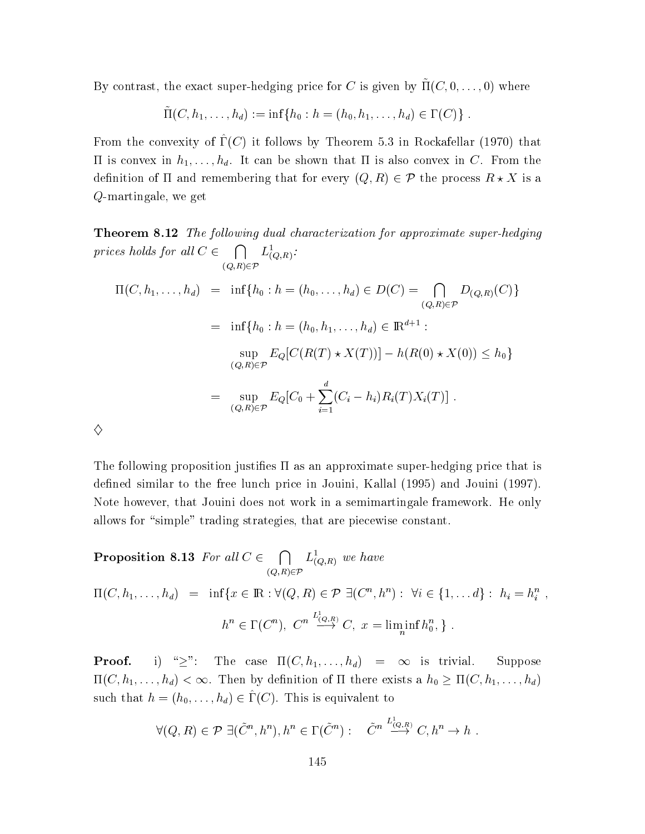By contrast, the exact super-hedging price for  $C$  is given by  $\tilde{\Pi}(C, 0, \ldots, 0)$  where

$$
\tilde{\Pi}(C, h_1, \ldots, h_d) := \inf \{ h_0 : h = (h_0, h_1, \ldots, h_d) \in \Gamma(C) \} .
$$

From the convexity of  $\hat{\Gamma}(C)$  it follows by Theorem 5.3 in Rockafellar (1970) that If is convex in  $h_1, \ldots, h_d$ . It can be shown that II is also convex in C. From the definition of  $\Pi$  and remembering that for every  $(Q,R)\in \mathcal{P}$  the process  $R\star X$  is a  $Q\textrm{-martingale},$  we get  $t \sim$ 

 $\mathcal{A}$  . The set of the set of the set of the set of the set of the set of the set of the set of the set of the set of the set of the set of the set of the set of the set of the set of the set of the set of the set of t prices holds for all  $C \in \bigcap L^1_{(O,R)}$ : . . . . . . .  $L_{(O,R)}$ :  $\Pi(C, h_1, \ldots, h_d) = \inf \{ h_0 : h = (h_0, \ldots, h_d) \in D(C) = \bigcap D_{(Q,R)}(C) \}$  $\sim$  -  $\sim$  -  $\sim$  -  $\sim$  -  $\sim$  -  $\sim$  -  $\sim$  -  $\sim$  -  $\sim$  -  $\sim$  -  $\sim$  -  $\sim$  -  $\sim$  -  $\sim$  -  $\sim$  -  $\sim$  -  $\sim$  -  $\sim$  -  $\sim$  -  $\sim$  -  $\sim$  -  $\sim$  -  $\sim$  -  $\sim$  -  $\sim$  -  $\sim$  -  $\sim$  -  $\sim$  -  $\sim$  -  $\sim$  -  $\sim$  -  $\sim$  $D_{(Q,R)}(C)\}$  $= \inf\{h_0: h=(h_0, h_1, \ldots, h_d)\in {\rm I\!R}^{d+1} :$  $\sup_{LQ} |U(I$  $\sup_{(Q,R)\in\mathcal{P}} E_Q[C(R(T) \star X(T))] - h(R(0) \star X(0)) \leq h_0\}$  $= \sup E_Q[C_0 + \sum (C_i - h_i) R_i(T) X_i(T)]$ . - $\sim$  $\diamondsuit$ 

The following proposition justifies  $\Pi$  as an approximate super-hedging price that is defined similar to the free lunch price in Jouini, Kallal (1995) and Jouini (1997). Note however, that Jouini does not work in a semimartingale framework. He only allows for "simple" trading strategies, that are piecewise constant.

**Proposition 8.13** For all  $C \in \bigcap L^1_{(Q,R)}$  we have -  $L_{(Q,R)}$  we nave

 $\Pi(C, h_1, \ldots, h_d) = \inf \{ x \in \mathbb{R} : \forall (Q, R) \in \mathcal{P} \; \exists (C^n, h^n) : \; \forall i \in \{1, \ldots d\} : h_i = h_i^n \;,$  $h^n \in \Gamma(C^n)$ ,  $C^n \stackrel{L_{(Q,R)}}{\longrightarrow} C$ ,  $x = \liminf_n h_0^n$ , }.

**Proof.** i) ">": The case  $\Pi(C, h_1, \ldots, h_d)$  =  $\infty$  is trivial. Su Suppose  $\Pi(C, h_1, \ldots, h_d) < \infty$ . Then by definition of  $\Pi$  there exists a  $h_0 \geq \Pi(C, h_1, \ldots, h_d)$ such that  $h = (h_0, \ldots, h_d) \in \hat{\Gamma}(C)$ . This is equivalent to

$$
\forall (Q, R) \in \mathcal{P} \; \exists (\tilde{C}^n, h^n), h^n \in \Gamma(\tilde{C}^n) : \quad \tilde{C}^n \stackrel{L^1_{(Q,R)}}{\longrightarrow} C, h^n \to h \; .
$$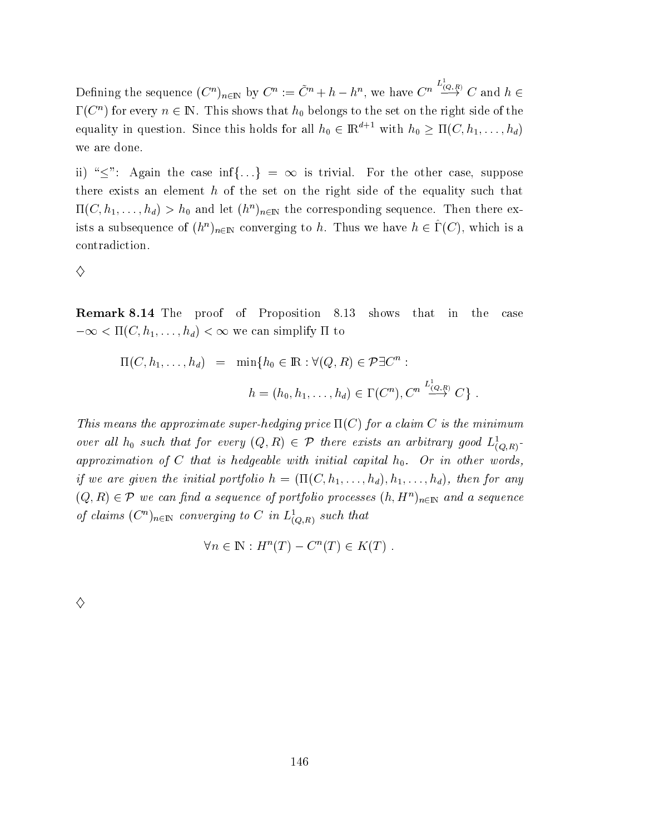Defining the sequence  $(C^n)_{n\in\mathbb{N}}$  by  $C^n := \tilde{C}^n + h - h^n$ , we have  $C^n \stackrel{L_{(Q,R)}}{\longrightarrow} C$  and  $h \in$  $\Gamma(C^n)$  for every  $n\in\mathbb{N}.$  This shows that  $h_0$  belongs to the set on the right side of the equality in question. Since this holds for all  $h_0 \in \mathbb{R}^{d+1}$  with  $h_0 \geq \Pi(C, h_1, \ldots, h_d)$ we are done  $\bullet$  . The contract of  $\bullet$ 

ii) " $\leq$ ": Again the case inf{...} =  $\infty$  is trivial. For the other case, suppose there exists an element  $h$  of the set on the right side of the equality such that  $\Pi(C, h_1, \ldots, h_d) > h_0$  and let  $(h^n)_{n \in \mathbb{N}}$  the corresponding sequence. Then there exists a subsequence of  $(h^n)_{n \in \mathbb{N}}$  converging to h. Thus we have  $h \in \hat{\Gamma}(C)$ , which is a contradiction.

♦

**Remark 8.14** The proof of Proposition 8.13 shows that in the ca  $case$  $-\infty < \Pi(C, h_1, \ldots, h_d) < \infty$  we can simplify  $\Pi$  to

$$
\Pi(C, h_1, \dots, h_d) = \min\{h_0 \in \mathbb{R} : \forall (Q, R) \in \mathcal{P} \exists C^n :
$$
  

$$
h = (h_0, h_1, \dots, h_d) \in \Gamma(C^n), C^n \stackrel{L^1_{(Q,R)}}{\longrightarrow} C \} .
$$

This means the approximate super-hedging price  $\Pi(C)$  for a claim C is the minimum over all  $h_0$  such that for every  $(Q, R) \in \mathcal{P}$  there exists an arbitrary good  $L^1_{(Q,R)}$ . -  - ?  if we are given the initial portfolio  $h = (\Pi(C, h_1, \ldots, h_d), h_1, \ldots, h_d)$ , then for any  $(Q,R)\in\mathcal{P}$  we can find a sequence of portfolio processes  $(h,H^n)_{n\in\mathbb{N}}$  and a sequence of claims  $(C^n)_{n\in\mathbb{N}}$  converging to C in  $L^1_{(O,R)}$  such that

$$
\forall n \in \mathbb{N}: H^n(T) - C^n(T) \in K(T) .
$$

♦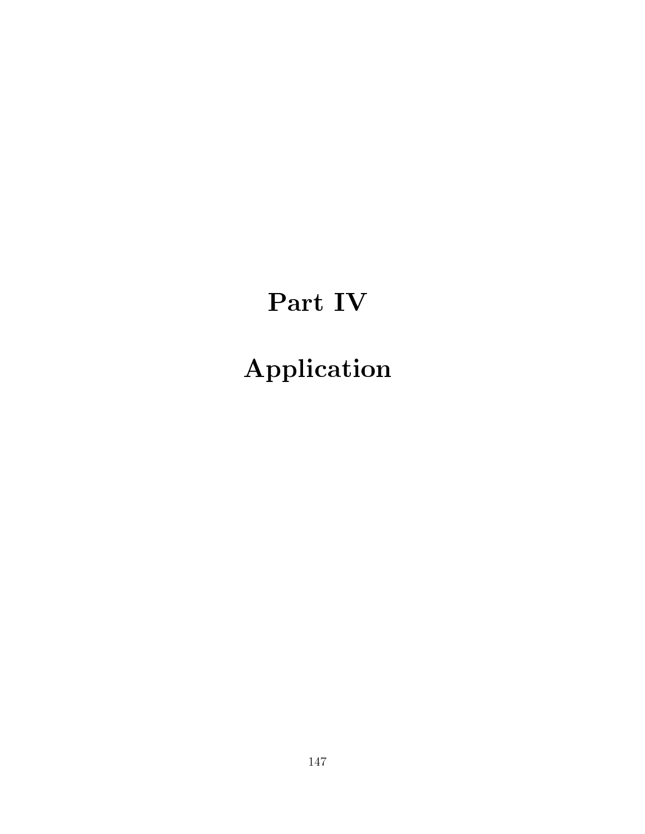# Part IV

# Application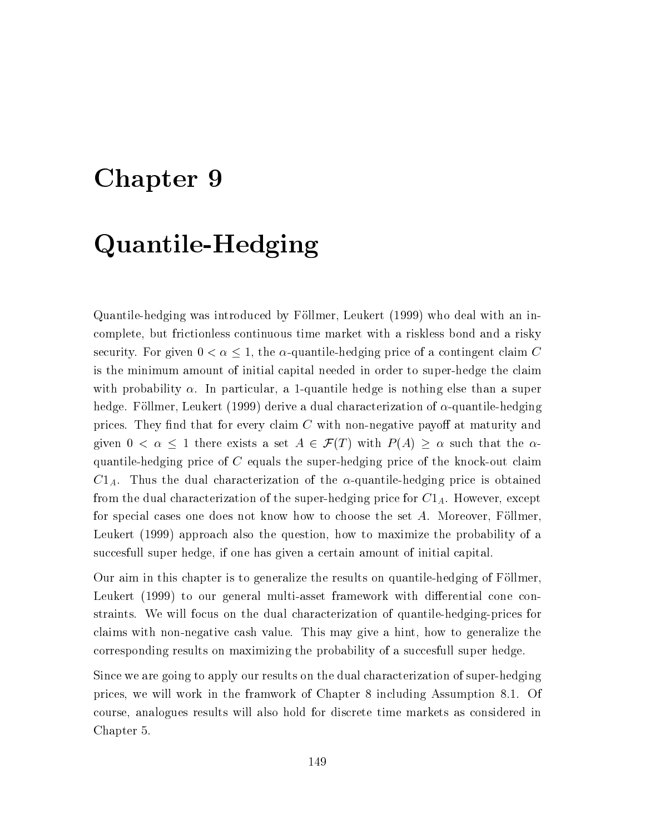#### Chapter 9

### Quantile-Hedging

Quantile-hedging was introduced by Föllmer, Leukert (1999) who deal with an incomplete, but frictionless continuous time market with a riskless bond and a risky security. For given  $0 < \alpha \leq 1$ , the  $\alpha$ -quantile-hedging price of a contingent claim C is the minimum amount of initial capital needed in order to super-hedge the claim with probability  $\alpha$ . In particular, a 1-quantile hedge is nothing else than a super hedge. Föllmer, Leukert (1999) derive a dual characterization of  $\alpha$ -quantile-hedging prices. They find that for every claim  $C$  with non-negative payoff at maturity and given  $0 < \alpha \leq 1$  there exists a set  $A \in \mathcal{F}(T)$  with  $P(A) \geq \alpha$  such that the  $\alpha$ quantile-hedging price of  $C$  equals the super-hedging price of the knock-out claim  $C1_A$ . Thus the dual characterization of the  $\alpha$ -quantile-hedging price is obtained from the dual characterization of the super-hedging price for  $C1_A$ . However, except for special cases one does not know how to choose the set A. Moreover, Föllmer, Leukert (1999) approach also the question, how to maximize the probability of a succesfull super hedge, if one has given a certain amount of initial capital.

Our aim in this chapter is to generalize the results on quantile-hedging of Föllmer, Leukert (1999) to our general multi-asset framework with differential cone constraints. We will focus on the dual characterization of quantile-hedging-prices for claims with non-negative cash value. This may give a hint, how to generalize the corresponding results on maximizing the probability of a succesfull super hedge.

Since we are going to apply our results on the dual characterization of super-hedging prices, we will work in the framwork of Chapter 8 including Assumption 8.1. Of course, analogues results will also hold for discrete time markets as considered in Chapter 5.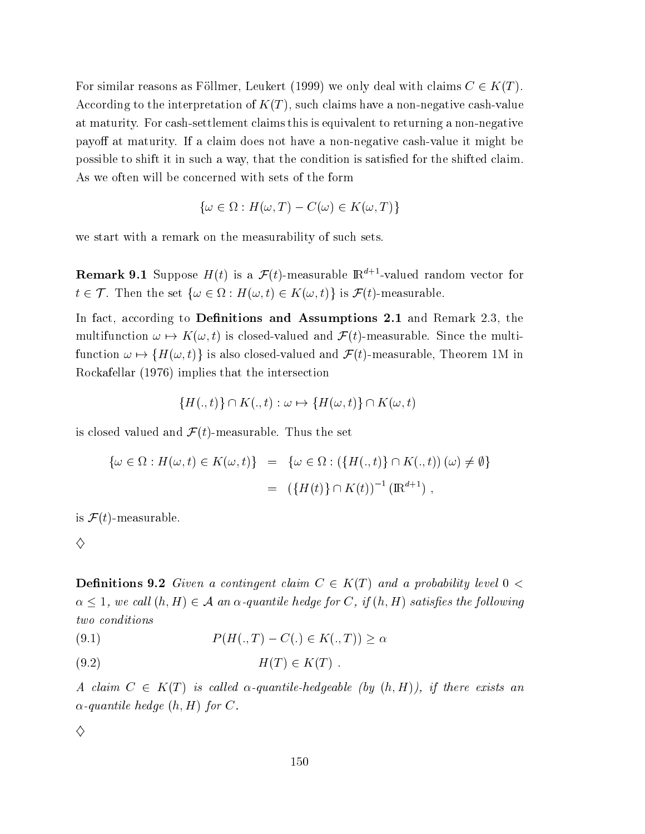For similar reasons as Föllmer, Leukert (1999) we only deal with claims  $C \in K(T)$ . According to the interpretation of  $K(T)$ , such claims have a non-negative cash-value at maturity. For cash-settlement claims this is equivalent to returning a non-negative payoff at maturity. If a claim does not have a non-negative cash-value it might be possible to shift it in such a way, that the condition is satisfied for the shifted claim. As we often will be concerned with sets of the form

$$
\{\omega \in \Omega : H(\omega, T) - C(\omega) \in K(\omega, T)\}\
$$

we start with a remark on the measurability of such sets.

**Remark 9.1** Suppose  $H(t)$  is a  $\mathcal{F}(t)$ -measurable  $\mathbb{R}^{d+1}$ -valued random vector for  $t \in \mathcal{T}$ . Then the set  $\{\omega \in \Omega : H(\omega, t) \in K(\omega, t)\}\$ is  $\mathcal{F}(t)$ -measurable.

In fact, according to Definitions and Assumptions 2.1 and Remark 2.3, the multifunction  $\omega \mapsto K(\omega, t)$  is closed-valued and  $\mathcal{F}(t)$ -measurable. Since the multifunction  $\omega \mapsto \{H(\omega, t)\}\$ is also closed-valued and  $\mathcal{F}(t)$ -measurable, Theorem 1M in Rockafellar (1976) implies that the intersection

$$
\{H(.,t)\}\cap K(.,t):\omega\mapsto\{H(\omega,t)\}\cap K(\omega,t)
$$

is closed valued and  $\mathcal{F}(t)$ -measurable. Thus the set

$$
\{\omega \in \Omega : H(\omega, t) \in K(\omega, t)\} = \{\omega \in \Omega : (\{H(., t)\} \cap K(., t))(\omega) \neq \emptyset\}
$$
  
= 
$$
(\{H(t)\} \cap K(t))^{-1} (\mathbb{R}^{d+1}),
$$

is  $\mathcal{F}(t)$ -measurable.

♦

**Definitions 9.2** Given a contingent claim  $C \in K(T)$  and a probability level  $0 <$  $\alpha \leq 1$ , we call  $(h, H) \in \mathcal{A}$  an  $\alpha$ -quantile hedge for C, if  $(h, H)$  satisfies the following two conditions

 $P(H(.,T) - C(.) \in K(.,T)) > \alpha$  $(9.1)$ 

A claim  $C \in K(T)$  is called  $\alpha$ -quantile-hedgeable (by  $(h,H)$ ), if there exists an  $\alpha$ -quantile hedge  $(h, H)$  for C.

♦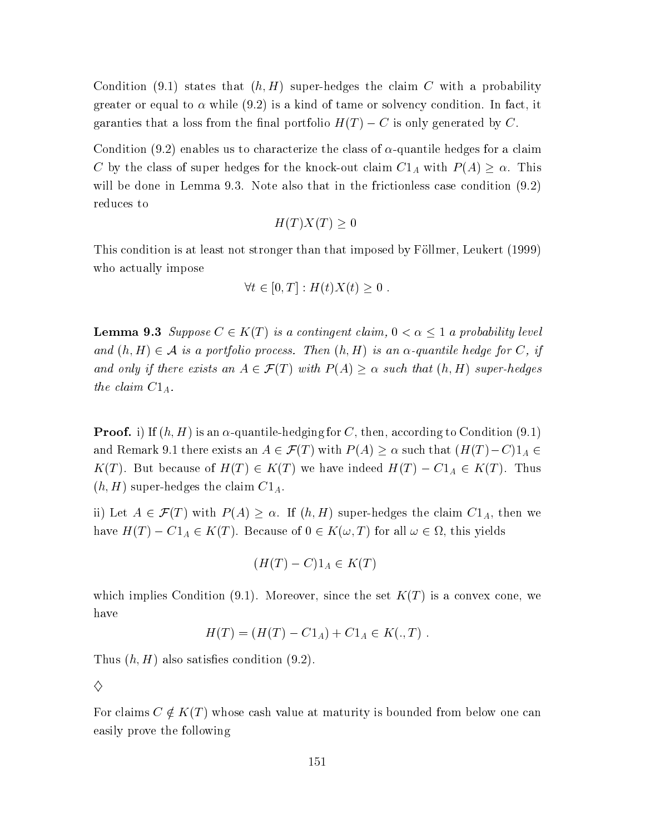Condition (9.1) states that  $(h, H)$  super-hedges the claim C with a probability greater or equal to  $\alpha$  while (9.2) is a kind of tame or solvency condition. In fact, it garanties that a loss from the final portfolio  $H(T) - C$  is only generated by C.

Condition (9.2) enables us to characterize the class of  $\alpha$ -quantile hedges for a claim C by the class of super hedges for the knock-out claim  $C1_A$  with  $P(A) \ge \alpha$ . This will be done in Lemma 9.3. Note also that in the frictionless case condition  $(9.2)$ reduces to

$$
H(T)X(T) \ge 0
$$

This condition is at least not stronger than that imposed by Föllmer, Leukert (1999) who actually impose

$$
\forall t \in [0, T] : H(t)X(t) \ge 0
$$

**Lemma 9.3** Suppose  $C \in K(T)$  is a contingent claim,  $0 < \alpha \leq 1$  a probability level and  $(h, H) \in \mathcal{A}$  is a portfolio process. Then  $(h, H)$  is an  $\alpha$ -quantile hedge for C, if and only if there exists an  $A \in \mathcal{F}(T)$  with  $P(A) \geq \alpha$  such that  $(h, H)$  super-hedges the claim  $C1_A$ .

**Proof.** i) If  $(h, H)$  is an  $\alpha$ -quantile-hedging for C, then, according to Condition (9.1) and Remark 9.1 there exists an  $A\in \mathcal{F}(T)$  with  $P(A)\geq \alpha$  such that  $(H(T)-C)1_A\in$  $K(T)$ . But because of  $H(T) \in K(T)$  we have indeed  $H(T) - C1_A \in K(T)$ . Thus  $(h, H)$  super-hedges the claim  $C1_A$ .

ii) Let  $A \in \mathcal{F}(T)$  with  $P(A) \geq \alpha$ . If  $(h, H)$  super-hedges the claim  $C1_A$ , then we have  $H(T) - C1_A \in K(T)$ . Because of  $0 \in K(\omega, T)$  for all  $\omega \in \Omega$ , this yields

$$
(H(T) - C)1_A \in K(T)
$$

which implies Condition (9.1). Moreover, since the set  $K(T)$  is a convex cone, we have

$$
H(T) = (H(T) - C1_A) + C1_A \in K(.,T) .
$$

Thus  $(h, H)$  also satisfies condition  $(9.2)$ .

 $\diamondsuit$ 

For claims  $C \notin K(T)$  whose cash value at maturity is bounded from below one can easily prove the following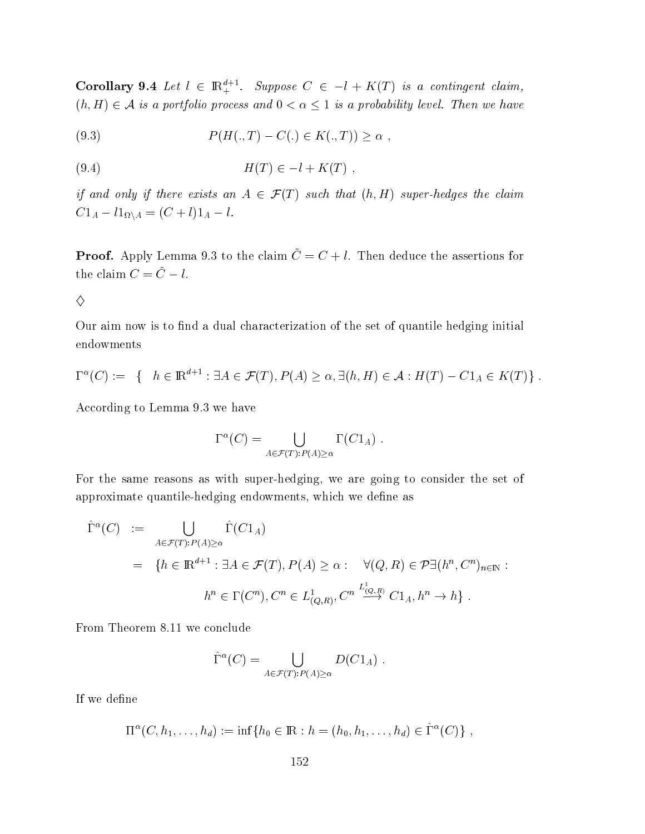**Corollary 9.4** Let  $l \in \mathbb{R}^{d+1}_+$ . Suppose  $C \in -l + K(T)$  is a contingent claim,  $(h, H) \in \mathcal{A}$  is a portfolio process and  $0 < \alpha \leq 1$  is a probability level. Then we have

(9.3) 
$$
P(H(.,T) - C(.) \in K(.,T)) \ge \alpha ,
$$

if and only if there exists an  $A \in \mathcal{F}(T)$  such that  $(h, H)$  super-hedges the claim  $C1_A - l1_{\Omega \backslash A} = (C + l)1_A - l.$ 

**Proof.** Apply Lemma 9.3 to the claim  $\tilde{C} = C + l$ . Then deduce the assertions for the claim  $C = \tilde{C} - l$ .

♦

Our aim now is to find a dual characterization of the set of quantile hedging initial endowments

$$
\Gamma^{\alpha}(C) := \{ h \in \mathbb{R}^{d+1} : \exists A \in \mathcal{F}(T), P(A) \ge \alpha, \exists (h, H) \in \mathcal{A} : H(T) - C1_A \in K(T) \}
$$

According to Lemma 9.3 we have

$$
\Gamma^{\alpha}(C) = \bigcup_{A \in \mathcal{F}(T): P(A) \ge \alpha} \Gamma(C1_A) .
$$

For the same reasons as with super-hedging, we are going to consider the set of approximate quantile-hedging endowments, which we define as

$$
\hat{\Gamma}^{\alpha}(C) := \bigcup_{A \in \mathcal{F}(T): P(A) \ge \alpha} \hat{\Gamma}(C1_A)
$$
\n
$$
= \{ h \in \mathbb{R}^{d+1} : \exists A \in \mathcal{F}(T), P(A) \ge \alpha : \forall (Q, R) \in \mathcal{P} \exists (h^n, C^n)_{n \in \mathbb{N}} : h^n \in \Gamma(C^n), C^n \in L^1_{(Q,R)}, C^n \xrightarrow{L^1_{(Q,R)}} C1_A, h^n \to h \} .
$$

From Theorem 8.11 we conclude

$$
\widehat{\Gamma}^{\alpha}(C) = \bigcup_{A \in \mathcal{F}(T): P(A) \geq \alpha} D(C1_A) .
$$

If we define

$$
\Pi^{\alpha}(C, h_1, \ldots, h_d) := \inf \{ h_0 \in \mathbb{R} : h = (h_0, h_1, \ldots, h_d) \in \hat{\Gamma}^{\alpha}(C) \},
$$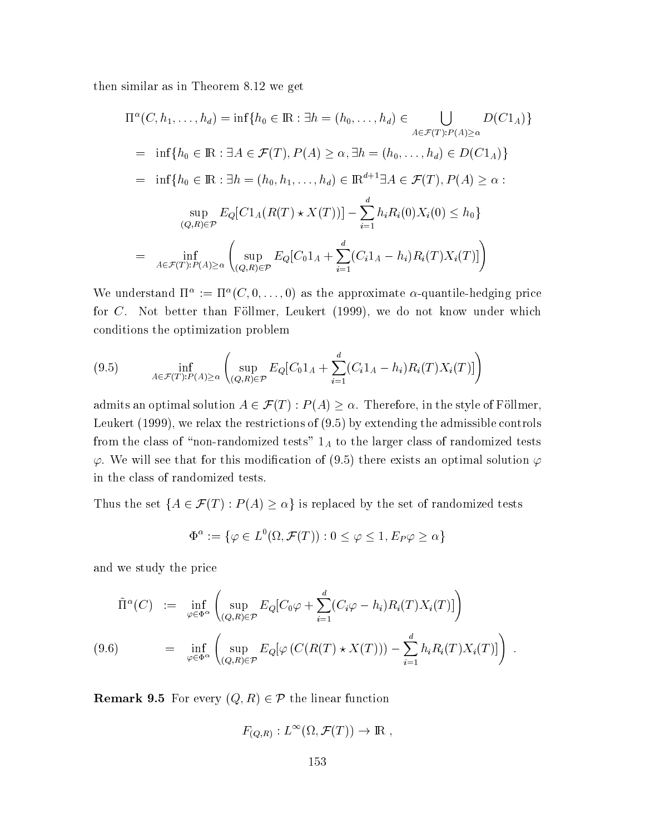then similar as in Theorem 8.12 we get

$$
\Pi^{\alpha}(C, h_1, ..., h_d) = \inf\{h_0 \in \mathbb{R} : \exists h = (h_0, ..., h_d) \in \bigcup_{A \in \mathcal{F}(T): P(A) \ge \alpha} D(C1_A)\}
$$
  
\n=  $\inf\{h_0 \in \mathbb{R} : \exists A \in \mathcal{F}(T), P(A) \ge \alpha, \exists h = (h_0, ..., h_d) \in D(C1_A)\}$   
\n=  $\inf\{h_0 \in \mathbb{R} : \exists h = (h_0, h_1, ..., h_d) \in \mathbb{R}^{d+1} \exists A \in \mathcal{F}(T), P(A) \ge \alpha :$   
\n $\sup_{(Q, R) \in \mathcal{P}} E_Q[C1_A(R(T) * X(T))] - \sum_{i=1}^d h_i R_i(0)X_i(0) \le h_0\}$   
\n=  $\inf_{A \in \mathcal{F}(T): P(A) \ge \alpha} \left(\sup_{(Q, R) \in \mathcal{P}} E_Q[C_01_A + \sum_{i=1}^d (C_i1_A - h_i)R_i(T)X_i(T)]\right)$ 

We understand  $\Pi^{\alpha} := \Pi^{\alpha}(C, 0, \ldots, 0)$  as the approximate  $\alpha$ -quantile-hedging price for C. Not better than Föllmer, Leukert (1999), we do not know under which conditions the optimization problem

$$
(9.5) \quad \inf_{A \in \mathcal{F}(T): P(A) \ge \alpha} \left( \sup_{(Q,R) \in \mathcal{P}} E_Q[C_0 1_A + \sum_{i=1}^d (C_i 1_A - h_i) R_i(T) X_i(T)] \right)
$$

admits an optimal solution  $A \in \mathcal{F}(T)$ :  $P(A) \geq \alpha$ . Therefore, in the style of Föllmer, Leukert (1999), we relax the restrictions of  $(9.5)$  by extending the admissible controls from the class of "non-randomized tests"  $1_A$  to the larger class of randomized tests  $\varphi$ . We will see that for this modification of (9.5) there exists an optimal solution  $\varphi$ in the class of randomized tests.

Thus the set  $\{A \in \mathcal{F}(T) : P(A) \ge \alpha\}$  is replaced by the set of randomized tests

$$
\Phi^{\alpha} := \{ \varphi \in L^0(\Omega, \mathcal{F}(T)) : 0 \le \varphi \le 1, E_P \varphi \ge \alpha \}
$$

and we study the price

$$
\tilde{\Pi}^{\alpha}(C) := \inf_{\varphi \in \Phi^{\alpha}} \left( \sup_{(Q,R) \in \mathcal{P}} E_Q[C_0 \varphi + \sum_{i=1}^d (C_i \varphi - h_i) R_i(T) X_i(T)] \right)
$$
\n
$$
(9.6) = \inf_{\varphi \in \Phi^{\alpha}} \left( \sup_{(Q,R) \in \mathcal{P}} E_Q[\varphi(C(R(T) \star X(T))) - \sum_{i=1}^d h_i R_i(T) X_i(T)] \right).
$$

**Remark 9.5** For every  $(Q, R) \in \mathcal{P}$  the linear function

$$
F_{(Q,R)}: L^{\infty}(\Omega, \mathcal{F}(T)) \to \mathbb{R}
$$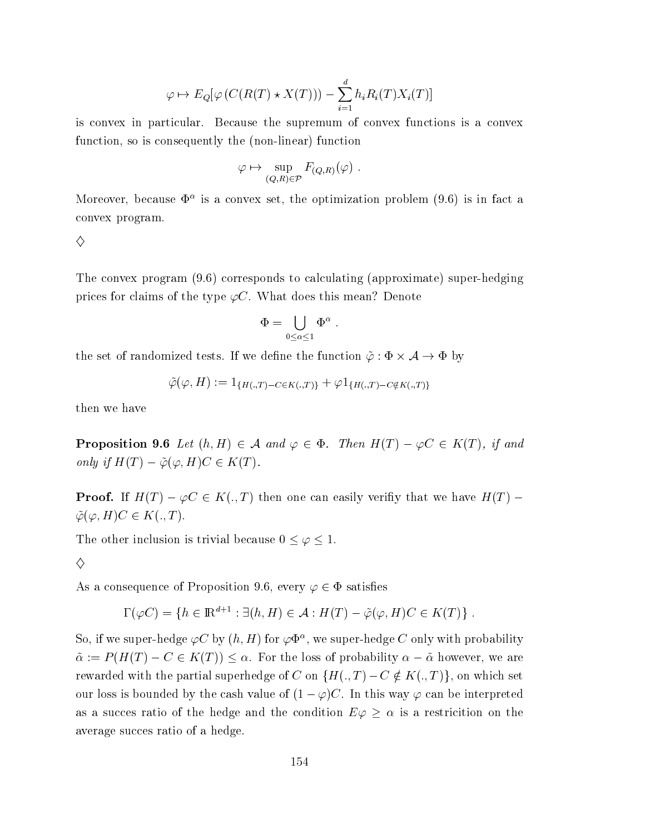$$
\varphi \mapsto E_Q[\varphi(C(R(T) \star X(T))) - \sum_{i=1}^d h_i R_i(T) X_i(T)]
$$

is convex in particular. Because the supremum of convex functions is a convex function, so is consequently the (non-linear) function

$$
\varphi \mapsto \sup_{(Q,R)\in\mathcal{P}} F_{(Q,R)}(\varphi) .
$$

Moreover, because  $\Phi^{\alpha}$  is a convex set, the optimization problem (9.6) is in fact a convex program.

♦

The convex program (9.6) corresponds to calculating (approximate) super-hedging prices for claims of the type  $\varphi C$ . What does this mean? Denote

$$
\Phi=\bigcup_{0\leq\alpha\leq 1}\Phi^{\alpha}
$$

the set of randomized tests. If we define the function  $\tilde{\varphi} : \Phi \times \mathcal{A} \to \Phi$  by

$$
\tilde{\varphi}(\varphi, H) := 1_{\{H(.,T) - C \in K(.,T)\}} + \varphi 1_{\{H(.,T) - C \notin K(.,T)\}}
$$

then we have

**Proposition 9.6** Let  $(h, H) \in \mathcal{A}$  and  $\varphi \in \Phi$ . Then  $H(T) - \varphi C \in K(T)$ , if and only if  $H(T) - \tilde{\varphi}(\varphi, H)C \in K(T)$ .

**Proof.** If  $H(T) - \varphi C \in K(.,T)$  then one can easily verifix that we have  $H(T)$  –  $\tilde{\varphi}(\varphi, H)C \in K(., T).$ 

The other inclusion is trivial because  $0 \leq \varphi \leq 1$ .

♦

As a consequence of Proposition 9.6, every  $\varphi \in \Phi$  satisfies

$$
\Gamma(\varphi C) = \{ h \in \mathbb{R}^{d+1} : \exists (h, H) \in \mathcal{A} : H(T) - \tilde{\varphi}(\varphi, H)C \in K(T) \} .
$$

So, if we super-hedge  $\varphi C$  by  $(h, H)$  for  $\varphi \Phi^{\alpha}$ , we super-hedge C only with probability  $\tilde{\alpha} := P(H(T) - C \in K(T)) \leq \alpha$ . For the loss of probability  $\alpha - \tilde{\alpha}$  however, we are rewarded with the partial superhedge of C on  $\{H(.,T)-C \notin K(.,T)\}\$ , on which set our loss is bounded by the cash value of  $(1 - \varphi)C$ . In this way  $\varphi$  can be interpreted as a success ratio of the hedge and the condition  $E\varphi \geq \alpha$  is a restriction on the average succes ratio of a hedge.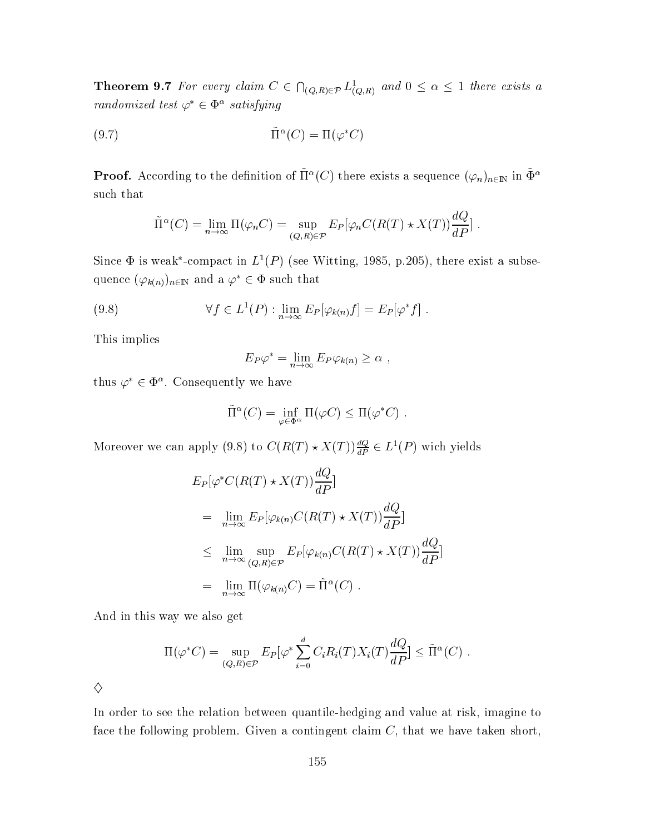**Theorem 9.7** For every claim  $C \in \bigcap_{(Q,R) \in \mathcal{P}} L^1_{(Q,R)}$  and  $0 \leq \alpha \leq 1$  there exists a randomized test  $\varphi^* \in \Phi^{\alpha}$  satisfying

$$
(9.7)\qquad \qquad \tilde{\Pi}^{\alpha}(C) = \Pi(\varphi^*C)
$$

**Proof.** According to the definition of  $\tilde{\Pi}^{\alpha}(C)$  there exists a sequence  $(\varphi_n)_{n\in\mathbb{N}}$  in  $\tilde{\Phi}^{\alpha}$  $\,\,\mathrm{such}\,\,\mathrm{that}$ 

$$
\tilde{\Pi}^{\alpha}(C) = \lim_{n \to \infty} \Pi(\varphi_n C) = \sup_{(Q,R) \in \mathcal{P}} E_P[\varphi_n C(R(T) \star X(T)) \frac{dQ}{dP}].
$$

Since  $\Phi$  is weak\*-compact in  $L^1(P)$  (see Witting, 1985, p.205), there exist a subsequence  $(\varphi_{k(n)})_{n\in\mathbb{N}}$  and a  $\varphi^*\in\Phi$  such that

(9.8) 
$$
\forall f \in L^{1}(P) : \lim_{n \to \infty} E_{P}[\varphi_{k(n)} f] = E_{P}[\varphi^{*} f].
$$

This implies  $\mathbf{s}$  and  $\mathbf{s}$ 

$$
E_P \varphi^* = \lim_{n \to \infty} E_P \varphi_{k(n)} \ge \alpha ,
$$

thus  $\varphi^* \in \Phi^{\alpha}$ . Consequently we have

$$
\tilde{\Pi}^{\alpha}(C) = \inf_{\varphi \in \Phi^{\alpha}} \Pi(\varphi C) \leq \Pi(\varphi^* C) .
$$

Moreover we can apply (9.8) to  $C(R(T) \star X(T))\frac{dQ}{dP} \in L^1(P)$  wich yields

$$
E_P[\varphi^* C(R(T) \star X(T)) \frac{dQ}{dP}]
$$
  
\n
$$
= \lim_{n \to \infty} E_P[\varphi_{k(n)} C(R(T) \star X(T)) \frac{dQ}{dP}]
$$
  
\n
$$
\leq \lim_{n \to \infty} \sup_{(Q,R) \in \mathcal{P}} E_P[\varphi_{k(n)} C(R(T) \star X(T)) \frac{dQ}{dP}]
$$
  
\n
$$
= \lim_{n \to \infty} \Pi(\varphi_{k(n)} C) = \tilde{\Pi}^{\alpha}(C) .
$$
  
\nAnd in this way we also get

$$
\Pi(\varphi^*C) = \sup_{(Q,R)\in\mathcal{P}} E_P[\varphi^* \sum_{i=0}^d C_i R_i(T) X_i(T) \frac{dQ}{dP}] \leq \tilde{\Pi}^{\alpha}(C) .
$$
  

$$
\diamondsuit
$$

In order to see the relation between quantile-hedging and value at risk, imagine to face the following problem. Given a contingent claim  $C$ , that we have taken short,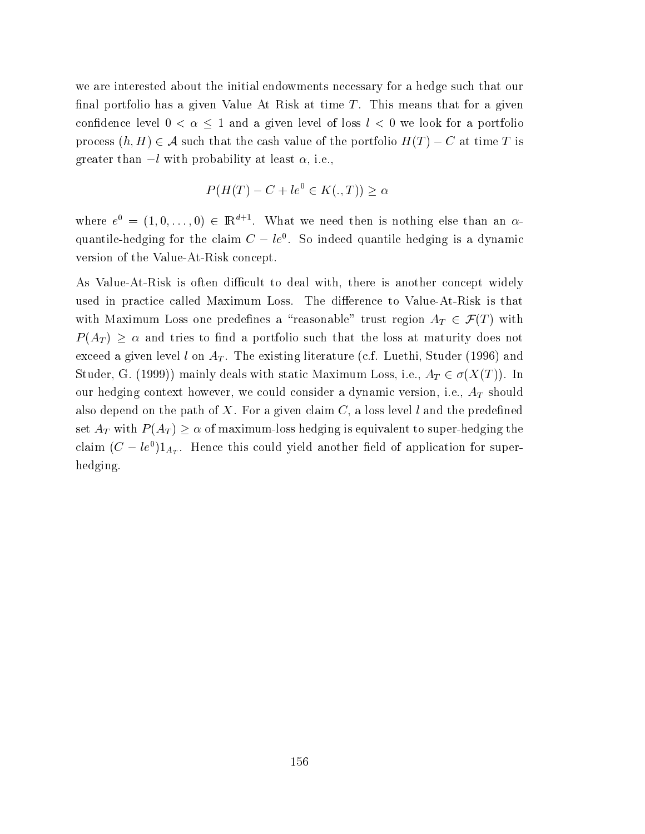we are interested about the initial endowments necessary for a hedge such that our final portfolio has a given Value At Risk at time  $T$ . This means that for a given confidence level  $0 < \alpha \leq 1$  and a given level of loss  $l < 0$  we look for a portfolio process  $(h, H) \in \mathcal{A}$  such that the cash value of the portfolio  $H(T) - C$  at time T is greater than  $-l$  with probability at least  $\alpha$ , i.e.,

$$
P(H(T) - C + le^0 \in K(., T)) \ge \alpha
$$

where  $e^0 = (1, 0, \ldots, 0) \in \mathbb{R}^{d+1}$ . What we need then is nothing else than an  $\alpha$ quantile-hedging for the claim  $C - le^{0}$ . So indeed quantile hedging is a dynamic version of the Value-At-Risk concept.

As Value-At-Risk is often difficult to deal with, there is another concept widely used in practice called Maximum Loss. The difference to Value-At-Risk is that with Maximum Loss one predefines a "reasonable" trust region  $A_T \in \mathcal{F}(T)$  with  $P(A_T) \geq \alpha$  and tries to find a portfolio such that the loss at maturity does not exceed a given level l on  $A_T$ . The existing literature (c.f. Luethi, Studer (1996) and Studer, G. (1999)) mainly deals with static Maximum Loss, i.e.,  $A_T \in \sigma(X(T))$ . In our hedging context however, we could consider a dynamic version, i.e.,  $A_T$  should also depend on the path of X. For a given claim  $C$ , a loss level l and the predefined set  $A_T$  with  $P(A_T) \ge \alpha$  of maximum-loss hedging is equivalent to super-hedging the claim  $(C - le^{0})1_{A_{T}}$ . Hence this could yield another field of application for superhedging.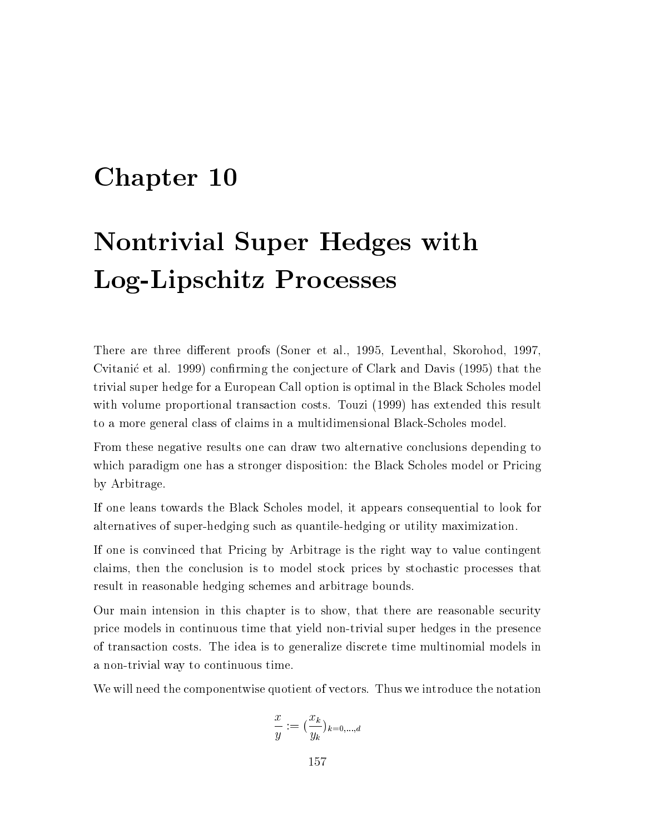#### Chapter 10

## **Nontrivial Super Hedges with** Log-Lipschitz Processes

There are three different proofs (Soner et al., 1995, Leventhal, Skorohod, 1997, Cvitanić et al. 1999) confirming the conjecture of Clark and Davis (1995) that the trivial super hedge for a European Call option is optimal in the Black Scholes model with volume proportional transaction costs. Touzi (1999) has extended this result to a more general class of claims in a multidimensional Black-Scholes model.

From these negative results one can draw two alternative conclusions depending to which paradigm one has a stronger disposition: the Black Scholes model or Pricing by Arbitrage.

If one leans towards the Black Scholes model, it appears consequential to look for alternatives of super-hedging such as quantile-hedging or utility maximization.

If one is convinced that Pricing by Arbitrage is the right way to value contingent claims, then the conclusion is to model stock prices by stochastic processes that result in reasonable hedging schemes and arbitrage bounds.

Our main intension in this chapter is to show, that there are reasonable security price models in continuous time that yield non-trivial super hedges in the presence of transaction costs. The idea is to generalize discrete time multinomial models in a non-trivial way to continuous time.

We will need the componentwise quotient of vectors. Thus we introduce the notation

$$
\frac{x}{y} := (\frac{x_k}{y_k})_{k=0,\dots,a}
$$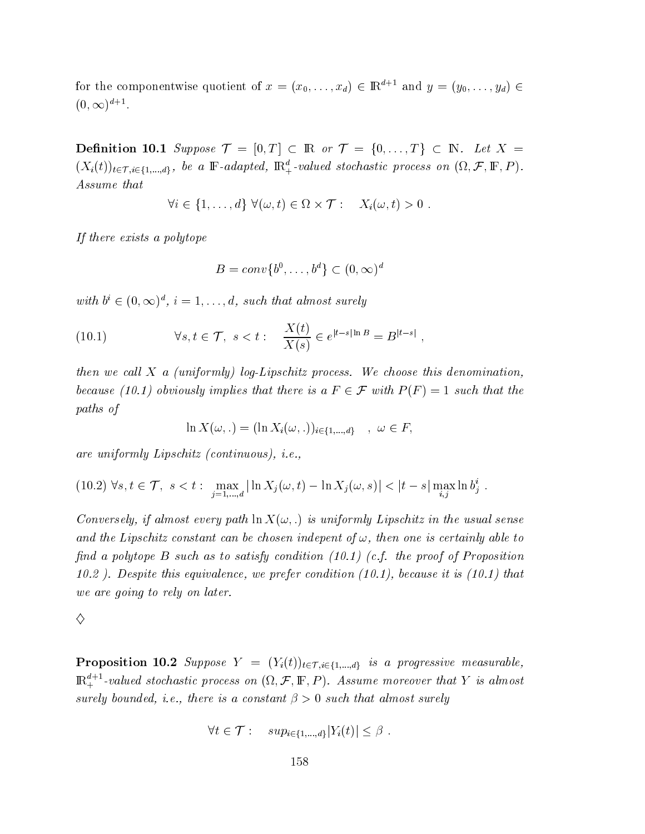for the componentwise quotient of  $x = (x_0, \ldots, x_d) \in \mathbb{R}^{d+1}$  and  $y = (y_0, \ldots, y_d) \in$  $(0,\infty)^{d+1}$ .

**Definition 10.1** Suppose  $\mathcal{T} = [0, T] \subset \mathbb{R}$  or  $\mathcal{T} = \{0, \ldots, T\} \subset \mathbb{N}$ . Let  $X =$  $(X_i(t))_{t\in\mathcal{T}, i\in\{1,\ldots,d\}}$ , be a  $\mathbb{F}\text{-}adapted$ ,  $\mathbb{R}^d_+$ -valued stochastic process on  $(\Omega, \mathcal{F}, \mathbb{F}, P)$ . Assume that

$$
\forall i \in \{1, \ldots, d\} \ \forall (\omega, t) \in \Omega \times \mathcal{T} : X_i(\omega, t) > 0
$$

If there exists a polytope

$$
B=conv\{b^0,\ldots,b^d\}\subset (0,\infty)^d
$$

with  $b^i \in (0,\infty)^d$ ,  $i=1,\ldots,d$ , such that almost surely

(10.1) 
$$
\forall s, t \in \mathcal{T}, s < t: \quad \frac{X(t)}{X(s)} \in e^{|t-s|\ln B} = B^{|t-s|}
$$

then we call X a (uniformly) log-Lipschitz process. We choose this denomination, because (10.1) obviously implies that there is a  $F \in \mathcal{F}$  with  $P(F) = 1$  such that the paths of

$$
\ln X(\omega,.) = (\ln X_i(\omega,.))_{i \in \{1,...,d\}} \quad , \ \omega \in F,
$$

are uniformly Lipschitz (continuous), *i.e.*,

$$
(10.2) \ \forall s, t \in \mathcal{T}, \ s < t : \ \max_{j=1,\dots,d} |\ln X_j(\omega, t) - \ln X_j(\omega, s)| < |t - s| \max_{i,j} \ln b_j^i \ .
$$

Conversely, if almost every path  $\ln X(\omega)$ , is uniformly Lipschitz in the usual sense and the Lipschitz constant can be chosen indepent of  $\omega$ , then one is certainly able to find a polytope B such as to satisfy condition  $(10.1)$  (c.f. the proof of Proposition 10.2). Despite this equivalence, we prefer condition  $(10.1)$ , because it is  $(10.1)$  that we are going to rely on later.

♦

**Proposition 10.2** Suppose  $Y = (Y_i(t))_{t \in \mathcal{T}, i \in \{1, \ldots, d\}}$  is a progressive measurable,  $\mathbb{R}^{d+1}_+$ -valued stochastic process on  $(\Omega, \mathcal{F}, \mathbb{F}, P)$ . Assume moreover that Y is almost surely bounded, *i.e.*, there is a constant  $\beta > 0$  such that almost surely

$$
\forall t \in \mathcal{T}: \quad sup_{i \in \{1, \dots, d\}} |Y_i(t)| \leq \beta
$$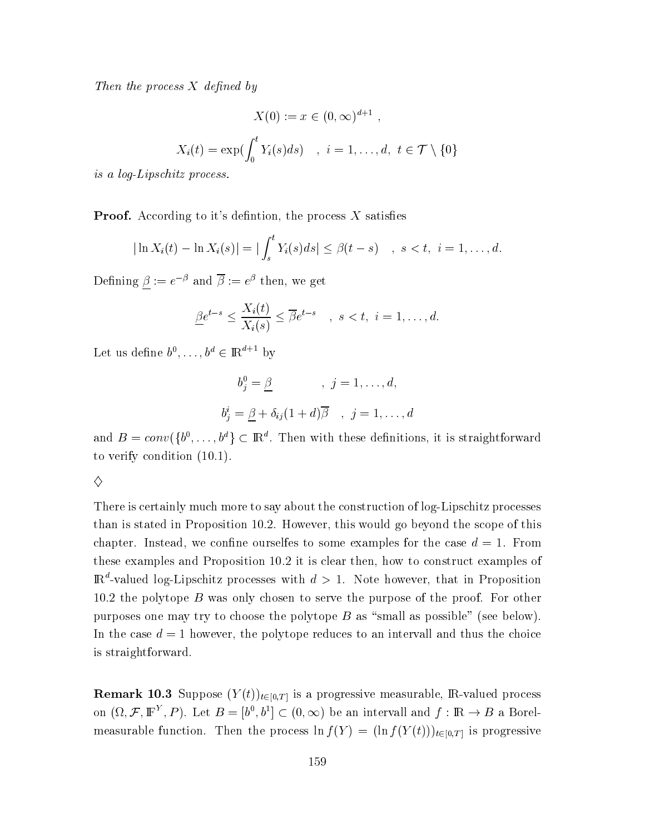Then the process  $X$  defined by

$$
X(0) := x \in (0, \infty)^{d+1} ,
$$
  

$$
X_i(t) = \exp(\int_0^t Y_i(s)ds) , i = 1, ..., d, t \in \mathcal{T} \setminus \{0\}
$$

is a log-Lipschitz process.

**Proof.** According to it's definition, the process  $X$  satisfies

$$
|\ln X_i(t) - \ln X_i(s)| = |\int_s^t Y_i(s)ds| \leq \beta(t-s) \quad , \ s < t, \ i = 1, \dots, d.
$$

Defining  $\underline{\beta} := e^{-\beta}$  and  $\overline{\beta} := e^{\beta}$  then, we get

$$
\underline{\beta}e^{t-s} \le \frac{X_i(t)}{X_i(s)} \le \overline{\beta}e^{t-s} \quad , \quad s < t, \quad i = 1, \dots, d
$$

Let us define  $b^0, \ldots, b^d \in \mathbb{R}^{d+1}$  by

$$
b_j^0 = \underline{\beta} \qquad , j = 1, ..., d,
$$
  

$$
b_j^i = \underline{\beta} + \delta_{ij}(1+d)\overline{\beta} \qquad , j = 1, ..., d
$$

and  $B = conv({b<sup>0</sup>,...,b<sup>d</sup>} \subset \mathbb{R}<sup>d</sup>$ . Then with these definitions, it is straightforward to verify condition  $(10.1)$ .

♦

There is certainly much more to say about the construction of log-Lipschitz processes than is stated in Proposition 10.2. However, this would go beyond the scope of this chapter. Instead, we confine ourselfes to some examples for the case  $d = 1$ . From these examples and Proposition 10.2 it is clear then, how to construct examples of  $\mathbb{R}^d$ -valued log-Lipschitz processes with  $d > 1$ . Note however, that in Proposition 10.2 the polytope  $B$  was only chosen to serve the purpose of the proof. For other purposes one may try to choose the polytope  $B$  as "small as possible" (see below). In the case  $d = 1$  however, the polytope reduces to an intervall and thus the choice is straightforward.

**Remark 10.3** Suppose  $(Y(t))_{t\in[0,T]}$  is a progressive measurable, R-valued process on  $(\Omega, \mathcal{F}, \mathbb{F}^Y, P)$ . Let  $B = [b^0, b^1] \subset (0, \infty)$  be an intervall and  $f : \mathbb{R} \to B$  a Borelmeasurable function. Then the process  $\ln f(Y) = (\ln f(Y(t)))_{t \in [0,T]}$  is progressive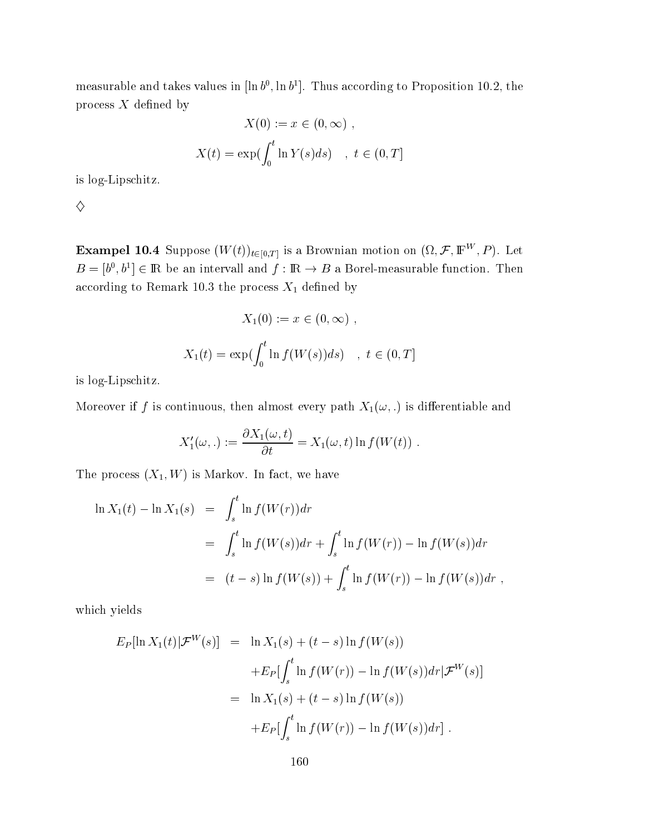measurable and takes values in  $[\ln b^0, \ln b^1]$ . Thus according to Proposition 10.2, the process  $X$  defined by

$$
X(0) := x \in (0, \infty) ,
$$
  

$$
X(t) = \exp(\int_0^t \ln Y(s) ds) , t \in (0, T]
$$

is log-Lipschitz.

 $\Diamond$ 

**Exampel 10.4** Suppose  $(W(t))_{t\in[0,T]}$  is a Brownian motion on  $(\Omega, \mathcal{F}, \mathbb{F}^W, P)$ . Let  $B = [b^0, b^1] \in \mathbb{R}$  be an intervall and  $f : \mathbb{R} \to B$  a Borel-measurable function. Then according to Remark 10.3 the process  $\mathcal{X}_1$  defined by

$$
X_1(0) := x \in (0, \infty) ,
$$
  

$$
X_1(t) = \exp(\int_0^t \ln f(W(s))ds) , t \in (0, T]
$$

is log-Lipschitz.

Moreover if f is continuous, then almost every path  $X_1(\omega,.)$  is differentiable and

$$
X'_1(\omega,.) := \frac{\partial X_1(\omega, t)}{\partial t} = X_1(\omega, t) \ln f(W(t)) .
$$

The process  $(X_1, W)$  is Markov. In fact, we have

$$
\ln X_1(t) - \ln X_1(s) = \int_s^t \ln f(W(r)) dr
$$
  
=  $\int_s^t \ln f(W(s)) dr + \int_s^t \ln f(W(r)) - \ln f(W(s)) dr$   
=  $(t - s) \ln f(W(s)) + \int_s^t \ln f(W(r)) - \ln f(W(s)) dr$ ,

which yields

$$
E_P[\ln X_1(t)|\mathcal{F}^W(s)] = \ln X_1(s) + (t - s) \ln f(W(s))
$$
  
+
$$
E_P[\int_s^t \ln f(W(r)) - \ln f(W(s))dr|\mathcal{F}^W(s)]
$$
  
= 
$$
\ln X_1(s) + (t - s) \ln f(W(s))
$$
  
+
$$
E_P[\int_s^t \ln f(W(r)) - \ln f(W(s))dr].
$$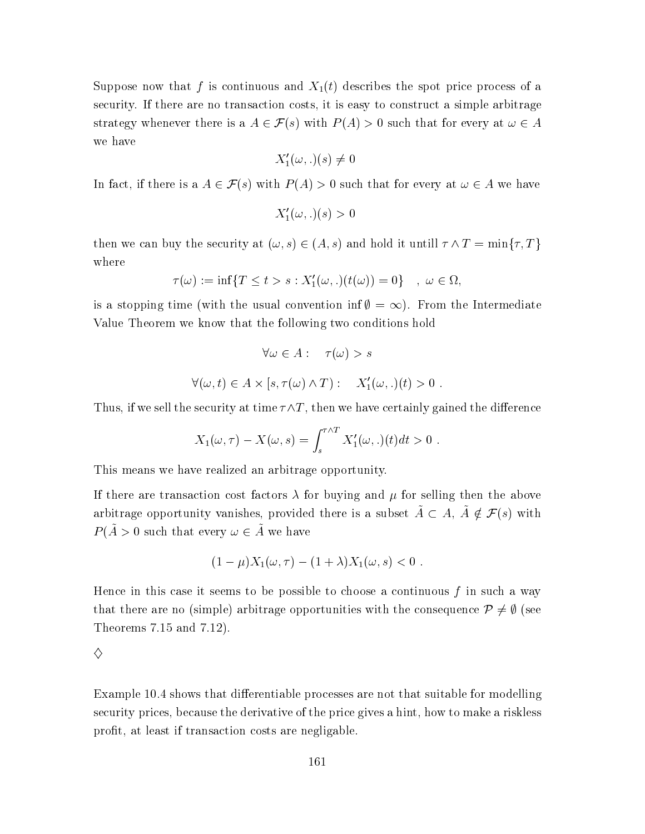Suppose now that f is continuous and  $X_1(t)$  describes the spot price process of a security. If there are no transaction costs, it is easy to construct a simple arbitrage strategy whenever there is a  $A \in \mathcal{F}(s)$  with  $P(A) > 0$  such that for every at  $\omega \in A$ we have

$$
X_1'(\omega,.)(s) \neq 0
$$

In fact, if there is a  $A \in \mathcal{F}(s)$  with  $P(A) > 0$  such that for every at  $\omega \in A$  we have

$$
X'_1(\omega,.)(s) > 0
$$

then we can buy the security at  $(\omega, s) \in (A, s)$  and hold it untill  $\tau \wedge T = \min\{\tau, T\}$ where

$$
\tau(\omega) := \inf\{T \le t > s : X'_1(\omega,.)(t(\omega)) = 0\} \quad , \ \omega \in \Omega,
$$

is a stopping time (with the usual convention inf $\emptyset = \infty$ ). From the Intermediate Value Theorem we know that the following two conditions hold

$$
\forall \omega \in A: \quad \tau(\omega) > s
$$

$$
\forall (\omega, t) \in A \times [s, \tau(\omega) \land T): \quad X'_1(\omega, .)(t) > 0
$$

Thus, if we sell the security at time  $\tau \wedge T$ , then we have certainly gained the difference

$$
X_1(\omega,\tau) - X(\omega,s) = \int_s^{\tau \wedge T} X'_1(\omega,.)(t)dt > 0.
$$

This means we have realized an arbitrage opportunity.

If there are transaction cost factors  $\lambda$  for buying and  $\mu$  for selling then the above arbitrage opportunity vanishes, provided there is a subset  $\tilde{A} \subset A$ ,  $\tilde{A} \notin \mathcal{F}(s)$  with  $P(\tilde{A} > 0$  such that every  $\omega \in \tilde{A}$  we have

$$
(1 - \mu)X_1(\omega, \tau) - (1 + \lambda)X_1(\omega, s) < 0
$$

Hence in this case it seems to be possible to choose a continuous f in such a way that there are no (simple) arbitrage opportunities with the consequence  $\mathcal{P} \neq \emptyset$  (see Theorems 7.15 and 7.12).

 $\diamond$ 

Example 10.4 shows that differentiable processes are not that suitable for modelling security prices, because the derivative of the price gives a hint, how to make a riskless profit, at least if transaction costs are negligable.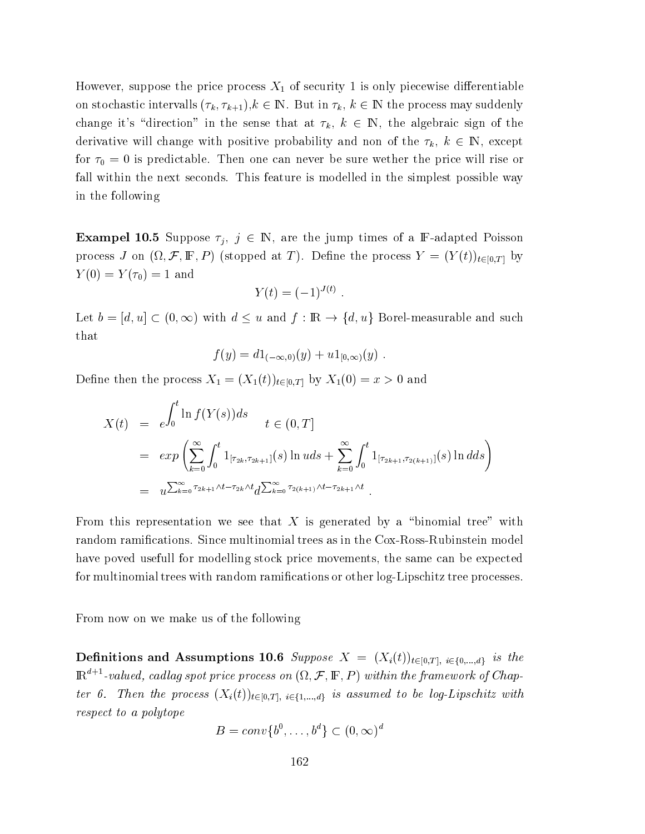However, suppose the price process  $X_1$  of security 1 is only piecewise differentiable on stochastic intervalls  $(\tau_k, \tau_{k+1}), k \in \mathbb{N}$ . But in  $\tau_k, k \in \mathbb{N}$  the process may suddenly change it's "direction" in the sense that at  $\tau_k$ ,  $k \in \mathbb{N}$ , the algebraic sign of the derivative will change with positive probability and non of the  $\tau_k$ ,  $k \in \mathbb{N}$ , except for  $\tau_0 = 0$  is predictable. Then one can never be sure wether the price will rise or fall within the next seconds. This feature is modelled in the simplest possible way in the following

**Exampel 10.5** Suppose  $\tau_j$ ,  $j \in \mathbb{N}$ , are the jump times of a F-adapted Poisson process J on  $(\Omega, \mathcal{F}, \mathbb{F}, P)$  (stopped at T). Define the process  $Y = (Y(t))_{t \in [0,T]}$  by  $Y(0) = Y(\tau_0) = 1$  and

$$
Y(t) = (-1)^{J(t)}.
$$

Let  $b = [d, u] \subset (0, \infty)$  with  $d \leq u$  and  $f : \mathbb{R} \to \{d, u\}$  Borel-measurable and such that

$$
f(y) = d1_{(-\infty,0)}(y) + u1_{[0,\infty)}(y) .
$$

Define then the process  $X_1 = (X_1(t))_{t \in [0,T]}$  by  $X_1(0) = x > 0$  and

$$
X(t) = e^{\int_0^t \ln f(Y(s))ds} \qquad t \in (0, T]
$$
  
=  $exp\left(\sum_{k=0}^{\infty} \int_0^t \mathbb{1}_{[\tau_{2k}, \tau_{2k+1}]}(s) \ln u ds + \sum_{k=0}^{\infty} \int_0^t \mathbb{1}_{[\tau_{2k+1}, \tau_{2(k+1)}]}(s) \ln d ds\right)$   
=  $u^{\sum_{k=0}^{\infty} \tau_{2k+1} \wedge t - \tau_{2k} \wedge t} d^{\sum_{k=0}^{\infty} \tau_{2(k+1)} \wedge t - \tau_{2k+1} \wedge t}.$ 

From this representation we see that  $X$  is generated by a "binomial tree" with random ramifications. Since multinomial trees as in the Cox-Ross-Rubinstein model have poved usefull for modelling stock price movements, the same can be expected for multinomial trees with random ramifications or other log-Lipschitz tree processes.

From now on we make us of the following

**Definitions and Assumptions 10.6** Suppose  $X = (X_i(t))_{t \in [0,T], i \in \{0,\ldots,d\}}$  is the  $\mathbb{R}^{d+1}$ -valued, cadlag spot price process on  $(\Omega, \mathcal{F}, \mathbb{F}, P)$  within the framework of Chapter 6. Then the process  $(X_i(t))_{t\in[0,T], i\in\{1,\ldots,d\}}$  is assumed to be log-Lipschitz with respect to a polytope

$$
B=conv\{b^0,\ldots,b^d\}\subset (0,\infty)^d
$$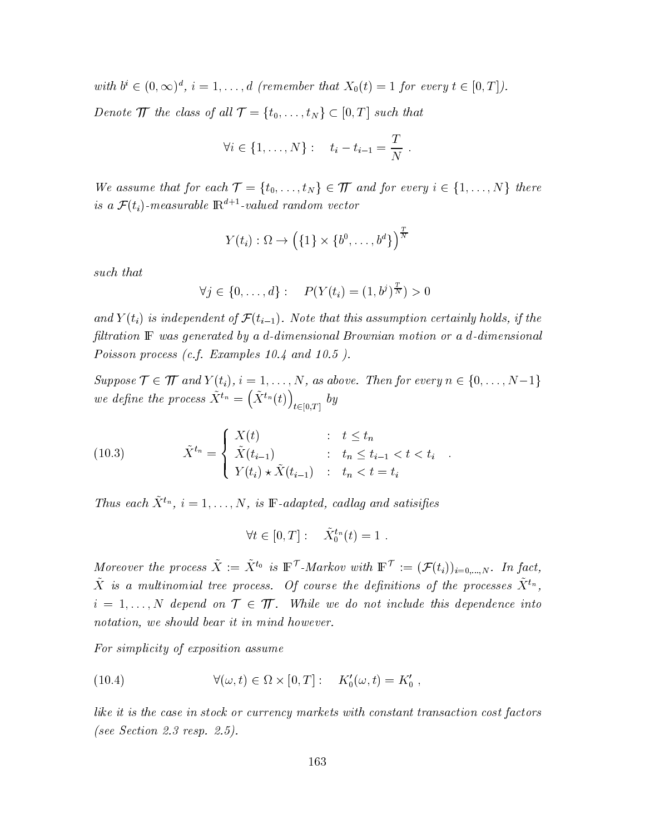with  $b^i \in (0,\infty)^d$ ,  $i=1,\ldots,d$  (remember that  $X_0(t)=1$  for every  $t \in [0,T]$ ).

Denote  $\pi$  the class of all  $\tau = \{t_0, \ldots, t_N\} \subset [0, T]$  such that

$$
\forall i \in \{1, ..., N\} : t_i - t_{i-1} = \frac{T}{N} .
$$

We assume that for each  $\mathcal{T} = \{t_0, \ldots, t_N\} \in \mathcal{T}$  and for every  $i \in \{1, \ldots, N\}$  there is a  $\mathcal{F}(t_i)$ -measurable  $\mathbb{R}^{d+1}$ -valued random vector

$$
Y(t_i): \Omega \to \left(\{1\} \times \{b^0, \ldots, b^d\}\right)^{\frac{T}{N}}
$$

such that

$$
\forall j \in \{0, ..., d\} : P(Y(t_i) = (1, b^j)^{\frac{T}{N}}) > 0
$$

and  $Y(t_i)$  is independent of  $\mathcal{F}(t_{i-1})$ . Note that this assumption certainly holds, if the filtration F was generated by a d-dimensional Brownian motion or a d-dimensional Poisson process (c.f. Examples  $10.4$  and  $10.5$ ).

Suppose  $\mathcal{T} \in \mathcal{T}$  and  $Y(t_i)$ ,  $i = 1, ..., N$ , as above. Then for every  $n \in \{0, ..., N-1\}$ we define the process  $\tilde{X}^{t_n} = (\tilde{X}^{t_n}(t))_{t \in [0,T]}$  by

(10.3) 
$$
\tilde{X}^{t_n} = \begin{cases} X(t) & : t \le t_n \\ \tilde{X}(t_{i-1}) & : t_n \le t_{i-1} < t < t_i \\ Y(t_i) \star \tilde{X}(t_{i-1}) & : t_n < t = t_i \end{cases}
$$

Thus each  $\tilde{X}^{t_n}$ ,  $i = 1, ..., N$ , is  $\mathbb{F}\text{-}adapted$ , cadlag and satisifies

$$
\forall t \in [0, T]: \quad \tilde{X}_0^{t_n}(t) = 1.
$$

Moreover the process  $\tilde{X} := \tilde{X}^{t_0}$  is  $\mathbb{F}^{\mathcal{T}}$ -Markov with  $\mathbb{F}^{\mathcal{T}} := (\mathcal{F}(t_i))_{i=0,\dots,N}$ . In fact,  $\tilde{X}$  is a multinomial tree process. Of course the definitions of the processes  $\tilde{X}^{t_n}$ ,  $i = 1, ..., N$  depend on  $\mathcal{T} \in \mathcal{T}$ . While we do not include this dependence into notation, we should bear it in mind however.

For simplicity of exposition assume

(10.4) 
$$
\forall (\omega, t) \in \Omega \times [0, T]: \quad K'_0(\omega, t) = K'_0
$$

like it is the case in stock or currency markets with constant transaction cost factors (see Section 2.3 resp. 2.5).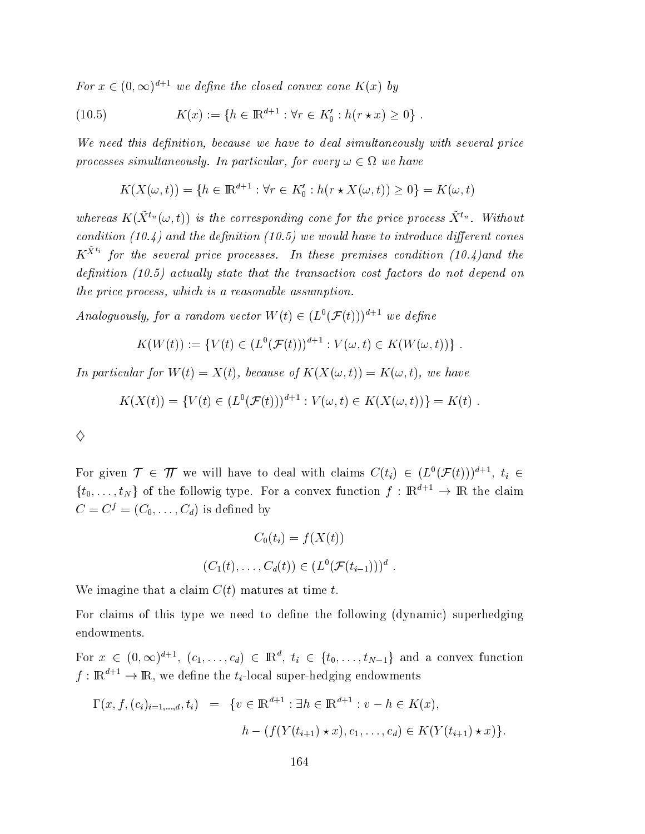For  $x \in (0,\infty)^{d+1}$  we define the closed convex cone  $K(x)$  by

(10.5) 
$$
K(x) := \{ h \in \mathbb{R}^{d+1} : \forall r \in K'_0 : h(r \star x) \ge 0 \} .
$$

We need this definition, because we have to deal simultaneously with several price processes simultaneously. In particular, for every  $\omega \in \Omega$  we have

$$
K(X(\omega, t)) = \{ h \in \mathbb{R}^{d+1} : \forall r \in K'_0 : h(r \star X(\omega, t)) \ge 0 \} = K(\omega, t)
$$

whereas  $K(\tilde{X}^{t_n}(\omega, t))$  is the corresponding cone for the price process  $\tilde{X}^{t_n}$ . Without condition (10.4) and the definition (10.5) we would have to introduce different cones  $K^{\tilde{X}^{t_i}}$  for the several price processes. In these premises condition (10.4) and the definition  $(10.5)$  actually state that the transaction cost factors do not depend on the price process, which is a reasonable assumption.

Analoguously, for a random vector  $W(t) \in (L^0(\mathcal{F}(t)))^{d+1}$  we define

$$
K(W(t)) := \{ V(t) \in (L^{0}(\mathcal{F}(t)))^{d+1} : V(\omega, t) \in K(W(\omega, t)) \} .
$$

In particular for  $W(t) = X(t)$ , because of  $K(X(\omega, t)) = K(\omega, t)$ , we have

$$
K(X(t)) = \{ V(t) \in (L^{0}(\mathcal{F}(t)))^{d+1} : V(\omega, t) \in K(X(\omega, t)) \} = K(t) .
$$

| I                 |
|-------------------|
| i<br>I<br>٦<br>2  |
| î,<br>I<br>I<br>i |
| I<br>٦            |

For given  $\mathcal{T} \in \mathcal{T}$  we will have to deal with claims  $C(t_i) \in (L^0(\mathcal{F}(t)))^{d+1}$ ,  $t_i \in$  $\{t_0,\ldots,t_N\}$  of the followig type. For a convex function  $f:\mathbb{R}^{d+1}\to\mathbb{R}$  the claim  $C = C^f = (C_0, \ldots, C_d)$  is defined by

$$
C_0(t_i) = f(X(t))
$$

$$
(C_1(t), \dots, C_d(t)) \in (L^0(\mathcal{F}(t_{i-1})))^d
$$

We imagine that a claim  $C(t)$  matures at time t.

For claims of this type we need to define the following (dynamic) superhedging endowments.

For  $x \in (0,\infty)^{d+1}$ ,  $(c_1,\ldots,c_d) \in \mathbb{R}^d$ ,  $t_i \in \{t_0,\ldots,t_{N-1}\}$  and a convex function  $f: \mathbb{R}^{d+1} \to \mathbb{R}$ , we define the  $t_i$ -local super-hedging endowments

$$
\Gamma(x, f, (c_i)_{i=1,\dots,d}, t_i) = \{v \in \mathbb{R}^{d+1} : \exists h \in \mathbb{R}^{d+1} : v - h \in K(x),
$$
  

$$
h - (f(Y(t_{i+1}) \star x), c_1, \dots, c_d) \in K(Y(t_{i+1}) \star x)\}.
$$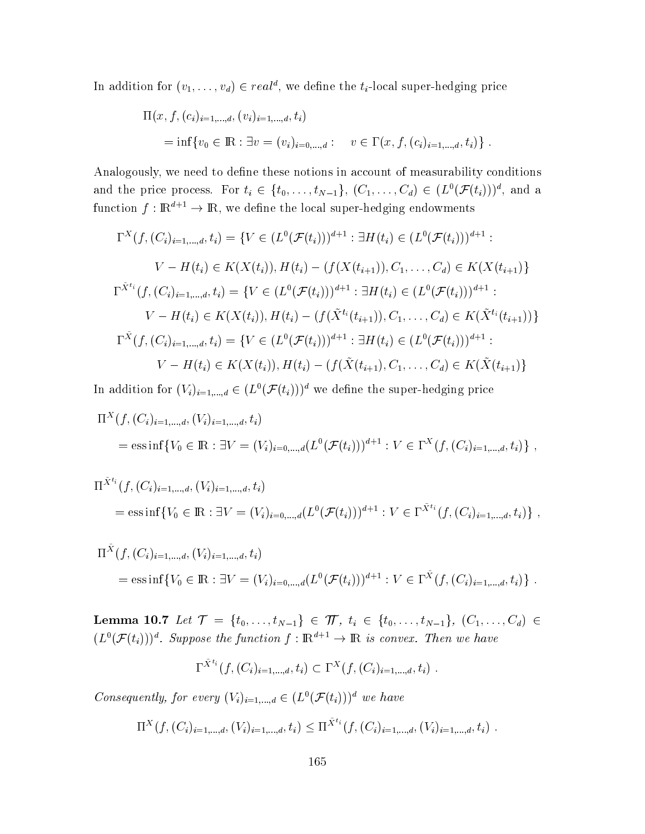In addition for  $(v_1, \ldots, v_d) \in real^d$ , we define the  $t_i$ -local super-hedging price

$$
\Pi(x, f, (c_i)_{i=1,\dots,d}, (v_i)_{i=1,\dots,d}, t_i)
$$
  
=  $\inf\{v_0 \in \mathbb{R} : \exists v = (v_i)_{i=0,\dots,d} : v \in \Gamma(x, f, (c_i)_{i=1,\dots,d}, t_i)\}.$ 

Analogously, we need to define these notions in account of measurability conditions and the price process. For  $t_i \in \{t_0, \ldots, t_{N-1}\}, (C_1, \ldots, C_d) \in (L^0(\mathcal{F}(t_i)))^d$ , and a function  $f: \mathbb{R}^{a+1} \to \mathbb{R}$ , we define the local super-hedging endowments

$$
\Gamma^{X}(f,(C_{i})_{i=1,\ldots,d},t_{i}) = \{V \in (L^{0}(\mathcal{F}(t_{i})))^{d+1} : \exists H(t_{i}) \in (L^{0}(\mathcal{F}(t_{i})))^{d+1} : V - H(t_{i}) \in K(X(t_{i})), H(t_{i}) - (f(X(t_{i+1})), C_{1}, \ldots, C_{d}) \in K(X(t_{i+1})) \}
$$
  

$$
\Gamma^{\tilde{X}^{t_{i}}}(f,(C_{i})_{i=1,\ldots,d},t_{i}) = \{V \in (L^{0}(\mathcal{F}(t_{i})))^{d+1} : \exists H(t_{i}) \in (L^{0}(\mathcal{F}(t_{i})))^{d+1} : V - H(t_{i}) \in K(X(t_{i})), H(t_{i}) - (f(\tilde{X}^{t_{i}}(t_{i+1})), C_{1}, \ldots, C_{d}) \in K(\tilde{X}^{t_{i}}(t_{i+1}))) \}
$$
  

$$
\Gamma^{\tilde{X}}(f,(C_{i})_{i=1,\ldots,d},t_{i}) = \{V \in (L^{0}(\mathcal{F}(t_{i})))^{d+1} : \exists H(t_{i}) \in (L^{0}(\mathcal{F}(t_{i})))^{d+1} : V - H(t_{i}) \in K(X(t_{i})), H(t_{i}) - (f(\tilde{X}(t_{i+1}), C_{1}, \ldots, C_{d}) \in K(\tilde{X}(t_{i+1})) \}
$$

In addition for  $(V_i)_{i=1,\dots,d} \in (L^0(\mathcal{F}(t_i)))^d$  we define the super-hedging price

$$
\Pi^{X}(f, (C_{i})_{i=1,\dots,d}, (V_{i})_{i=1,\dots,d}, t_{i})
$$
\n
$$
= \text{ess}\inf\{V_{0} \in \mathbb{R} : \exists V = (V_{i})_{i=0,\dots,d}(L^{0}(\mathcal{F}(t_{i})))^{d+1} : V \in \Gamma^{X}(f, (C_{i})_{i=1,\dots,d}, t_{i})\},
$$

$$
\Pi^{\tilde{X}^{t_i}}(f, (C_i)_{i=1,\dots,d}, (V_i)_{i=1,\dots,d}, t_i)
$$
\n
$$
= \text{ess}\inf \{V_0 \in \mathbb{R} : \exists V = (V_i)_{i=0,\dots,d} (L^0(\mathcal{F}(t_i)))^{d+1} : V \in \Gamma^{\tilde{X}^{t_i}}(f, (C_i)_{i=1,\dots,d}, t_i)\},
$$

$$
\Pi^{\tilde{X}}(f, (C_i)_{i=1,\dots,d}, (V_i)_{i=1,\dots,d}, t_i)
$$
  
= ess inf{ $V_0 \in \mathbb{R}: \exists V = (V_i)_{i=0,\dots,d}(L^0(\mathcal{F}(t_i)))^{d+1} : V \in \Gamma^{\tilde{X}}(f, (C_i)_{i=1,\dots,d}, t_i)$  }.

 ${\bf Lemma ~10.7} \ \ Let \ {\cal T} \ = \ \{t_0, \ldots, t_{N-1}\} \ \in \ {\cal T\!\!\! T}, \ \ t_i \ \in \ \{t_0, \ldots, t_{N-1}\}, \ \ (C_1, \ldots, C_d) \ \in$  $(L^0(\mathcal{F}(t_i)))^d$ . Suppose the function  $f: \mathbb{R}^{d+1} \to \mathbb{R}$  is convex. Then we have

$$
\Gamma^{X^{t_i}}(f, (C_i)_{i=1,\dots,d}, t_i) \subset \Gamma^{X}(f, (C_i)_{i=1,\dots,d}, t_i) .
$$

Consequently, for every  $(V_i)_{i=1,\dots,d} \in (L^0(\mathcal{F}(t_i)))^d$  we have

$$
\Pi^X(f, (C_i)_{i=1,\dots,d}, (V_i)_{i=1,\dots,d}, t_i) \leq \Pi^{\tilde{X}^{t_i}}(f, (C_i)_{i=1,\dots,d}, (V_i)_{i=1,\dots,d}, t_i) .
$$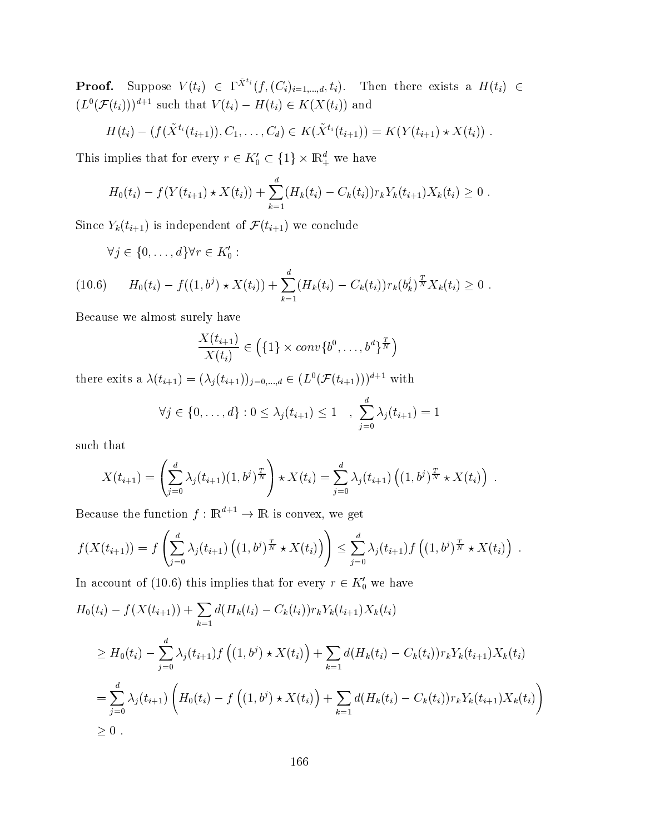**Proof.** Suppose  $V(t_i) \in \Gamma^{\tilde{X}^{t_i}}(f, (C_i)_{i=1,\ldots,d}, t_i)$ . Then there exists a  $H(t_i) \in (L^0(\mathcal{F}(t_i)))^{d+1}$  such that  $V(t_i) - H(t_i) \in K(X(t_i))$  and

$$
H(t_i) - (f(\tilde{X}^{t_i}(t_{i+1})), C_1, \ldots, C_d) \in K(\tilde{X}^{t_i}(t_{i+1})) = K(Y(t_{i+1}) \star X(t_i)) .
$$

This implies that for every  $r \in K_0' \subset \{1\} \times {\mathbb R}^d_+$  we have

$$
H_0(t_i) - f(Y(t_{i+1}) \star X(t_i)) + \sum_{k=1}^d (H_k(t_i) - C_k(t_i)) r_k Y_k(t_{i+1}) X_k(t_i) \geq 0.
$$

Since  $Y_k(t_{i+1})$  is independent of  $\mathcal{F}(t_{i+1})$  we conclude

$$
\forall j \in \{0, \ldots, d\} \forall r \in K_0' :
$$

$$
(10.6) \tH_0(t_i) - f((1,b^j) \star X(t_i)) + \sum_{k=1}^d (H_k(t_i) - C_k(t_i)) r_k(b_k^j)^{\frac{T}{N}} X_k(t_i) \geq 0.
$$

Because we almost surely have

$$
\frac{X(t_{i+1})}{X(t_i)} \in \left(\{1\} \times conv\{b^0, \ldots, b^d\}^{\frac{T}{N}}\right)
$$

there exits a  $\lambda(t_{i+1}) = (\lambda_j(t_{i+1}))_{j=0,...,d} \in (L^0(\mathcal{F}(t_{i+1})))^{d+1}$  with

$$
\forall j \in \{0, ..., d\} : 0 \leq \lambda_j(t_{i+1}) \leq 1 \quad , \sum_{j=0}^{a} \lambda_j(t_{i+1}) = 1
$$

such that

$$
X(t_{i+1}) = \left(\sum_{j=0}^{d} \lambda_j(t_{i+1})(1, b^j)^{\frac{T}{N}}\right) \star X(t_i) = \sum_{j=0}^{d} \lambda_j(t_{i+1}) \left((1, b^j)^{\frac{T}{N}} \star X(t_i)\right).
$$

Because the function  $f : \mathbb{R}^{d+1} \to \mathbb{R}$  is convex, we get

$$
f(X(t_{i+1})) = f\left(\sum_{j=0}^d \lambda_j(t_{i+1}) \left((1,b^j)^{\frac{T}{N}} \star X(t_i)\right)\right) \leq \sum_{j=0}^d \lambda_j(t_{i+1}) f\left((1,b^j)^{\frac{T}{N}} \star X(t_i)\right).
$$

In account of (10.6) this implies that for every  $r \in K'_0$  we have

$$
H_0(t_i) - f(X(t_{i+1})) + \sum_{k=1} d(H_k(t_i) - C_k(t_i))r_kY_k(t_{i+1})X_k(t_i)
$$
  
\n
$$
\geq H_0(t_i) - \sum_{j=0}^d \lambda_j(t_{i+1})f((1, b^j) \star X(t_i)) + \sum_{k=1} d(H_k(t_i) - C_k(t_i))r_kY_k(t_{i+1})X_k(t_i)
$$
  
\n
$$
= \sum_{j=0}^d \lambda_j(t_{i+1})\left(H_0(t_i) - f((1, b^j) \star X(t_i)) + \sum_{k=1} d(H_k(t_i) - C_k(t_i))r_kY_k(t_{i+1})X_k(t_i)\right)
$$
  
\n
$$
\geq 0.
$$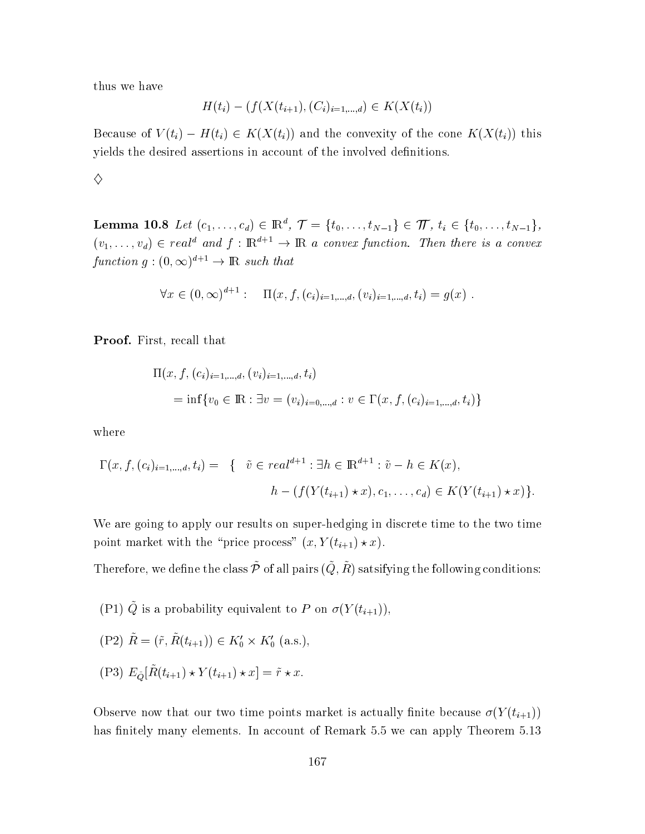thus we have

$$
H(t_i) - (f(X(t_{i+1}), (C_i)_{i=1,\dots,d}) \in K(X(t_i))
$$

Because of  $V(t_i) - H(t_i) \in K(X(t_i))$  and the convexity of the cone  $K(X(t_i))$  this yields the desired assertions in account of the involved definitions.

 $\diamondsuit$ 

**Lemma 10.8** Let  $(c_1, ..., c_d) \in \mathbb{R}^d$ ,  $\mathcal{T} = \{t_0, ..., t_{N-1}\} \in \mathcal{T}$ ,  $t_i \in \{t_0, ..., t_{N-1}\}$ ,  $(v_1,\ldots,v_d) \in real^d$  and  $f: \mathbb{R}^{d+1} \to \mathbb{R}$  a convex function. Then there is a convex function  $g:(0,\infty)^{d+1}\to\mathbb{R}$  such that

$$
\forall x \in (0, \infty)^{d+1} : \quad \Pi(x, f, (c_i)_{i=1,\dots,d}, (v_i)_{i=1,\dots,d}, t_i) = g(x) .
$$

**Proof.** First, recall that

$$
\Pi(x, f, (c_i)_{i=1,\dots,d}, (v_i)_{i=1,\dots,d}, t_i)
$$
\n
$$
= \inf \{ v_0 \in \mathbb{R} : \exists v = (v_i)_{i=0,\dots,d} : v \in \Gamma(x, f, (c_i)_{i=1,\dots,d}, t_i) \}
$$

where

$$
\Gamma(x, f, (c_i)_{i=1,\dots,d}, t_i) = \{ \tilde{v} \in real^{d+1} : \exists h \in \mathbb{R}^{d+1} : \tilde{v} - h \in K(x),
$$
  

$$
h - (f(Y(t_{i+1}) \star x), c_1, \dots, c_d) \in K(Y(t_{i+1}) \star x) \}.
$$

We are going to apply our results on super-hedging in discrete time to the two time point market with the "price process"  $(x, Y(t_{i+1}) \star x)$ .

Therefore, we define the class  $\tilde{\mathcal{P}}$  of all pairs  $(\tilde{Q}, \tilde{R})$  satsifying the following conditions:

(P1)  $\tilde{Q}$  is a probability equivalent to P on  $\sigma(Y(t_{i+1}))$ ,

$$
(P2) \tilde{R} = (\tilde{r}, \tilde{R}(t_{i+1})) \in K_0' \times K_0' \text{ (a.s.),}
$$

(P3)  $E_{\tilde{Q}}[\tilde{R}(t_{i+1}) \star Y(t_{i+1}) \star x] = \tilde{r} \star x.$ 

Observe now that our two time points market is actually finite because  $\sigma(Y(t_{i+1}))$ has finitely many elements. In account of Remark 5.5 we can apply Theorem 5.13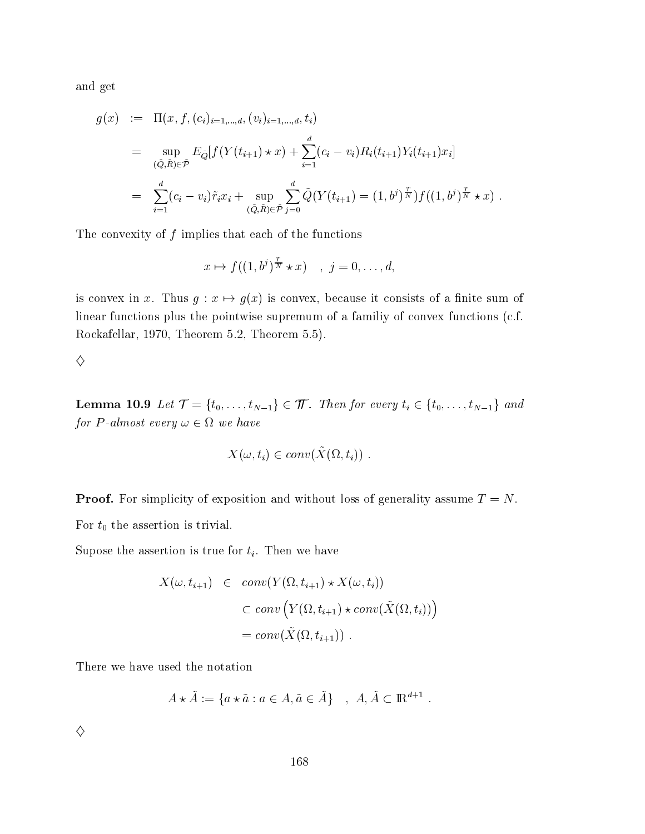and get

$$
g(x) := \Pi(x, f, (c_i)_{i=1,\dots,d}, (v_i)_{i=1,\dots,d}, t_i)
$$
  
\n
$$
= \sup_{(\tilde{Q}, \tilde{R}) \in \tilde{\mathcal{P}}} E_{\tilde{Q}}[f(Y(t_{i+1}) \star x) + \sum_{i=1}^d (c_i - v_i) R_i(t_{i+1}) Y_i(t_{i+1}) x_i]
$$
  
\n
$$
= \sum_{i=1}^d (c_i - v_i) \tilde{r}_i x_i + \sup_{(\tilde{Q}, \tilde{R}) \in \tilde{\mathcal{P}}} \sum_{j=0}^d \tilde{Q}(Y(t_{i+1}) = (1, b^j)^{\frac{T}{N}}) f((1, b^j)^{\frac{T}{N}} \star x)
$$

The convexity of  $f$  implies that each of the functions

$$
x \mapsto f((1, b^j)^{\frac{T}{N}} \star x) \quad , \ j = 0, \ldots, d,
$$

is convex in x. Thus  $g: x \mapsto g(x)$  is convex, because it consists of a finite sum of linear functions plus the pointwise supremum of a familiy of convex functions (c.f. Rockafellar, 1970, Theorem 5.2, Theorem 5.5).

♦

**Lemma 10.9** Let  $\mathcal{T} = \{t_0, ..., t_{N-1}\} \in \mathcal{T}$ . Then for every  $t_i \in \{t_0, ..., t_{N-1}\}$  and for P-almost every  $\omega \in \Omega$  we have

$$
X(\omega, t_i) \in conv(\tilde{X}(\Omega, t_i)) .
$$

**Proof.** For simplicity of exposition and without loss of generality assume  $T = N$ . For  $t_0$  the assertion is trivial.

Supose the assertion is true for  $t_i$ . Then we have

$$
X(\omega, t_{i+1}) \in conv(Y(\Omega, t_{i+1}) \star X(\omega, t_i))
$$
  

$$
\subset conv(Y(\Omega, t_{i+1}) \star conv(\tilde{X}(\Omega, t_i)))
$$
  

$$
= conv(\tilde{X}(\Omega, t_{i+1})).
$$

There we have used the notation

$$
A \star \tilde{A} := \{ a \star \tilde{a} : a \in A, \tilde{a} \in \tilde{A} \} \quad , \ A, \tilde{A} \subset \mathbb{R}^{d+1} .
$$

 $\diamondsuit$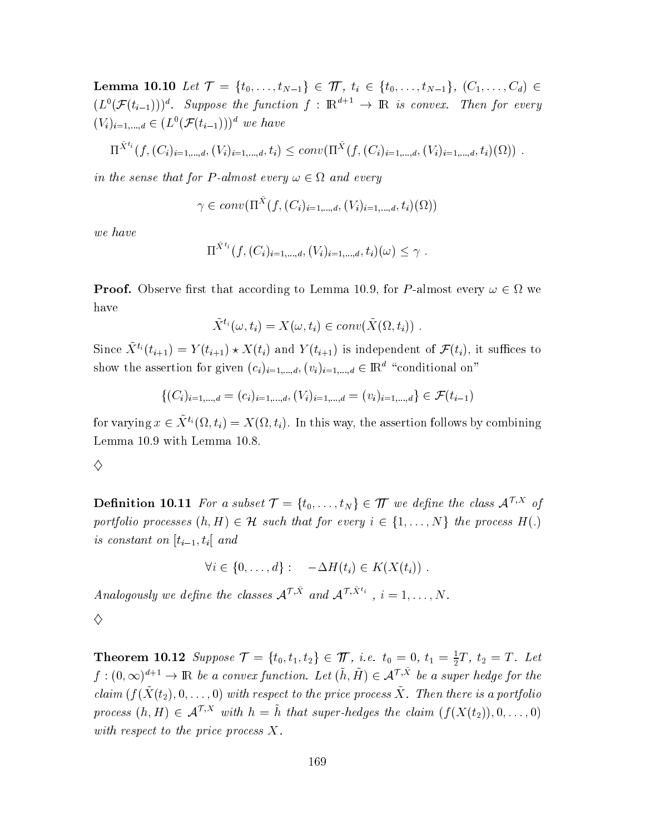**Lemma 10.10** Let  $\mathcal{T} = \{t_0, \ldots, t_{N-1}\} \in \mathcal{T}$ ,  $t_i \in \{t_0, \ldots, t_{N-1}\}, (C_1, \ldots, C_d) \in$  $(L^0(\mathcal{F}(t_{i-1})))^d$ . Suppose the function  $f : \mathbb{R}^{d+1} \to \mathbb{R}$  is convex. Then for every  $(V_i)_{i=1,\dots,d} \in (L^0(\mathcal{F}(t_{i-1})))^d$  we have

$$
\Pi^{\tilde{X}^{t_i}}(f, (C_i)_{i=1,\dots,d}, (V_i)_{i=1,\dots,d}, t_i) \leq conv(\Pi^{\tilde{X}}(f, (C_i)_{i=1,\dots,d}, (V_i)_{i=1,\dots,d}, t_i)(\Omega)) .
$$

in the sense that for P-almost every  $\omega \in \Omega$  and every

$$
\gamma \in conv(\Pi^{\tilde{X}}(f, (C_i)_{i=1,\dots,d}, (V_i)_{i=1,\dots,d}, t_i)(\Omega))
$$

we have

$$
\Pi^{\dot{X}^{t_i}}(f, (C_i)_{i=1,\dots,d}, (V_i)_{i=1,\dots,d}, t_i)(\omega) \leq \gamma.
$$

**Proof.** Observe first that according to Lemma 10.9, for P-almost every  $\omega \in \Omega$  we have

$$
\tilde{X}^{t_i}(\omega, t_i) = X(\omega, t_i) \in conv(\tilde{X}(\Omega, t_i))
$$

Since  $\tilde{X}^{t_i}(t_{i+1}) = Y(t_{i+1}) \star X(t_i)$  and  $Y(t_{i+1})$  is independent of  $\mathcal{F}(t_i)$ , it suffices to show the assertion for given  $(c_i)_{i=1,\dots,d}$ ,  $(v_i)_{i=1,\dots,d} \in \mathbb{R}^d$  "conditional on"

$$
\{(C_i)_{i=1,\dots,d} = (c_i)_{i=1,\dots,d}, (V_i)_{i=1,\dots,d} = (v_i)_{i=1,\dots,d}\} \in \mathcal{F}(t_{i-1})
$$

for varying  $x \in \tilde{X}^{t_i}(\Omega, t_i) = X(\Omega, t_i)$ . In this way, the assertion follows by combining Lemma 10.9 with Lemma 10.8.

#### ♦

**Definition 10.11** For a subset  $\mathcal{T} = \{t_0, \ldots, t_N\} \in \mathcal{T}$  we define the class  $\mathcal{A}^{\mathcal{T}, X}$  of portfolio processes  $(h, H) \in \mathcal{H}$  such that for every  $i \in \{1, ..., N\}$  the process  $H(.)$ is constant on  $[t_{i-1}, t_i]$  and

 $\forall i \in \{0, ..., d\} : -\Delta H(t_i) \in K(X(t_i))$ .

Analogously we define the classes  $A^{\mathcal{T},\tilde{X}}$  and  $A^{\mathcal{T},\tilde{X}^{t_i}}$ ,  $i=1,\ldots,N$ .

 $\diamondsuit$ 

**Theorem 10.12** Suppose  $\mathcal{T} = \{t_0, t_1, t_2\} \in \mathcal{T}$ , i.e.  $t_0 = 0$ ,  $t_1 = \frac{1}{2}T$ ,  $t_2 = T$ . Let  $f:(0,\infty)^{d+1}\to\mathbb{R}$  be a convex function. Let  $(\tilde{h},\tilde{H})\in\mathcal{A}^{\mathcal{T},\tilde{X}}$  be a super hedge for the claim  $(f(\tilde{X}(t_2), 0, \ldots, 0))$  with respect to the price process  $\tilde{X}$ . Then there is a portfolio process  $(h, H) \in \mathcal{A}^{\mathcal{T}, X}$  with  $h = \tilde{h}$  that super-hedges the claim  $(f(X(t_2)), 0, \ldots, 0)$ with respect to the price process  $X$ .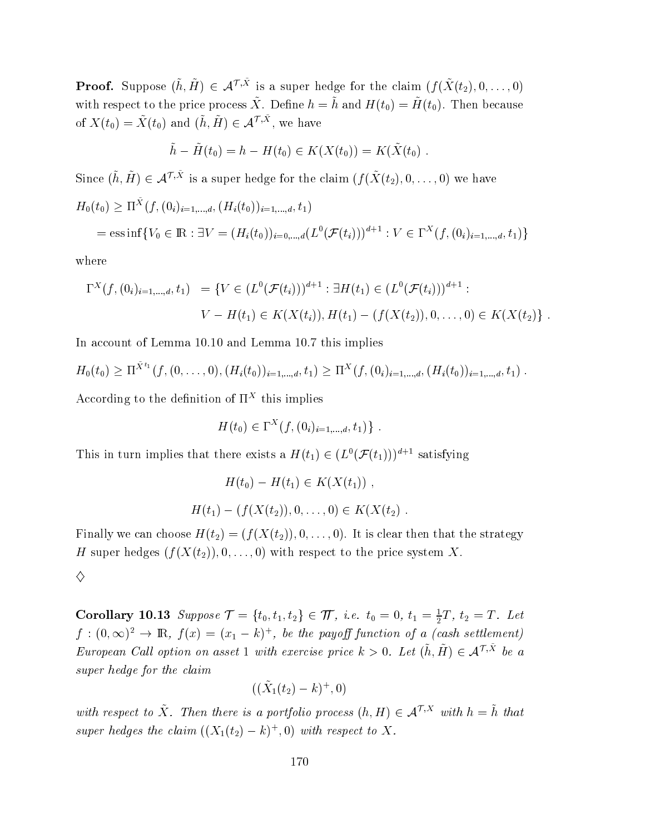**Proof.** Suppose  $(\tilde{h}, \tilde{H}) \in \mathcal{A}^{\mathcal{T}, \tilde{X}}$  is a super hedge for the claim  $(f(\tilde{X}(t_2), 0, \ldots, 0))$ with respect to the price process  $\tilde{X}$ . Define  $h = \tilde{h}$  and  $H(t_0) = \tilde{H}(t_0)$ . Then because of  $X(t_0) = \tilde{X}(t_0)$  and  $(\tilde{h}, \tilde{H}) \in \mathcal{A}^{\mathcal{T}, \tilde{X}},$  we have

$$
\tilde{h} - \tilde{H}(t_0) = h - H(t_0) \in K(X(t_0)) = K(\tilde{X}(t_0)).
$$

Since  $(\tilde{h}, \tilde{H}) \in \mathcal{A}^{\mathcal{T}, \tilde{X}}$  is a super hedge for the claim  $(f(\tilde{X}(t_2), 0, \ldots, 0))$  we have  $H_0(t_0)\geq\Pi^X(f,(0_i)_{i=1,...,d},(H_i(t_0))_{i=1,...,d},t_1)$  $\overline{\phantom{a}}$  $\mathcal{I} = \text{ess}\inf\{V_0 \in \mathbb{R} : \exists V = (H_i(t_0))_{i=0,...,d} (L^0(\mathcal{F}(t_i)))^{d+1} : V \in \Gamma^X(f, (0_i)_{i=1,...,d}, t_1)\}$ 

where

$$
\Gamma^{X}(f,(0_{i})_{i=1,\ldots,d},t_{1}) = \{V \in (L^{0}(\mathcal{F}(t_{i})))^{d+1} : \exists H(t_{1}) \in (L^{0}(\mathcal{F}(t_{i})))^{d+1} : V - H(t_{1}) \in K(X(t_{i})), H(t_{1}) - (f(X(t_{2})), 0, \ldots, 0) \in K(X(t_{2})) \}.
$$

In account of Lemma 10.10 and Lemma 10.7 this implie  $\mathbf S$ 

$$
H_0(t_0) \geq \Pi^{\tilde{X}^{t_1}}(f, (0, \ldots, 0), (H_i(t_0))_{i=1,\ldots,d}, t_1) \geq \Pi^X(f, (0_i)_{i=1,\ldots,d}, (H_i(t_0))_{i=1,\ldots,d}, t_1).
$$

According to the definition of  $\Pi^X$  this implie  $\mathbf S$ 

$$
H(t_0) \in \Gamma^X(f, (0_i)_{i=1,\dots,d}, t_1) \} .
$$

This in turn implies that there exists a  $H(t_1) \in (L^0(\mathcal{F}(t_1)))^{d+1}$  satisfying

$$
H(t_0) - H(t_1) \in K(X(t_1)),
$$
  

$$
H(t_1) - (f(X(t_2)), 0, \dots, 0) \in K(X(t_2)).
$$

Finally we can choose  $H(t_2)=(f(X(t_2)),0,\ldots,0).$  It is clear then that the strategy H super hedges  $(f(X(t_2)), 0, \ldots, 0)$  with respect to the price system  $X$ .

♦

**Corollary 10.13** Suppose  $\mathcal{T} = \{t_0, t_1, t_2\} \in \mathcal{T}$ , i.e.  $t_0 = 0, t_1 = \frac{1}{2}T, t_2 = T$ . Let  $f:(0,\infty)^2\to\mathbb{R},\ f(x)=(x_1-k)^+$ , be the payoff function of a (cash settlement) European Call option on asset 1 with exercise price  $k>0$ . Let  $(\tilde{h}, \tilde{H}) \in \mathcal{A}^{\mathcal{T}, \tilde{X}}$  be a super hedge for the claim

$$
((\tilde X_1(t_2)-k)^+,0)
$$

with respect to  $\tilde{X}$ . Then there is a portfolio process  $(h, H) \in \mathcal{A}^{\mathcal{T}, X}$  with  $h = \tilde{h}$  that super hedges the claim  $((X_1(t_2)-k)^+,0)$  with respect to X.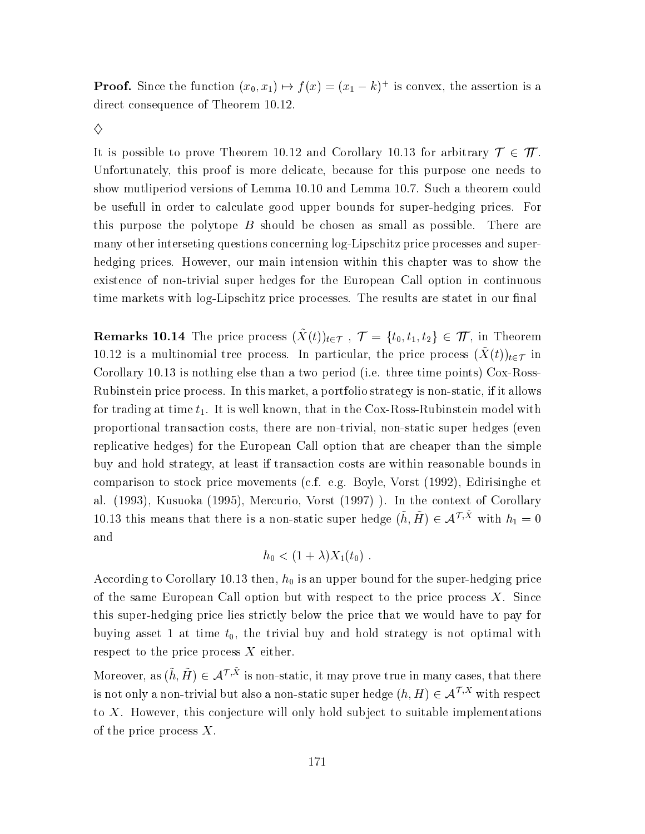**Proof.** Since the function  $(x_0, x_1) \mapsto f(x) = (x_1 - k)^+$  is convex, the assertion is a direct consequence of Theorem 10.12.

♦

It is possible to prove Theorem 10.12 and Corollary 10.13 for arbitrary  $\mathcal{T} \in \mathcal{T}$ . Unfortunately, this proof is more delicate, because for this purpose one needs to show mutliperiod versions of Lemma 10.10 and Lemma 10.7. Such a theorem could be usefull in order to calculate good upper bounds for super-hedging prices. For this purpose the polytope  $B$  should be chosen as small as possible. There are many other interseting questions concerning log-Lipschitz price processes and superhedging prices. However, our main intension within this chapter was to show the existence of non-trivial super hedges for the European Call option in continuous time markets with log-Lipschitz price processes. The results are stated in our final

**Remarks 10.14** The price process  $(\tilde{X}(t))_{t\in\mathcal{T}}$ ,  $\mathcal{T} = \{t_0, t_1, t_2\} \in \mathcal{T}$ , in Theorem 10.12 is a multinomial tree process. In particular, the price process  $(\tilde{X}(t))_{t\in\mathcal{T}}$  in Corollary 10.13 is nothing else than a two period (i.e. three time points) Cox-Ross-Rubinstein price process. In this market, a portfolio strategy is non-static, if it allows for trading at time  $t_1$ . It is well known, that in the Cox-Ross-Rubinstein model with proportional transaction costs, there are non-trivial, non-static super hedges (even replicative hedges) for the European Call option that are cheaper than the simple buy and hold strategy, at least if transaction costs are within reasonable bounds in comparison to stock price movements (c.f. e.g. Boyle, Vorst (1992), Edirisinghe et al. (1993), Kusuoka (1995), Mercurio, Vorst (1997) ). In the context of Corollary 10.13 this means that there is a non-static super hedge  $(\tilde{h}, \tilde{H}) \in \mathcal{A}^{\mathcal{T}, \tilde{X}}$  with  $h_1 = 0$  $\quad \text{and} \quad$ 

$$
h_0 < (1+\lambda)X_1(t_0) .
$$

According to Corollary 10.13 then,  $h_0$  is an upper bound for the super-hedging price of the same European Call option but with respect to the price process  $X$ . Since this super-hedging price lies strictly below the price that we would have to pay for buying asset 1 at time  $t_0$ , the trivial buy and hold strategy is not optimal with respect to the price process  $X$  either.

Moreover, as  $(\tilde{h}, \tilde{H}) \in \mathcal{A}^{\mathcal{T}, \tilde{X}}$  is non-static, it may prove true in many cases, that there is not only a non-trivial but also a non-static super hedge  $(h, H) \in \mathcal{A}^{\mathcal{T}, X}$  with respect to  $X$ . However, this conjecture will only hold subject to suitable implementations of the price process  $X$ .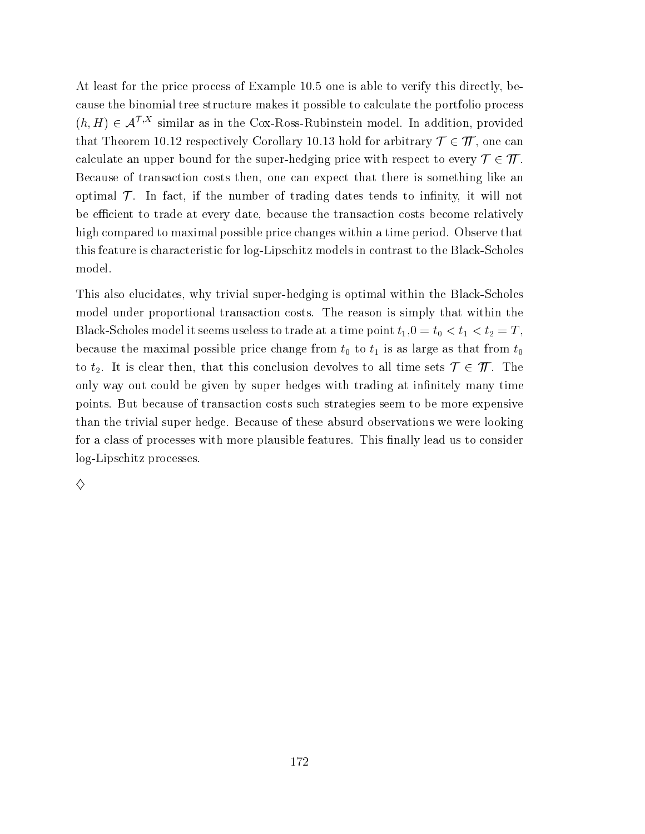At least for the price process of Example 10.5 one is able to verify this directly, because the binomial tree structure makes it possible to calculate the portfolio process  $(h, H) \in \mathcal{A}^{\mathcal{T}, X}$  similar as in the Cox-Ross-Rubinstein model. In addition, provided that Theorem 10.12 respectively Corollary 10.13 hold for arbitrary  $\mathcal{T} \in \mathcal{T}$ , one can calculate an upper bound for the super-hedging price with respect to every  $\mathcal{T} \in \mathcal{T}$ . Because of transaction costs then, one can expect that there is something like an optimal  $\mathcal T$ . In fact, if the number of trading dates tends to infinity, it will not be efficient to trade at every date, because the transaction costs become relatively high compared to maximal possible price changes within a time period. Observe that this feature is characteristic for log-Lipschitz models in contrast to the Black-Scholes model.

This also elucidates, why trivial super-hedging is optimal within the Black-Scholes model under proportional transaction costs. The reason is simply that within the Black-Scholes model it seems useless to trade at a time point  $t_1, 0 = t_0 < t_1 < t_2 = T$ , because the maximal possible price change from  $t_0$  to  $t_1$  is as large as that from  $t_0$ to  $t_2$ . It is clear then, that this conclusion devolves to all time sets  $\mathcal{T} \in \mathcal{T}$ . The only way out could be given by super hedges with trading at infinitely many time points. But because of transaction costs such strategies seem to be more expensive than the trivial super hedge. Because of these absurd observations we were looking for a class of processes with more plausible features. This finally lead us to consider log-Lipschitz processes.

♦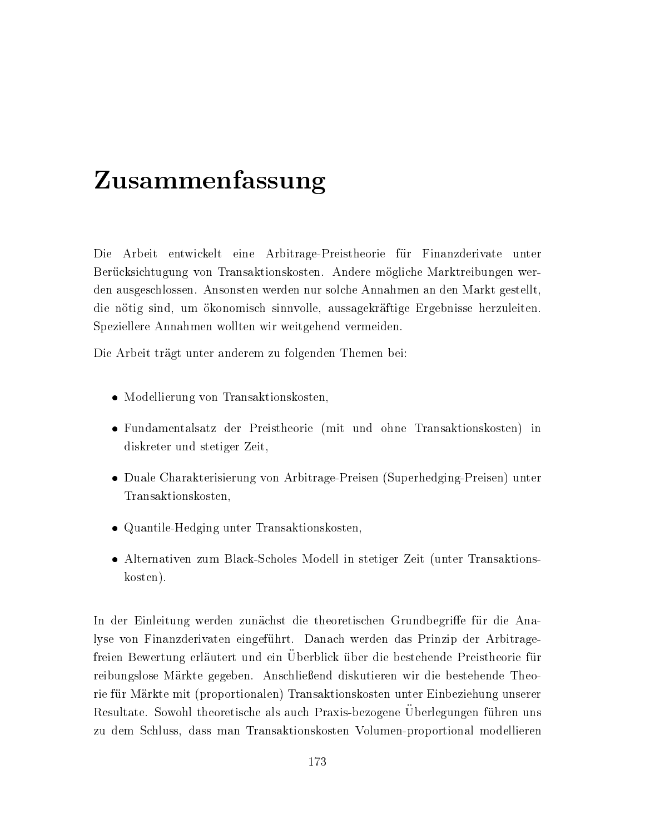# Zusammenfassung

Die Arbeit entwickelt eine Arbitrage-Preistheorie für Finanzderivate unter Berücksichtugung von Transaktionskosten. Andere mögliche Marktreibungen werden ausgeschlossen. Ansonsten werden nur solche Annahmen an den Markt gestellt. die nötig sind, um ökonomisch sinnvolle, aussagekräftige Ergebnisse herzuleiten. Speziellere Annahmen wollten wir weitgehend vermeiden.

Die Arbeit trägt unter anderem zu folgenden Themen bei:

- Modellierung von Transaktionskosten
- Fundamentalsatz der Preistheorie (mit und ohne Transaktionskosten) in diskreter und stetiger Zeit,
- Duale Charakterisierung von Arbitrage-Preisen (Superhedging-Preisen) unter Transaktionskosten.
- Quantile-Hedging unter Transaktionskosten,
- Alternativen zum Black-Scholes Modell in stetiger Zeit (unter Transaktionskosten).

In der Einleitung werden zunächst die theoretischen Grundbegriffe für die Analyse von Finanzderivaten eingeführt. Danach werden das Prinzip der Arbitragefreien Bewertung erläutert und ein Überblick über die bestehende Preistheorie für reibungslose Märkte gegeben. Anschließend diskutieren wir die bestehende Theorie für Märkte mit (proportionalen) Transaktionskosten unter Einbeziehung unserer Resultate. Sowohl theoretische als auch Praxis-bezogene Uberlegungen führen uns zu dem Schluss, dass man Transaktionskosten Volumen-proportional modellieren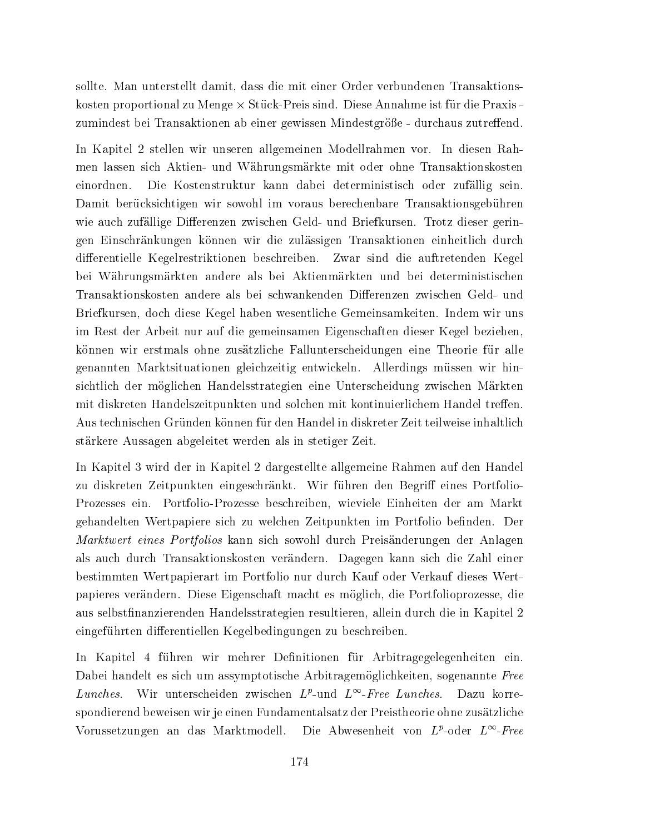sollte. Man unterstellt damit, dass die mit einer Order verbundenen Transaktionskosten proportional zu Menge  $\times$  Stück-Preis sind. Diese Annahme ist für die Praxis zumindest bei Transaktionen ab einer gewissen Mindestgröße - durchaus zutreffend.

In Kapitel 2 stellen wir unseren allgemeinen Modellrahmen vor. In diesen Rahmen lassen sich Aktien- und Währungsmärkte mit oder ohne Transaktionskosten Die Kostenstruktur kann dabei deterministisch oder zufällig sein. einordnen. Damit berücksichtigen wir sowohl im voraus berechenbare Transaktionsgebühren wie auch zufällige Differenzen zwischen Geld- und Briefkursen. Trotz dieser geringen Einschränkungen können wir die zulässigen Transaktionen einheitlich durch differentielle Kegelrestriktionen beschreiben. Zwar sind die auftretenden Kegel bei Währungsmärkten andere als bei Aktienmärkten und bei deterministischen Transaktionskosten andere als bei schwankenden Differenzen zwischen Geld- und Briefkursen, doch diese Kegel haben wesentliche Gemeinsamkeiten. Indem wir uns im Rest der Arbeit nur auf die gemeinsamen Eigenschaften dieser Kegel beziehen, können wir erstmals ohne zusätzliche Fallunterscheidungen eine Theorie für alle genannten Marktsituationen gleichzeitig entwickeln. Allerdings müssen wir hinsichtlich der möglichen Handelsstrategien eine Unterscheidung zwischen Märkten mit diskreten Handelszeitpunkten und solchen mit kontinuierlichem Handel treffen. Aus technischen Gründen können für den Handel in diskreter Zeit teilweise inhaltlich stärkere Aussagen abgeleitet werden als in stetiger Zeit.

In Kapitel 3 wird der in Kapitel 2 dargestellte allgemeine Rahmen auf den Handel zu diskreten Zeitpunkten eingeschränkt. Wir führen den Begriff eines Portfolio-Prozesses ein. Portfolio-Prozesse beschreiben, wieviele Einheiten der am Markt gehandelten Wertpapiere sich zu welchen Zeitpunkten im Portfolio befinden. Der Marktwert eines Portfolios kann sich sowohl durch Preisänderungen der Anlagen als auch durch Transaktionskosten verändern. Dagegen kann sich die Zahl einer bestimmten Wertpapierart im Portfolio nur durch Kauf oder Verkauf dieses Wertpapieres verändern. Diese Eigenschaft macht es möglich, die Portfolioprozesse, die aus selbstfinanzierenden Handelsstrategien resultieren, allein durch die in Kapitel 2 eingeführten differentiellen Kegelbedingungen zu beschreiben.

In Kapitel 4 führen wir mehrer Definitionen für Arbitragegelegenheiten ein. Dabei handelt es sich um assymptotische Arbitragemöglichkeiten, sogenannte Free Wir unterscheiden zwischen  $L^p$ -und  $L^\infty$ -Free Lunches. Dazu korre-Lunches. spondierend beweisen wir je einen Fundamentalsatz der Preistheorie ohne zusätzliche Vorussetzungen an das Marktmodell. Die Abwesenheit von  $L^p$ -oder  $L^\infty$ -Free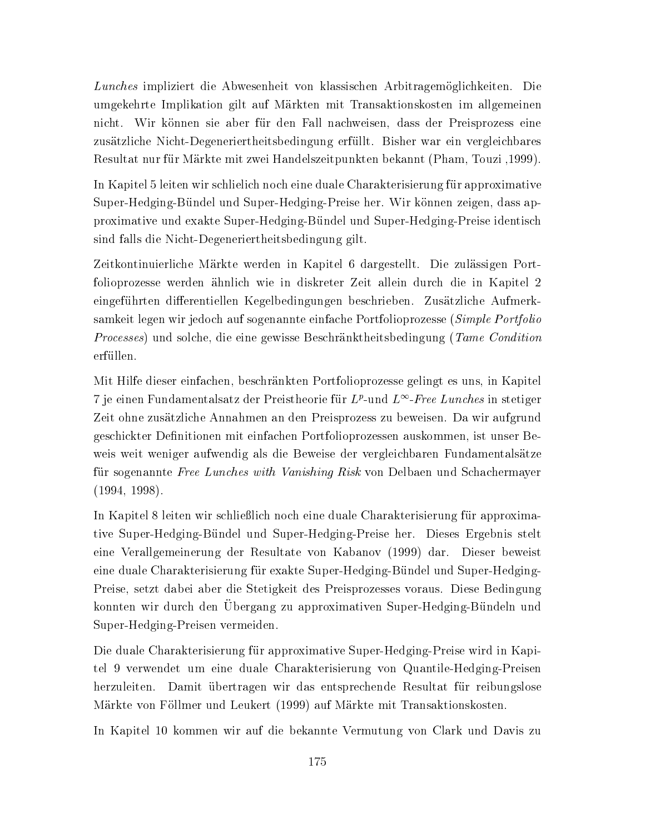Lunches impliziert die Abwesenheit von klassischen Arbitragemöglichkeiten. Die umgekehrte Implikation gilt auf Märkten mit Transaktionskosten im allgemeinen nicht. Wir können sie aber für den Fall nachweisen, dass der Preisprozess eine zusätzliche Nicht-Degeneriertheitsbedingung erfüllt. Bisher war ein vergleichbares Resultat nur für Märkte mit zwei Handelszeitpunkten bekannt (Pham, Touzi ,1999).

In Kapitel 5 leiten wir schlielich noch eine duale Charakterisierung für approximative Super-Hedging-Bündel und Super-Hedging-Preise her. Wir können zeigen, dass approximative und exakte Super-Hedging-Bündel und Super-Hedging-Preise identisch sind falls die Nicht-Degeneriertheitsbedingung gilt.

Zeitkontinuierliche Märkte werden in Kapitel 6 dargestellt. Die zulässigen Portfolioprozesse werden ähnlich wie in diskreter Zeit allein durch die in Kapitel 2 eingeführten differentiellen Kegelbedingungen beschrieben. Zusätzliche Aufmerksamkeit legen wir jedoch auf sogenannte einfache Portfolioprozesse (Simple Portfolio *Processes*) und solche, die eine gewisse Beschränktheitsbedingung (Tame Condition erfüllen.

Mit Hilfe dieser einfachen, beschränkten Portfolioprozesse gelingt es uns, in Kapitel 7 je einen Fundamentalsatz der Preistheorie für  $L^p$ -und  $L^{\infty}$ -Free Lunches in stetiger Zeit ohne zusätzliche Annahmen an den Preisprozess zu beweisen. Da wir aufgrund geschickter Definitionen mit einfachen Portfolioprozessen auskommen, ist unser Beweis weit weniger aufwendig als die Beweise der vergleichbaren Fundamentalsätze für sogenannte Free Lunches with Vanishing Risk von Delbaen und Schachermayer  $(1994, 1998).$ 

In Kapitel 8 leiten wir schließlich noch eine duale Charakterisierung für approximative Super-Hedging-Bündel und Super-Hedging-Preise her. Dieses Ergebnis stelt eine Verallgemeinerung der Resultate von Kabanov (1999) dar. Dieser beweist eine duale Charakterisierung für exakte Super-Hedging-Bündel und Super-Hedging-Preise, setzt dabei aber die Stetigkeit des Preisprozesses voraus. Diese Bedingung konnten wir durch den Übergang zu approximativen Super-Hedging-Bündeln und Super-Hedging-Preisen vermeiden.

Die duale Charakterisierung für approximative Super-Hedging-Preise wird in Kapitel 9 verwendet um eine duale Charakterisierung von Quantile-Hedging-Preisen Damit übertragen wir das entsprechende Resultat für reibungslose herzuleiten. Märkte von Föllmer und Leukert (1999) auf Märkte mit Transaktionskosten.

In Kapitel 10 kommen wir auf die bekannte Vermutung von Clark und Davis zu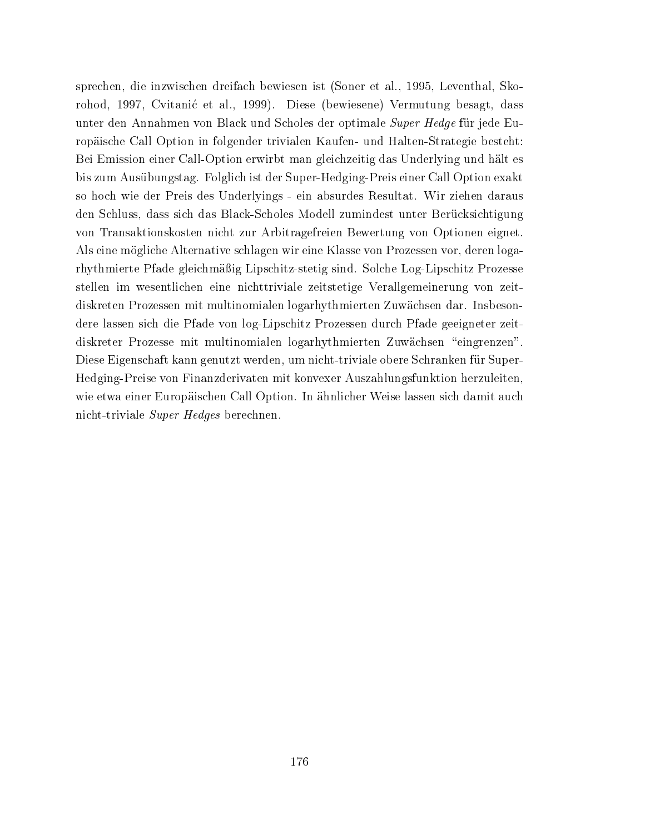sprechen, die inzwischen dreifach bewiesen ist (Soner et al., 1995, Leventhal, Skorohod, 1997, Cvitanić et al., 1999). Diese (bewiesene) Vermutung besagt, dass unter den Annahmen von Black und Scholes der optimale Super Hedge für jede Europäische Call Option in folgender trivialen Kaufen- und Halten-Strategie besteht: Bei Emission einer Call-Option erwirbt man gleichzeitig das Underlying und hält es bis zum Ausübungstag. Folglich ist der Super-Hedging-Preis einer Call Option exakt so hoch wie der Preis des Underlyings - ein absurdes Resultat. Wir ziehen daraus den Schluss, dass sich das Black-Scholes Modell zumindest unter Berücksichtigung von Transaktionskosten nicht zur Arbitragefreien Bewertung von Optionen eignet. Als eine mögliche Alternative schlagen wir eine Klasse von Prozessen vor, deren logarhythmierte Pfade gleichmäßig Lipschitz-stetig sind. Solche Log-Lipschitz Prozesse stellen im wesentlichen eine nichttriviale zeitstetige Verallgemeinerung von zeitdiskreten Prozessen mit multinomialen logarhythmierten Zuwächsen dar. Insbesondere lassen sich die Pfade von log-Lipschitz Prozessen durch Pfade geeigneter zeitdiskreter Prozesse mit multinomialen logarhythmierten Zuwächsen "eingrenzen". Diese Eigenschaft kann genutzt werden, um nicht-triviale obere Schranken für Super-Hedging-Preise von Finanzderivaten mit konvexer Auszahlungsfunktion herzuleiten, wie etwa einer Europäischen Call Option. In ähnlicher Weise lassen sich damit auch nicht-triviale Super Hedges berechnen.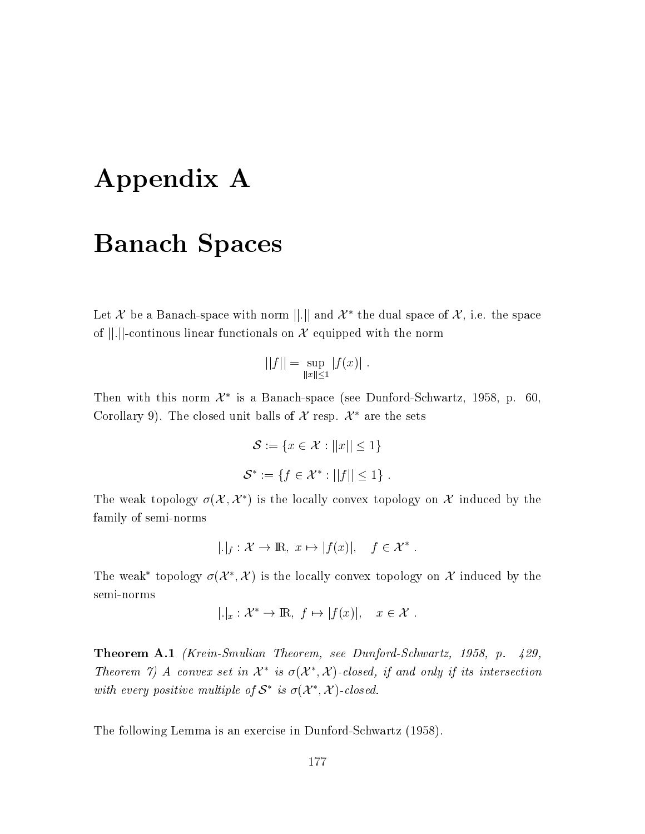# Appendix A

## **Banach Spaces**

Let X be a Banach-space with norm ||.|| and  $\mathcal{X}^*$  the dual space of  $\mathcal{X}$ , i.e. the space of  $||.||$ -continous linear functionals on X equipped with the norm

$$
||f|| = \sup_{||x|| \le 1} |f(x)|.
$$

Then with this norm  $\mathcal{X}^*$  is a Banach-space (see Dunford-Schwartz, 1958, p. 60, Corollary 9). The closed unit balls of X resp.  $\mathcal{X}^*$  are the sets

$$
S := \{ x \in \mathcal{X} : ||x|| \le 1 \}
$$
  

$$
S^* := \{ f \in \mathcal{X}^* : ||f|| \le 1 \}
$$

The weak topology  $\sigma(\mathcal{X}, \mathcal{X}^*)$  is the locally convex topology on X induced by the family of semi-norms

$$
|.|_f: \mathcal{X} \to \mathbb{R}, \ x \mapsto |f(x)|, \quad f \in \mathcal{X}^*
$$

The weak<sup>\*</sup> topology  $\sigma(\mathcal{X}^*, \mathcal{X})$  is the locally convex topology on X induced by the semi-norms

$$
|.|_x: \mathcal{X}^* \to \mathbb{R}, \ f \mapsto |f(x)|, \quad x \in \mathcal{X}
$$

**Theorem A.1** (Krein-Smulian Theorem, see Dunford-Schwartz, 1958, p.  $429$ , Theorem 7) A convex set in  $\mathcal{X}^*$  is  $\sigma(\mathcal{X}^*, \mathcal{X})$ -closed, if and only if its intersection with every positive multiple of  $S^*$  is  $\sigma(\mathcal{X}^*, \mathcal{X})$ -closed.

The following Lemma is an exercise in Dunford-Schwartz (1958).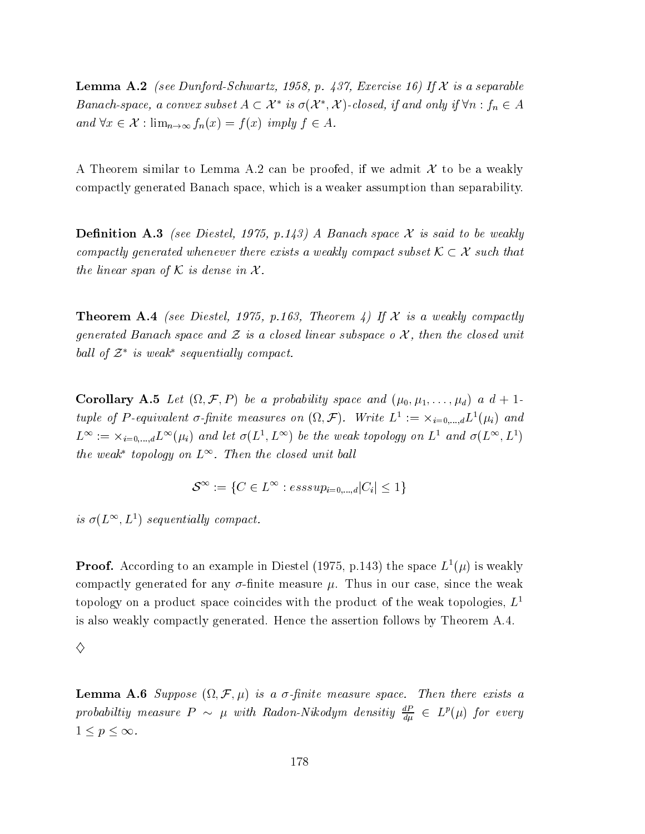**Lemma A.2** (see Dunford-Schwartz, 1958, p. 437, Exercise 16) If  $X$  is a separable Banach-space, a convex subset  $A \subset \mathcal{X}^*$  is  $\sigma(\mathcal{X}^*, \mathcal{X})$ -closed, if and only if  $\forall n : f_n \in A$ and  $\forall x \in \mathcal{X} : \lim_{n \to \infty} f_n(x) = f(x)$  imply  $f \in A$ .

A Theorem similar to Lemma A.2 can be proofed, if we admit  $\mathcal X$  to be a weakly compactly generated Banach space, which is a weaker assumption than separability.

**Definition A.3** (see Diestel, 1975, p.143) A Banach space X is said to be weakly compactly generated whenever there exists a weakly compact subset  $\mathcal{K} \subset \mathcal{X}$  such that the linear span of K is dense in  $\mathcal{X}$ .

**Theorem A.4** (see Diestel, 1975, p.163, Theorem 4) If X is a weakly compactly generated Banach space and  $\mathcal Z$  is a closed linear subspace  $o \mathcal X$ , then the closed unit ball of  $\mathcal{Z}^*$  is weak<sup>\*</sup> sequentially compact.

**Corollary A.5** Let  $(\Omega, \mathcal{F}, P)$  be a probability space and  $(\mu_0, \mu_1, \ldots, \mu_d)$  a  $d+1$ tuple of P-equivalent  $\sigma$ -finite measures on  $(\Omega, \mathcal{F})$ . Write  $L^1 := \times_{i=0,\dots,d} L^1(\mu_i)$  and  $L^{\infty} := \times_{i=0,\dots,d} L^{\infty}(\mu_i)$  and let  $\sigma(L^1,L^{\infty})$  be the weak topology on  $L^1$  and  $\sigma(L^{\infty},L^1)$ the weak<sup>\*</sup> topology on  $L^{\infty}$ . Then the closed unit ball

$$
\mathcal{S}^{\infty} := \{ C \in L^{\infty} : \text{esssup}_{i=0,\dots,d} |C_i| \le 1 \}
$$

is  $\sigma(L^{\infty}, L^{1})$  sequentially compact.

**Proof.** According to an example in Diestel (1975, p.143) the space  $L^1(\mu)$  is weakly compactly generated for any  $\sigma$ -finite measure  $\mu$ . Thus in our case, since the weak topology on a product space coincides with the product of the weak topologies,  $L^1$ is also weakly compactly generated. Hence the assertion follows by Theorem A.4.

**Lemma A.6** Suppose  $(\Omega, \mathcal{F}, \mu)$  is a  $\sigma$ -finite measure space. Then there exists a probabiltiy measure  $P \sim \mu$  with Radon-Nikodym densitiy  $\frac{dP}{du} \in L^p(\mu)$  for every  $1 \leq p \leq \infty$ .

<sup>♦</sup>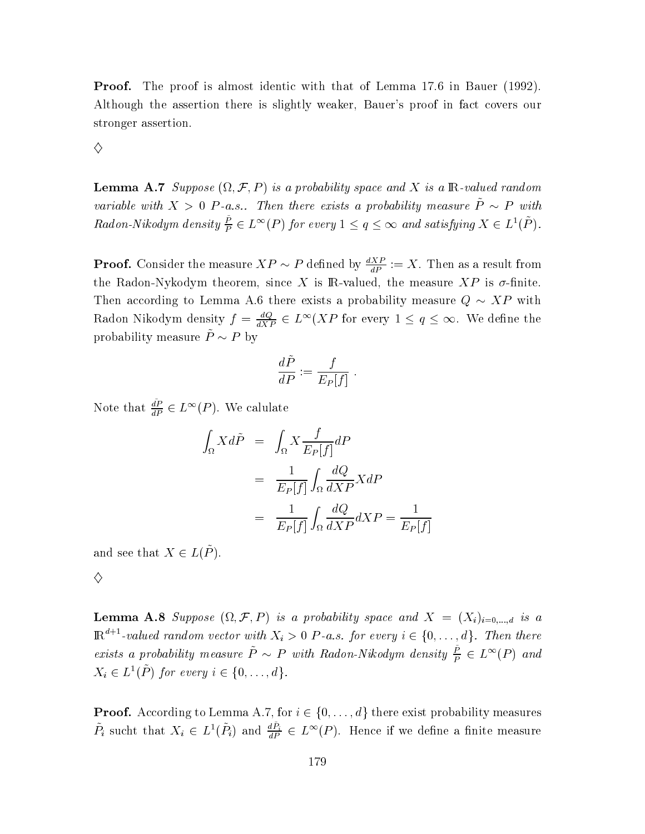**Proof.** The proof is almost identic with that of Lemma 17.6 in Bauer (1992). Although the assertion there is slightly weaker, Bauer's proof in fact covers our stronger assertion.

♦

**Lemma A.7** Suppose  $(\Omega, \mathcal{F}, P)$  is a probability space and X is a R-valued random variable with  $X > 0$  P-a.s.. Then there exists a probability measure  $\tilde{P} \sim P$  with Radon-Nikodym density  $\frac{\tilde{P}}{P} \in L^{\infty}(P)$  for every  $1 \leq q \leq \infty$  and satisfying  $X \in L^{1}(\tilde{P})$ .

**Proof.** Consider the measure  $XP \sim P$  defined by  $\frac{dXP}{dP} := X$ . Then as a result from the Radon-Nykodym theorem, since X is R-valued, the measure  $XP$  is  $\sigma$ -finite. Then according to Lemma A.6 there exists a probability measure  $Q \sim XP$  with Radon Nikodym density  $f = \frac{dQ}{dXP} \in L^{\infty}(XP)$  for every  $1 \le q \le \infty$ . We define the probability measure  $\tilde{P} \sim P$  by

$$
\frac{d\tilde{P}}{dP} := \frac{f}{E_P[f]}
$$

Note that  $\frac{dP}{dP} \in L^{\infty}(P)$ . We calulate

$$
\int_{\Omega} X d\tilde{P} = \int_{\Omega} X \frac{f}{E_P[f]} dP
$$

$$
= \frac{1}{E_P[f]} \int_{\Omega} \frac{dQ}{dXP} X dP
$$

$$
= \frac{1}{E_P[f]} \int_{\Omega} \frac{dQ}{dXP} dXP = \frac{1}{E_P[f]}
$$

and see that  $X \in L(\tilde{P})$ .

 $\diamond$ 

**Lemma A.8** Suppose  $(\Omega, \mathcal{F}, P)$  is a probability space and  $X = (X_i)_{i=0,\dots,d}$  is a  $\mathbb{R}^{d+1}$ -valued random vector with  $X_i > 0$  P-a.s. for every  $i \in \{0, ..., d\}$ . Then there exists a probability measure  $\tilde{P} \sim P$  with Radon-Nikodym density  $\frac{\tilde{P}}{P} \in L^{\infty}(P)$  and  $X_i \in L^1(\tilde{P})$  for every  $i \in \{0, \ldots, d\}.$ 

**Proof.** According to Lemma A.7, for  $i \in \{0, \ldots, d\}$  there exist probability measures  $\tilde{P}_i$  sucht that  $X_i \in L^1(\tilde{P}_i)$  and  $\frac{d\tilde{P}_i}{dP} \in L^{\infty}(P)$ . Hence if we define a finite measure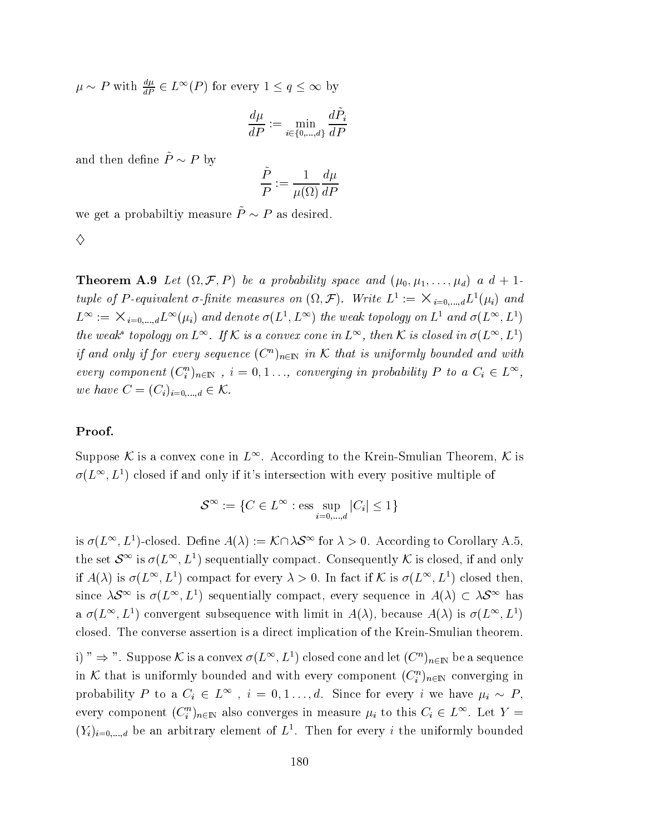$\mu \sim P$  with  $\frac{d\mu}{dP} \in L^{\infty}(P)$  for every  $1 \leq q \leq \infty$  by

$$
\frac{d\mu}{dP}:=\min_{i\in\{0,\ldots,d\}}\frac{d\hat{P}_i}{dP}
$$

and then define  $\tilde{P} \sim P$  by

$$
\frac{\dot{P}}{P} := \frac{1}{\mu(\Omega)} \frac{d\mu}{dP}
$$

we get a probability measure  $\tilde{P} \sim P$  as desired.

$$
\Diamond
$$

**Theorem A.9** Let  $(\Omega, \mathcal{F}, P)$  be a probability space and  $(\mu_0, \mu_1, \dots, \mu_d)$  a  $d+1$ tuple of P-equivalent  $\sigma$ -finite measures on  $(\Omega, \mathcal{F})$ . Write  $L^1 := \times_{i=0,\dots,d} L^1(\mu_i)$  and  $L^{\infty} := \times_{i=0,...,d} L^{\infty}(\mu_i)$  and denote  $\sigma(L^1, L^{\infty})$  the weak topology on  $L^1$  and  $\sigma(L^{\infty}, L^1)$ the weak\* topology on  $L^{\infty}$ . If K is a convex cone in  $L^{\infty}$ , then K is closed in  $\sigma(L^{\infty}, L^1)$ if and only if for every sequence  $(C^n)_{n\in\mathbb{N}}$  in K that is uniformly bounded and with every component  $(C_i^n)_{n \in \mathbb{N}}$ ,  $i = 0, 1, ...,$  converging in probability P to a  $C_i \in L^{\infty}$ , we have  $C = (C_i)_{i=0,\dots,d} \in \mathcal{K}$ .

#### Proof.

Suppose K is a convex cone in  $L^{\infty}$ . According to the Krein-Smulian Theorem, K is  $\sigma(L^{\infty}, L^{1})$  closed if and only if it's intersection with every positive multiple of

$$
\mathcal{S}^{\infty} := \{ C \in L^{\infty} : \text{ess} \sup_{i=0,\dots,d} |C_i| \le 1 \}
$$

is  $\sigma(L^{\infty}, L^{1})$ -closed. Define  $A(\lambda) := \mathcal{K} \cap \lambda \mathcal{S}^{\infty}$  for  $\lambda > 0$ . According to Corollary A.5, the set  $\mathcal{S}^{\infty}$  is  $\sigma(L^{\infty}, L^{1})$  sequentially compact. Consequently K is closed, if and only if  $A(\lambda)$  is  $\sigma(L^{\infty}, L^{1})$  compact for every  $\lambda > 0$ . In fact if K is  $\sigma(L^{\infty}, L^{1})$  closed then, since  $\lambda S^{\infty}$  is  $\sigma(L^{\infty}, L^{1})$  sequentially compact, every sequence in  $A(\lambda) \subset \lambda S^{\infty}$  has a  $\sigma(L^{\infty}, L^{1})$  convergent subsequence with limit in  $A(\lambda)$ , because  $A(\lambda)$  is  $\sigma(L^{\infty}, L^{1})$ closed. The converse assertion is a direct implication of the Krein-Smulian theorem.

i)"  $\Rightarrow$ ". Suppose K is a convex  $\sigma(L^{\infty}, L^{1})$  closed cone and let  $(C^{n})_{n\in\mathbb{N}}$  be a sequence in K that is uniformly bounded and with every component  $(C_i^n)_{n\in\mathbb{N}}$  converging in probability P to a  $C_i \in L^{\infty}$ ,  $i = 0, 1, ..., d$ . Since for every i we have  $\mu_i \sim P$ , every component  $(C_i^n)_{n\in\mathbb{N}}$  also converges in measure  $\mu_i$  to this  $C_i \in L^{\infty}$ . Let  $Y =$  $(Y_i)_{i=0,\dots,d}$  be an arbitrary element of  $L^1$ . Then for every i the uniformly bounded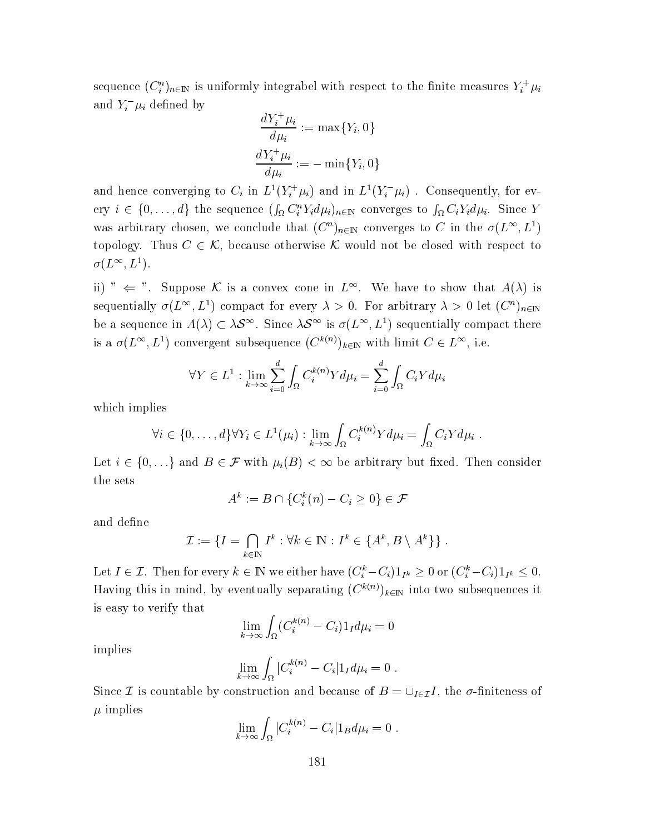sequence  $(C_i^n)_{n \in \mathbb{N}}$  is uniformly integrabel with respect to the finite measures  $Y_i^+ \mu_i$ and  $Y_i^-\mu_i$  defined by

$$
\frac{dY_i^+ \mu_i}{d\mu_i} := \max\{Y_i, 0\}
$$

$$
\frac{dY_i^+ \mu_i}{d\mu_i} := -\min\{Y_i, 0\}
$$

and hence converging to  $C_i$  in  $L^1(Y_i^+\mu_i)$  and in  $L^1(Y_i^-\mu_i)$ . Consequently, for every  $i \in \{0, ..., d\}$  the sequence  $(\int_{\Omega} C_i^n Y_i d\mu_i)_{n \in \mathbb{N}}$  converges to  $\int_{\Omega} C_i Y_i d\mu_i$ . Since Y was arbitrary chosen, we conclude that  $(C^n)_{n\in\mathbb{N}}$  converges to C in the  $\sigma(L^{\infty}, L^1)$ topology. Thus  $C \in \mathcal{K}$ , because otherwise  $\mathcal K$  would not be closed with respect to  $\sigma(L^{\infty}, L^1)$ .

ii) "  $\Leftarrow$  ". Suppose K is a convex cone in  $L^{\infty}$ . We have to show that  $A(\lambda)$  is sequentially  $\sigma(L^{\infty}, L^1)$  compact for every  $\lambda > 0$ . For arbitrary  $\lambda > 0$  let  $(C^n)_{n \in \mathbb{N}}$ be a sequence in  $A(\lambda) \subset \lambda S^{\infty}$ . Since  $\lambda S^{\infty}$  is  $\sigma(L^{\infty}, L^{1})$  sequentially compact there is a  $\sigma(L^{\infty}, L^{1})$  convergent subsequence  $(C^{k(n)})_{k \in \mathbb{N}}$  with limit  $C \in L^{\infty}$ , i.e.

$$
\forall Y \in L^1 : \lim_{k \to \infty} \sum_{i=0}^d \int_{\Omega} C_i^{k(n)} Y d\mu_i = \sum_{i=0}^d \int_{\Omega} C_i Y d\mu_i
$$

which implies

$$
\forall i \in \{0, \ldots, d\} \forall Y_i \in L^1(\mu_i) : \lim_{k \to \infty} \int_{\Omega} C_i^{k(n)} Y d\mu_i = \int_{\Omega} C_i Y d\mu_i
$$

Let  $i \in \{0, \ldots\}$  and  $B \in \mathcal{F}$  with  $\mu_i(B) < \infty$  be arbitrary but fixed. Then consider the sets

$$
A^k := B \cap \{C_i^k(n) - C_i \ge 0\} \in \mathcal{F}
$$

and define

$$
\mathcal{I} := \{I = \bigcap_{k \in \mathbb{N}} I^k : \forall k \in \mathbb{N} : I^k \in \{A^k, B \setminus A^k\} \}.
$$

Let  $I \in \mathcal{I}$ . Then for every  $k \in \mathbb{N}$  we either have  $(C_i^k - C_i)1_{I^k} \geq 0$  or  $(C_i^k - C_i)1_{I^k} \leq 0$ . Having this in mind, by eventually separating  $(C^{k(n)})_{k\in\mathbb{N}}$  into two subsequences it is easy to verify that

$$
\lim_{k \to \infty} \int_{\Omega} (C_i^{k(n)} - C_i) 1_I d\mu_i = 0
$$

implies

$$
\lim_{k\to\infty}\int_{\Omega}|C_i^{k(n)}-C_i|1_I d\mu_i=0.
$$

Since *I* is countable by construction and because of  $B = \bigcup_{I \in \mathcal{I}} I$ , the  $\sigma$ -finiteness of  $\mu$  implies

$$
\lim_{k \to \infty} \int_{\Omega} |C_i^{k(n)} - C_i| 1_B d\mu_i = 0.
$$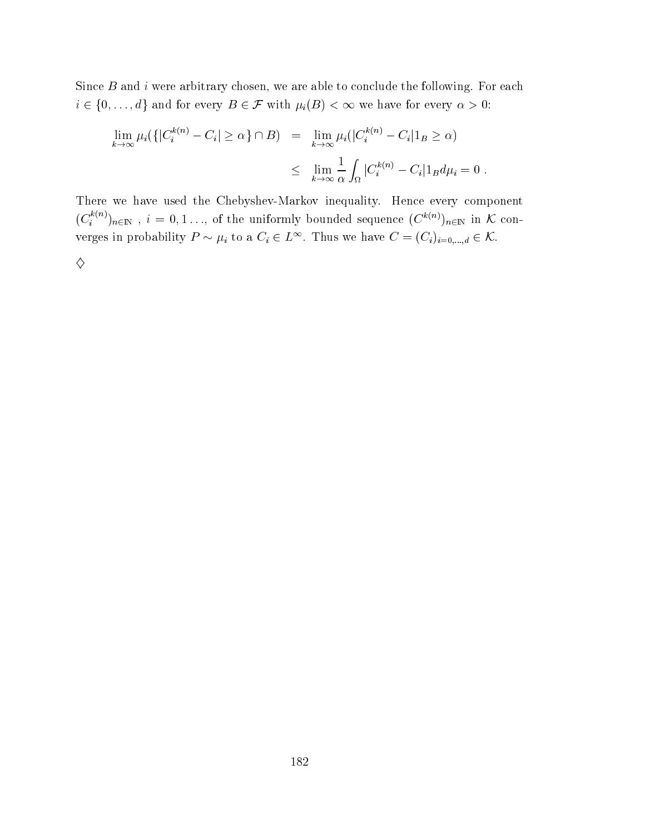Since  $B$  and  $i$  were arbitrary chosen, we are able to conclude the following. For each  $i \in \{0, \ldots, d\}$  and for every  $B \in \mathcal{F}$  with  $\mu_i(B) < \infty$  we have for every  $\alpha > 0$ :

$$
\lim_{k \to \infty} \mu_i(\{|C_i^{k(n)} - C_i| \ge \alpha\} \cap B) = \lim_{k \to \infty} \mu_i(|C_i^{k(n)} - C_i|1_B \ge \alpha)
$$
  

$$
\le \lim_{k \to \infty} \frac{1}{\alpha} \int_{\Omega} |C_i^{k(n)} - C_i|1_B d\mu_i = 0.
$$

There we have used the Chebyshev-Markov inequality. Hence every component  $(C_i^{k(n)})_{n \in \mathbb{N}}$ ,  $i = 0, 1, ...,$  of the uniformly bounded sequence  $(C^{k(n)})_{n \in \mathbb{N}}$  in  $K$  converges in probability  $P \sim \mu_i$  to a  $C_i \in L^{\infty}$ . Thus we have  $C = (C_i)_{i=0,\dots,d} \in \mathcal{K}$ .  $\Diamond$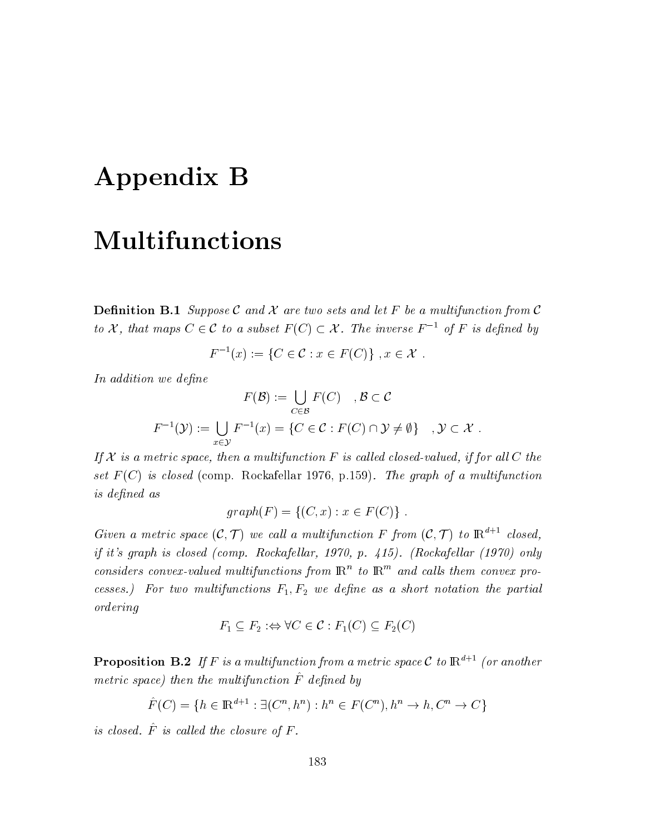# Appendix B

## **Multifunctions**

**Definition B.1** Suppose C and X are two sets and let F be a multifunction from C to X, that maps  $C \in \mathcal{C}$  to a subset  $F(C) \subset \mathcal{X}$ . The inverse  $F^{-1}$  of F is defined by

$$
F^{-1}(x) := \{ C \in \mathcal{C} : x \in F(C) \}, x \in \mathcal{X}.
$$

In addition we define

$$
F(\mathcal{B}) := \bigcup_{C \in \mathcal{B}} F(C) \quad, \mathcal{B} \subset \mathcal{C}
$$

$$
F^{-1}(\mathcal{Y}) := \bigcup_{x \in \mathcal{Y}} F^{-1}(x) = \{C \in \mathcal{C} : F(C) \cap \mathcal{Y} \neq \emptyset\} \quad, \mathcal{Y} \subset \mathcal{X}.
$$

If  $X$  is a metric space, then a multifunction F is called closed-valued, if for all C the set  $F(C)$  is closed (comp. Rockafellar 1976, p.159). The graph of a multifunction *is defined as* 

$$
graph(F) = \{(C, x) : x \in F(C)\} .
$$

Given a metric space  $(C, \mathcal{T})$  we call a multifunction F from  $(C, \mathcal{T})$  to  $\mathbb{R}^{d+1}$  closed, if it's graph is closed (comp. Rockafellar, 1970, p. 415). (Rockafellar (1970) only considers convex-valued multifunctions from  $\mathbb{R}^n$  to  $\mathbb{R}^m$  and calls them convex processes.) For two multifunctions  $F_1, F_2$  we define as a short notation the partial ordering

$$
F_1 \subseteq F_2 : \Leftrightarrow \forall C \in \mathcal{C} : F_1(C) \subseteq F_2(C)
$$

**Proposition B.2** If F is a multifunction from a metric space C to  $\mathbb{R}^{d+1}$  (or another metric space) then the multifunction  $\hat{F}$  defined by

$$
\hat{F}(C) = \{ h \in \mathbb{R}^{d+1} : \exists (C^n, h^n) : h^n \in F(C^n), h^n \to h, C^n \to C \}
$$

is closed.  $\hat{F}$  is called the closure of  $F$ .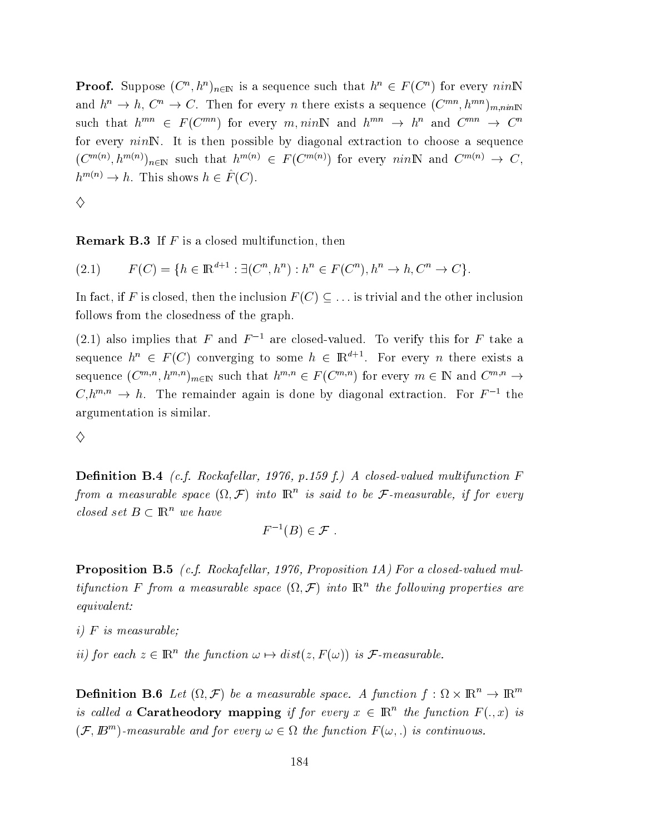**Proof.** Suppose  $(C^n, h^n)_{n \in \mathbb{N}}$  is a sequence such that  $h^n \in F(C^n)$  for every nin N and  $h^n \to h$ ,  $C^n \to C$ . Then for every *n* there exists a sequence  $(C^{mn}, h^{mn})_{m,nin}$ such that  $h^{mn} \in F(C^{mn})$  for every m, nin N and  $h^{mn} \to h^n$  and  $C^{mn} \to C^n$ for every  $nin \mathbb{N}$ . It is then possible by diagonal extraction to choose a sequence  $(C^{m(n)}, h^{m(n)})_{n \in \mathbb{N}}$  such that  $h^{m(n)} \in F(C^{m(n)})$  for every  $nin\mathbb{N}$  and  $C^{m(n)} \to C$ ,  $h^{m(n)} \to h$ . This shows  $h \in \hat{F}(C)$ .

♦

**Remark B.3** If  $F$  is a closed multifunction, then

$$
(2.1) \tF(C) = \{ h \in \mathbb{R}^{d+1} : \exists (C^n, h^n) : h^n \in F(C^n), h^n \to h, C^n \to C \}.
$$

In fact, if F is closed, then the inclusion  $F(C) \subseteq \ldots$  is trivial and the other inclusion follows from the closedness of the graph.

(2.1) also implies that F and  $F^{-1}$  are closed-valued. To verify this for F take a sequence  $h^n \in F(C)$  converging to some  $h \in \mathbb{R}^{d+1}$ . For every *n* there exists a sequence  $(C^{m,n}, h^{m,n})_{m \in \mathbb{N}}$  such that  $h^{m,n} \in F(C^{m,n})$  for every  $m \in \mathbb{N}$  and  $C^{m,n} \to$  $C,h^{m,n} \to h$ . The remainder again is done by diagonal extraction. For  $F^{-1}$  the argumentation is similar.

♦

**Definition B.4** (c.f. Rockafellar, 1976, p.159 f.) A closed-valued multifunction F from a measurable space  $(\Omega, \mathcal{F})$  into  $\mathbb{R}^n$  is said to be  $\mathcal{F}$ -measurable, if for every closed set  $B \subset \mathbb{R}^n$  we have

$$
F^{-1}(B)\in\mathcal{F}
$$

**Proposition B.5** (c.f. Rockafellar, 1976, Proposition 1A) For a closed-valued multifunction F from a measurable space  $(\Omega, \mathcal{F})$  into  $\mathbb{R}^n$  the following properties are  $equivalent:$ 

- $i)$  F is measurable:
- ii) for each  $z \in \mathbb{R}^n$  the function  $\omega \mapsto dist(z, F(\omega))$  is *F*-measurable.

**Definition B.6** Let  $(\Omega, \mathcal{F})$  be a measurable space. A function  $f : \Omega \times \mathbb{R}^n \to \mathbb{R}^m$ is called a **Caratheodory mapping** if for every  $x \in \mathbb{R}^n$  the function  $F(.,x)$  is  $(\mathcal{F}, \mathbb{B}^m)$ -measurable and for every  $\omega \in \Omega$  the function  $F(\omega, \cdot)$  is continuous.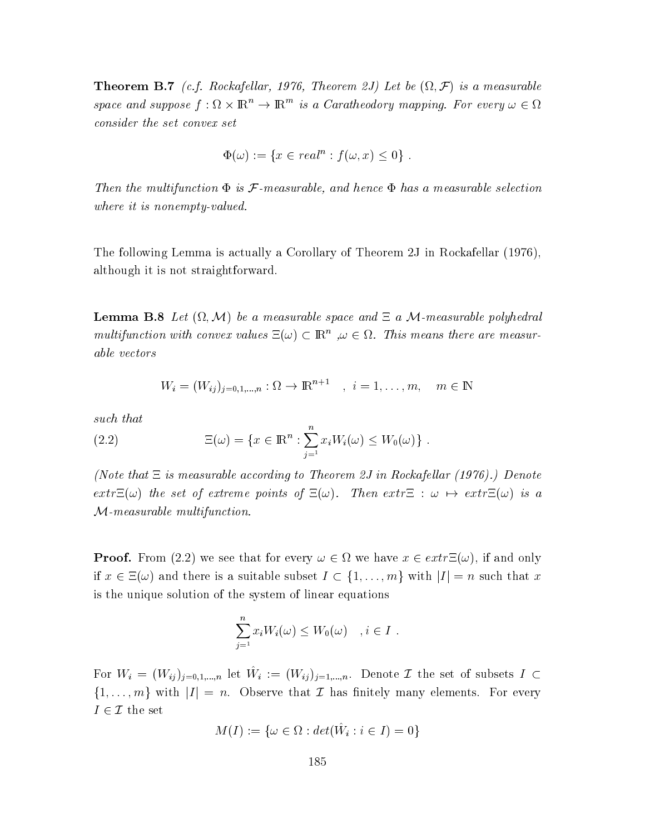**Theorem B.7** (c.f. Rockafellar, 1976, Theorem 2J) Let be  $(\Omega, \mathcal{F})$  is a measurable space and suppose  $f: \Omega \times \mathbb{R}^n \to \mathbb{R}^m$  is a Caratheodory mapping. For every  $\omega \in \Omega$ consider the set convex set

$$
\Phi(\omega) := \{ x \in real^n : f(\omega, x) \le 0 \} .
$$

Then the multifunction  $\Phi$  is  $\mathcal F$ -measurable, and hence  $\Phi$  has a measurable selection where it is nonempty-valued.

The following Lemma is actually a Corollary of Theorem 2J in Rockafellar (1976), although it is not straightforward.

**Lemma B.8** Let  $(\Omega, \mathcal{M})$  be a measurable space and  $\Xi$  a M-measurable polyhedral multifunction with convex values  $\Xi(\omega) \subset \mathbb{R}^n$ ,  $\omega \in \Omega$ . This means there are measurable vectors

$$
W_i = (W_{ij})_{j=0,1,...,n} : \Omega \to \mathbb{R}^{n+1} \quad , \quad i = 1, \dots, m, \quad m \in \mathbb{N}
$$

such that

(2.2) 
$$
\Xi(\omega) = \{x \in \mathbb{R}^n : \sum_{j=1}^n x_j W_i(\omega) \le W_0(\omega)\}.
$$

(Note that  $\Xi$  is measurable according to Theorem 2J in Rockafellar (1976).) Denote  $extr\Xi(\omega)$  the set of extreme points of  $\Xi(\omega)$ . Then  $extr\Xi$  :  $\omega \mapsto extr\Xi(\omega)$  is a  $M$ -measurable multifunction.

**Proof.** From (2.2) we see that for every  $\omega \in \Omega$  we have  $x \in extr\Xi(\omega)$ , if and only if  $x \in \Xi(\omega)$  and there is a suitable subset  $I \subset \{1, ..., m\}$  with  $|I| = n$  such that x is the unique solution of the system of linear equations

$$
\sum_{j=1}^{n} x_i W_i(\omega) \le W_0(\omega) \quad , i \in I
$$

For  $W_i = (W_{ij})_{i=0,1,...,n}$  let  $\hat{W}_i := (W_{ij})_{i=1,...,n}$ . Denote  $\mathcal I$  the set of subsets  $I \subset$  $\{1,\ldots,m\}$  with  $|I|=n$ . Observe that  $\mathcal I$  has finitely many elements. For every  $I \in \mathcal{I}$  the set

$$
M(I) := \{ \omega \in \Omega : det(W_i : i \in I) = 0 \}
$$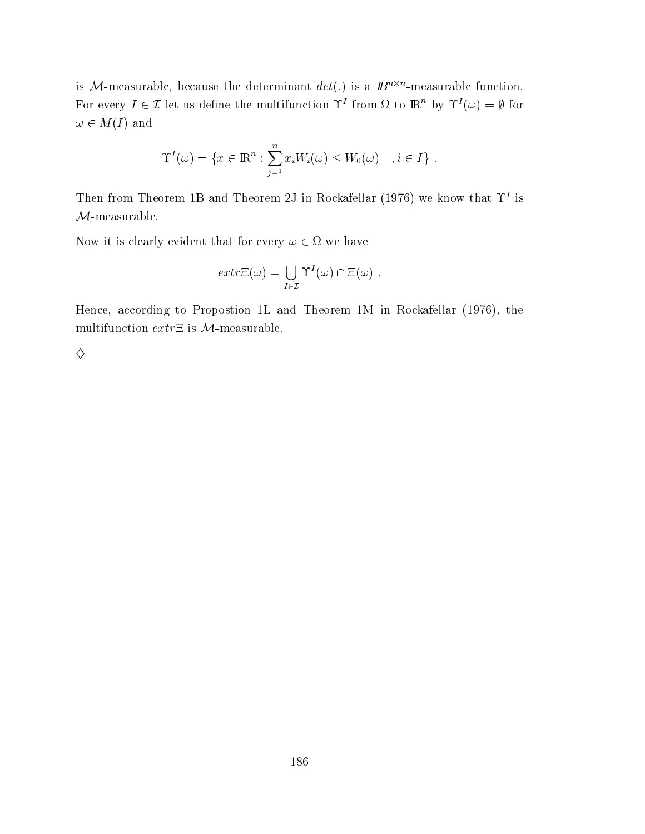is *M*-measurable, because the determinant  $det(.)$  is a  $\mathbb{B}^{n \times n}$ -measurable function. For every  $I \in \mathcal{I}$  let us define the multifunction  $\Upsilon^I$  from  $\Omega$  to  $\mathbb{R}^n$  by  $\Upsilon^I(\omega) = \emptyset$  for  $\omega \in M(I)$  and

$$
\Upsilon^{I}(\omega) = \{x \in \mathbb{R}^n : \sum_{j=1}^n x_j W_i(\omega) \le W_0(\omega) \quad , i \in I\}
$$

Then from Theorem 1B and Theorem 2J in Rockafellar (1976) we know that  $\Upsilon^I$  is  $\mathcal{M}\text{-}\mathrm{measurable}.$ 

Now it is clearly evident that for every  $\omega \in \Omega$  we have

$$
extr\Xi(\omega) = \bigcup_{I \in \mathcal{I}} \Upsilon^I(\omega) \cap \Xi(\omega) .
$$

Hence, according to Propostion 1L and Theorem 1M in Rockafellar (1976), the multifunction  $extr\Xi$  is  $\mathcal{M}\textrm{-measurable}.$ 

 $\Diamond$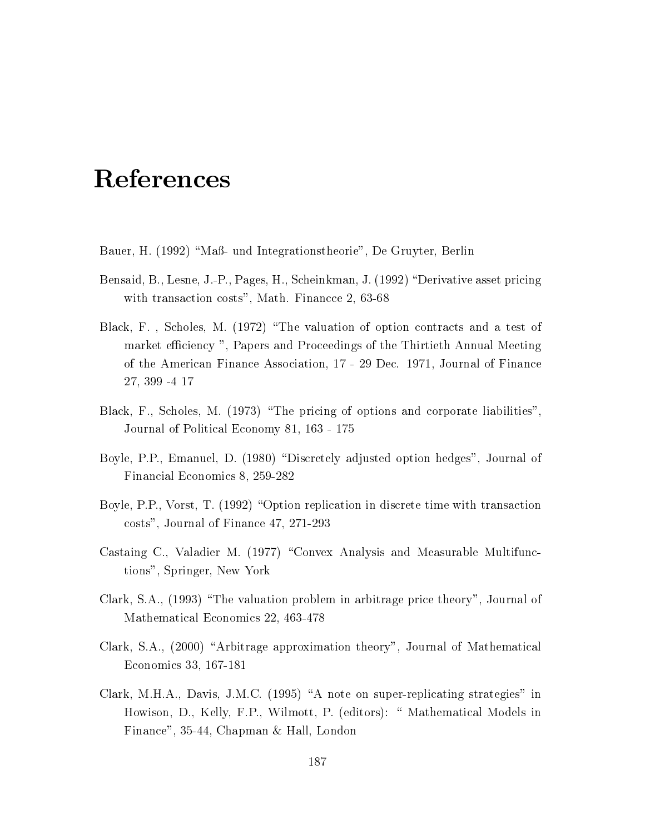## References

- Bauer, H. (1992) "Maß- und Integrationstheorie", De Gruyter, Berlin
- Bensaid, B., Lesne, J.-P., Pages, H., Scheinkman, J. (1992) "Derivative asset pricing with transaction costs", Math. Finance 2, 63-68
- Black, F., Scholes, M. (1972) "The valuation of option contracts and a test of market efficiency", Papers and Proceedings of the Thirtieth Annual Meeting of the American Finance Association, 17 - 29 Dec. 1971, Journal of Finance 27, 399 -4 17
- Black, F., Scholes, M. (1973) "The pricing of options and corporate liabilities", Journal of Political Economy 81, 163 - 175
- Boyle, P.P., Emanuel, D. (1980) "Discretely adjusted option hedges", Journal of Financial Economics 8, 259-282
- Boyle, P.P., Vorst, T. (1992) "Option replication in discrete time with transaction costs", Journal of Finance 47, 271-293
- Castaing C., Valadier M. (1977) "Convex Analysis and Measurable Multifunctions", Springer, New York
- Clark, S.A., (1993) "The valuation problem in arbitrage price theory", Journal of Mathematical Economics 22, 463-478
- Clark, S.A., (2000) "Arbitrage approximation theory", Journal of Mathematical Economics 33, 167-181
- Clark, M.H.A., Davis, J.M.C. (1995) "A note on super-replicating strategies" in Howison, D., Kelly, F.P., Wilmott, P. (editors): " Mathematical Models in Finance", 35-44, Chapman & Hall, London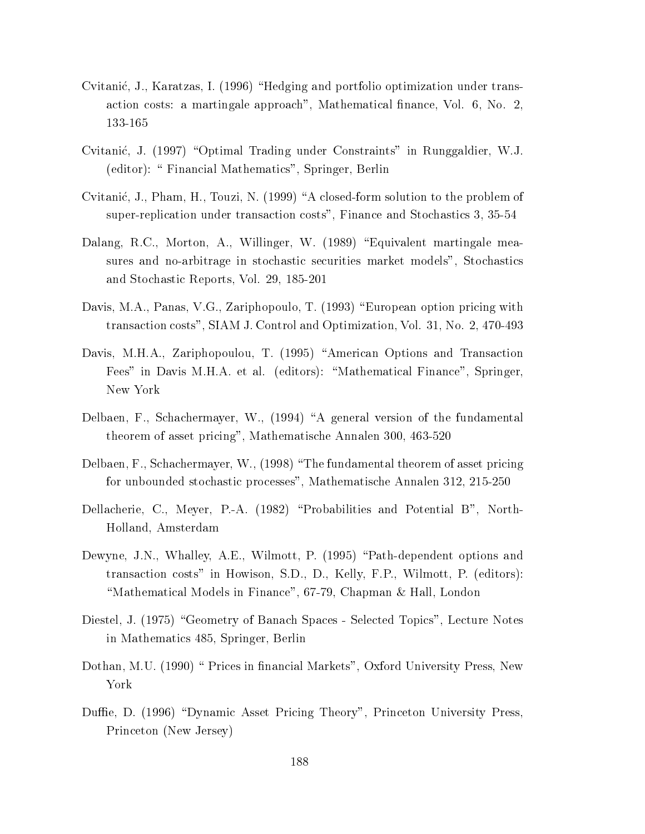- Cvitanić, J., Karatzas, I. (1996) "Hedging and portfolio optimization under transaction costs: a martingale approach", Mathematical finance, Vol. 6, No. 2, 133-165
- Cvitanić, J. (1997) "Optimal Trading under Constraints" in Runggaldier, W.J. (editor): " Financial Mathematics", Springer, Berlin
- Cvitanić, J., Pham, H., Touzi, N. (1999) "A closed-form solution to the problem of super-replication under transaction costs", Finance and Stochastics 3, 35-54
- Dalang, R.C., Morton, A., Willinger, W. (1989) "Equivalent martingale measures and no-arbitrage in stochastic securities market models", Stochastics and Stochastic Reports, Vol. 29, 185-201
- Davis, M.A., Panas, V.G., Zariphopoulo, T. (1993) "European option pricing with transaction costs", SIAM J. Control and Optimization, Vol. 31, No. 2, 470-493
- Davis, M.H.A., Zariphopoulou, T. (1995) "American Options and Transaction Fees" in Davis M.H.A. et al. (editors): "Mathematical Finance", Springer, New York
- Delbaen, F., Schachermayer, W., (1994) "A general version of the fundamental theorem of asset pricing", Mathematische Annalen 300, 463-520
- Delbaen, F., Schachermayer, W., (1998) "The fundamental theorem of asset pricing for unbounded stochastic processes", Mathematische Annalen 312, 215-250
- Dellacherie, C., Meyer, P.-A. (1982) "Probabilities and Potential B", North-Holland, Amsterdam
- Dewyne, J.N., Whalley, A.E., Wilmott, P. (1995) "Path-dependent options and transaction costs" in Howison, S.D., D., Kelly, F.P., Wilmott, P. (editors): "Mathematical Models in Finance", 67-79, Chapman & Hall, London
- Diestel, J. (1975) "Geometry of Banach Spaces Selected Topics", Lecture Notes in Mathematics 485, Springer, Berlin
- Dothan, M.U. (1990) " Prices in financial Markets", Oxford University Press, New York
- Duffie, D. (1996) "Dynamic Asset Pricing Theory", Princeton University Press, Princeton (New Jersey)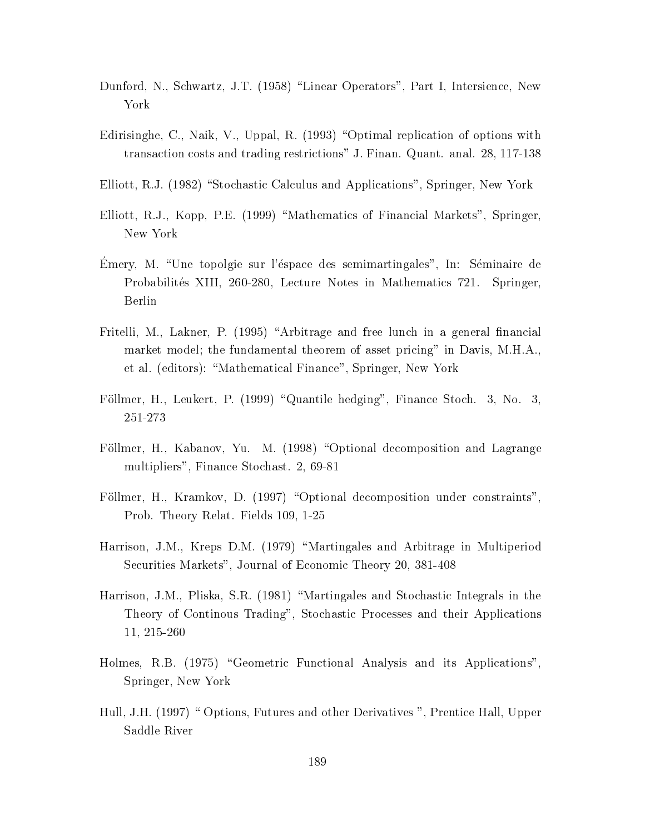- Dunford, N., Schwartz, J.T. (1958) "Linear Operators", Part I, Intersience, New York
- Edirisinghe, C., Naik, V., Uppal, R. (1993) "Optimal replication of options with transaction costs and trading restrictions" J. Finan. Quant. anal. 28, 117-138
- Elliott, R.J. (1982) "Stochastic Calculus and Applications", Springer, New York
- Elliott, R.J., Kopp, P.E. (1999) "Mathematics of Financial Markets", Springer. New York
- Emery, M. "Une topolgie sur l'éspace des semimartingales", In: Séminaire de Probabilités XIII, 260-280, Lecture Notes in Mathematics 721. Springer, Berlin
- Fritelli, M., Lakner, P. (1995) "Arbitrage and free lunch in a general financial market model; the fundamental theorem of asset pricing" in Davis, M.H.A., et al. (editors): "Mathematical Finance", Springer, New York
- Föllmer, H., Leukert, P. (1999) "Quantile hedging", Finance Stoch. 3, No. 3, 251-273
- Föllmer, H., Kabanov, Yu. M. (1998) "Optional decomposition and Lagrange multipliers", Finance Stochast. 2, 69-81
- Föllmer, H., Kramkov, D. (1997) "Optional decomposition under constraints", Prob. Theory Relat. Fields 109, 1-25
- Harrison, J.M., Kreps D.M. (1979) "Martingales and Arbitrage in Multiperiod Securities Markets", Journal of Economic Theory 20, 381-408
- Harrison, J.M., Pliska, S.R. (1981) "Martingales and Stochastic Integrals in the Theory of Continous Trading", Stochastic Processes and their Applications 11, 215-260
- Holmes, R.B. (1975) "Geometric Functional Analysis and its Applications", Springer, New York
- Hull, J.H. (1997) " Options, Futures and other Derivatives ", Prentice Hall, Upper Saddle River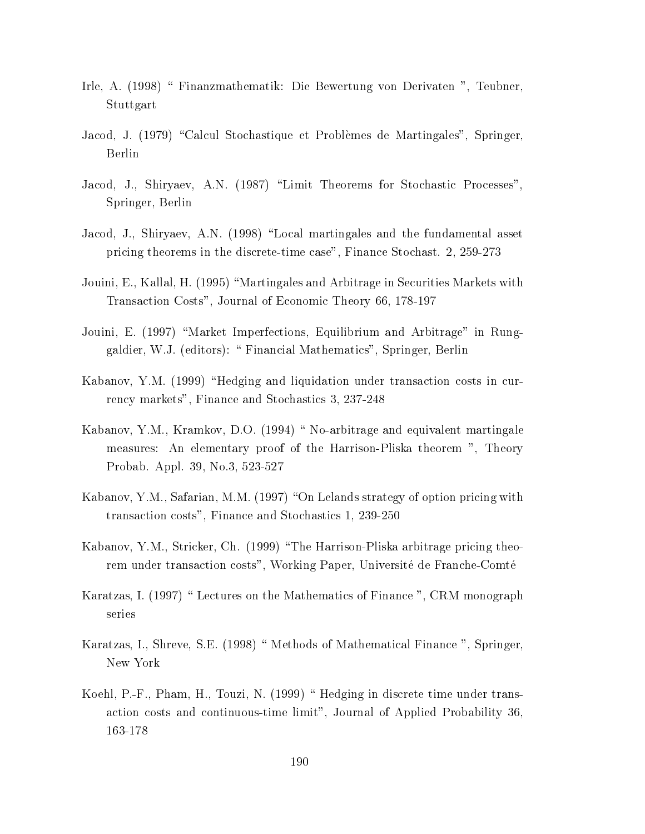- Irle, A. (1998) " Finanzmathematik: Die Bewertung von Derivaten ", Teubner. Stuttgart
- Jacod, J. (1979) "Calcul Stochastique et Problèmes de Martingales", Springer, Berlin
- Jacod, J., Shiryaev, A.N. (1987) "Limit Theorems for Stochastic Processes", Springer, Berlin
- Jacod, J., Shiryaev, A.N. (1998) "Local martingales and the fundamental asset pricing theorems in the discrete-time case", Finance Stochast. 2, 259-273
- Jouini, E., Kallal, H. (1995) "Martingales and Arbitrage in Securities Markets with Transaction Costs", Journal of Economic Theory 66, 178-197
- Jouini, E. (1997) "Market Imperfections, Equilibrium and Arbitrage" in Runggaldier, W.J. (editors): "Financial Mathematics", Springer, Berlin
- Kabanov, Y.M. (1999) "Hedging and liquidation under transaction costs in currency markets", Finance and Stochastics 3, 237-248
- Kabanov, Y.M., Kramkov, D.O. (1994) "No-arbitrage and equivalent martingale measures: An elementary proof of the Harrison-Pliska theorem ", Theory Probab. Appl. 39, No.3, 523-527
- Kabanov, Y.M., Safarian, M.M. (1997) "On Lelands strategy of option pricing with transaction costs", Finance and Stochastics 1, 239-250
- Kabanov, Y.M., Stricker, Ch. (1999) "The Harrison-Pliska arbitrage pricing theorem under transaction costs", Working Paper, Université de Franche-Comté
- Karatzas, I. (1997) " Lectures on the Mathematics of Finance ", CRM monograph series
- Karatzas, I., Shreve, S.E. (1998) " Methods of Mathematical Finance ", Springer, New York
- Koehl, P.-F., Pham, H., Touzi, N. (1999) "Hedging in discrete time under transaction costs and continuous-time limit", Journal of Applied Probability 36, 163-178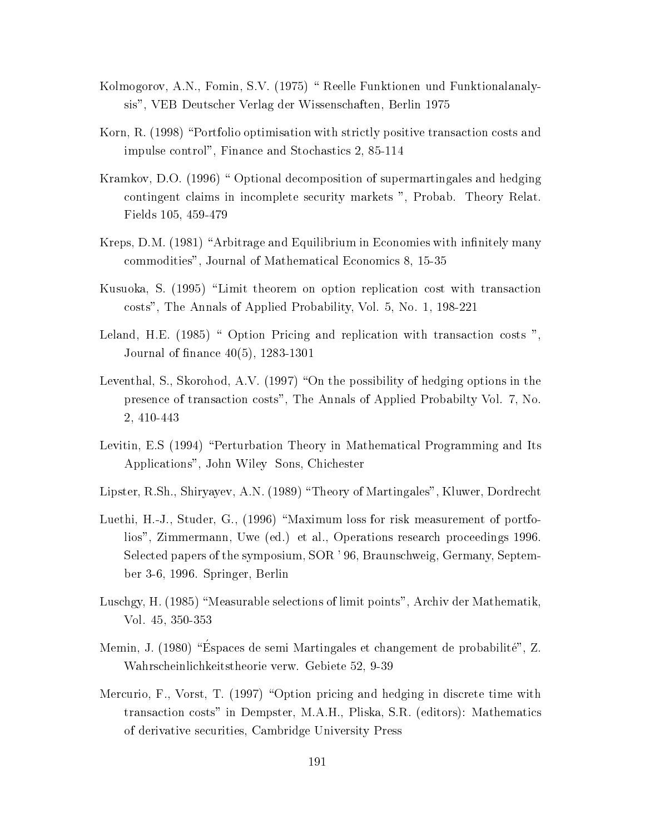- Kolmogorov, A.N., Fomin, S.V. (1975) " Reelle Funktionen und Funktionalanalysis", VEB Deutscher Verlag der Wissenschaften, Berlin 1975
- Korn, R. (1998) "Portfolio optimisation with strictly positive transaction costs and impulse control", Finance and Stochastics 2, 85-114
- Kramkov, D.O. (1996) " Optional decomposition of supermartingales and hedging contingent claims in incomplete security markets ", Probab. Theory Relat. Fields 105, 459-479
- Kreps, D.M. (1981) "Arbitrage and Equilibrium in Economies with infinitely many commodities", Journal of Mathematical Economics 8, 15-35
- Kusuoka, S. (1995) "Limit theorem on option replication cost with transaction costs", The Annals of Applied Probability, Vol. 5, No. 1, 198-221
- Leland, H.E. (1985) " Option Pricing and replication with transaction costs ". Journal of finance  $40(5)$ , 1283-1301
- Leventhal, S., Skorohod, A.V. (1997) "On the possibility of hedging options in the presence of transaction costs", The Annals of Applied Probabilty Vol. 7, No. 2, 410-443
- Levitin, E.S (1994) "Perturbation Theory in Mathematical Programming and Its Applications", John Wiley Sons, Chichester
- Lipster, R.Sh., Shiryayev, A.N. (1989) "Theory of Martingales", Kluwer, Dordrecht
- Luethi, H.-J., Studer, G., (1996) "Maximum loss for risk measurement of portfolios", Zimmermann, Uwe (ed.) et al., Operations research proceedings 1996. Selected papers of the symposium, SOR '96, Braunschweig, Germany, September 3-6, 1996. Springer, Berlin
- Luschgy, H. (1985) "Measurable selections of limit points", Archiv der Mathematik, Vol. 45, 350-353
- Memin, J. (1980) "Éspaces de semi Martingales et changement de probabilité", Z. Wahrscheinlichkeitstheorie verw. Gebiete 52, 9-39
- Mercurio, F., Vorst, T. (1997) "Option pricing and hedging in discrete time with transaction costs" in Dempster, M.A.H., Pliska, S.R. (editors): Mathematics of derivative securities, Cambridge University Press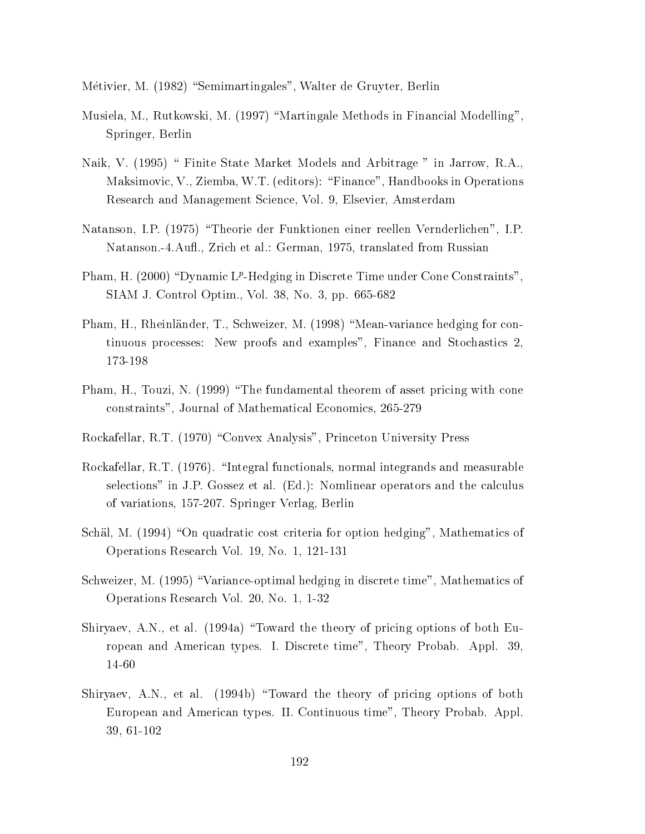Métivier, M. (1982) "Semimartingales", Walter de Gruyter, Berlin

- Musiela, M., Rutkowski, M. (1997) "Martingale Methods in Financial Modelling", Springer, Berlin
- Naik, V. (1995) " Finite State Market Models and Arbitrage " in Jarrow, R.A., Maksimovic, V., Ziemba, W.T. (editors): "Finance", Handbooks in Operations Research and Management Science, Vol. 9, Elsevier, Amsterdam
- Natanson, I.P. (1975) "Theorie der Funktionen einer reellen Vernderlichen", I.P. Natanson.-4.Aufl., Zrich et al.: German, 1975, translated from Russian
- Pham, H. (2000) "Dynamic  $L^p$ -Hedging in Discrete Time under Cone Constraints", SIAM J. Control Optim., Vol. 38, No. 3, pp. 665-682
- Pham, H., Rheinländer, T., Schweizer, M. (1998) "Mean-variance hedging for continuous processes: New proofs and examples", Finance and Stochastics 2, 173-198
- Pham, H., Touzi, N. (1999) "The fundamental theorem of asset pricing with cone constraints", Journal of Mathematical Economics, 265-279
- Rockafellar, R.T. (1970) "Convex Analysis", Princeton University Press
- Rockafellar, R.T. (1976). "Integral functionals, normal integrands and measurable selections" in J.P. Gossez et al. (Ed.): Nomlinear operators and the calculus of variations, 157-207. Springer Verlag, Berlin
- Schäl, M. (1994) "On quadratic cost criteria for option hedging", Mathematics of Operations Research Vol. 19, No. 1, 121-131
- Schweizer, M. (1995) "Variance-optimal hedging in discrete time", Mathematics of Operations Research Vol. 20, No. 1, 1-32
- Shiryaev, A.N., et al. (1994a) "Toward the theory of pricing options of both European and American types. I. Discrete time", Theory Probab. Appl. 39, 14-60
- Shiryaev, A.N., et al. (1994b) "Toward the theory of pricing options of both European and American types. II. Continuous time", Theory Probab. Appl. 39, 61-102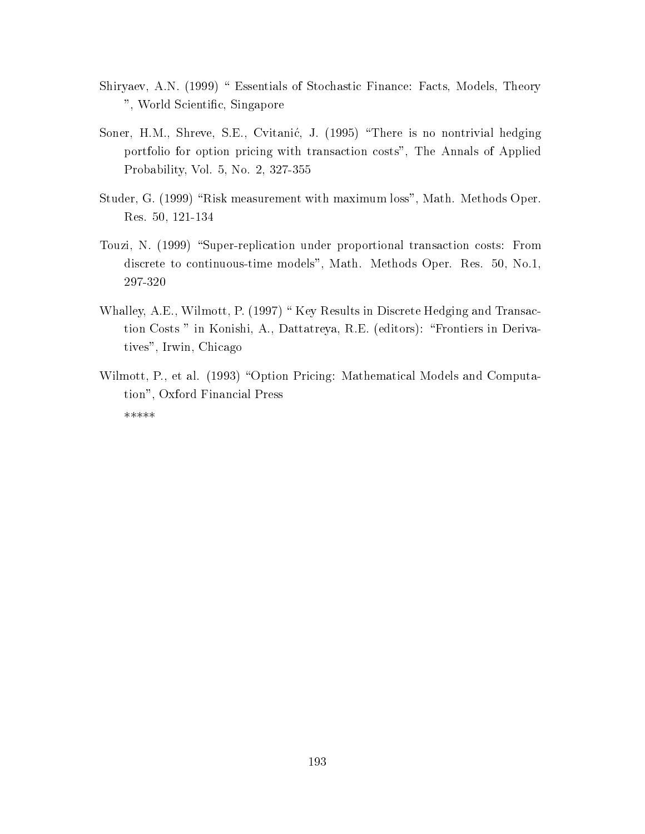- Shiryaev, A.N. (1999) " Essentials of Stochastic Finance: Facts, Models, Theory ", World Scientific, Singapore
- Soner, H.M., Shreve, S.E., Cvitanić, J. (1995) "There is no nontrivial hedging portfolio for option pricing with transaction costs", The Annals of Applied Probability, Vol. 5, No. 2, 327-355
- Studer, G. (1999) "Risk measurement with maximum loss", Math. Methods Oper. Res. 50, 121-134
- Touzi, N. (1999) "Super-replication under proportional transaction costs: From discrete to continuous-time models", Math. Methods Oper. Res. 50, No.1, 297-320
- Whalley, A.E., Wilmott, P. (1997) "Key Results in Discrete Hedging and Transaction Costs " in Konishi, A., Dattatreya, R.E. (editors): "Frontiers in Derivatives", Irwin, Chicago
- Wilmott, P., et al. (1993) "Option Pricing: Mathematical Models and Computation", Oxford Financial Press \*\*\*\*\*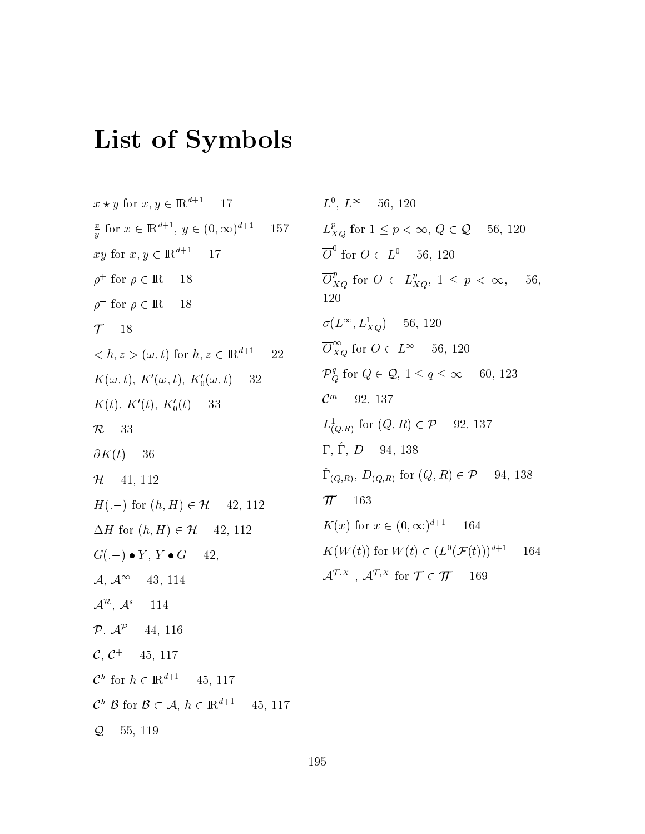## List of Symbols

 $x \star y$  for  $x, y \in \mathbb{R}^{d+1}$  17  $\frac{x}{y}$  for  $x \in \mathbb{R}^{d+1}$ ,  $y \in (0, \infty)^{d+1}$ 157 xy for  $x, y \in \mathbb{R}^{d+1}$ 17  $\rho^+$  for  $\rho \in \mathbb{R}$ 18  $\rho^-$  for  $\rho \in \mathbb{R}$ 18  $T = 18$  $\langle h, z \rangle (\omega, t)$  for  $h, z \in \mathbb{R}^{d+1}$ 22  $K(\omega, t)$ ,  $K'(\omega, t)$ ,  $K'_0(\omega, t)$ 32  $K(t)$ ,  $K'(t)$ ,  $K'_0(t)$  33  $\mathcal{R}$ 33  $\partial K(t)$ 36  $H$  41, 112  $H(-)$  for  $(h, H) \in \mathcal{H}$  42, 112  $\Delta H$  for  $(h, H) \in \mathcal{H}$  42, 112  $G(-) \bullet Y, Y \bullet G$ 42,  $\mathcal{A}, \mathcal{A}^{\infty}$  43, 114  $\mathcal{A}^{\mathcal{R}}, \mathcal{A}^{s}$  114  $\mathcal{P}, \mathcal{A}^{\mathcal{P}}$  44, 116  $\mathcal{C},\,\mathcal{C}^+$ 45, 117  $\mathcal{C}^h$  for  $h \in \mathbb{R}^{d+1}$ 45, 117  $\mathcal{C}^h|\mathcal{B}$  for  $\mathcal{B}\subset\mathcal{A}, h\in\mathbb{R}^{d+1}$ 45, 117  $Q_{\epsilon}$ 55, 119

 $L^0, L^{\infty}$ 56, 120  $L_{XO}^p$  for  $1 \leq p < \infty$ ,  $Q \in \mathcal{Q}$  56, 120  $\overline{O}^0$  for  $O \subset L^0$  56, 120  $\overline{O}_{XQ}^p$  for  $O \subset L_{XQ}^p$ ,  $1 \leq p < \infty$ , 56. 120  $\sigma(L^{\infty}, L^{1}_{XO})$  56, 120  $\overline{O}_{XQ}^{\infty}$  for  $O\subset L^{\infty}$  – 56, 120  $\mathcal{P}_{\mathcal{O}}^{q}$  for  $Q \in \mathcal{Q}, 1 \leq q \leq \infty$  $60, 123$  $C^m$  92, 137  $L^1_{(Q,R)}$  for  $(Q,R) \in \mathcal{P}$ 92, 137  $\Gamma, \, \hat \Gamma, \, D = 94, \, 138$  $\hat{\Gamma}_{(Q,R)}, D_{(Q,R)}$  for  $(Q,R) \in \mathcal{P}$  94, 138  $\pi$  163  $K(x)$  for  $x \in (0,\infty)^{d+1}$ 164  $K(W(t))$  for  $W(t) \in (L^0(\mathcal{F}(t)))^{d+1}$ 164  $\mathcal{A}^{\mathcal{T},X}$ ,  $\mathcal{A}^{\mathcal{T},\tilde{X}}$  for  $\mathcal{T} \in \mathcal{T}$  169